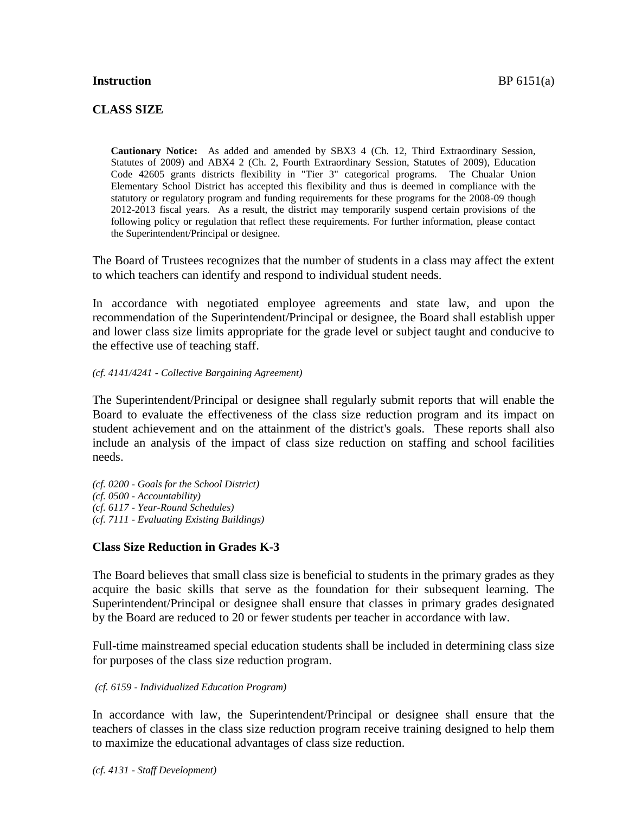### **Instruction** BP 6151(a)

## **CLASS SIZE**

**Cautionary Notice:** As added and amended by SBX3 4 (Ch. 12, Third Extraordinary Session, Statutes of 2009) and ABX4 2 (Ch. 2, Fourth Extraordinary Session, Statutes of 2009), Education Code 42605 grants districts flexibility in "Tier 3" categorical programs. The Chualar Union Elementary School District has accepted this flexibility and thus is deemed in compliance with the statutory or regulatory program and funding requirements for these programs for the 2008-09 though 2012-2013 fiscal years. As a result, the district may temporarily suspend certain provisions of the following policy or regulation that reflect these requirements. For further information, please contact the Superintendent/Principal or designee.

The Board of Trustees recognizes that the number of students in a class may affect the extent to which teachers can identify and respond to individual student needs.

In accordance with negotiated employee agreements and state law, and upon the recommendation of the Superintendent/Principal or designee, the Board shall establish upper and lower class size limits appropriate for the grade level or subject taught and conducive to the effective use of teaching staff.

#### *(cf. 4141/4241 - Collective Bargaining Agreement)*

The Superintendent/Principal or designee shall regularly submit reports that will enable the Board to evaluate the effectiveness of the class size reduction program and its impact on student achievement and on the attainment of the district's goals. These reports shall also include an analysis of the impact of class size reduction on staffing and school facilities needs.

*(cf. 0200 - Goals for the School District) (cf. 0500 - Accountability) (cf. 6117 - Year-Round Schedules) (cf. 7111 - Evaluating Existing Buildings)*

### **Class Size Reduction in Grades K-3**

The Board believes that small class size is beneficial to students in the primary grades as they acquire the basic skills that serve as the foundation for their subsequent learning. The Superintendent/Principal or designee shall ensure that classes in primary grades designated by the Board are reduced to 20 or fewer students per teacher in accordance with law.

Full-time mainstreamed special education students shall be included in determining class size for purposes of the class size reduction program.

#### *(cf. 6159 - Individualized Education Program)*

In accordance with law, the Superintendent/Principal or designee shall ensure that the teachers of classes in the class size reduction program receive training designed to help them to maximize the educational advantages of class size reduction.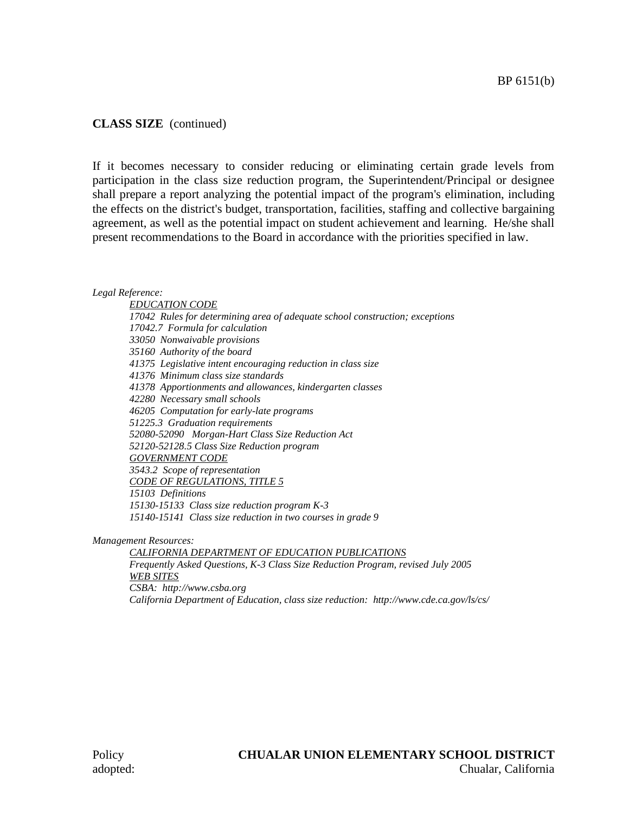## **CLASS SIZE** (continued)

If it becomes necessary to consider reducing or eliminating certain grade levels from participation in the class size reduction program, the Superintendent/Principal or designee shall prepare a report analyzing the potential impact of the program's elimination, including the effects on the district's budget, transportation, facilities, staffing and collective bargaining agreement, as well as the potential impact on student achievement and learning. He/she shall present recommendations to the Board in accordance with the priorities specified in law.

#### *Legal Reference:*

*EDUCATION CODE 17042 Rules for determining area of adequate school construction; exceptions 17042.7 Formula for calculation 33050 Nonwaivable provisions 35160 Authority of the board 41375 Legislative intent encouraging reduction in class size 41376 Minimum class size standards 41378 Apportionments and allowances, kindergarten classes 42280 Necessary small schools 46205 Computation for early-late programs 51225.3 Graduation requirements 52080-52090 Morgan-Hart Class Size Reduction Act 52120-52128.5 Class Size Reduction program GOVERNMENT CODE 3543.2 Scope of representation CODE OF REGULATIONS, TITLE 5 15103 Definitions 15130-15133 Class size reduction program K-3 15140-15141 Class size reduction in two courses in grade 9*

*Management Resources:*

*CALIFORNIA DEPARTMENT OF EDUCATION PUBLICATIONS Frequently Asked Questions, K-3 Class Size Reduction Program, revised July 2005 WEB SITES CSBA: http://www.csba.org California Department of Education, class size reduction: http://www.cde.ca.gov/ls/cs/*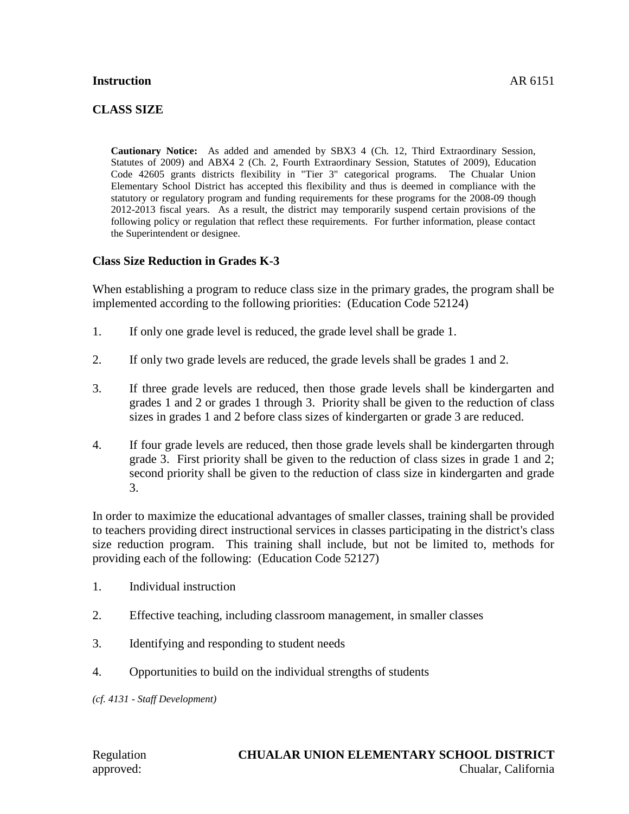### **Instruction** AR 6151

## **CLASS SIZE**

**Cautionary Notice:** As added and amended by SBX3 4 (Ch. 12, Third Extraordinary Session, Statutes of 2009) and ABX4 2 (Ch. 2, Fourth Extraordinary Session, Statutes of 2009), Education Code 42605 grants districts flexibility in "Tier 3" categorical programs. The Chualar Union Elementary School District has accepted this flexibility and thus is deemed in compliance with the statutory or regulatory program and funding requirements for these programs for the 2008-09 though 2012-2013 fiscal years. As a result, the district may temporarily suspend certain provisions of the following policy or regulation that reflect these requirements. For further information, please contact the Superintendent or designee.

## **Class Size Reduction in Grades K-3**

When establishing a program to reduce class size in the primary grades, the program shall be implemented according to the following priorities: (Education Code 52124)

- 1. If only one grade level is reduced, the grade level shall be grade 1.
- 2. If only two grade levels are reduced, the grade levels shall be grades 1 and 2.
- 3. If three grade levels are reduced, then those grade levels shall be kindergarten and grades 1 and 2 or grades 1 through 3. Priority shall be given to the reduction of class sizes in grades 1 and 2 before class sizes of kindergarten or grade 3 are reduced.
- 4. If four grade levels are reduced, then those grade levels shall be kindergarten through grade 3. First priority shall be given to the reduction of class sizes in grade 1 and 2; second priority shall be given to the reduction of class size in kindergarten and grade 3.

In order to maximize the educational advantages of smaller classes, training shall be provided to teachers providing direct instructional services in classes participating in the district's class size reduction program. This training shall include, but not be limited to, methods for providing each of the following: (Education Code 52127)

- 1. Individual instruction
- 2. Effective teaching, including classroom management, in smaller classes
- 3. Identifying and responding to student needs
- 4. Opportunities to build on the individual strengths of students

*(cf. 4131 - Staff Development)*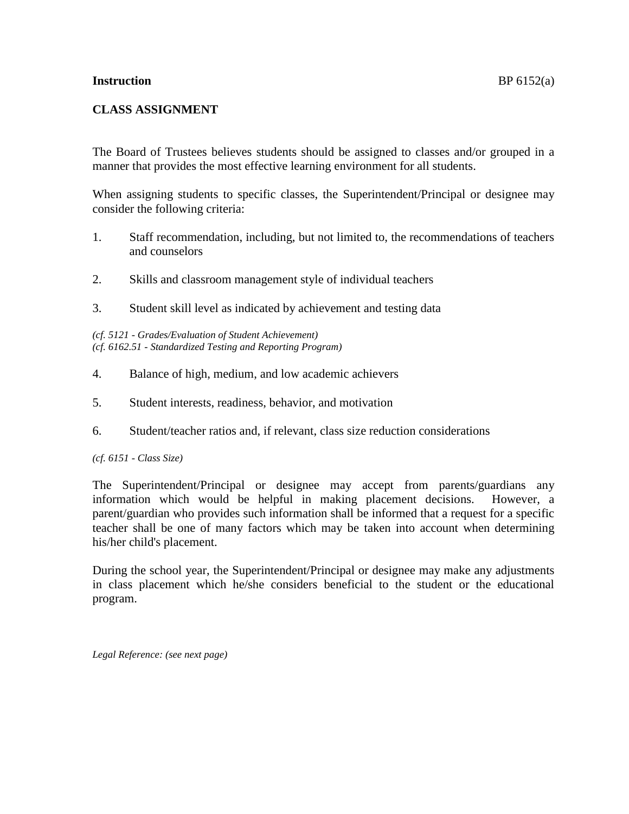### **Instruction** BP 6152(a)

## **CLASS ASSIGNMENT**

The Board of Trustees believes students should be assigned to classes and/or grouped in a manner that provides the most effective learning environment for all students.

When assigning students to specific classes, the Superintendent/Principal or designee may consider the following criteria:

- 1. Staff recommendation, including, but not limited to, the recommendations of teachers and counselors
- 2. Skills and classroom management style of individual teachers
- 3. Student skill level as indicated by achievement and testing data

*(cf. 5121 - Grades/Evaluation of Student Achievement) (cf. 6162.51 - Standardized Testing and Reporting Program)*

- 4. Balance of high, medium, and low academic achievers
- 5. Student interests, readiness, behavior, and motivation
- 6. Student/teacher ratios and, if relevant, class size reduction considerations

#### *(cf. 6151 - Class Size)*

The Superintendent/Principal or designee may accept from parents/guardians any information which would be helpful in making placement decisions. However, a parent/guardian who provides such information shall be informed that a request for a specific teacher shall be one of many factors which may be taken into account when determining his/her child's placement.

During the school year, the Superintendent/Principal or designee may make any adjustments in class placement which he/she considers beneficial to the student or the educational program.

*Legal Reference: (see next page)*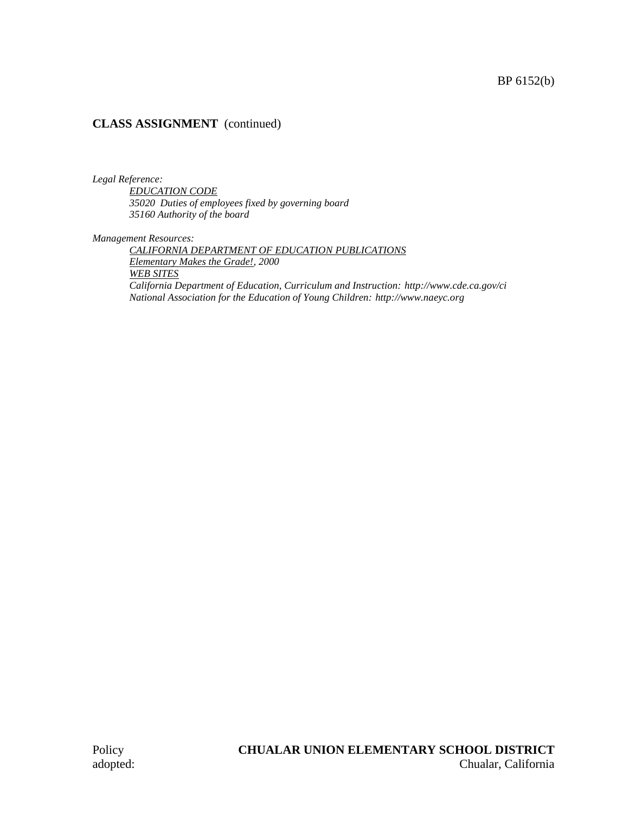## **CLASS ASSIGNMENT** (continued)

*Legal Reference:*

*EDUCATION CODE 35020 Duties of employees fixed by governing board 35160 Authority of the board*

*Management Resources:*

*CALIFORNIA DEPARTMENT OF EDUCATION PUBLICATIONS Elementary Makes the Grade!, 2000 WEB SITES California Department of Education, Curriculum and Instruction: http://www.cde.ca.gov/ci National Association for the Education of Young Children: http://www.naeyc.org*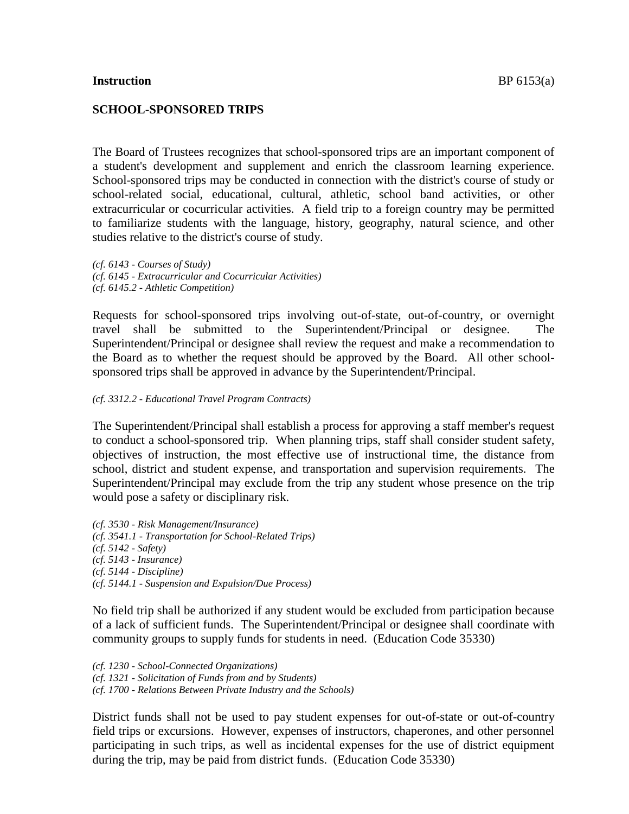#### **Instruction** BP 6153(a)

### **SCHOOL-SPONSORED TRIPS**

The Board of Trustees recognizes that school-sponsored trips are an important component of a student's development and supplement and enrich the classroom learning experience. School-sponsored trips may be conducted in connection with the district's course of study or school-related social, educational, cultural, athletic, school band activities, or other extracurricular or cocurricular activities. A field trip to a foreign country may be permitted to familiarize students with the language, history, geography, natural science, and other studies relative to the district's course of study.

*(cf. 6143 - Courses of Study) (cf. 6145 - Extracurricular and Cocurricular Activities) (cf. 6145.2 - Athletic Competition)*

Requests for school-sponsored trips involving out-of-state, out-of-country, or overnight travel shall be submitted to the Superintendent/Principal or designee. The Superintendent/Principal or designee shall review the request and make a recommendation to the Board as to whether the request should be approved by the Board. All other schoolsponsored trips shall be approved in advance by the Superintendent/Principal.

#### *(cf. 3312.2 - Educational Travel Program Contracts)*

The Superintendent/Principal shall establish a process for approving a staff member's request to conduct a school-sponsored trip. When planning trips, staff shall consider student safety, objectives of instruction, the most effective use of instructional time, the distance from school, district and student expense, and transportation and supervision requirements. The Superintendent/Principal may exclude from the trip any student whose presence on the trip would pose a safety or disciplinary risk.

*(cf. 3530 - Risk Management/Insurance) (cf. 3541.1 - Transportation for School-Related Trips) (cf. 5142 - Safety) (cf. 5143 - Insurance) (cf. 5144 - Discipline) (cf. 5144.1 - Suspension and Expulsion/Due Process)*

No field trip shall be authorized if any student would be excluded from participation because of a lack of sufficient funds. The Superintendent/Principal or designee shall coordinate with community groups to supply funds for students in need. (Education Code 35330)

*(cf. 1230 - School-Connected Organizations) (cf. 1321 - Solicitation of Funds from and by Students) (cf. 1700 - Relations Between Private Industry and the Schools)*

District funds shall not be used to pay student expenses for out-of-state or out-of-country field trips or excursions. However, expenses of instructors, chaperones, and other personnel participating in such trips, as well as incidental expenses for the use of district equipment during the trip, may be paid from district funds. (Education Code 35330)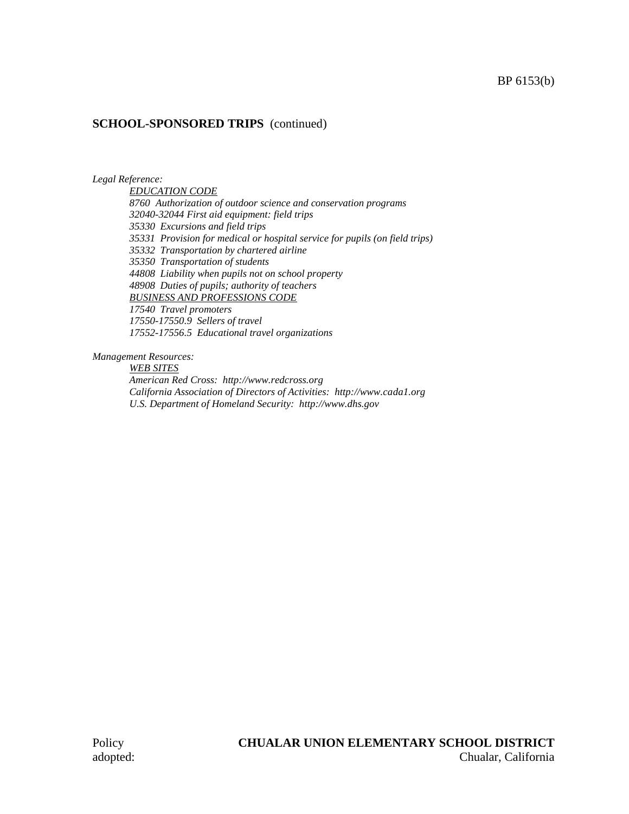### **SCHOOL-SPONSORED TRIPS** (continued)

*Legal Reference:*

*EDUCATION CODE 8760 Authorization of outdoor science and conservation programs 32040-32044 First aid equipment: field trips 35330 Excursions and field trips 35331 Provision for medical or hospital service for pupils (on field trips) 35332 Transportation by chartered airline 35350 Transportation of students 44808 Liability when pupils not on school property 48908 Duties of pupils; authority of teachers BUSINESS AND PROFESSIONS CODE 17540 Travel promoters 17550-17550.9 Sellers of travel*

*17552-17556.5 Educational travel organizations*

*Management Resources:*

*WEB SITES*

*American Red Cross: http://www.redcross.org California Association of Directors of Activities: http://www.cada1.org U.S. Department of Homeland Security: http://www.dhs.gov*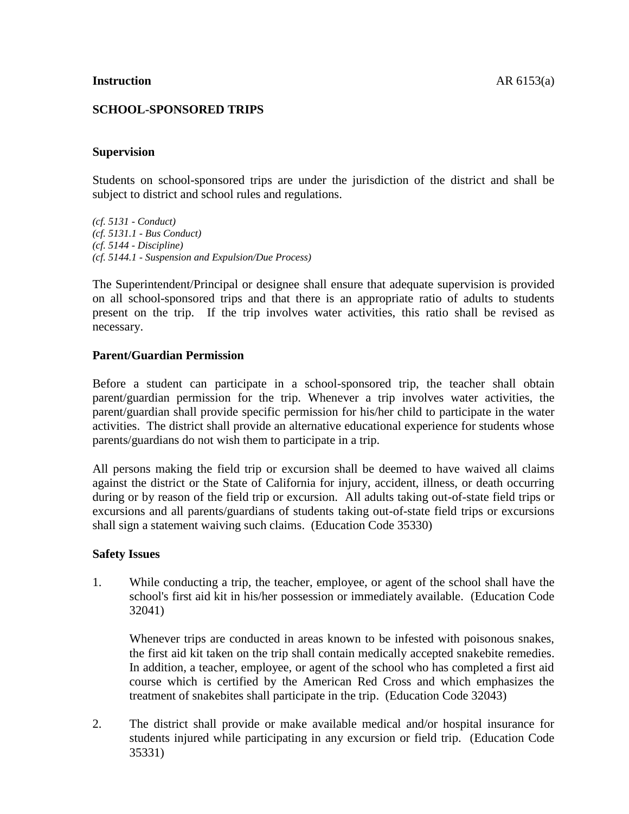## **SCHOOL-SPONSORED TRIPS**

### **Supervision**

Students on school-sponsored trips are under the jurisdiction of the district and shall be subject to district and school rules and regulations.

*(cf. 5131 - Conduct) (cf. 5131.1 - Bus Conduct) (cf. 5144 - Discipline) (cf. 5144.1 - Suspension and Expulsion/Due Process)*

The Superintendent/Principal or designee shall ensure that adequate supervision is provided on all school-sponsored trips and that there is an appropriate ratio of adults to students present on the trip. If the trip involves water activities, this ratio shall be revised as necessary.

### **Parent/Guardian Permission**

Before a student can participate in a school-sponsored trip, the teacher shall obtain parent/guardian permission for the trip. Whenever a trip involves water activities, the parent/guardian shall provide specific permission for his/her child to participate in the water activities. The district shall provide an alternative educational experience for students whose parents/guardians do not wish them to participate in a trip.

All persons making the field trip or excursion shall be deemed to have waived all claims against the district or the State of California for injury, accident, illness, or death occurring during or by reason of the field trip or excursion. All adults taking out-of-state field trips or excursions and all parents/guardians of students taking out-of-state field trips or excursions shall sign a statement waiving such claims. (Education Code 35330)

#### **Safety Issues**

1. While conducting a trip, the teacher, employee, or agent of the school shall have the school's first aid kit in his/her possession or immediately available. (Education Code 32041)

Whenever trips are conducted in areas known to be infested with poisonous snakes, the first aid kit taken on the trip shall contain medically accepted snakebite remedies. In addition, a teacher, employee, or agent of the school who has completed a first aid course which is certified by the American Red Cross and which emphasizes the treatment of snakebites shall participate in the trip. (Education Code 32043)

2. The district shall provide or make available medical and/or hospital insurance for students injured while participating in any excursion or field trip. (Education Code 35331)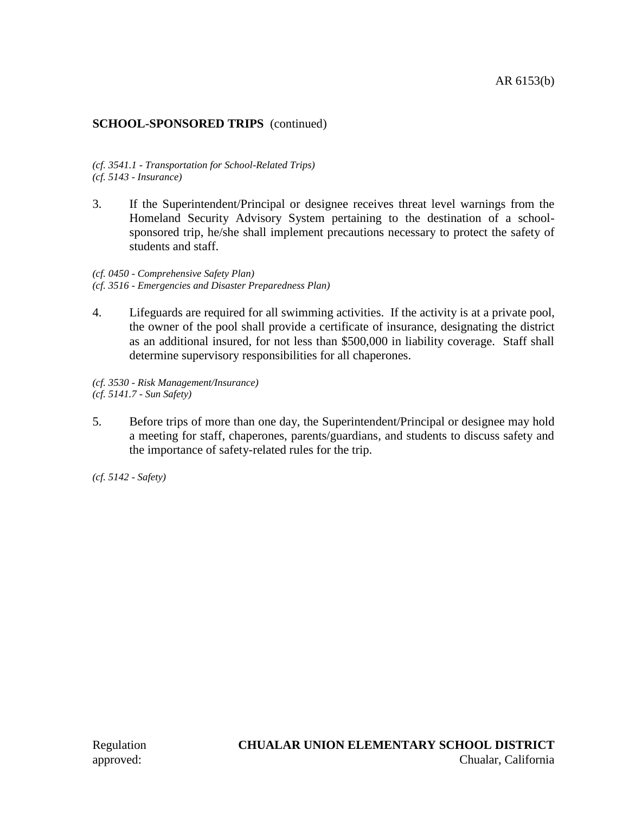## **SCHOOL-SPONSORED TRIPS** (continued)

*(cf. 3541.1 - Transportation for School-Related Trips) (cf. 5143 - Insurance)*

3. If the Superintendent/Principal or designee receives threat level warnings from the Homeland Security Advisory System pertaining to the destination of a schoolsponsored trip, he/she shall implement precautions necessary to protect the safety of students and staff.

*(cf. 0450 - Comprehensive Safety Plan) (cf. 3516 - Emergencies and Disaster Preparedness Plan)*

4. Lifeguards are required for all swimming activities. If the activity is at a private pool, the owner of the pool shall provide a certificate of insurance, designating the district as an additional insured, for not less than \$500,000 in liability coverage. Staff shall determine supervisory responsibilities for all chaperones.

*(cf. 3530 - Risk Management/Insurance) (cf. 5141.7 - Sun Safety)*

5. Before trips of more than one day, the Superintendent/Principal or designee may hold a meeting for staff, chaperones, parents/guardians, and students to discuss safety and the importance of safety-related rules for the trip.

*(cf. 5142 - Safety)*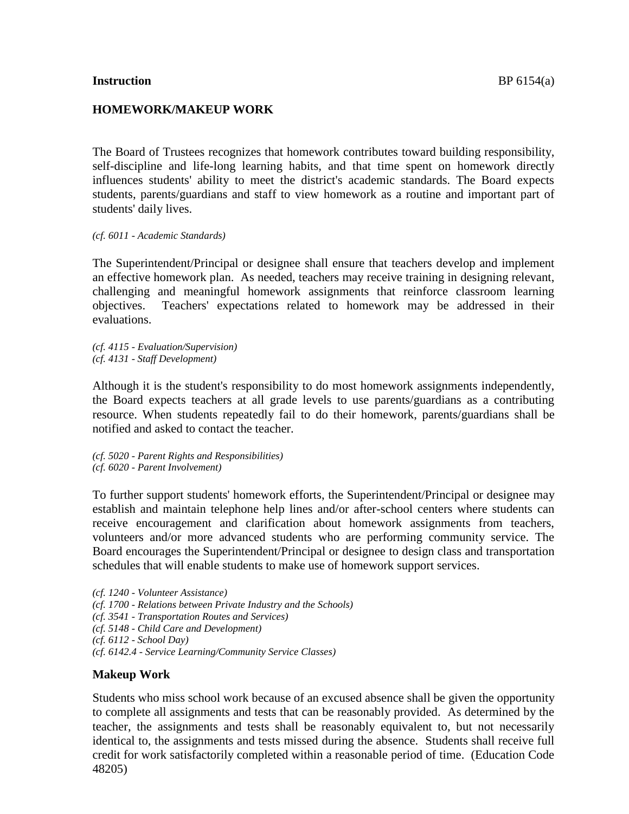#### **Instruction** BP 6154(a)

### **HOMEWORK/MAKEUP WORK**

The Board of Trustees recognizes that homework contributes toward building responsibility, self-discipline and life-long learning habits, and that time spent on homework directly influences students' ability to meet the district's academic standards. The Board expects students, parents/guardians and staff to view homework as a routine and important part of students' daily lives.

*(cf. 6011 - Academic Standards)*

The Superintendent/Principal or designee shall ensure that teachers develop and implement an effective homework plan. As needed, teachers may receive training in designing relevant, challenging and meaningful homework assignments that reinforce classroom learning objectives. Teachers' expectations related to homework may be addressed in their evaluations.

*(cf. 4115 - Evaluation/Supervision) (cf. 4131 - Staff Development)*

Although it is the student's responsibility to do most homework assignments independently, the Board expects teachers at all grade levels to use parents/guardians as a contributing resource. When students repeatedly fail to do their homework, parents/guardians shall be notified and asked to contact the teacher.

*(cf. 5020 - Parent Rights and Responsibilities) (cf. 6020 - Parent Involvement)*

To further support students' homework efforts, the Superintendent/Principal or designee may establish and maintain telephone help lines and/or after-school centers where students can receive encouragement and clarification about homework assignments from teachers, volunteers and/or more advanced students who are performing community service. The Board encourages the Superintendent/Principal or designee to design class and transportation schedules that will enable students to make use of homework support services.

*(cf. 1240 - Volunteer Assistance) (cf. 1700 - Relations between Private Industry and the Schools) (cf. 3541 - Transportation Routes and Services) (cf. 5148 - Child Care and Development) (cf. 6112 - School Day) (cf. 6142.4 - Service Learning/Community Service Classes)*

# **Makeup Work**

Students who miss school work because of an excused absence shall be given the opportunity to complete all assignments and tests that can be reasonably provided. As determined by the teacher, the assignments and tests shall be reasonably equivalent to, but not necessarily identical to, the assignments and tests missed during the absence. Students shall receive full credit for work satisfactorily completed within a reasonable period of time. (Education Code 48205)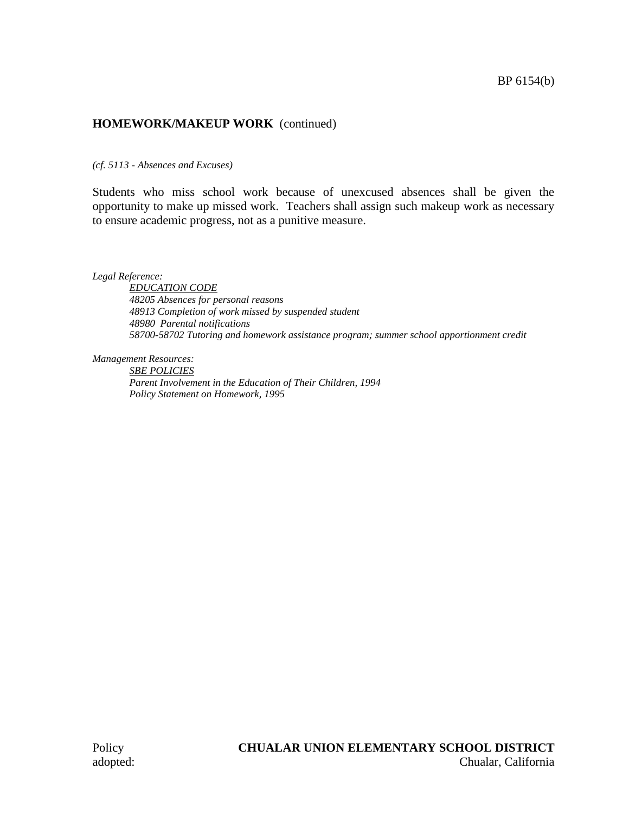## **HOMEWORK/MAKEUP WORK** (continued)

*(cf. 5113 - Absences and Excuses)*

Students who miss school work because of unexcused absences shall be given the opportunity to make up missed work. Teachers shall assign such makeup work as necessary to ensure academic progress, not as a punitive measure.

*Legal Reference:*

*EDUCATION CODE 48205 Absences for personal reasons 48913 Completion of work missed by suspended student 48980 Parental notifications 58700-58702 Tutoring and homework assistance program; summer school apportionment credit*

*Management Resources:*

*SBE POLICIES Parent Involvement in the Education of Their Children, 1994 Policy Statement on Homework, 1995*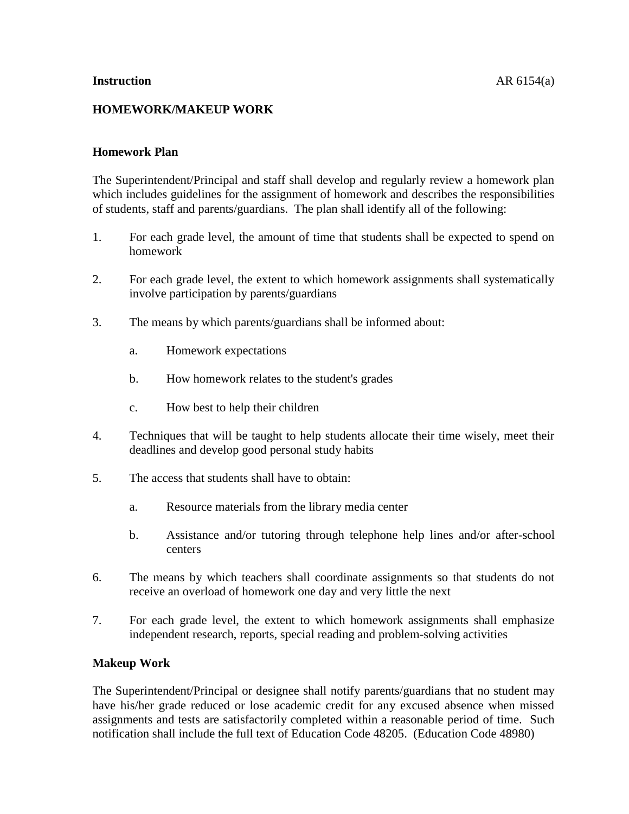## **Homework Plan**

The Superintendent/Principal and staff shall develop and regularly review a homework plan which includes guidelines for the assignment of homework and describes the responsibilities of students, staff and parents/guardians. The plan shall identify all of the following:

- 1. For each grade level, the amount of time that students shall be expected to spend on homework
- 2. For each grade level, the extent to which homework assignments shall systematically involve participation by parents/guardians
- 3. The means by which parents/guardians shall be informed about:
	- a. Homework expectations
	- b. How homework relates to the student's grades
	- c. How best to help their children
- 4. Techniques that will be taught to help students allocate their time wisely, meet their deadlines and develop good personal study habits
- 5. The access that students shall have to obtain:
	- a. Resource materials from the library media center
	- b. Assistance and/or tutoring through telephone help lines and/or after-school centers
- 6. The means by which teachers shall coordinate assignments so that students do not receive an overload of homework one day and very little the next
- 7. For each grade level, the extent to which homework assignments shall emphasize independent research, reports, special reading and problem-solving activities

# **Makeup Work**

The Superintendent/Principal or designee shall notify parents/guardians that no student may have his/her grade reduced or lose academic credit for any excused absence when missed assignments and tests are satisfactorily completed within a reasonable period of time. Such notification shall include the full text of Education Code 48205. (Education Code 48980)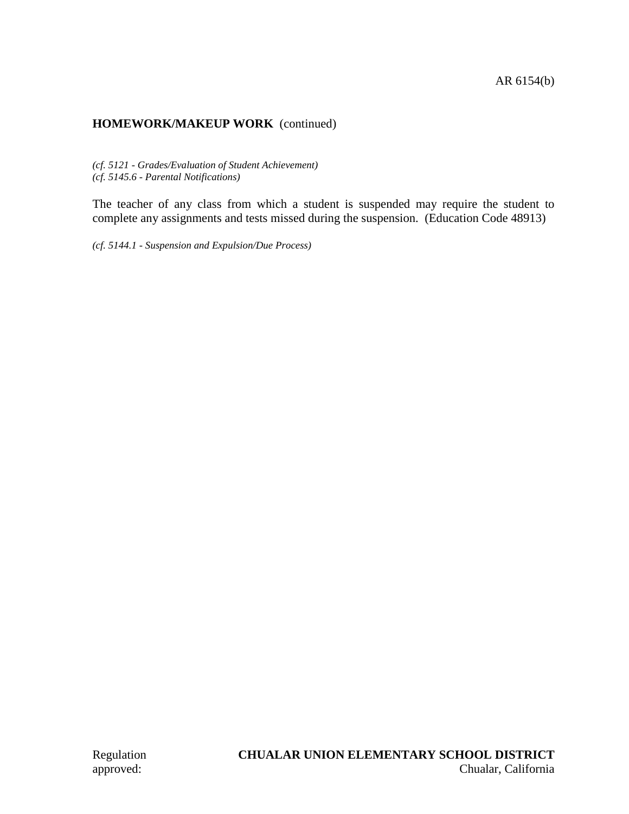# **HOMEWORK/MAKEUP WORK** (continued)

*(cf. 5121 - Grades/Evaluation of Student Achievement) (cf. 5145.6 - Parental Notifications)*

The teacher of any class from which a student is suspended may require the student to complete any assignments and tests missed during the suspension. (Education Code 48913)

*(cf. 5144.1 - Suspension and Expulsion/Due Process)*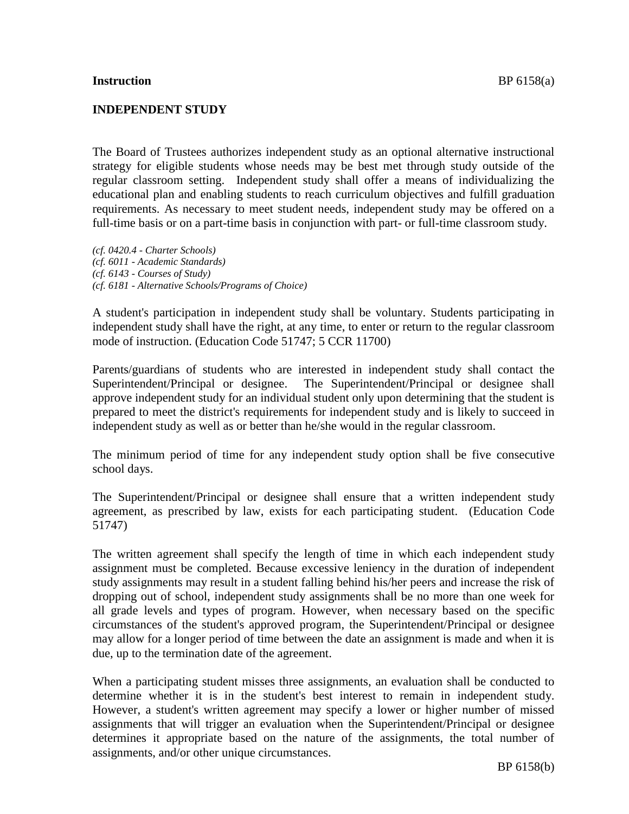### **INDEPENDENT STUDY**

The Board of Trustees authorizes independent study as an optional alternative instructional strategy for eligible students whose needs may be best met through study outside of the regular classroom setting. Independent study shall offer a means of individualizing the educational plan and enabling students to reach curriculum objectives and fulfill graduation requirements. As necessary to meet student needs, independent study may be offered on a full-time basis or on a part-time basis in conjunction with part- or full-time classroom study.

*(cf. 0420.4 - Charter Schools) (cf. 6011 - Academic Standards) (cf. 6143 - Courses of Study) (cf. 6181 - Alternative Schools/Programs of Choice)*

A student's participation in independent study shall be voluntary. Students participating in independent study shall have the right, at any time, to enter or return to the regular classroom mode of instruction. (Education Code 51747; 5 CCR 11700)

Parents/guardians of students who are interested in independent study shall contact the Superintendent/Principal or designee. The Superintendent/Principal or designee shall approve independent study for an individual student only upon determining that the student is prepared to meet the district's requirements for independent study and is likely to succeed in independent study as well as or better than he/she would in the regular classroom.

The minimum period of time for any independent study option shall be five consecutive school days.

The Superintendent/Principal or designee shall ensure that a written independent study agreement, as prescribed by law, exists for each participating student. (Education Code 51747)

The written agreement shall specify the length of time in which each independent study assignment must be completed. Because excessive leniency in the duration of independent study assignments may result in a student falling behind his/her peers and increase the risk of dropping out of school, independent study assignments shall be no more than one week for all grade levels and types of program. However, when necessary based on the specific circumstances of the student's approved program, the Superintendent/Principal or designee may allow for a longer period of time between the date an assignment is made and when it is due, up to the termination date of the agreement.

When a participating student misses three assignments, an evaluation shall be conducted to determine whether it is in the student's best interest to remain in independent study. However, a student's written agreement may specify a lower or higher number of missed assignments that will trigger an evaluation when the Superintendent/Principal or designee determines it appropriate based on the nature of the assignments, the total number of assignments, and/or other unique circumstances.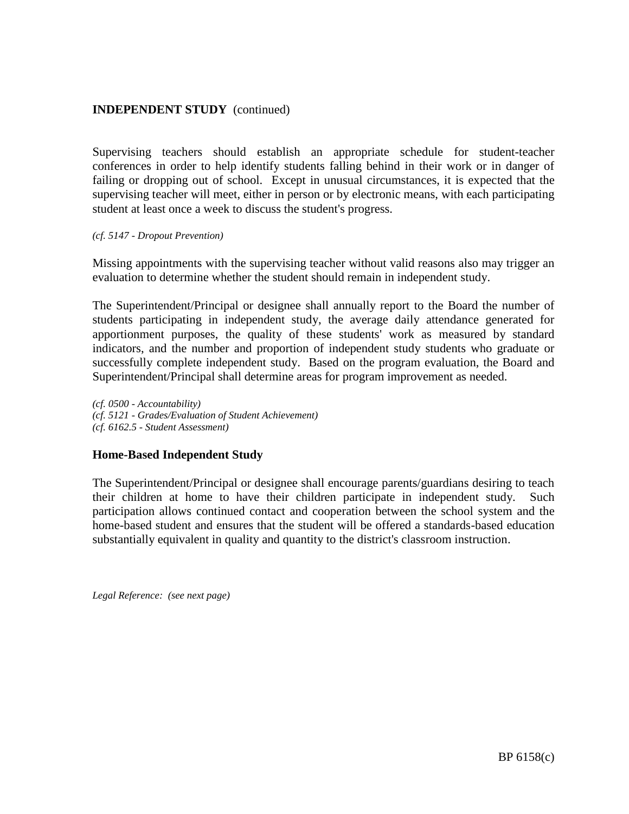Supervising teachers should establish an appropriate schedule for student-teacher conferences in order to help identify students falling behind in their work or in danger of failing or dropping out of school. Except in unusual circumstances, it is expected that the supervising teacher will meet, either in person or by electronic means, with each participating student at least once a week to discuss the student's progress.

#### *(cf. 5147 - Dropout Prevention)*

Missing appointments with the supervising teacher without valid reasons also may trigger an evaluation to determine whether the student should remain in independent study.

The Superintendent/Principal or designee shall annually report to the Board the number of students participating in independent study, the average daily attendance generated for apportionment purposes, the quality of these students' work as measured by standard indicators, and the number and proportion of independent study students who graduate or successfully complete independent study. Based on the program evaluation, the Board and Superintendent/Principal shall determine areas for program improvement as needed.

*(cf. 0500 - Accountability) (cf. 5121 - Grades/Evaluation of Student Achievement) (cf. 6162.5 - Student Assessment)*

### **Home-Based Independent Study**

The Superintendent/Principal or designee shall encourage parents/guardians desiring to teach their children at home to have their children participate in independent study. Such participation allows continued contact and cooperation between the school system and the home-based student and ensures that the student will be offered a standards-based education substantially equivalent in quality and quantity to the district's classroom instruction.

*Legal Reference: (see next page)*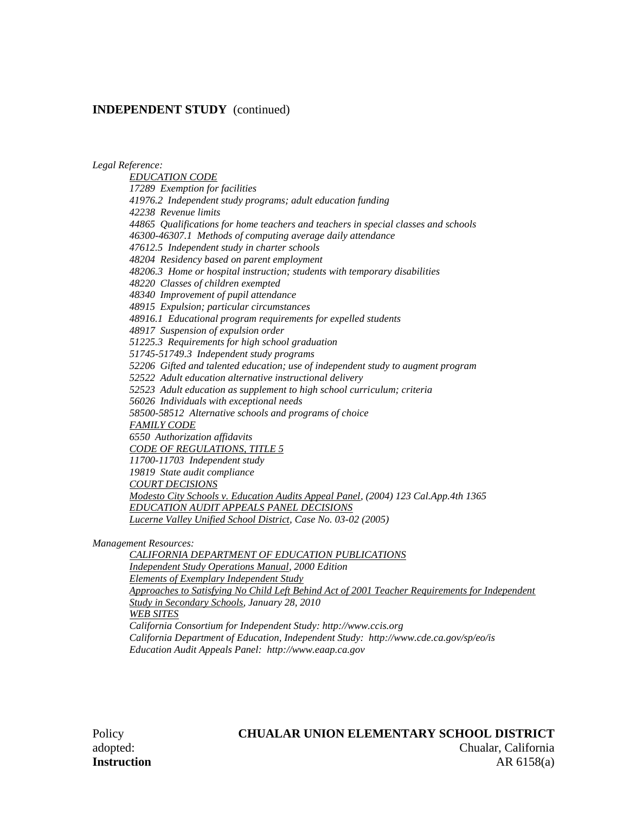*Legal Reference:*

*EDUCATION CODE 17289 Exemption for facilities 41976.2 Independent study programs; adult education funding 42238 Revenue limits 44865 Qualifications for home teachers and teachers in special classes and schools 46300-46307.1 Methods of computing average daily attendance 47612.5 Independent study in charter schools 48204 Residency based on parent employment 48206.3 Home or hospital instruction; students with temporary disabilities 48220 Classes of children exempted 48340 Improvement of pupil attendance 48915 Expulsion; particular circumstances 48916.1 Educational program requirements for expelled students 48917 Suspension of expulsion order 51225.3 Requirements for high school graduation 51745-51749.3 Independent study programs 52206 Gifted and talented education; use of independent study to augment program 52522 Adult education alternative instructional delivery 52523 Adult education as supplement to high school curriculum; criteria 56026 Individuals with exceptional needs 58500-58512 Alternative schools and programs of choice FAMILY CODE 6550 Authorization affidavits CODE OF REGULATIONS, TITLE 5 11700-11703 Independent study 19819 State audit compliance COURT DECISIONS Modesto City Schools v. Education Audits Appeal Panel, (2004) 123 Cal.App.4th 1365 EDUCATION AUDIT APPEALS PANEL DECISIONS Lucerne Valley Unified School District, Case No. 03-02 (2005)*

*Management Resources:*

*CALIFORNIA DEPARTMENT OF EDUCATION PUBLICATIONS Independent Study Operations Manual, 2000 Edition Elements of Exemplary Independent Study Approaches to Satisfying No Child Left Behind Act of 2001 Teacher Requirements for Independent Study in Secondary Schools, January 28, 2010 WEB SITES California Consortium for Independent Study: http://www.ccis.org California Department of Education, Independent Study: http://www.cde.ca.gov/sp/eo/is Education Audit Appeals Panel: http://www.eaap.ca.gov*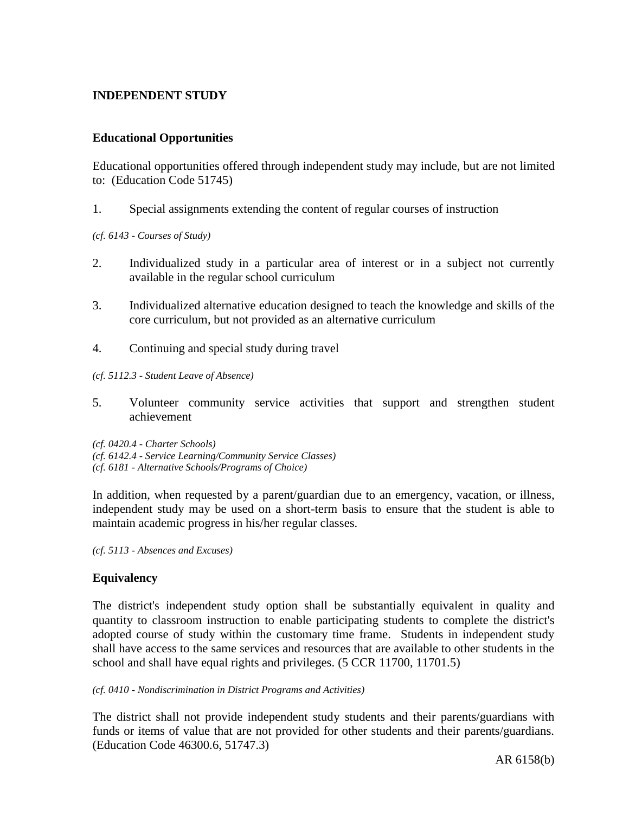## **INDEPENDENT STUDY**

## **Educational Opportunities**

Educational opportunities offered through independent study may include, but are not limited to: (Education Code 51745)

1. Special assignments extending the content of regular courses of instruction

*(cf. 6143 - Courses of Study)*

- 2. Individualized study in a particular area of interest or in a subject not currently available in the regular school curriculum
- 3. Individualized alternative education designed to teach the knowledge and skills of the core curriculum, but not provided as an alternative curriculum
- 4. Continuing and special study during travel
- *(cf. 5112.3 - Student Leave of Absence)*
- 5. Volunteer community service activities that support and strengthen student achievement
- *(cf. 0420.4 - Charter Schools)*
- *(cf. 6142.4 - Service Learning/Community Service Classes)*
- *(cf. 6181 - Alternative Schools/Programs of Choice)*

In addition, when requested by a parent/guardian due to an emergency, vacation, or illness, independent study may be used on a short-term basis to ensure that the student is able to maintain academic progress in his/her regular classes.

*(cf. 5113 - Absences and Excuses)*

# **Equivalency**

The district's independent study option shall be substantially equivalent in quality and quantity to classroom instruction to enable participating students to complete the district's adopted course of study within the customary time frame. Students in independent study shall have access to the same services and resources that are available to other students in the school and shall have equal rights and privileges. (5 CCR 11700, 11701.5)

#### *(cf. 0410 - Nondiscrimination in District Programs and Activities)*

The district shall not provide independent study students and their parents/guardians with funds or items of value that are not provided for other students and their parents/guardians. (Education Code 46300.6, 51747.3)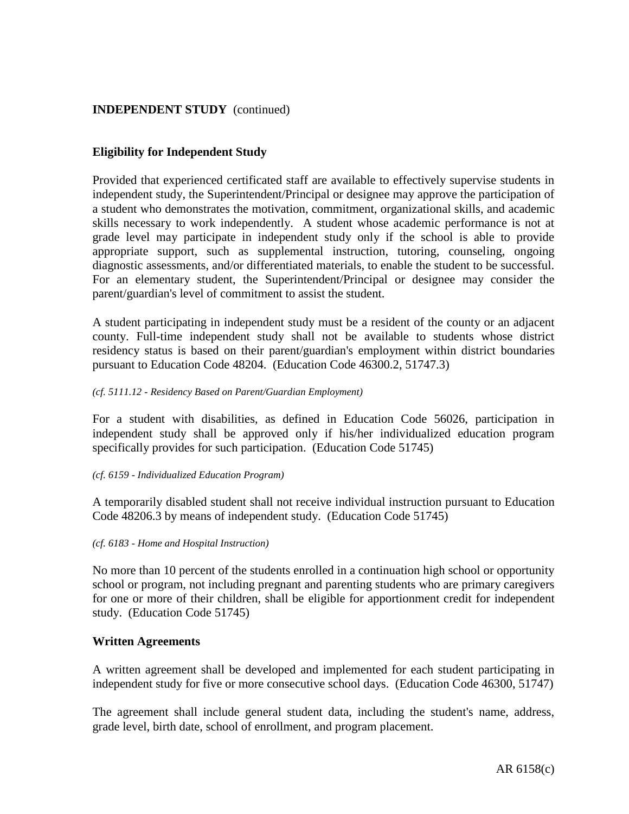## **Eligibility for Independent Study**

Provided that experienced certificated staff are available to effectively supervise students in independent study, the Superintendent/Principal or designee may approve the participation of a student who demonstrates the motivation, commitment, organizational skills, and academic skills necessary to work independently. A student whose academic performance is not at grade level may participate in independent study only if the school is able to provide appropriate support, such as supplemental instruction, tutoring, counseling, ongoing diagnostic assessments, and/or differentiated materials, to enable the student to be successful. For an elementary student, the Superintendent/Principal or designee may consider the parent/guardian's level of commitment to assist the student.

A student participating in independent study must be a resident of the county or an adjacent county. Full-time independent study shall not be available to students whose district residency status is based on their parent/guardian's employment within district boundaries pursuant to Education Code 48204. (Education Code 46300.2, 51747.3)

#### *(cf. 5111.12 - Residency Based on Parent/Guardian Employment)*

For a student with disabilities, as defined in Education Code 56026, participation in independent study shall be approved only if his/her individualized education program specifically provides for such participation. (Education Code 51745)

#### *(cf. 6159 - Individualized Education Program)*

A temporarily disabled student shall not receive individual instruction pursuant to Education Code 48206.3 by means of independent study. (Education Code 51745)

#### *(cf. 6183 - Home and Hospital Instruction)*

No more than 10 percent of the students enrolled in a continuation high school or opportunity school or program, not including pregnant and parenting students who are primary caregivers for one or more of their children, shall be eligible for apportionment credit for independent study. (Education Code 51745)

### **Written Agreements**

A written agreement shall be developed and implemented for each student participating in independent study for five or more consecutive school days. (Education Code 46300, 51747)

The agreement shall include general student data, including the student's name, address, grade level, birth date, school of enrollment, and program placement.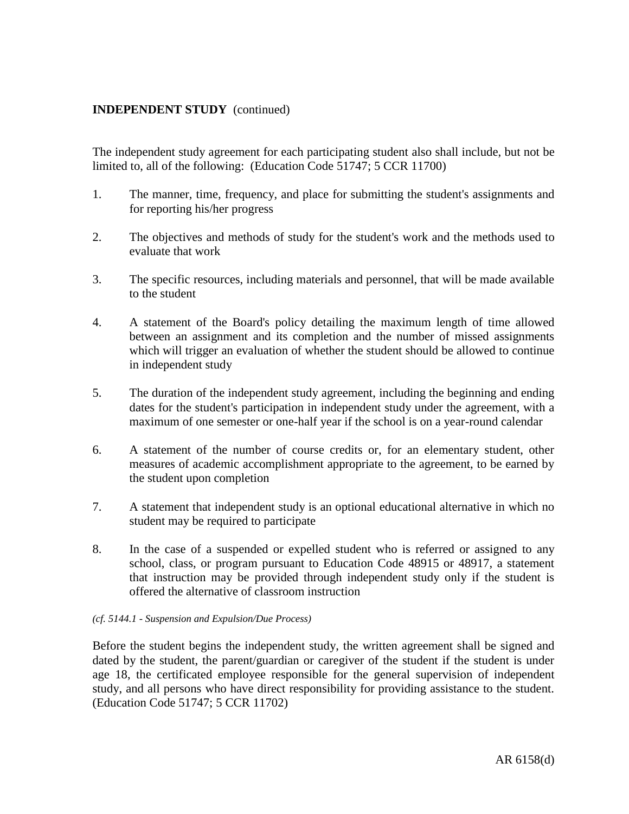The independent study agreement for each participating student also shall include, but not be limited to, all of the following: (Education Code 51747; 5 CCR 11700)

- 1. The manner, time, frequency, and place for submitting the student's assignments and for reporting his/her progress
- 2. The objectives and methods of study for the student's work and the methods used to evaluate that work
- 3. The specific resources, including materials and personnel, that will be made available to the student
- 4. A statement of the Board's policy detailing the maximum length of time allowed between an assignment and its completion and the number of missed assignments which will trigger an evaluation of whether the student should be allowed to continue in independent study
- 5. The duration of the independent study agreement, including the beginning and ending dates for the student's participation in independent study under the agreement, with a maximum of one semester or one-half year if the school is on a year-round calendar
- 6. A statement of the number of course credits or, for an elementary student, other measures of academic accomplishment appropriate to the agreement, to be earned by the student upon completion
- 7. A statement that independent study is an optional educational alternative in which no student may be required to participate
- 8. In the case of a suspended or expelled student who is referred or assigned to any school, class, or program pursuant to Education Code 48915 or 48917, a statement that instruction may be provided through independent study only if the student is offered the alternative of classroom instruction

#### *(cf. 5144.1 - Suspension and Expulsion/Due Process)*

Before the student begins the independent study, the written agreement shall be signed and dated by the student, the parent/guardian or caregiver of the student if the student is under age 18, the certificated employee responsible for the general supervision of independent study, and all persons who have direct responsibility for providing assistance to the student. (Education Code 51747; 5 CCR 11702)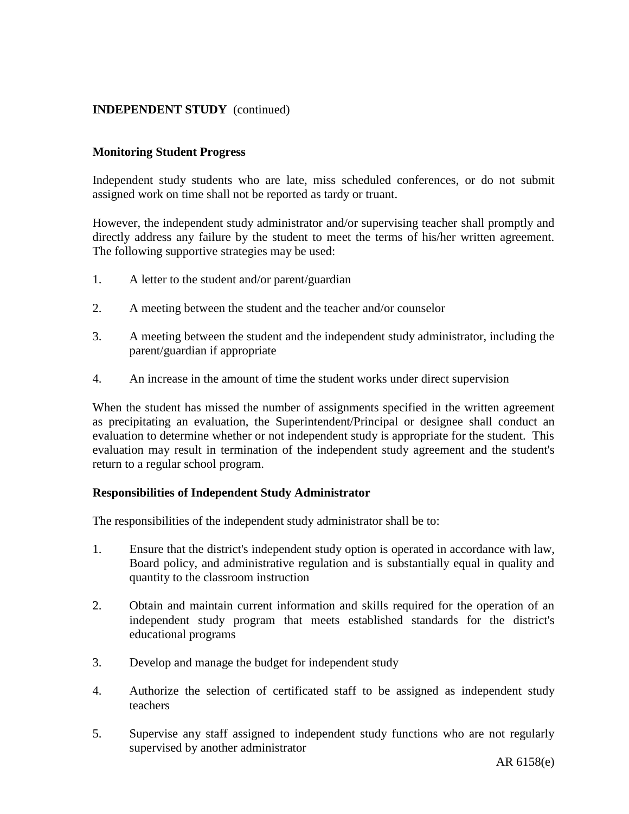### **Monitoring Student Progress**

Independent study students who are late, miss scheduled conferences, or do not submit assigned work on time shall not be reported as tardy or truant.

However, the independent study administrator and/or supervising teacher shall promptly and directly address any failure by the student to meet the terms of his/her written agreement. The following supportive strategies may be used:

- 1. A letter to the student and/or parent/guardian
- 2. A meeting between the student and the teacher and/or counselor
- 3. A meeting between the student and the independent study administrator, including the parent/guardian if appropriate
- 4. An increase in the amount of time the student works under direct supervision

When the student has missed the number of assignments specified in the written agreement as precipitating an evaluation, the Superintendent/Principal or designee shall conduct an evaluation to determine whether or not independent study is appropriate for the student. This evaluation may result in termination of the independent study agreement and the student's return to a regular school program.

### **Responsibilities of Independent Study Administrator**

The responsibilities of the independent study administrator shall be to:

- 1. Ensure that the district's independent study option is operated in accordance with law, Board policy, and administrative regulation and is substantially equal in quality and quantity to the classroom instruction
- 2. Obtain and maintain current information and skills required for the operation of an independent study program that meets established standards for the district's educational programs
- 3. Develop and manage the budget for independent study
- 4. Authorize the selection of certificated staff to be assigned as independent study teachers
- 5. Supervise any staff assigned to independent study functions who are not regularly supervised by another administrator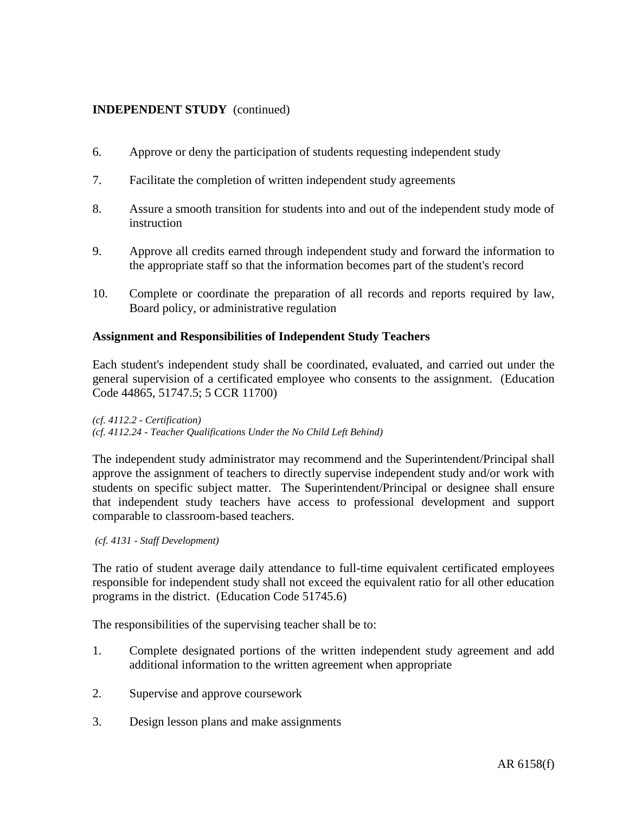- 6. Approve or deny the participation of students requesting independent study
- 7. Facilitate the completion of written independent study agreements
- 8. Assure a smooth transition for students into and out of the independent study mode of instruction
- 9. Approve all credits earned through independent study and forward the information to the appropriate staff so that the information becomes part of the student's record
- 10. Complete or coordinate the preparation of all records and reports required by law, Board policy, or administrative regulation

### **Assignment and Responsibilities of Independent Study Teachers**

Each student's independent study shall be coordinated, evaluated, and carried out under the general supervision of a certificated employee who consents to the assignment. (Education Code 44865, 51747.5; 5 CCR 11700)

*(cf. 4112.2 - Certification)*

*(cf. 4112.24 - Teacher Qualifications Under the No Child Left Behind)*

The independent study administrator may recommend and the Superintendent/Principal shall approve the assignment of teachers to directly supervise independent study and/or work with students on specific subject matter. The Superintendent/Principal or designee shall ensure that independent study teachers have access to professional development and support comparable to classroom-based teachers.

*(cf. 4131 - Staff Development)*

The ratio of student average daily attendance to full-time equivalent certificated employees responsible for independent study shall not exceed the equivalent ratio for all other education programs in the district. (Education Code 51745.6)

The responsibilities of the supervising teacher shall be to:

- 1. Complete designated portions of the written independent study agreement and add additional information to the written agreement when appropriate
- 2. Supervise and approve coursework
- 3. Design lesson plans and make assignments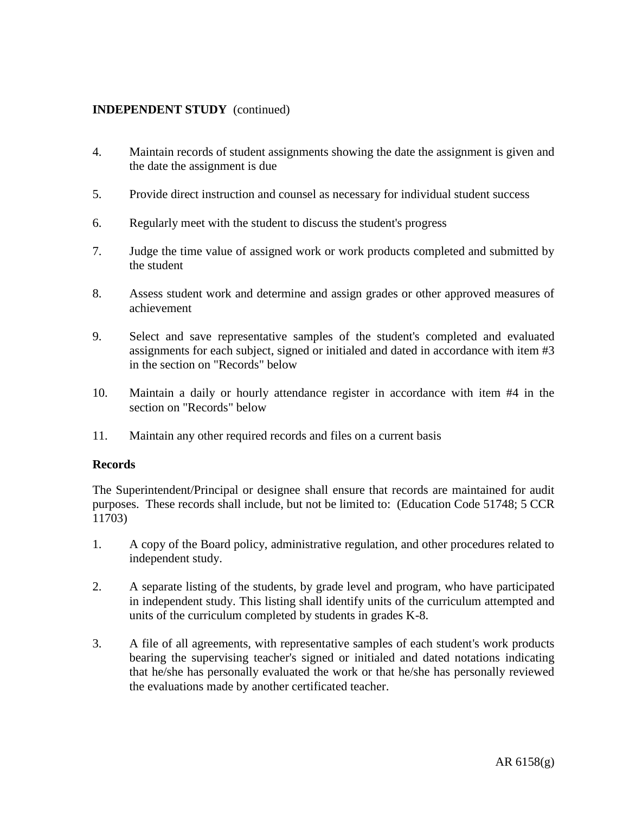- 4. Maintain records of student assignments showing the date the assignment is given and the date the assignment is due
- 5. Provide direct instruction and counsel as necessary for individual student success
- 6. Regularly meet with the student to discuss the student's progress
- 7. Judge the time value of assigned work or work products completed and submitted by the student
- 8. Assess student work and determine and assign grades or other approved measures of achievement
- 9. Select and save representative samples of the student's completed and evaluated assignments for each subject, signed or initialed and dated in accordance with item #3 in the section on "Records" below
- 10. Maintain a daily or hourly attendance register in accordance with item #4 in the section on "Records" below
- 11. Maintain any other required records and files on a current basis

### **Records**

The Superintendent/Principal or designee shall ensure that records are maintained for audit purposes. These records shall include, but not be limited to: (Education Code 51748; 5 CCR 11703)

- 1. A copy of the Board policy, administrative regulation, and other procedures related to independent study.
- 2. A separate listing of the students, by grade level and program, who have participated in independent study. This listing shall identify units of the curriculum attempted and units of the curriculum completed by students in grades K-8.
- 3. A file of all agreements, with representative samples of each student's work products bearing the supervising teacher's signed or initialed and dated notations indicating that he/she has personally evaluated the work or that he/she has personally reviewed the evaluations made by another certificated teacher.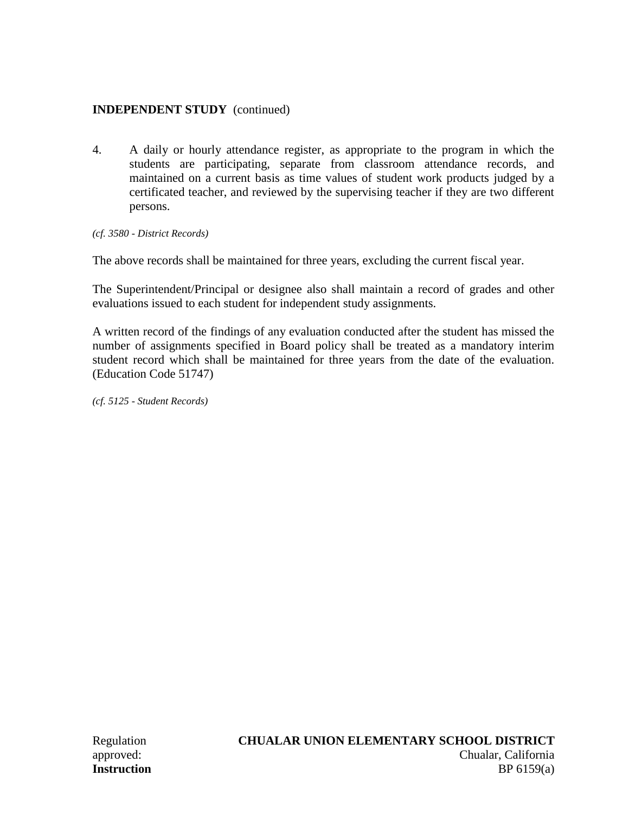4. A daily or hourly attendance register, as appropriate to the program in which the students are participating, separate from classroom attendance records, and maintained on a current basis as time values of student work products judged by a certificated teacher, and reviewed by the supervising teacher if they are two different persons.

*(cf. 3580 - District Records)*

The above records shall be maintained for three years, excluding the current fiscal year.

The Superintendent/Principal or designee also shall maintain a record of grades and other evaluations issued to each student for independent study assignments.

A written record of the findings of any evaluation conducted after the student has missed the number of assignments specified in Board policy shall be treated as a mandatory interim student record which shall be maintained for three years from the date of the evaluation. (Education Code 51747)

*(cf. 5125 - Student Records)*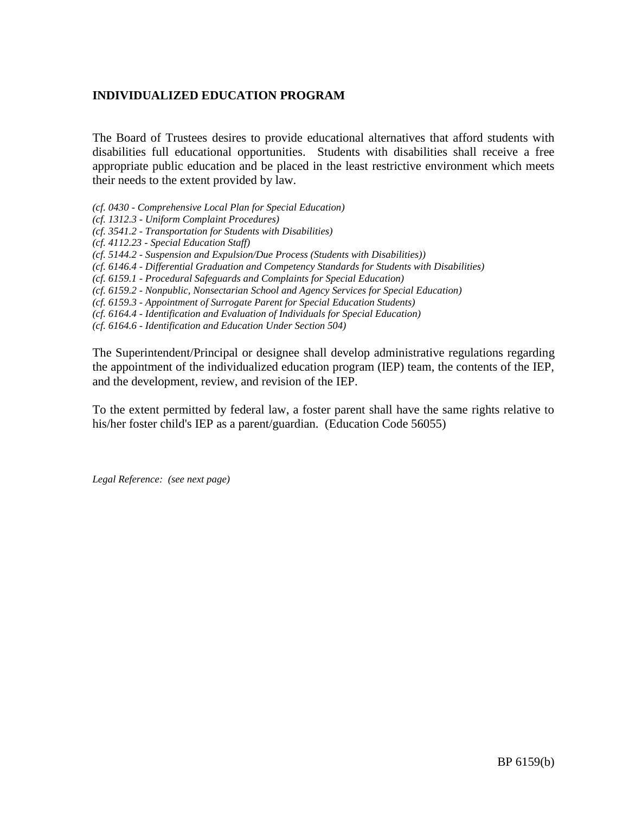## **INDIVIDUALIZED EDUCATION PROGRAM**

The Board of Trustees desires to provide educational alternatives that afford students with disabilities full educational opportunities. Students with disabilities shall receive a free appropriate public education and be placed in the least restrictive environment which meets their needs to the extent provided by law.

*(cf. 0430 - Comprehensive Local Plan for Special Education)*

*(cf. 1312.3 - Uniform Complaint Procedures)*

*(cf. 3541.2 - Transportation for Students with Disabilities)*

*(cf. 4112.23 - Special Education Staff)*

*(cf. 5144.2 - Suspension and Expulsion/Due Process (Students with Disabilities))*

*(cf. 6146.4 - Differential Graduation and Competency Standards for Students with Disabilities)*

*(cf. 6159.1 - Procedural Safeguards and Complaints for Special Education)*

*(cf. 6159.2 - Nonpublic, Nonsectarian School and Agency Services for Special Education)*

*(cf. 6159.3 - Appointment of Surrogate Parent for Special Education Students)*

*(cf. 6164.4 - Identification and Evaluation of Individuals for Special Education)*

*(cf. 6164.6 - Identification and Education Under Section 504)*

The Superintendent/Principal or designee shall develop administrative regulations regarding the appointment of the individualized education program (IEP) team, the contents of the IEP, and the development, review, and revision of the IEP.

To the extent permitted by federal law, a foster parent shall have the same rights relative to his/her foster child's IEP as a parent/guardian. (Education Code 56055)

*Legal Reference: (see next page)*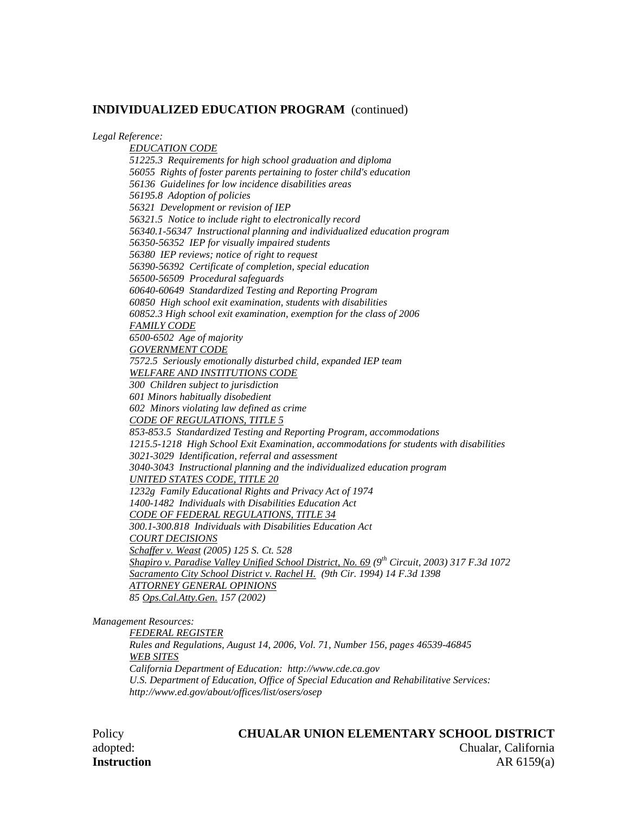*Legal Reference:*

*EDUCATION CODE 51225.3 Requirements for high school graduation and diploma 56055 Rights of foster parents pertaining to foster child's education 56136 Guidelines for low incidence disabilities areas 56195.8 Adoption of policies 56321 Development or revision of IEP 56321.5 Notice to include right to electronically record 56340.1-56347 Instructional planning and individualized education program 56350-56352 IEP for visually impaired students 56380 IEP reviews; notice of right to request 56390-56392 Certificate of completion, special education 56500-56509 Procedural safeguards 60640-60649 Standardized Testing and Reporting Program 60850 High school exit examination, students with disabilities 60852.3 High school exit examination, exemption for the class of 2006 FAMILY CODE 6500-6502 Age of majority GOVERNMENT CODE 7572.5 Seriously emotionally disturbed child, expanded IEP team WELFARE AND INSTITUTIONS CODE 300 Children subject to jurisdiction 601 Minors habitually disobedient 602 Minors violating law defined as crime CODE OF REGULATIONS, TITLE 5 853-853.5 Standardized Testing and Reporting Program, accommodations 1215.5-1218 High School Exit Examination, accommodations for students with disabilities 3021-3029 Identification, referral and assessment 3040-3043 Instructional planning and the individualized education program UNITED STATES CODE, TITLE 20 1232g Family Educational Rights and Privacy Act of 1974 1400-1482 Individuals with Disabilities Education Act CODE OF FEDERAL REGULATIONS, TITLE 34 300.1-300.818 Individuals with Disabilities Education Act COURT DECISIONS Schaffer v. Weast (2005) 125 S. Ct. 528 Shapiro v. Paradise Valley Unified School District, No. 69 (9th Circuit, 2003) 317 F.3d 1072 Sacramento City School District v. Rachel H. (9th Cir. 1994) 14 F.3d 1398 ATTORNEY GENERAL OPINIONS 85 Ops.Cal.Atty.Gen. 157 (2002)*

*Management Resources:*

*FEDERAL REGISTER*

*Rules and Regulations, August 14, 2006, Vol. 71, Number 156, pages 46539-46845 WEB SITES California Department of Education: http://www.cde.ca.gov U.S. Department of Education, Office of Special Education and Rehabilitative Services: http://www.ed.gov/about/offices/list/osers/osep*

#### Policy **CHUALAR UNION ELEMENTARY SCHOOL DISTRICT** adopted: Chualar, California

**Instruction** AR 6159(a)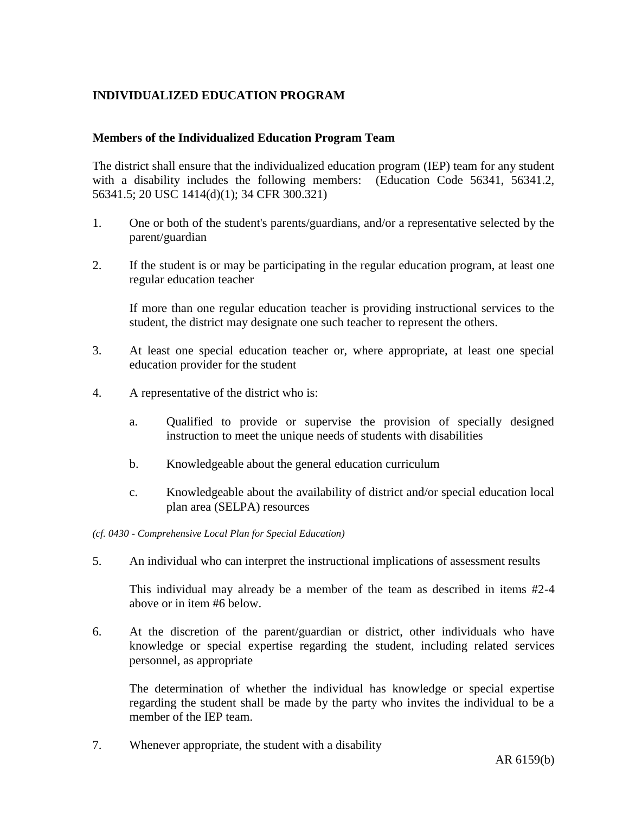# **INDIVIDUALIZED EDUCATION PROGRAM**

### **Members of the Individualized Education Program Team**

The district shall ensure that the individualized education program (IEP) team for any student with a disability includes the following members: (Education Code 56341, 56341.2, 56341.5; 20 USC 1414(d)(1); 34 CFR 300.321)

- 1. One or both of the student's parents/guardians, and/or a representative selected by the parent/guardian
- 2. If the student is or may be participating in the regular education program, at least one regular education teacher

If more than one regular education teacher is providing instructional services to the student, the district may designate one such teacher to represent the others.

- 3. At least one special education teacher or, where appropriate, at least one special education provider for the student
- 4. A representative of the district who is:
	- a. Qualified to provide or supervise the provision of specially designed instruction to meet the unique needs of students with disabilities
	- b. Knowledgeable about the general education curriculum
	- c. Knowledgeable about the availability of district and/or special education local plan area (SELPA) resources
- *(cf. 0430 - Comprehensive Local Plan for Special Education)*
- 5. An individual who can interpret the instructional implications of assessment results

This individual may already be a member of the team as described in items #2-4 above or in item #6 below.

6. At the discretion of the parent/guardian or district, other individuals who have knowledge or special expertise regarding the student, including related services personnel, as appropriate

The determination of whether the individual has knowledge or special expertise regarding the student shall be made by the party who invites the individual to be a member of the IEP team.

7. Whenever appropriate, the student with a disability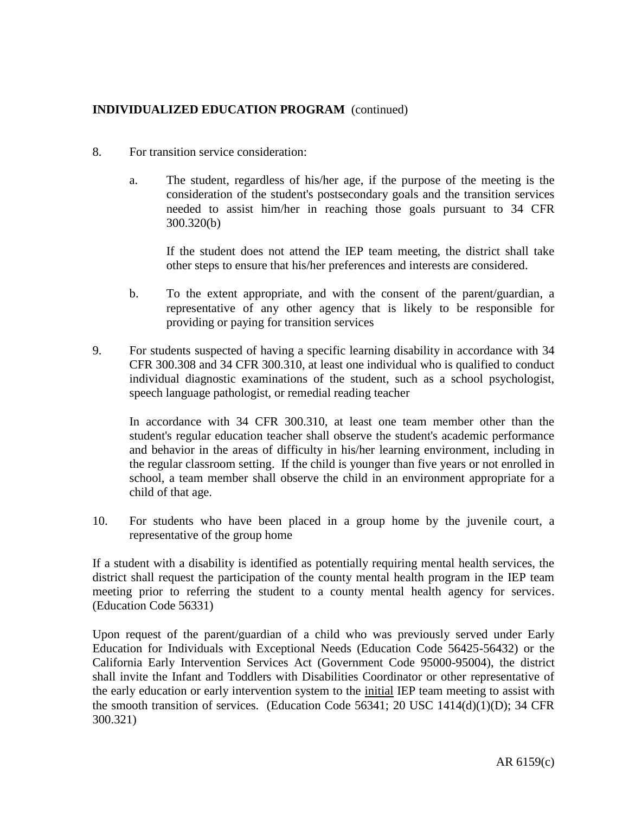- 8. For transition service consideration:
	- a. The student, regardless of his/her age, if the purpose of the meeting is the consideration of the student's postsecondary goals and the transition services needed to assist him/her in reaching those goals pursuant to 34 CFR 300.320(b)

If the student does not attend the IEP team meeting, the district shall take other steps to ensure that his/her preferences and interests are considered.

- b. To the extent appropriate, and with the consent of the parent/guardian, a representative of any other agency that is likely to be responsible for providing or paying for transition services
- 9. For students suspected of having a specific learning disability in accordance with 34 CFR 300.308 and 34 CFR 300.310, at least one individual who is qualified to conduct individual diagnostic examinations of the student, such as a school psychologist, speech language pathologist, or remedial reading teacher

In accordance with 34 CFR 300.310, at least one team member other than the student's regular education teacher shall observe the student's academic performance and behavior in the areas of difficulty in his/her learning environment, including in the regular classroom setting. If the child is younger than five years or not enrolled in school, a team member shall observe the child in an environment appropriate for a child of that age.

10. For students who have been placed in a group home by the juvenile court, a representative of the group home

If a student with a disability is identified as potentially requiring mental health services, the district shall request the participation of the county mental health program in the IEP team meeting prior to referring the student to a county mental health agency for services. (Education Code 56331)

Upon request of the parent/guardian of a child who was previously served under Early Education for Individuals with Exceptional Needs (Education Code 56425-56432) or the California Early Intervention Services Act (Government Code 95000-95004), the district shall invite the Infant and Toddlers with Disabilities Coordinator or other representative of the early education or early intervention system to the initial IEP team meeting to assist with the smooth transition of services. (Education Code 56341; 20 USC 1414(d)(1)(D); 34 CFR 300.321)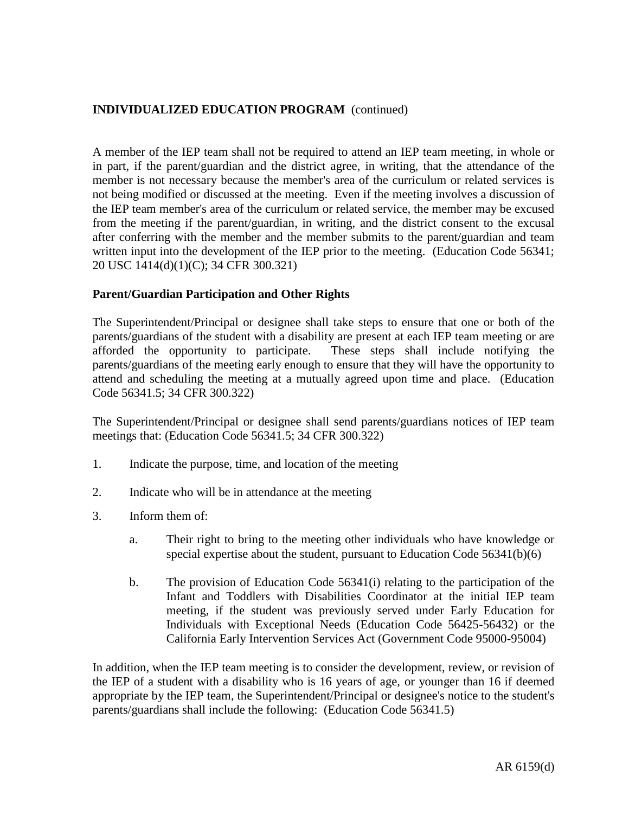A member of the IEP team shall not be required to attend an IEP team meeting, in whole or in part, if the parent/guardian and the district agree, in writing, that the attendance of the member is not necessary because the member's area of the curriculum or related services is not being modified or discussed at the meeting. Even if the meeting involves a discussion of the IEP team member's area of the curriculum or related service, the member may be excused from the meeting if the parent/guardian, in writing, and the district consent to the excusal after conferring with the member and the member submits to the parent/guardian and team written input into the development of the IEP prior to the meeting. (Education Code 56341; 20 USC 1414(d)(1)(C); 34 CFR 300.321)

### **Parent/Guardian Participation and Other Rights**

The Superintendent/Principal or designee shall take steps to ensure that one or both of the parents/guardians of the student with a disability are present at each IEP team meeting or are afforded the opportunity to participate. These steps shall include notifying the parents/guardians of the meeting early enough to ensure that they will have the opportunity to attend and scheduling the meeting at a mutually agreed upon time and place. (Education Code 56341.5; 34 CFR 300.322)

The Superintendent/Principal or designee shall send parents/guardians notices of IEP team meetings that: (Education Code 56341.5; 34 CFR 300.322)

- 1. Indicate the purpose, time, and location of the meeting
- 2. Indicate who will be in attendance at the meeting
- 3. Inform them of:
	- a. Their right to bring to the meeting other individuals who have knowledge or special expertise about the student, pursuant to Education Code 56341(b)(6)
	- b. The provision of Education Code 56341(i) relating to the participation of the Infant and Toddlers with Disabilities Coordinator at the initial IEP team meeting, if the student was previously served under Early Education for Individuals with Exceptional Needs (Education Code 56425-56432) or the California Early Intervention Services Act (Government Code 95000-95004)

In addition, when the IEP team meeting is to consider the development, review, or revision of the IEP of a student with a disability who is 16 years of age, or younger than 16 if deemed appropriate by the IEP team, the Superintendent/Principal or designee's notice to the student's parents/guardians shall include the following: (Education Code 56341.5)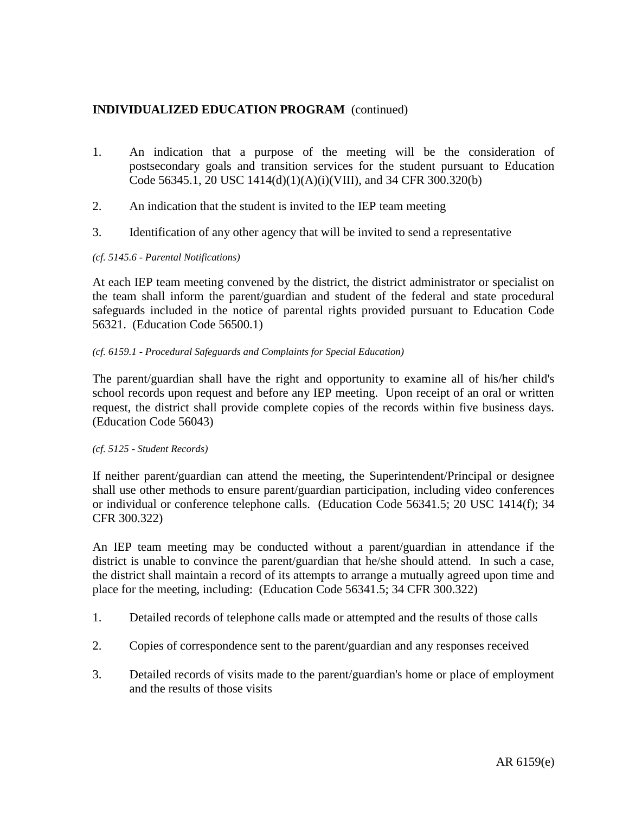- 1. An indication that a purpose of the meeting will be the consideration of postsecondary goals and transition services for the student pursuant to Education Code 56345.1, 20 USC 1414(d)(1)(A)(i)(VIII), and 34 CFR 300.320(b)
- 2. An indication that the student is invited to the IEP team meeting
- 3. Identification of any other agency that will be invited to send a representative

### *(cf. 5145.6 - Parental Notifications)*

At each IEP team meeting convened by the district, the district administrator or specialist on the team shall inform the parent/guardian and student of the federal and state procedural safeguards included in the notice of parental rights provided pursuant to Education Code 56321. (Education Code 56500.1)

### *(cf. 6159.1 - Procedural Safeguards and Complaints for Special Education)*

The parent/guardian shall have the right and opportunity to examine all of his/her child's school records upon request and before any IEP meeting. Upon receipt of an oral or written request, the district shall provide complete copies of the records within five business days. (Education Code 56043)

#### *(cf. 5125 - Student Records)*

If neither parent/guardian can attend the meeting, the Superintendent/Principal or designee shall use other methods to ensure parent/guardian participation, including video conferences or individual or conference telephone calls. (Education Code 56341.5; 20 USC 1414(f); 34 CFR 300.322)

An IEP team meeting may be conducted without a parent/guardian in attendance if the district is unable to convince the parent/guardian that he/she should attend. In such a case, the district shall maintain a record of its attempts to arrange a mutually agreed upon time and place for the meeting, including: (Education Code 56341.5; 34 CFR 300.322)

- 1. Detailed records of telephone calls made or attempted and the results of those calls
- 2. Copies of correspondence sent to the parent/guardian and any responses received
- 3. Detailed records of visits made to the parent/guardian's home or place of employment and the results of those visits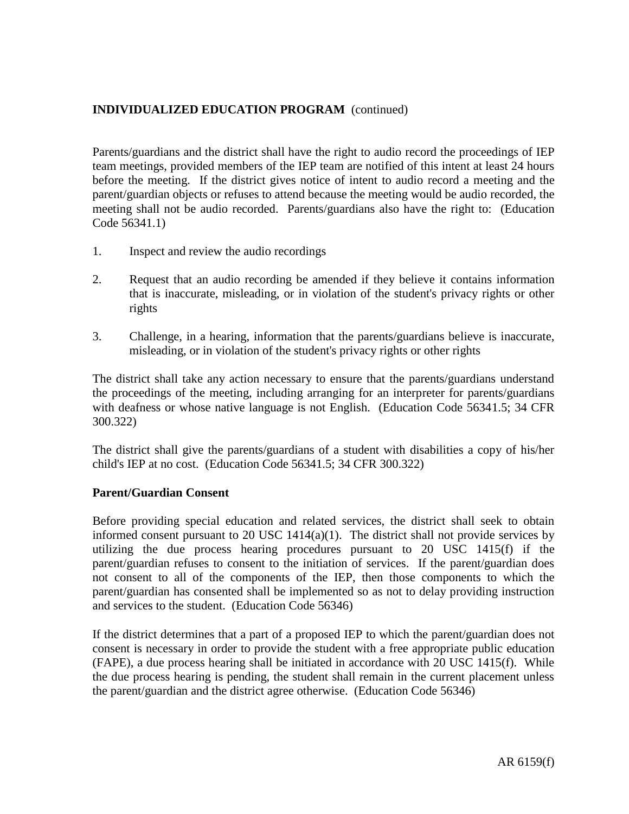Parents/guardians and the district shall have the right to audio record the proceedings of IEP team meetings, provided members of the IEP team are notified of this intent at least 24 hours before the meeting. If the district gives notice of intent to audio record a meeting and the parent/guardian objects or refuses to attend because the meeting would be audio recorded, the meeting shall not be audio recorded. Parents/guardians also have the right to: (Education Code 56341.1)

- 1. Inspect and review the audio recordings
- 2. Request that an audio recording be amended if they believe it contains information that is inaccurate, misleading, or in violation of the student's privacy rights or other rights
- 3. Challenge, in a hearing, information that the parents/guardians believe is inaccurate, misleading, or in violation of the student's privacy rights or other rights

The district shall take any action necessary to ensure that the parents/guardians understand the proceedings of the meeting, including arranging for an interpreter for parents/guardians with deafness or whose native language is not English. (Education Code 56341.5; 34 CFR 300.322)

The district shall give the parents/guardians of a student with disabilities a copy of his/her child's IEP at no cost. (Education Code 56341.5; 34 CFR 300.322)

### **Parent/Guardian Consent**

Before providing special education and related services, the district shall seek to obtain informed consent pursuant to 20 USC  $1414(a)(1)$ . The district shall not provide services by utilizing the due process hearing procedures pursuant to 20 USC 1415(f) if the parent/guardian refuses to consent to the initiation of services. If the parent/guardian does not consent to all of the components of the IEP, then those components to which the parent/guardian has consented shall be implemented so as not to delay providing instruction and services to the student. (Education Code 56346)

If the district determines that a part of a proposed IEP to which the parent/guardian does not consent is necessary in order to provide the student with a free appropriate public education (FAPE), a due process hearing shall be initiated in accordance with 20 USC 1415(f). While the due process hearing is pending, the student shall remain in the current placement unless the parent/guardian and the district agree otherwise. (Education Code 56346)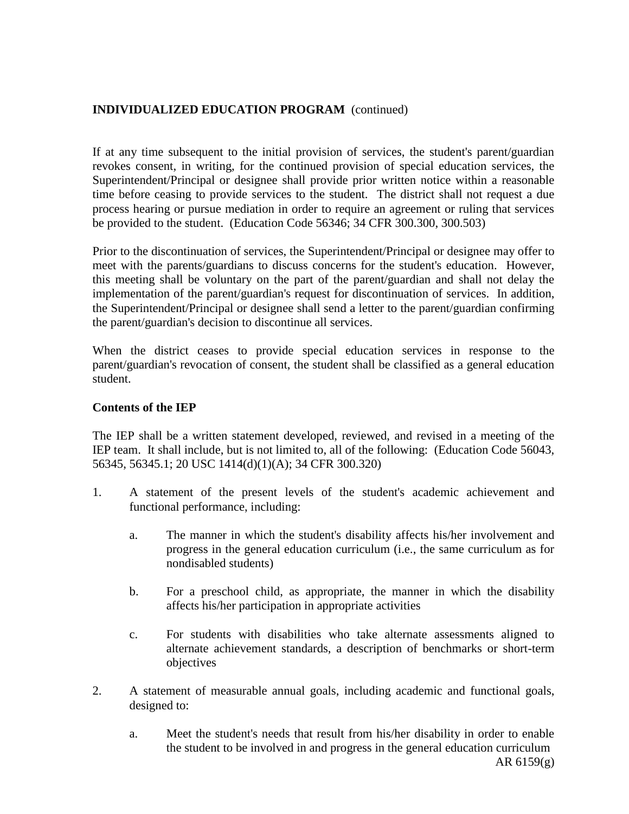If at any time subsequent to the initial provision of services, the student's parent/guardian revokes consent, in writing, for the continued provision of special education services, the Superintendent/Principal or designee shall provide prior written notice within a reasonable time before ceasing to provide services to the student. The district shall not request a due process hearing or pursue mediation in order to require an agreement or ruling that services be provided to the student. (Education Code 56346; 34 CFR 300.300, 300.503)

Prior to the discontinuation of services, the Superintendent/Principal or designee may offer to meet with the parents/guardians to discuss concerns for the student's education. However, this meeting shall be voluntary on the part of the parent/guardian and shall not delay the implementation of the parent/guardian's request for discontinuation of services. In addition, the Superintendent/Principal or designee shall send a letter to the parent/guardian confirming the parent/guardian's decision to discontinue all services.

When the district ceases to provide special education services in response to the parent/guardian's revocation of consent, the student shall be classified as a general education student.

## **Contents of the IEP**

The IEP shall be a written statement developed, reviewed, and revised in a meeting of the IEP team. It shall include, but is not limited to, all of the following: (Education Code 56043, 56345, 56345.1; 20 USC 1414(d)(1)(A); 34 CFR 300.320)

- 1. A statement of the present levels of the student's academic achievement and functional performance, including:
	- a. The manner in which the student's disability affects his/her involvement and progress in the general education curriculum (i.e., the same curriculum as for nondisabled students)
	- b. For a preschool child, as appropriate, the manner in which the disability affects his/her participation in appropriate activities
	- c. For students with disabilities who take alternate assessments aligned to alternate achievement standards, a description of benchmarks or short-term objectives
- 2. A statement of measurable annual goals, including academic and functional goals, designed to:
	- a. Meet the student's needs that result from his/her disability in order to enable the student to be involved in and progress in the general education curriculum AR 6159(g)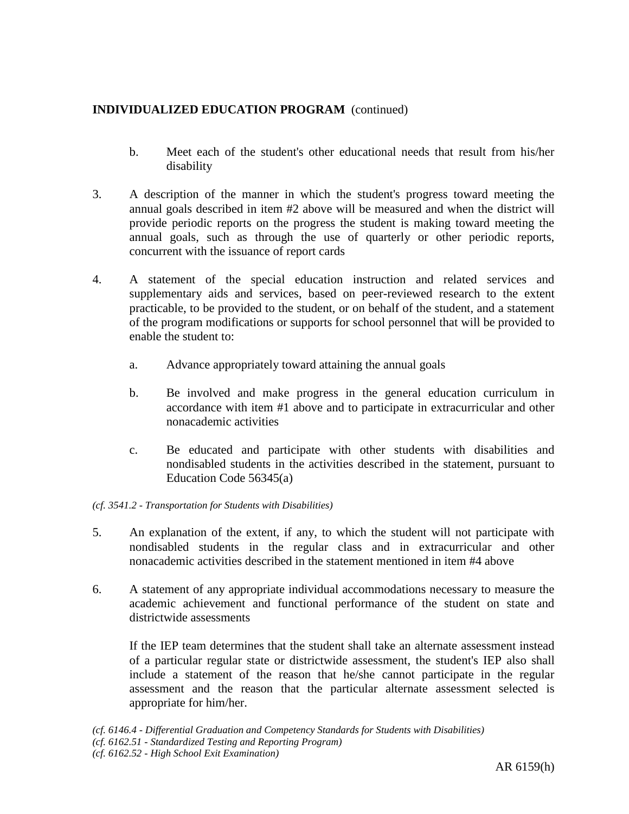- b. Meet each of the student's other educational needs that result from his/her disability
- 3. A description of the manner in which the student's progress toward meeting the annual goals described in item #2 above will be measured and when the district will provide periodic reports on the progress the student is making toward meeting the annual goals, such as through the use of quarterly or other periodic reports, concurrent with the issuance of report cards
- 4. A statement of the special education instruction and related services and supplementary aids and services, based on peer-reviewed research to the extent practicable, to be provided to the student, or on behalf of the student, and a statement of the program modifications or supports for school personnel that will be provided to enable the student to:
	- a. Advance appropriately toward attaining the annual goals
	- b. Be involved and make progress in the general education curriculum in accordance with item #1 above and to participate in extracurricular and other nonacademic activities
	- c. Be educated and participate with other students with disabilities and nondisabled students in the activities described in the statement, pursuant to Education Code 56345(a)

### *(cf. 3541.2 - Transportation for Students with Disabilities)*

- 5. An explanation of the extent, if any, to which the student will not participate with nondisabled students in the regular class and in extracurricular and other nonacademic activities described in the statement mentioned in item #4 above
- 6. A statement of any appropriate individual accommodations necessary to measure the academic achievement and functional performance of the student on state and districtwide assessments

If the IEP team determines that the student shall take an alternate assessment instead of a particular regular state or districtwide assessment, the student's IEP also shall include a statement of the reason that he/she cannot participate in the regular assessment and the reason that the particular alternate assessment selected is appropriate for him/her.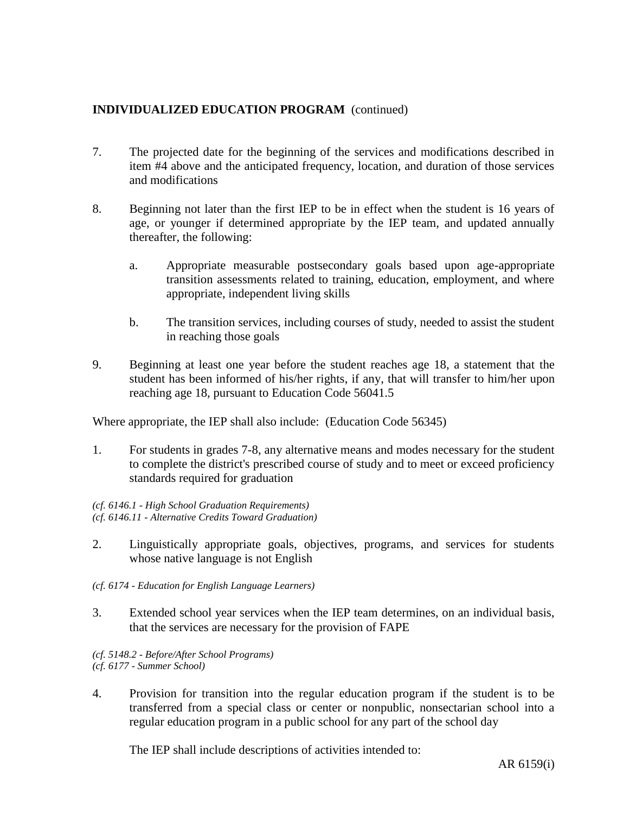- 7. The projected date for the beginning of the services and modifications described in item #4 above and the anticipated frequency, location, and duration of those services and modifications
- 8. Beginning not later than the first IEP to be in effect when the student is 16 years of age, or younger if determined appropriate by the IEP team, and updated annually thereafter, the following:
	- a. Appropriate measurable postsecondary goals based upon age-appropriate transition assessments related to training, education, employment, and where appropriate, independent living skills
	- b. The transition services, including courses of study, needed to assist the student in reaching those goals
- 9. Beginning at least one year before the student reaches age 18, a statement that the student has been informed of his/her rights, if any, that will transfer to him/her upon reaching age 18, pursuant to Education Code 56041.5

Where appropriate, the IEP shall also include: (Education Code 56345)

1. For students in grades 7-8, any alternative means and modes necessary for the student to complete the district's prescribed course of study and to meet or exceed proficiency standards required for graduation

*(cf. 6146.1 - High School Graduation Requirements) (cf. 6146.11 - Alternative Credits Toward Graduation)*

- 2. Linguistically appropriate goals, objectives, programs, and services for students whose native language is not English
- *(cf. 6174 - Education for English Language Learners)*
- 3. Extended school year services when the IEP team determines, on an individual basis, that the services are necessary for the provision of FAPE

*(cf. 5148.2 - Before/After School Programs) (cf. 6177 - Summer School)*

4. Provision for transition into the regular education program if the student is to be transferred from a special class or center or nonpublic, nonsectarian school into a regular education program in a public school for any part of the school day

The IEP shall include descriptions of activities intended to: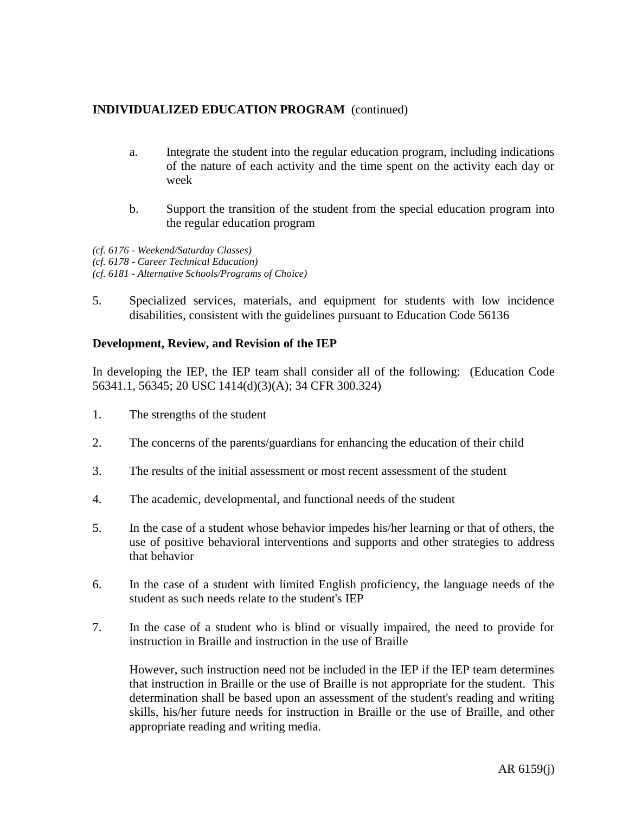- a. Integrate the student into the regular education program, including indications of the nature of each activity and the time spent on the activity each day or week
- b. Support the transition of the student from the special education program into the regular education program

*(cf. 6176 - Weekend/Saturday Classes) (cf. 6178 - Career Technical Education) (cf. 6181 - Alternative Schools/Programs of Choice)*

5. Specialized services, materials, and equipment for students with low incidence disabilities, consistent with the guidelines pursuant to Education Code 56136

### **Development, Review, and Revision of the IEP**

In developing the IEP, the IEP team shall consider all of the following: (Education Code 56341.1, 56345; 20 USC 1414(d)(3)(A); 34 CFR 300.324)

- 1. The strengths of the student
- 2. The concerns of the parents/guardians for enhancing the education of their child
- 3. The results of the initial assessment or most recent assessment of the student
- 4. The academic, developmental, and functional needs of the student
- 5. In the case of a student whose behavior impedes his/her learning or that of others, the use of positive behavioral interventions and supports and other strategies to address that behavior
- 6. In the case of a student with limited English proficiency, the language needs of the student as such needs relate to the student's IEP
- 7. In the case of a student who is blind or visually impaired, the need to provide for instruction in Braille and instruction in the use of Braille

However, such instruction need not be included in the IEP if the IEP team determines that instruction in Braille or the use of Braille is not appropriate for the student. This determination shall be based upon an assessment of the student's reading and writing skills, his/her future needs for instruction in Braille or the use of Braille, and other appropriate reading and writing media.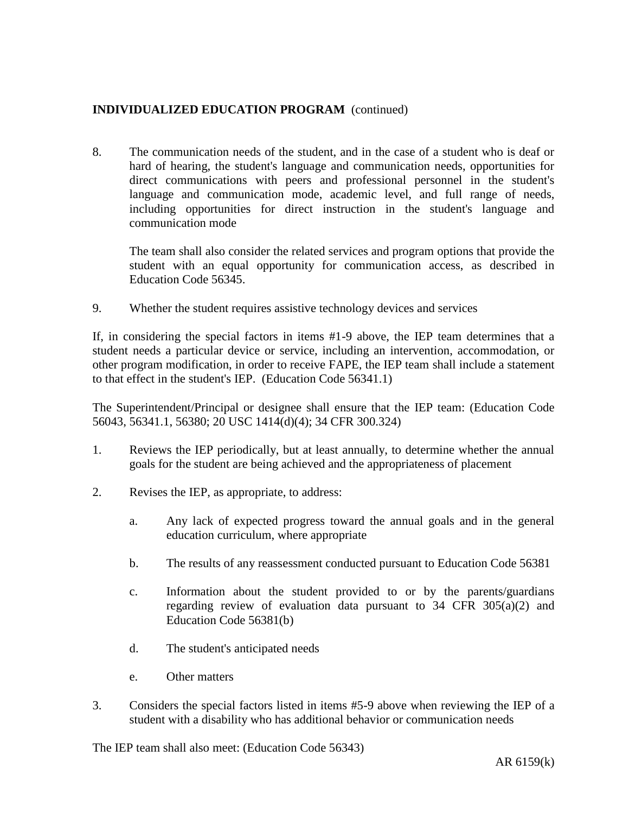8. The communication needs of the student, and in the case of a student who is deaf or hard of hearing, the student's language and communication needs, opportunities for direct communications with peers and professional personnel in the student's language and communication mode, academic level, and full range of needs, including opportunities for direct instruction in the student's language and communication mode

The team shall also consider the related services and program options that provide the student with an equal opportunity for communication access, as described in Education Code 56345.

9. Whether the student requires assistive technology devices and services

If, in considering the special factors in items #1-9 above, the IEP team determines that a student needs a particular device or service, including an intervention, accommodation, or other program modification, in order to receive FAPE, the IEP team shall include a statement to that effect in the student's IEP. (Education Code 56341.1)

The Superintendent/Principal or designee shall ensure that the IEP team: (Education Code 56043, 56341.1, 56380; 20 USC 1414(d)(4); 34 CFR 300.324)

- 1. Reviews the IEP periodically, but at least annually, to determine whether the annual goals for the student are being achieved and the appropriateness of placement
- 2. Revises the IEP, as appropriate, to address:
	- a. Any lack of expected progress toward the annual goals and in the general education curriculum, where appropriate
	- b. The results of any reassessment conducted pursuant to Education Code 56381
	- c. Information about the student provided to or by the parents/guardians regarding review of evaluation data pursuant to  $34$  CFR  $305(a)(2)$  and Education Code 56381(b)
	- d. The student's anticipated needs
	- e. Other matters
- 3. Considers the special factors listed in items #5-9 above when reviewing the IEP of a student with a disability who has additional behavior or communication needs

The IEP team shall also meet: (Education Code 56343)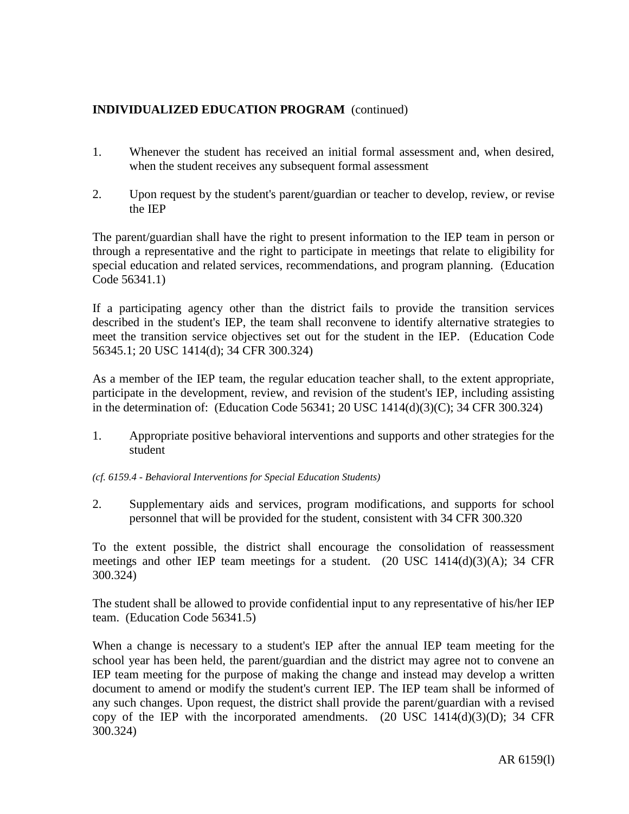- 1. Whenever the student has received an initial formal assessment and, when desired, when the student receives any subsequent formal assessment
- 2. Upon request by the student's parent/guardian or teacher to develop, review, or revise the IEP

The parent/guardian shall have the right to present information to the IEP team in person or through a representative and the right to participate in meetings that relate to eligibility for special education and related services, recommendations, and program planning. (Education Code 56341.1)

If a participating agency other than the district fails to provide the transition services described in the student's IEP, the team shall reconvene to identify alternative strategies to meet the transition service objectives set out for the student in the IEP. (Education Code 56345.1; 20 USC 1414(d); 34 CFR 300.324)

As a member of the IEP team, the regular education teacher shall, to the extent appropriate, participate in the development, review, and revision of the student's IEP, including assisting in the determination of: (Education Code 56341; 20 USC 1414(d)(3)(C); 34 CFR 300.324)

- 1. Appropriate positive behavioral interventions and supports and other strategies for the student
- *(cf. 6159.4 - Behavioral Interventions for Special Education Students)*
- 2. Supplementary aids and services, program modifications, and supports for school personnel that will be provided for the student, consistent with 34 CFR 300.320

To the extent possible, the district shall encourage the consolidation of reassessment meetings and other IEP team meetings for a student. (20 USC 1414(d)(3)(A); 34 CFR 300.324)

The student shall be allowed to provide confidential input to any representative of his/her IEP team. (Education Code 56341.5)

When a change is necessary to a student's IEP after the annual IEP team meeting for the school year has been held, the parent/guardian and the district may agree not to convene an IEP team meeting for the purpose of making the change and instead may develop a written document to amend or modify the student's current IEP. The IEP team shall be informed of any such changes. Upon request, the district shall provide the parent/guardian with a revised copy of the IEP with the incorporated amendments.  $(20 \text{ USC } 1414(d)(3)(D))$ ; 34 CFR 300.324)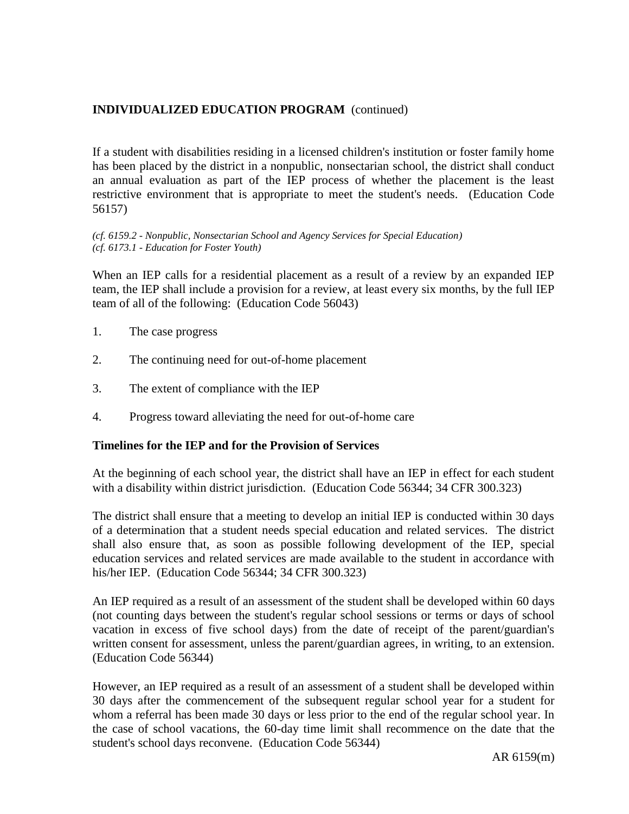# **INDIVIDUALIZED EDUCATION PROGRAM** (continued)

If a student with disabilities residing in a licensed children's institution or foster family home has been placed by the district in a nonpublic, nonsectarian school, the district shall conduct an annual evaluation as part of the IEP process of whether the placement is the least restrictive environment that is appropriate to meet the student's needs. (Education Code 56157)

*(cf. 6159.2 - Nonpublic, Nonsectarian School and Agency Services for Special Education) (cf. 6173.1 - Education for Foster Youth)*

When an IEP calls for a residential placement as a result of a review by an expanded IEP team, the IEP shall include a provision for a review, at least every six months, by the full IEP team of all of the following: (Education Code 56043)

- 1. The case progress
- 2. The continuing need for out-of-home placement
- 3. The extent of compliance with the IEP
- 4. Progress toward alleviating the need for out-of-home care

### **Timelines for the IEP and for the Provision of Services**

At the beginning of each school year, the district shall have an IEP in effect for each student with a disability within district jurisdiction. (Education Code 56344; 34 CFR 300.323)

The district shall ensure that a meeting to develop an initial IEP is conducted within 30 days of a determination that a student needs special education and related services. The district shall also ensure that, as soon as possible following development of the IEP, special education services and related services are made available to the student in accordance with his/her IEP. (Education Code 56344; 34 CFR 300.323)

An IEP required as a result of an assessment of the student shall be developed within 60 days (not counting days between the student's regular school sessions or terms or days of school vacation in excess of five school days) from the date of receipt of the parent/guardian's written consent for assessment, unless the parent/guardian agrees, in writing, to an extension. (Education Code 56344)

However, an IEP required as a result of an assessment of a student shall be developed within 30 days after the commencement of the subsequent regular school year for a student for whom a referral has been made 30 days or less prior to the end of the regular school year. In the case of school vacations, the 60-day time limit shall recommence on the date that the student's school days reconvene. (Education Code 56344)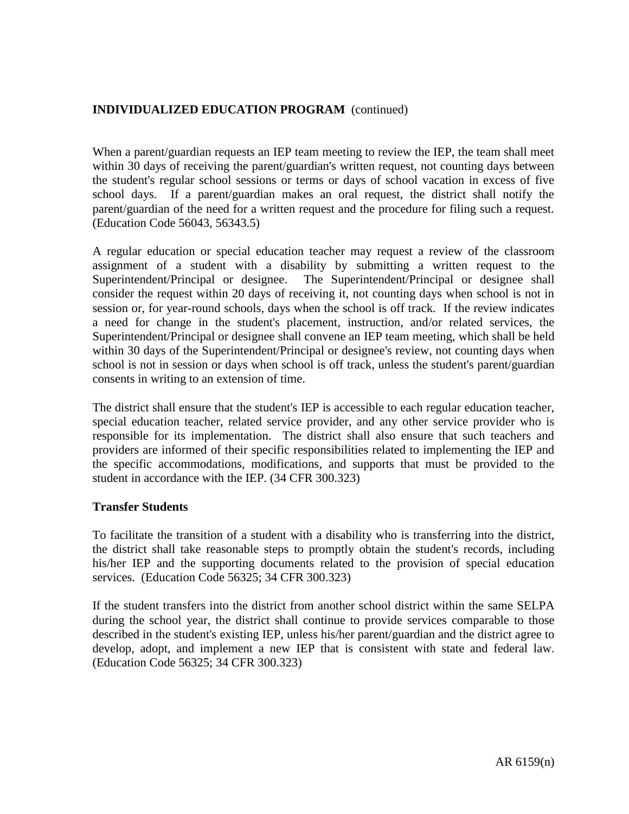# **INDIVIDUALIZED EDUCATION PROGRAM** (continued)

When a parent/guardian requests an IEP team meeting to review the IEP, the team shall meet within 30 days of receiving the parent/guardian's written request, not counting days between the student's regular school sessions or terms or days of school vacation in excess of five school days. If a parent/guardian makes an oral request, the district shall notify the parent/guardian of the need for a written request and the procedure for filing such a request. (Education Code 56043, 56343.5)

A regular education or special education teacher may request a review of the classroom assignment of a student with a disability by submitting a written request to the Superintendent/Principal or designee. The Superintendent/Principal or designee shall consider the request within 20 days of receiving it, not counting days when school is not in session or, for year-round schools, days when the school is off track. If the review indicates a need for change in the student's placement, instruction, and/or related services, the Superintendent/Principal or designee shall convene an IEP team meeting, which shall be held within 30 days of the Superintendent/Principal or designee's review, not counting days when school is not in session or days when school is off track, unless the student's parent/guardian consents in writing to an extension of time.

The district shall ensure that the student's IEP is accessible to each regular education teacher, special education teacher, related service provider, and any other service provider who is responsible for its implementation. The district shall also ensure that such teachers and providers are informed of their specific responsibilities related to implementing the IEP and the specific accommodations, modifications, and supports that must be provided to the student in accordance with the IEP. (34 CFR 300.323)

### **Transfer Students**

To facilitate the transition of a student with a disability who is transferring into the district, the district shall take reasonable steps to promptly obtain the student's records, including his/her IEP and the supporting documents related to the provision of special education services. (Education Code 56325; 34 CFR 300.323)

If the student transfers into the district from another school district within the same SELPA during the school year, the district shall continue to provide services comparable to those described in the student's existing IEP, unless his/her parent/guardian and the district agree to develop, adopt, and implement a new IEP that is consistent with state and federal law. (Education Code 56325; 34 CFR 300.323)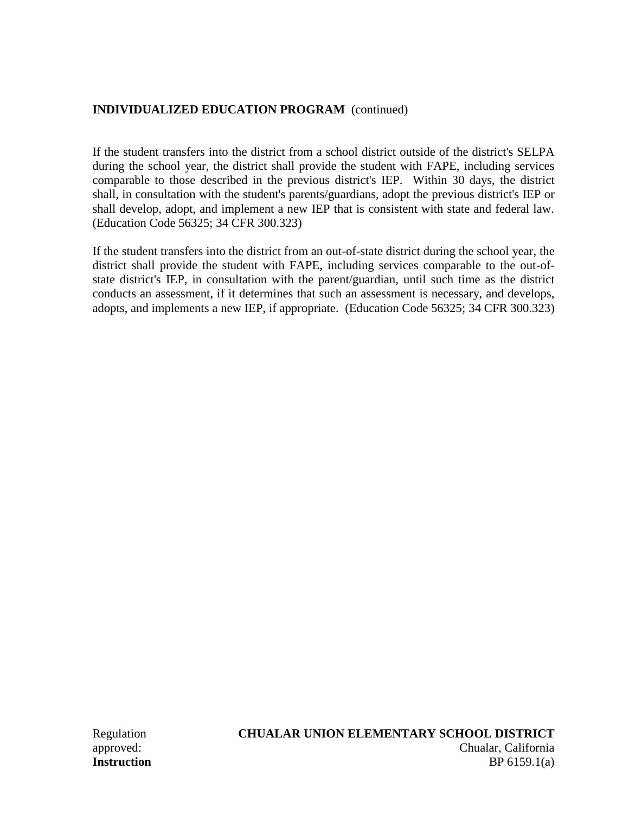# **INDIVIDUALIZED EDUCATION PROGRAM** (continued)

If the student transfers into the district from a school district outside of the district's SELPA during the school year, the district shall provide the student with FAPE, including services comparable to those described in the previous district's IEP. Within 30 days, the district shall, in consultation with the student's parents/guardians, adopt the previous district's IEP or shall develop, adopt, and implement a new IEP that is consistent with state and federal law. (Education Code 56325; 34 CFR 300.323)

If the student transfers into the district from an out-of-state district during the school year, the district shall provide the student with FAPE, including services comparable to the out-ofstate district's IEP, in consultation with the parent/guardian, until such time as the district conducts an assessment, if it determines that such an assessment is necessary, and develops, adopts, and implements a new IEP, if appropriate. (Education Code 56325; 34 CFR 300.323)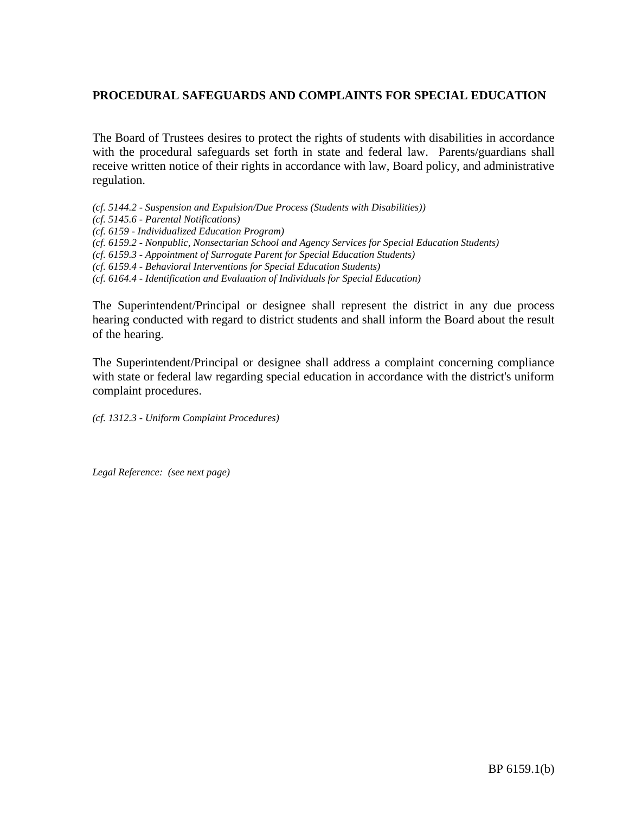The Board of Trustees desires to protect the rights of students with disabilities in accordance with the procedural safeguards set forth in state and federal law. Parents/guardians shall receive written notice of their rights in accordance with law, Board policy, and administrative regulation.

*(cf. 5144.2 - Suspension and Expulsion/Due Process (Students with Disabilities)) (cf. 5145.6 - Parental Notifications) (cf. 6159 - Individualized Education Program) (cf. 6159.2 - Nonpublic, Nonsectarian School and Agency Services for Special Education Students) (cf. 6159.3 - Appointment of Surrogate Parent for Special Education Students) (cf. 6159.4 - Behavioral Interventions for Special Education Students) (cf. 6164.4 - Identification and Evaluation of Individuals for Special Education)*

The Superintendent/Principal or designee shall represent the district in any due process hearing conducted with regard to district students and shall inform the Board about the result of the hearing.

The Superintendent/Principal or designee shall address a complaint concerning compliance with state or federal law regarding special education in accordance with the district's uniform complaint procedures.

*(cf. 1312.3 - Uniform Complaint Procedures)*

*Legal Reference: (see next page)*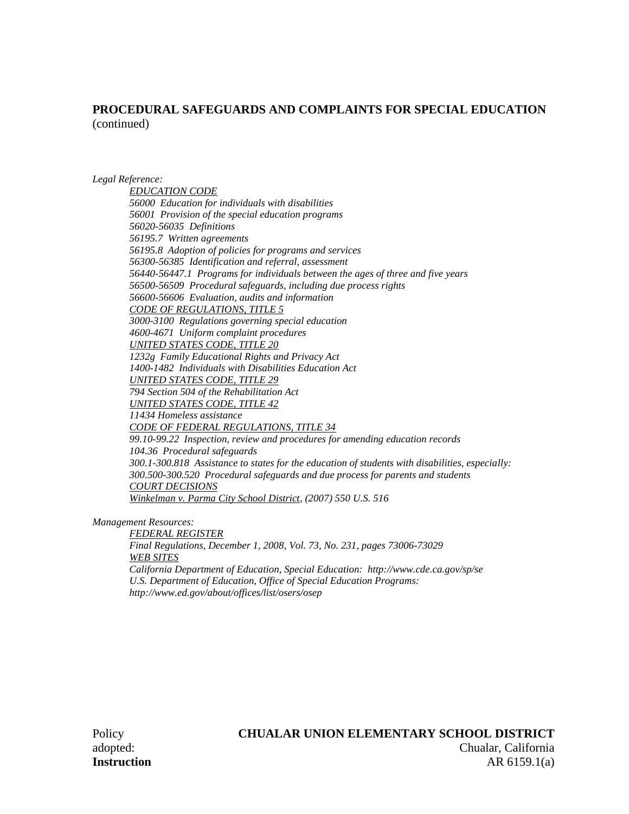#### *Legal Reference:*

*EDUCATION CODE 56000 Education for individuals with disabilities 56001 Provision of the special education programs 56020-56035 Definitions 56195.7 Written agreements 56195.8 Adoption of policies for programs and services 56300-56385 Identification and referral, assessment 56440-56447.1 Programs for individuals between the ages of three and five years 56500-56509 Procedural safeguards, including due process rights 56600-56606 Evaluation, audits and information CODE OF REGULATIONS, TITLE 5 3000-3100 Regulations governing special education 4600-4671 Uniform complaint procedures UNITED STATES CODE, TITLE 20 1232g Family Educational Rights and Privacy Act 1400-1482 Individuals with Disabilities Education Act UNITED STATES CODE, TITLE 29 794 Section 504 of the Rehabilitation Act UNITED STATES CODE, TITLE 42 11434 Homeless assistance CODE OF FEDERAL REGULATIONS, TITLE 34 99.10-99.22 Inspection, review and procedures for amending education records 104.36 Procedural safeguards 300.1-300.818 Assistance to states for the education of students with disabilities, especially: 300.500-300.520 Procedural safeguards and due process for parents and students COURT DECISIONS Winkelman v. Parma City School District, (2007) 550 U.S. 516*

*Management Resources:*

*FEDERAL REGISTER Final Regulations, December 1, 2008, Vol. 73, No. 231, pages 73006-73029 WEB SITES California Department of Education, Special Education: http://www.cde.ca.gov/sp/se U.S. Department of Education, Office of Special Education Programs: http://www.ed.gov/about/offices/list/osers/osep*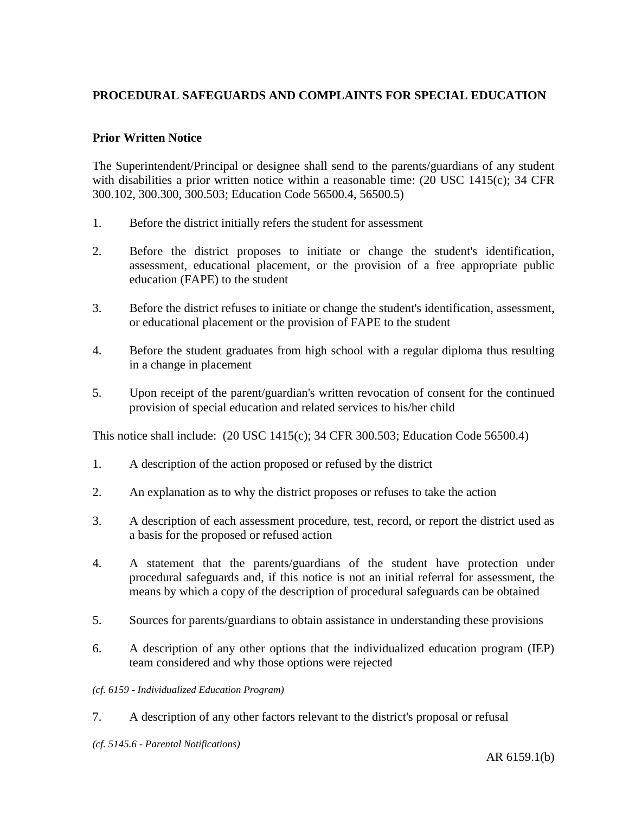### **Prior Written Notice**

The Superintendent/Principal or designee shall send to the parents/guardians of any student with disabilities a prior written notice within a reasonable time: (20 USC 1415(c); 34 CFR 300.102, 300.300, 300.503; Education Code 56500.4, 56500.5)

- 1. Before the district initially refers the student for assessment
- 2. Before the district proposes to initiate or change the student's identification, assessment, educational placement, or the provision of a free appropriate public education (FAPE) to the student
- 3. Before the district refuses to initiate or change the student's identification, assessment, or educational placement or the provision of FAPE to the student
- 4. Before the student graduates from high school with a regular diploma thus resulting in a change in placement
- 5. Upon receipt of the parent/guardian's written revocation of consent for the continued provision of special education and related services to his/her child

This notice shall include: (20 USC 1415(c); 34 CFR 300.503; Education Code 56500.4)

- 1. A description of the action proposed or refused by the district
- 2. An explanation as to why the district proposes or refuses to take the action
- 3. A description of each assessment procedure, test, record, or report the district used as a basis for the proposed or refused action
- 4. A statement that the parents/guardians of the student have protection under procedural safeguards and, if this notice is not an initial referral for assessment, the means by which a copy of the description of procedural safeguards can be obtained
- 5. Sources for parents/guardians to obtain assistance in understanding these provisions
- 6. A description of any other options that the individualized education program (IEP) team considered and why those options were rejected
- *(cf. 6159 - Individualized Education Program)*
- 7. A description of any other factors relevant to the district's proposal or refusal
- *(cf. 5145.6 - Parental Notifications)*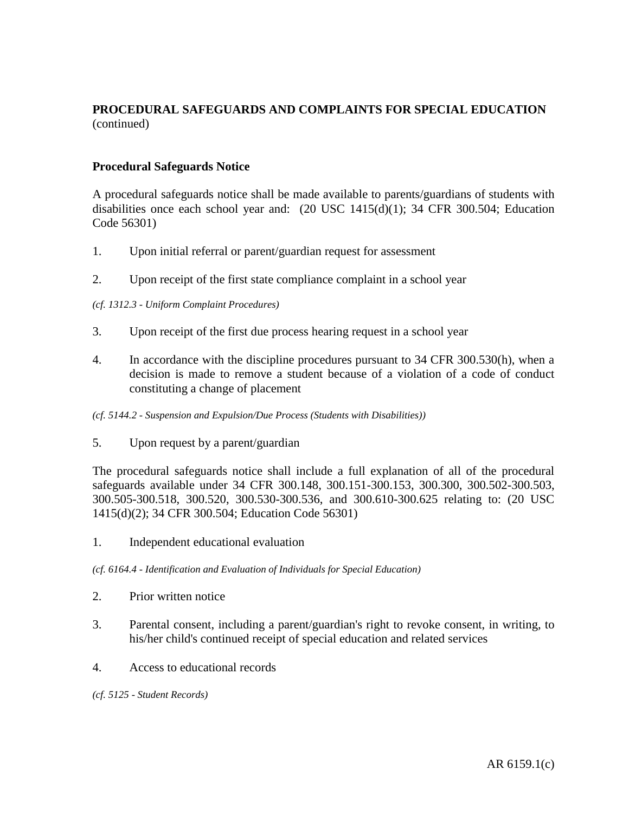### **Procedural Safeguards Notice**

A procedural safeguards notice shall be made available to parents/guardians of students with disabilities once each school year and: (20 USC 1415(d)(1); 34 CFR 300.504; Education Code 56301)

- 1. Upon initial referral or parent/guardian request for assessment
- 2. Upon receipt of the first state compliance complaint in a school year

### *(cf. 1312.3 - Uniform Complaint Procedures)*

- 3. Upon receipt of the first due process hearing request in a school year
- 4. In accordance with the discipline procedures pursuant to 34 CFR 300.530(h), when a decision is made to remove a student because of a violation of a code of conduct constituting a change of placement
- *(cf. 5144.2 - Suspension and Expulsion/Due Process (Students with Disabilities))*
- 5. Upon request by a parent/guardian

The procedural safeguards notice shall include a full explanation of all of the procedural safeguards available under 34 CFR 300.148, 300.151-300.153, 300.300, 300.502-300.503, 300.505-300.518, 300.520, 300.530-300.536, and 300.610-300.625 relating to: (20 USC 1415(d)(2); 34 CFR 300.504; Education Code 56301)

1. Independent educational evaluation

*(cf. 6164.4 - Identification and Evaluation of Individuals for Special Education)*

- 2. Prior written notice
- 3. Parental consent, including a parent/guardian's right to revoke consent, in writing, to his/her child's continued receipt of special education and related services
- 4. Access to educational records
- *(cf. 5125 - Student Records)*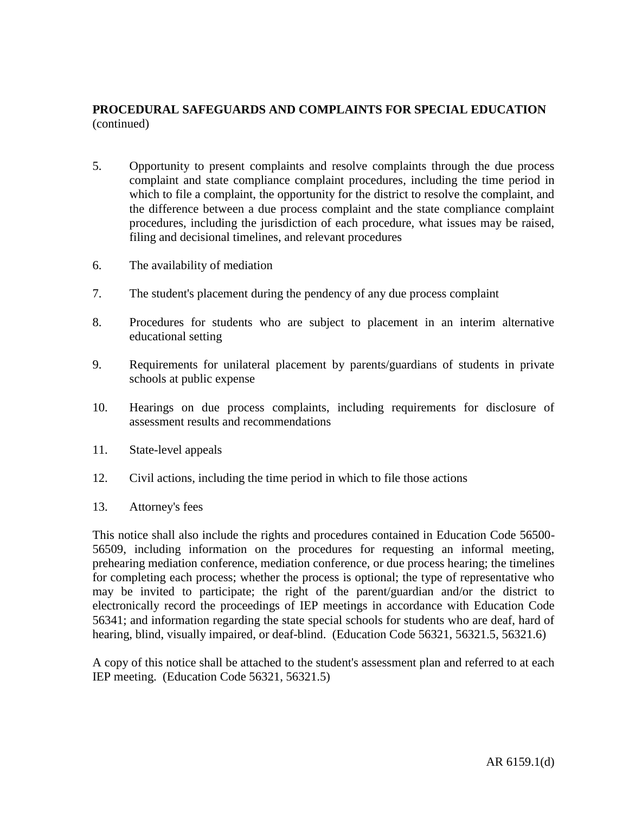- 5. Opportunity to present complaints and resolve complaints through the due process complaint and state compliance complaint procedures, including the time period in which to file a complaint, the opportunity for the district to resolve the complaint, and the difference between a due process complaint and the state compliance complaint procedures, including the jurisdiction of each procedure, what issues may be raised, filing and decisional timelines, and relevant procedures
- 6. The availability of mediation
- 7. The student's placement during the pendency of any due process complaint
- 8. Procedures for students who are subject to placement in an interim alternative educational setting
- 9. Requirements for unilateral placement by parents/guardians of students in private schools at public expense
- 10. Hearings on due process complaints, including requirements for disclosure of assessment results and recommendations
- 11. State-level appeals
- 12. Civil actions, including the time period in which to file those actions
- 13. Attorney's fees

This notice shall also include the rights and procedures contained in Education Code 56500- 56509, including information on the procedures for requesting an informal meeting, prehearing mediation conference, mediation conference, or due process hearing; the timelines for completing each process; whether the process is optional; the type of representative who may be invited to participate; the right of the parent/guardian and/or the district to electronically record the proceedings of IEP meetings in accordance with Education Code 56341; and information regarding the state special schools for students who are deaf, hard of hearing, blind, visually impaired, or deaf-blind. (Education Code 56321, 56321.5, 56321.6)

A copy of this notice shall be attached to the student's assessment plan and referred to at each IEP meeting. (Education Code 56321, 56321.5)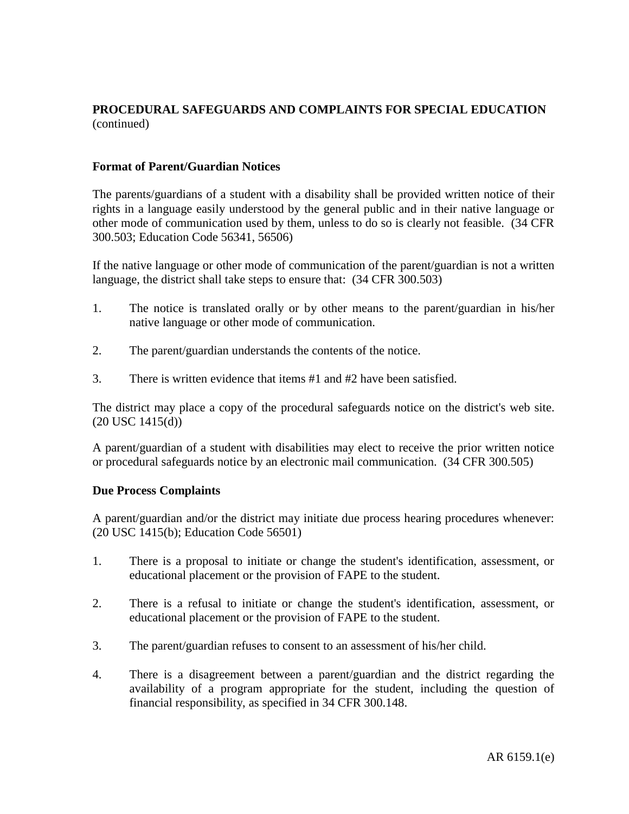### **Format of Parent/Guardian Notices**

The parents/guardians of a student with a disability shall be provided written notice of their rights in a language easily understood by the general public and in their native language or other mode of communication used by them, unless to do so is clearly not feasible. (34 CFR 300.503; Education Code 56341, 56506)

If the native language or other mode of communication of the parent/guardian is not a written language, the district shall take steps to ensure that: (34 CFR 300.503)

- 1. The notice is translated orally or by other means to the parent/guardian in his/her native language or other mode of communication.
- 2. The parent/guardian understands the contents of the notice.
- 3. There is written evidence that items #1 and #2 have been satisfied.

The district may place a copy of the procedural safeguards notice on the district's web site. (20 USC 1415(d))

A parent/guardian of a student with disabilities may elect to receive the prior written notice or procedural safeguards notice by an electronic mail communication. (34 CFR 300.505)

### **Due Process Complaints**

A parent/guardian and/or the district may initiate due process hearing procedures whenever: (20 USC 1415(b); Education Code 56501)

- 1. There is a proposal to initiate or change the student's identification, assessment, or educational placement or the provision of FAPE to the student.
- 2. There is a refusal to initiate or change the student's identification, assessment, or educational placement or the provision of FAPE to the student.
- 3. The parent/guardian refuses to consent to an assessment of his/her child.
- 4. There is a disagreement between a parent/guardian and the district regarding the availability of a program appropriate for the student, including the question of financial responsibility, as specified in 34 CFR 300.148.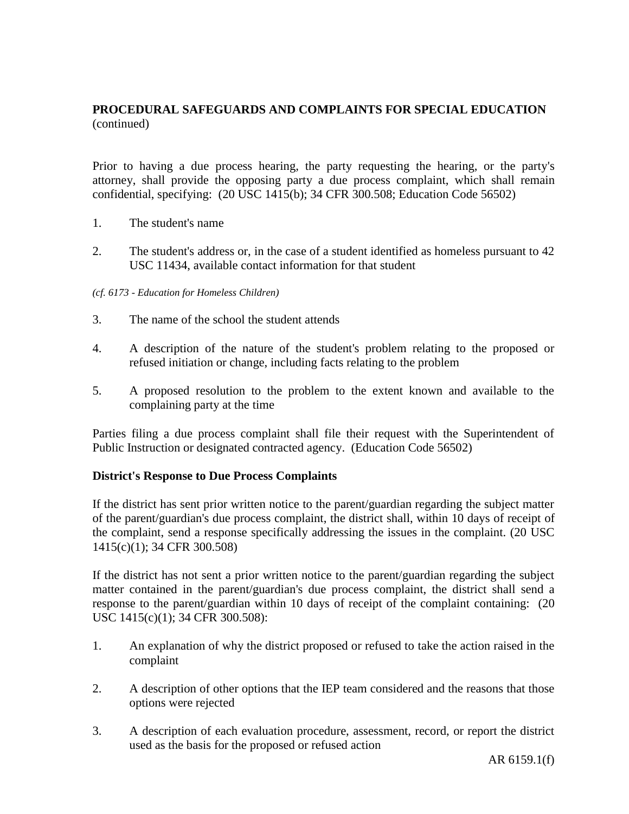Prior to having a due process hearing, the party requesting the hearing, or the party's attorney, shall provide the opposing party a due process complaint, which shall remain confidential, specifying: (20 USC 1415(b); 34 CFR 300.508; Education Code 56502)

- 1. The student's name
- 2. The student's address or, in the case of a student identified as homeless pursuant to 42 USC 11434, available contact information for that student

### *(cf. 6173 - Education for Homeless Children)*

- 3. The name of the school the student attends
- 4. A description of the nature of the student's problem relating to the proposed or refused initiation or change, including facts relating to the problem
- 5. A proposed resolution to the problem to the extent known and available to the complaining party at the time

Parties filing a due process complaint shall file their request with the Superintendent of Public Instruction or designated contracted agency. (Education Code 56502)

### **District's Response to Due Process Complaints**

If the district has sent prior written notice to the parent/guardian regarding the subject matter of the parent/guardian's due process complaint, the district shall, within 10 days of receipt of the complaint, send a response specifically addressing the issues in the complaint. (20 USC 1415(c)(1); 34 CFR 300.508)

If the district has not sent a prior written notice to the parent/guardian regarding the subject matter contained in the parent/guardian's due process complaint, the district shall send a response to the parent/guardian within 10 days of receipt of the complaint containing: (20 USC 1415(c)(1); 34 CFR 300.508):

- 1. An explanation of why the district proposed or refused to take the action raised in the complaint
- 2. A description of other options that the IEP team considered and the reasons that those options were rejected
- 3. A description of each evaluation procedure, assessment, record, or report the district used as the basis for the proposed or refused action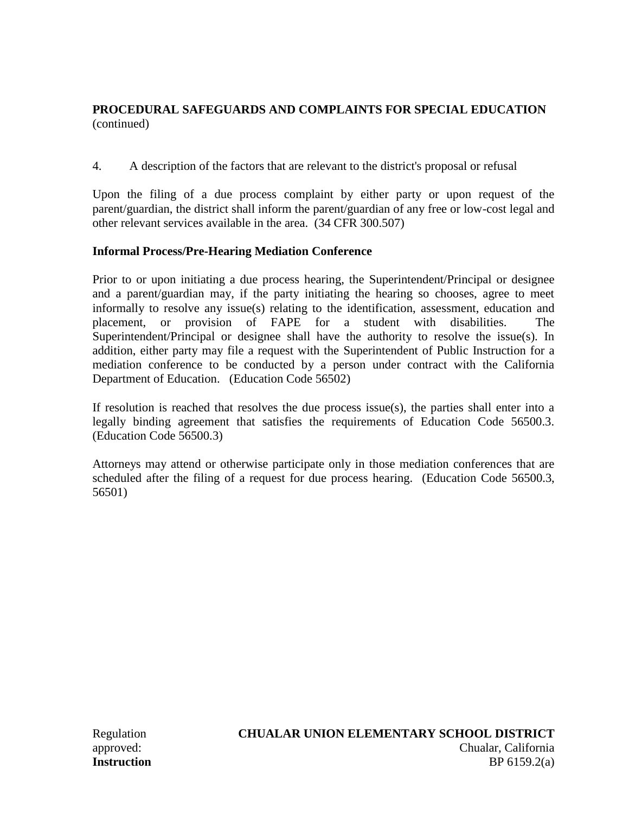4. A description of the factors that are relevant to the district's proposal or refusal

Upon the filing of a due process complaint by either party or upon request of the parent/guardian, the district shall inform the parent/guardian of any free or low-cost legal and other relevant services available in the area. (34 CFR 300.507)

# **Informal Process/Pre-Hearing Mediation Conference**

Prior to or upon initiating a due process hearing, the Superintendent/Principal or designee and a parent/guardian may, if the party initiating the hearing so chooses, agree to meet informally to resolve any issue(s) relating to the identification, assessment, education and placement, or provision of FAPE for a student with disabilities. The Superintendent/Principal or designee shall have the authority to resolve the issue(s). In addition, either party may file a request with the Superintendent of Public Instruction for a mediation conference to be conducted by a person under contract with the California Department of Education. (Education Code 56502)

If resolution is reached that resolves the due process issue(s), the parties shall enter into a legally binding agreement that satisfies the requirements of Education Code 56500.3. (Education Code 56500.3)

Attorneys may attend or otherwise participate only in those mediation conferences that are scheduled after the filing of a request for due process hearing. (Education Code 56500.3, 56501)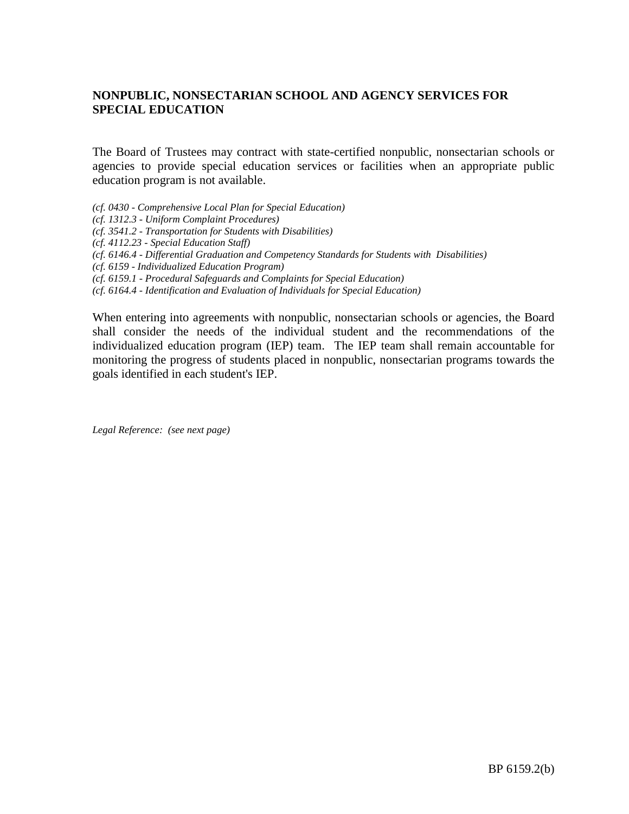# **NONPUBLIC, NONSECTARIAN SCHOOL AND AGENCY SERVICES FOR SPECIAL EDUCATION**

The Board of Trustees may contract with state-certified nonpublic, nonsectarian schools or agencies to provide special education services or facilities when an appropriate public education program is not available.

- *(cf. 0430 - Comprehensive Local Plan for Special Education)*
- *(cf. 1312.3 - Uniform Complaint Procedures)*
- *(cf. 3541.2 - Transportation for Students with Disabilities)*
- *(cf. 4112.23 - Special Education Staff)*
- *(cf. 6146.4 - Differential Graduation and Competency Standards for Students with Disabilities)*
- *(cf. 6159 - Individualized Education Program)*
- *(cf. 6159.1 - Procedural Safeguards and Complaints for Special Education)*
- *(cf. 6164.4 - Identification and Evaluation of Individuals for Special Education)*

When entering into agreements with nonpublic, nonsectarian schools or agencies, the Board shall consider the needs of the individual student and the recommendations of the individualized education program (IEP) team. The IEP team shall remain accountable for monitoring the progress of students placed in nonpublic, nonsectarian programs towards the goals identified in each student's IEP.

*Legal Reference: (see next page)*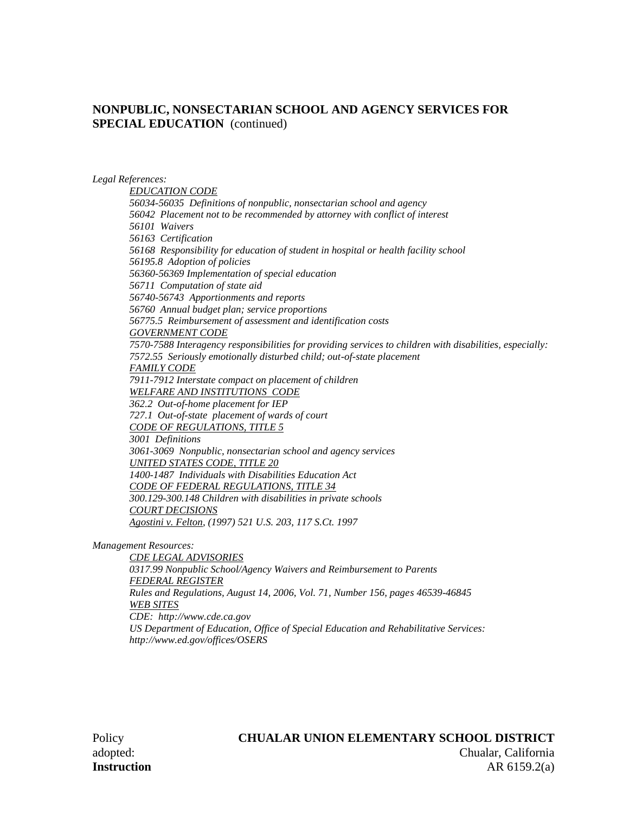### **NONPUBLIC, NONSECTARIAN SCHOOL AND AGENCY SERVICES FOR SPECIAL EDUCATION** (continued)

*Legal References:*

*EDUCATION CODE 56034-56035 Definitions of nonpublic, nonsectarian school and agency 56042 Placement not to be recommended by attorney with conflict of interest 56101 Waivers 56163 Certification 56168 Responsibility for education of student in hospital or health facility school 56195.8 Adoption of policies 56360-56369 Implementation of special education 56711 Computation of state aid 56740-56743 Apportionments and reports 56760 Annual budget plan; service proportions 56775.5 Reimbursement of assessment and identification costs GOVERNMENT CODE 7570-7588 Interagency responsibilities for providing services to children with disabilities, especially: 7572.55 Seriously emotionally disturbed child; out-of-state placement FAMILY CODE 7911-7912 Interstate compact on placement of children WELFARE AND INSTITUTIONS CODE 362.2 Out-of-home placement for IEP 727.1 Out-of-state placement of wards of court CODE OF REGULATIONS, TITLE 5 3001 Definitions 3061-3069 Nonpublic, nonsectarian school and agency services UNITED STATES CODE, TITLE 20 1400-1487 Individuals with Disabilities Education Act CODE OF FEDERAL REGULATIONS, TITLE 34 300.129-300.148 Children with disabilities in private schools COURT DECISIONS Agostini v. Felton, (1997) 521 U.S. 203, 117 S.Ct. 1997*

*Management Resources:*

*CDE LEGAL ADVISORIES 0317.99 Nonpublic School/Agency Waivers and Reimbursement to Parents FEDERAL REGISTER Rules and Regulations, August 14, 2006, Vol. 71, Number 156, pages 46539-46845 WEB SITES CDE: http://www.cde.ca.gov US Department of Education, Office of Special Education and Rehabilitative Services: http://www.ed.gov/offices/OSERS*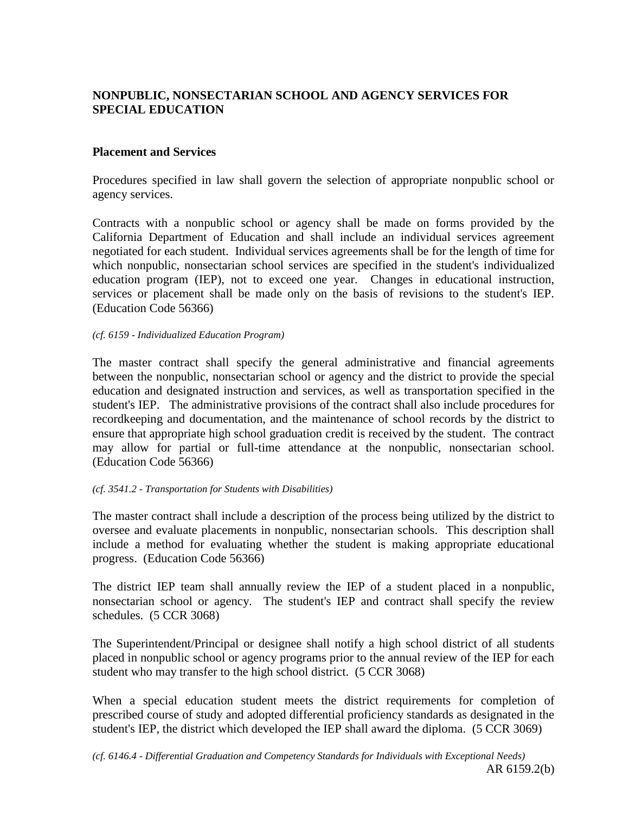# **NONPUBLIC, NONSECTARIAN SCHOOL AND AGENCY SERVICES FOR SPECIAL EDUCATION**

## **Placement and Services**

Procedures specified in law shall govern the selection of appropriate nonpublic school or agency services.

Contracts with a nonpublic school or agency shall be made on forms provided by the California Department of Education and shall include an individual services agreement negotiated for each student. Individual services agreements shall be for the length of time for which nonpublic, nonsectarian school services are specified in the student's individualized education program (IEP), not to exceed one year. Changes in educational instruction, services or placement shall be made only on the basis of revisions to the student's IEP. (Education Code 56366)

#### *(cf. 6159 - Individualized Education Program)*

The master contract shall specify the general administrative and financial agreements between the nonpublic, nonsectarian school or agency and the district to provide the special education and designated instruction and services, as well as transportation specified in the student's IEP. The administrative provisions of the contract shall also include procedures for recordkeeping and documentation, and the maintenance of school records by the district to ensure that appropriate high school graduation credit is received by the student. The contract may allow for partial or full-time attendance at the nonpublic, nonsectarian school. (Education Code 56366)

### *(cf. 3541.2 - Transportation for Students with Disabilities)*

The master contract shall include a description of the process being utilized by the district to oversee and evaluate placements in nonpublic, nonsectarian schools. This description shall include a method for evaluating whether the student is making appropriate educational progress. (Education Code 56366)

The district IEP team shall annually review the IEP of a student placed in a nonpublic, nonsectarian school or agency. The student's IEP and contract shall specify the review schedules. (5 CCR 3068)

The Superintendent/Principal or designee shall notify a high school district of all students placed in nonpublic school or agency programs prior to the annual review of the IEP for each student who may transfer to the high school district. (5 CCR 3068)

When a special education student meets the district requirements for completion of prescribed course of study and adopted differential proficiency standards as designated in the student's IEP, the district which developed the IEP shall award the diploma. (5 CCR 3069)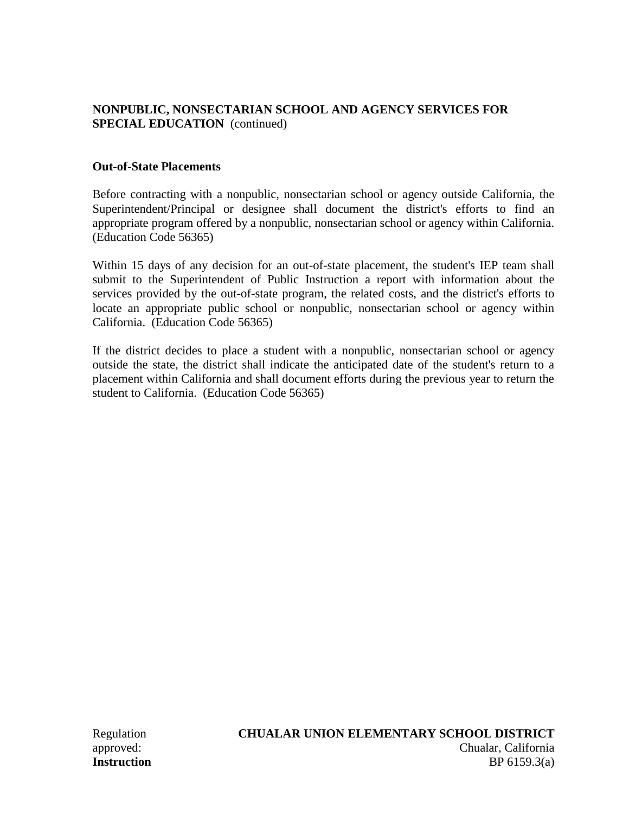# **NONPUBLIC, NONSECTARIAN SCHOOL AND AGENCY SERVICES FOR SPECIAL EDUCATION** (continued)

## **Out-of-State Placements**

Before contracting with a nonpublic, nonsectarian school or agency outside California, the Superintendent/Principal or designee shall document the district's efforts to find an appropriate program offered by a nonpublic, nonsectarian school or agency within California. (Education Code 56365)

Within 15 days of any decision for an out-of-state placement, the student's IEP team shall submit to the Superintendent of Public Instruction a report with information about the services provided by the out-of-state program, the related costs, and the district's efforts to locate an appropriate public school or nonpublic, nonsectarian school or agency within California. (Education Code 56365)

If the district decides to place a student with a nonpublic, nonsectarian school or agency outside the state, the district shall indicate the anticipated date of the student's return to a placement within California and shall document efforts during the previous year to return the student to California. (Education Code 56365)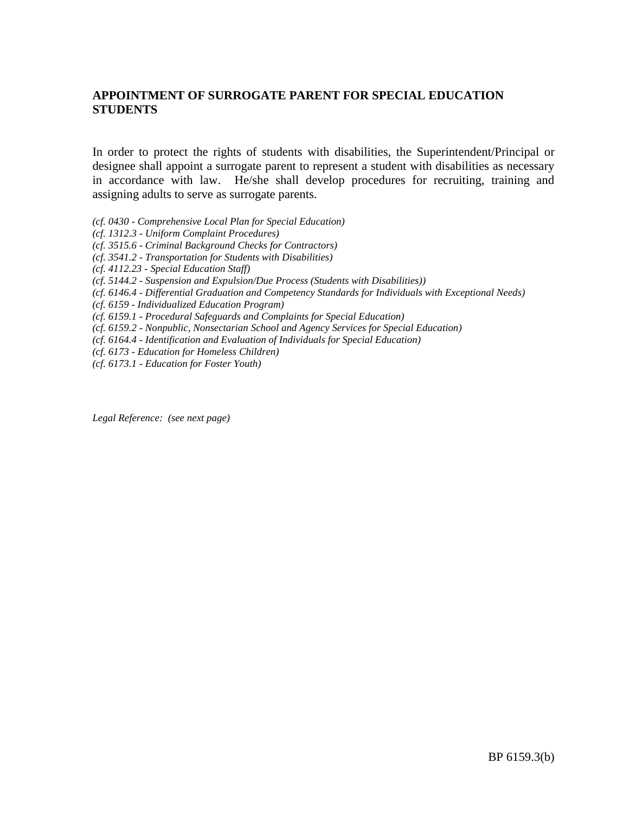# **APPOINTMENT OF SURROGATE PARENT FOR SPECIAL EDUCATION STUDENTS**

In order to protect the rights of students with disabilities, the Superintendent/Principal or designee shall appoint a surrogate parent to represent a student with disabilities as necessary in accordance with law. He/she shall develop procedures for recruiting, training and assigning adults to serve as surrogate parents.

- *(cf. 0430 - Comprehensive Local Plan for Special Education)*
- *(cf. 1312.3 - Uniform Complaint Procedures)*
- *(cf. 3515.6 - Criminal Background Checks for Contractors)*
- *(cf. 3541.2 - Transportation for Students with Disabilities)*
- *(cf. 4112.23 - Special Education Staff)*
- *(cf. 5144.2 - Suspension and Expulsion/Due Process (Students with Disabilities))*
- *(cf. 6146.4 - Differential Graduation and Competency Standards for Individuals with Exceptional Needs)*
- *(cf. 6159 - Individualized Education Program)*
- *(cf. 6159.1 - Procedural Safeguards and Complaints for Special Education)*
- *(cf. 6159.2 - Nonpublic, Nonsectarian School and Agency Services for Special Education)*
- *(cf. 6164.4 - Identification and Evaluation of Individuals for Special Education)*
- *(cf. 6173 - Education for Homeless Children)*
- *(cf. 6173.1 - Education for Foster Youth)*

*Legal Reference: (see next page)*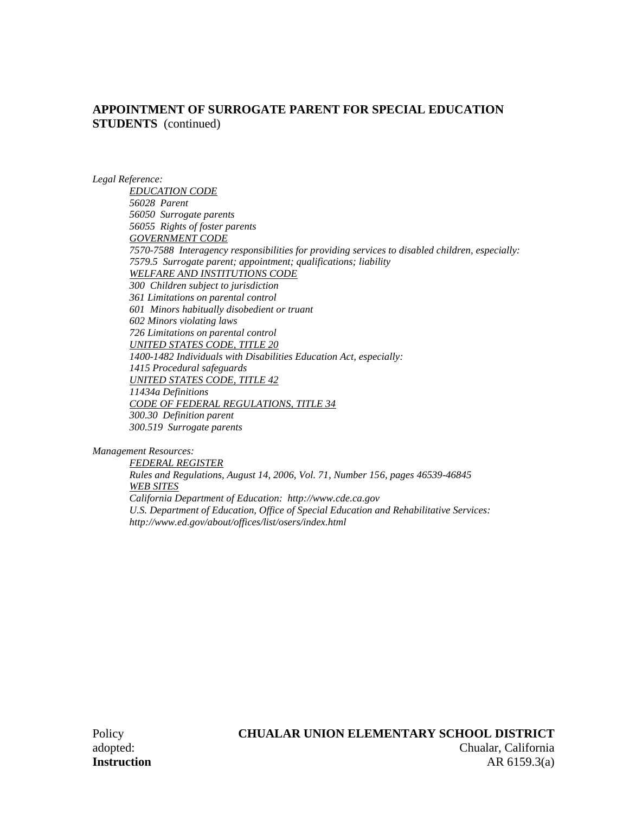### **APPOINTMENT OF SURROGATE PARENT FOR SPECIAL EDUCATION STUDENTS** (continued)

*Legal Reference:*

*EDUCATION CODE 56028 Parent 56050 Surrogate parents 56055 Rights of foster parents GOVERNMENT CODE 7570-7588 Interagency responsibilities for providing services to disabled children, especially: 7579.5 Surrogate parent; appointment; qualifications; liability WELFARE AND INSTITUTIONS CODE 300 Children subject to jurisdiction 361 Limitations on parental control 601 Minors habitually disobedient or truant 602 Minors violating laws 726 Limitations on parental control UNITED STATES CODE, TITLE 20 1400-1482 Individuals with Disabilities Education Act, especially: 1415 Procedural safeguards UNITED STATES CODE, TITLE 42 11434a Definitions CODE OF FEDERAL REGULATIONS, TITLE 34 300.30 Definition parent 300.519 Surrogate parents*

*Management Resources:*

*FEDERAL REGISTER Rules and Regulations, August 14, 2006, Vol. 71, Number 156, pages 46539-46845 WEB SITES California Department of Education: http://www.cde.ca.gov U.S. Department of Education, Office of Special Education and Rehabilitative Services: http://www.ed.gov/about/offices/list/osers/index.html*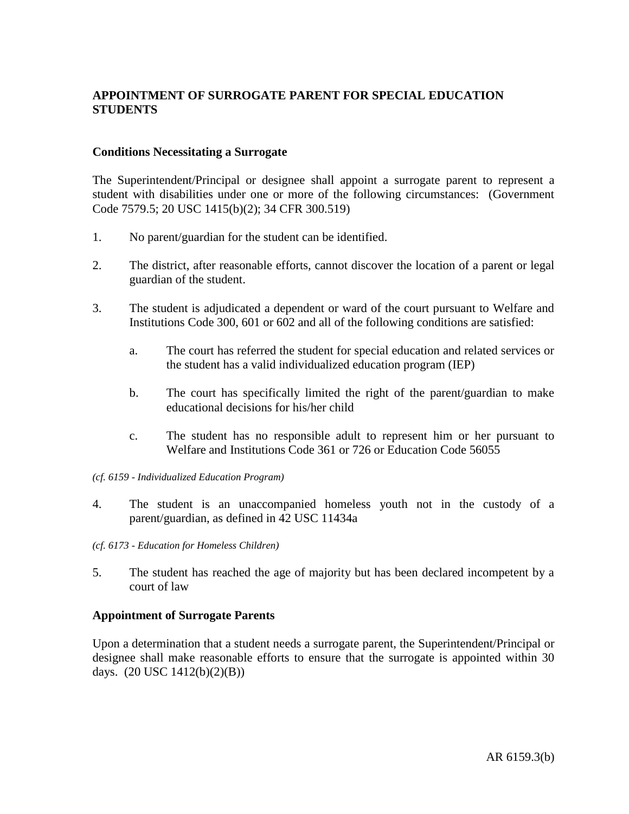# **APPOINTMENT OF SURROGATE PARENT FOR SPECIAL EDUCATION STUDENTS**

### **Conditions Necessitating a Surrogate**

The Superintendent/Principal or designee shall appoint a surrogate parent to represent a student with disabilities under one or more of the following circumstances: (Government Code 7579.5; 20 USC 1415(b)(2); 34 CFR 300.519)

- 1. No parent/guardian for the student can be identified.
- 2. The district, after reasonable efforts, cannot discover the location of a parent or legal guardian of the student.
- 3. The student is adjudicated a dependent or ward of the court pursuant to Welfare and Institutions Code 300, 601 or 602 and all of the following conditions are satisfied:
	- a. The court has referred the student for special education and related services or the student has a valid individualized education program (IEP)
	- b. The court has specifically limited the right of the parent/guardian to make educational decisions for his/her child
	- c. The student has no responsible adult to represent him or her pursuant to Welfare and Institutions Code 361 or 726 or Education Code 56055

#### *(cf. 6159 - Individualized Education Program)*

- 4. The student is an unaccompanied homeless youth not in the custody of a parent/guardian, as defined in 42 USC 11434a
- *(cf. 6173 - Education for Homeless Children)*
- 5. The student has reached the age of majority but has been declared incompetent by a court of law

#### **Appointment of Surrogate Parents**

Upon a determination that a student needs a surrogate parent, the Superintendent/Principal or designee shall make reasonable efforts to ensure that the surrogate is appointed within 30 days. (20 USC 1412(b)(2)(B))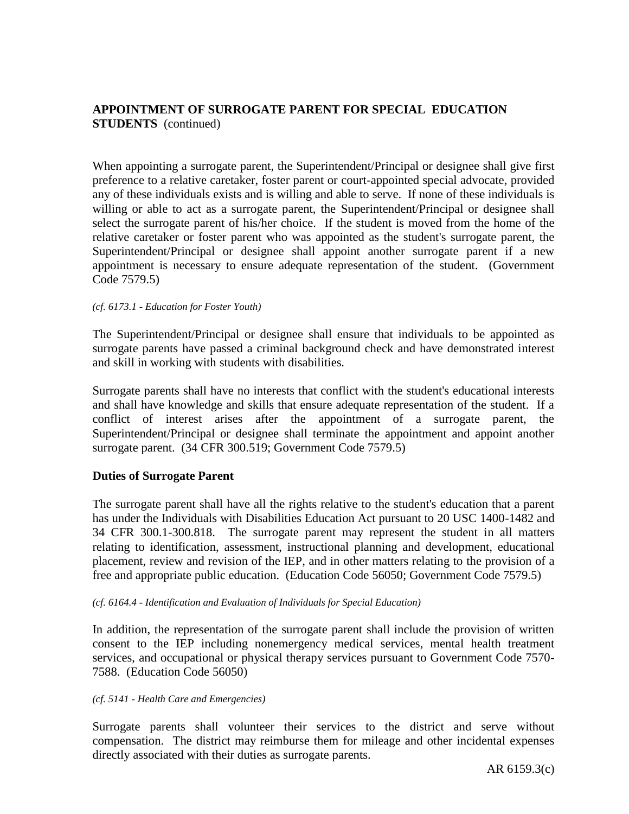# **APPOINTMENT OF SURROGATE PARENT FOR SPECIAL EDUCATION STUDENTS** (continued)

When appointing a surrogate parent, the Superintendent/Principal or designee shall give first preference to a relative caretaker, foster parent or court-appointed special advocate, provided any of these individuals exists and is willing and able to serve. If none of these individuals is willing or able to act as a surrogate parent, the Superintendent/Principal or designee shall select the surrogate parent of his/her choice. If the student is moved from the home of the relative caretaker or foster parent who was appointed as the student's surrogate parent, the Superintendent/Principal or designee shall appoint another surrogate parent if a new appointment is necessary to ensure adequate representation of the student. (Government Code 7579.5)

#### *(cf. 6173.1 - Education for Foster Youth)*

The Superintendent/Principal or designee shall ensure that individuals to be appointed as surrogate parents have passed a criminal background check and have demonstrated interest and skill in working with students with disabilities.

Surrogate parents shall have no interests that conflict with the student's educational interests and shall have knowledge and skills that ensure adequate representation of the student. If a conflict of interest arises after the appointment of a surrogate parent, the Superintendent/Principal or designee shall terminate the appointment and appoint another surrogate parent. (34 CFR 300.519; Government Code 7579.5)

#### **Duties of Surrogate Parent**

The surrogate parent shall have all the rights relative to the student's education that a parent has under the Individuals with Disabilities Education Act pursuant to 20 USC 1400-1482 and 34 CFR 300.1-300.818. The surrogate parent may represent the student in all matters relating to identification, assessment, instructional planning and development, educational placement, review and revision of the IEP, and in other matters relating to the provision of a free and appropriate public education. (Education Code 56050; Government Code 7579.5)

#### *(cf. 6164.4 - Identification and Evaluation of Individuals for Special Education)*

In addition, the representation of the surrogate parent shall include the provision of written consent to the IEP including nonemergency medical services, mental health treatment services, and occupational or physical therapy services pursuant to Government Code 7570- 7588. (Education Code 56050)

#### *(cf. 5141 - Health Care and Emergencies)*

Surrogate parents shall volunteer their services to the district and serve without compensation. The district may reimburse them for mileage and other incidental expenses directly associated with their duties as surrogate parents.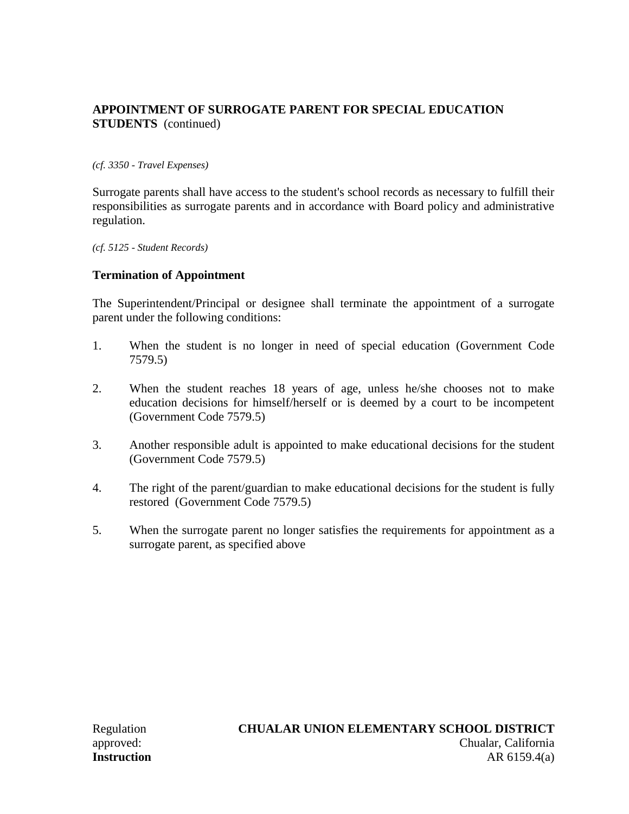# **APPOINTMENT OF SURROGATE PARENT FOR SPECIAL EDUCATION STUDENTS** (continued)

### *(cf. 3350 - Travel Expenses)*

Surrogate parents shall have access to the student's school records as necessary to fulfill their responsibilities as surrogate parents and in accordance with Board policy and administrative regulation.

*(cf. 5125 - Student Records)*

### **Termination of Appointment**

The Superintendent/Principal or designee shall terminate the appointment of a surrogate parent under the following conditions:

- 1. When the student is no longer in need of special education (Government Code 7579.5)
- 2. When the student reaches 18 years of age, unless he/she chooses not to make education decisions for himself/herself or is deemed by a court to be incompetent (Government Code 7579.5)
- 3. Another responsible adult is appointed to make educational decisions for the student (Government Code 7579.5)
- 4. The right of the parent/guardian to make educational decisions for the student is fully restored (Government Code 7579.5)
- 5. When the surrogate parent no longer satisfies the requirements for appointment as a surrogate parent, as specified above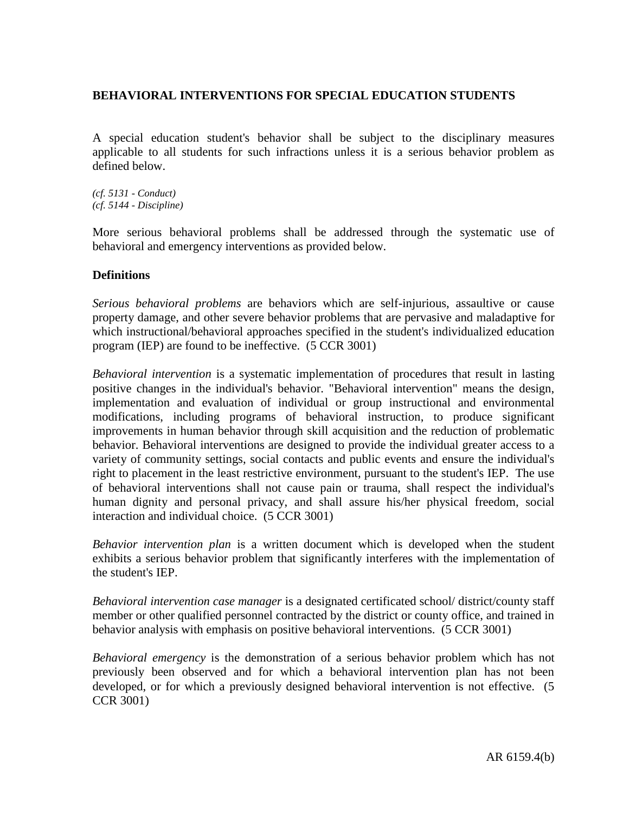A special education student's behavior shall be subject to the disciplinary measures applicable to all students for such infractions unless it is a serious behavior problem as defined below.

*(cf. 5131 - Conduct) (cf. 5144 - Discipline)*

More serious behavioral problems shall be addressed through the systematic use of behavioral and emergency interventions as provided below.

### **Definitions**

*Serious behavioral problems* are behaviors which are self-injurious, assaultive or cause property damage, and other severe behavior problems that are pervasive and maladaptive for which instructional/behavioral approaches specified in the student's individualized education program (IEP) are found to be ineffective. (5 CCR 3001)

*Behavioral intervention* is a systematic implementation of procedures that result in lasting positive changes in the individual's behavior. "Behavioral intervention" means the design, implementation and evaluation of individual or group instructional and environmental modifications, including programs of behavioral instruction, to produce significant improvements in human behavior through skill acquisition and the reduction of problematic behavior. Behavioral interventions are designed to provide the individual greater access to a variety of community settings, social contacts and public events and ensure the individual's right to placement in the least restrictive environment, pursuant to the student's IEP. The use of behavioral interventions shall not cause pain or trauma, shall respect the individual's human dignity and personal privacy, and shall assure his/her physical freedom, social interaction and individual choice. (5 CCR 3001)

*Behavior intervention plan* is a written document which is developed when the student exhibits a serious behavior problem that significantly interferes with the implementation of the student's IEP.

*Behavioral intervention case manager* is a designated certificated school/ district/county staff member or other qualified personnel contracted by the district or county office, and trained in behavior analysis with emphasis on positive behavioral interventions. (5 CCR 3001)

*Behavioral emergency* is the demonstration of a serious behavior problem which has not previously been observed and for which a behavioral intervention plan has not been developed, or for which a previously designed behavioral intervention is not effective. (5 CCR 3001)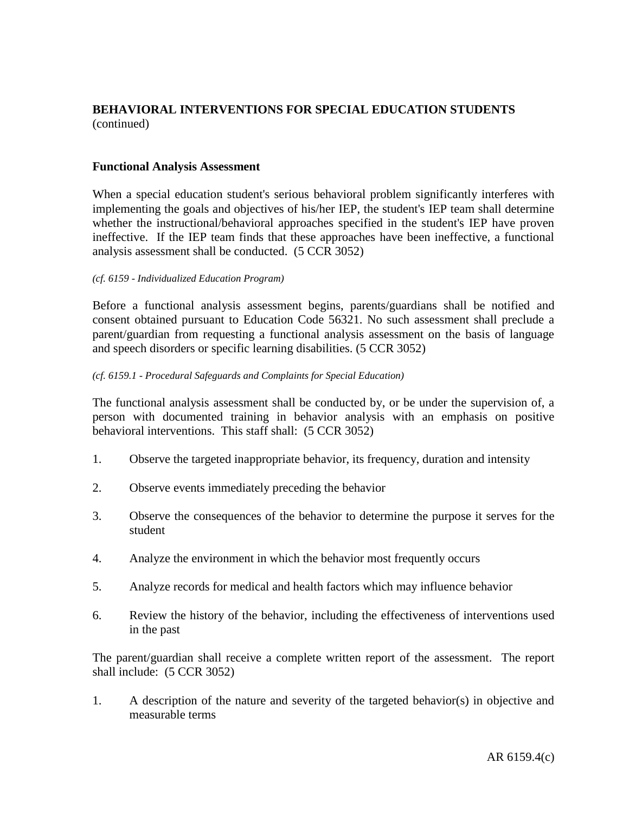### **Functional Analysis Assessment**

When a special education student's serious behavioral problem significantly interferes with implementing the goals and objectives of his/her IEP, the student's IEP team shall determine whether the instructional/behavioral approaches specified in the student's IEP have proven ineffective. If the IEP team finds that these approaches have been ineffective, a functional analysis assessment shall be conducted. (5 CCR 3052)

#### *(cf. 6159 - Individualized Education Program)*

Before a functional analysis assessment begins, parents/guardians shall be notified and consent obtained pursuant to Education Code 56321. No such assessment shall preclude a parent/guardian from requesting a functional analysis assessment on the basis of language and speech disorders or specific learning disabilities. (5 CCR 3052)

#### *(cf. 6159.1 - Procedural Safeguards and Complaints for Special Education)*

The functional analysis assessment shall be conducted by, or be under the supervision of, a person with documented training in behavior analysis with an emphasis on positive behavioral interventions. This staff shall: (5 CCR 3052)

- 1. Observe the targeted inappropriate behavior, its frequency, duration and intensity
- 2. Observe events immediately preceding the behavior
- 3. Observe the consequences of the behavior to determine the purpose it serves for the student
- 4. Analyze the environment in which the behavior most frequently occurs
- 5. Analyze records for medical and health factors which may influence behavior
- 6. Review the history of the behavior, including the effectiveness of interventions used in the past

The parent/guardian shall receive a complete written report of the assessment. The report shall include: (5 CCR 3052)

1. A description of the nature and severity of the targeted behavior(s) in objective and measurable terms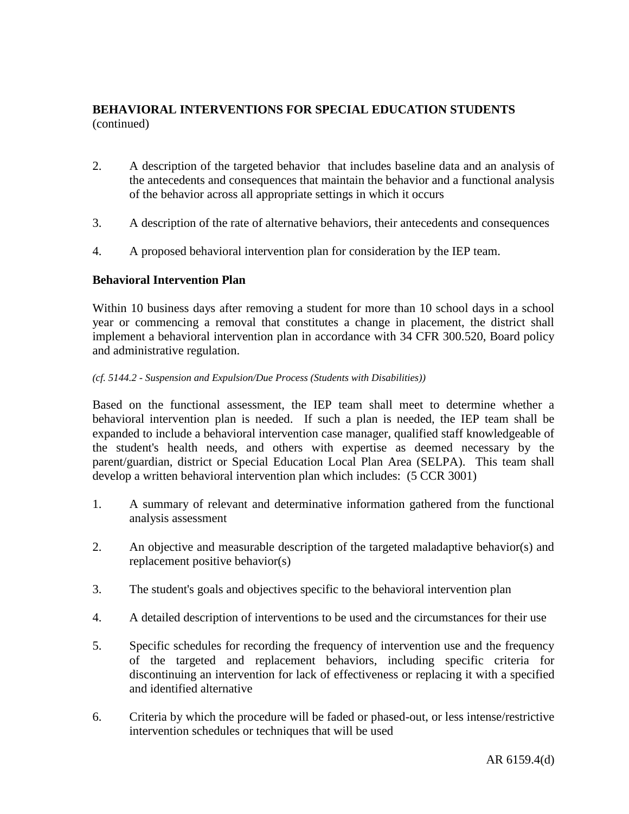- 2. A description of the targeted behavior that includes baseline data and an analysis of the antecedents and consequences that maintain the behavior and a functional analysis of the behavior across all appropriate settings in which it occurs
- 3. A description of the rate of alternative behaviors, their antecedents and consequences
- 4. A proposed behavioral intervention plan for consideration by the IEP team.

### **Behavioral Intervention Plan**

Within 10 business days after removing a student for more than 10 school days in a school year or commencing a removal that constitutes a change in placement, the district shall implement a behavioral intervention plan in accordance with 34 CFR 300.520, Board policy and administrative regulation.

#### *(cf. 5144.2 - Suspension and Expulsion/Due Process (Students with Disabilities))*

Based on the functional assessment, the IEP team shall meet to determine whether a behavioral intervention plan is needed. If such a plan is needed, the IEP team shall be expanded to include a behavioral intervention case manager, qualified staff knowledgeable of the student's health needs, and others with expertise as deemed necessary by the parent/guardian, district or Special Education Local Plan Area (SELPA). This team shall develop a written behavioral intervention plan which includes: (5 CCR 3001)

- 1. A summary of relevant and determinative information gathered from the functional analysis assessment
- 2. An objective and measurable description of the targeted maladaptive behavior(s) and replacement positive behavior(s)
- 3. The student's goals and objectives specific to the behavioral intervention plan
- 4. A detailed description of interventions to be used and the circumstances for their use
- 5. Specific schedules for recording the frequency of intervention use and the frequency of the targeted and replacement behaviors, including specific criteria for discontinuing an intervention for lack of effectiveness or replacing it with a specified and identified alternative
- 6. Criteria by which the procedure will be faded or phased-out, or less intense/restrictive intervention schedules or techniques that will be used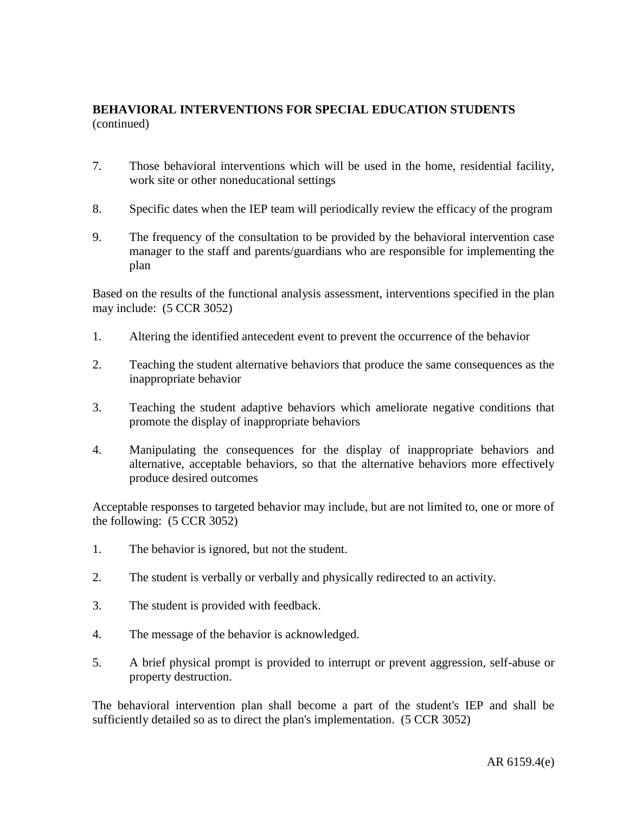- 7. Those behavioral interventions which will be used in the home, residential facility, work site or other noneducational settings
- 8. Specific dates when the IEP team will periodically review the efficacy of the program
- 9. The frequency of the consultation to be provided by the behavioral intervention case manager to the staff and parents/guardians who are responsible for implementing the plan

Based on the results of the functional analysis assessment, interventions specified in the plan may include: (5 CCR 3052)

- 1. Altering the identified antecedent event to prevent the occurrence of the behavior
- 2. Teaching the student alternative behaviors that produce the same consequences as the inappropriate behavior
- 3. Teaching the student adaptive behaviors which ameliorate negative conditions that promote the display of inappropriate behaviors
- 4. Manipulating the consequences for the display of inappropriate behaviors and alternative, acceptable behaviors, so that the alternative behaviors more effectively produce desired outcomes

Acceptable responses to targeted behavior may include, but are not limited to, one or more of the following: (5 CCR 3052)

- 1. The behavior is ignored, but not the student.
- 2. The student is verbally or verbally and physically redirected to an activity.
- 3. The student is provided with feedback.
- 4. The message of the behavior is acknowledged.
- 5. A brief physical prompt is provided to interrupt or prevent aggression, self-abuse or property destruction.

The behavioral intervention plan shall become a part of the student's IEP and shall be sufficiently detailed so as to direct the plan's implementation. (5 CCR 3052)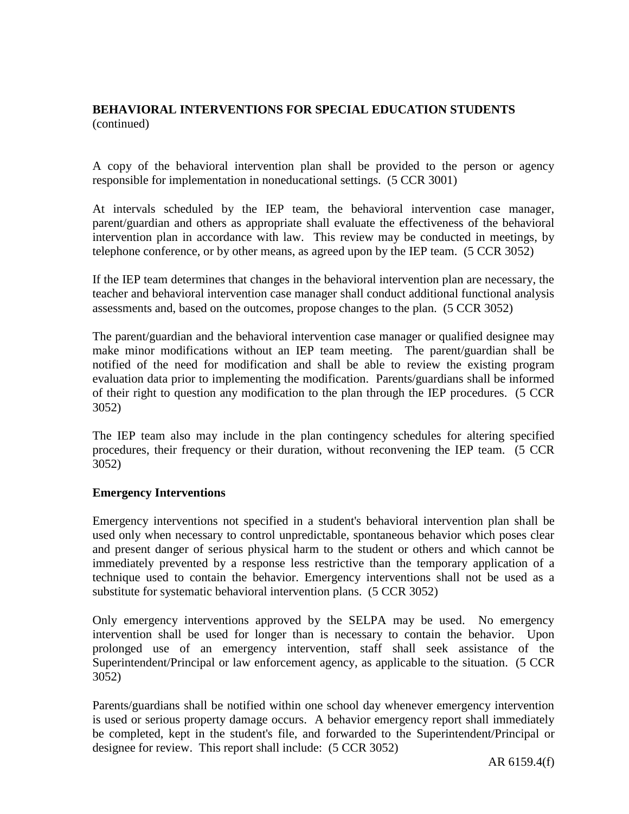A copy of the behavioral intervention plan shall be provided to the person or agency responsible for implementation in noneducational settings. (5 CCR 3001)

At intervals scheduled by the IEP team, the behavioral intervention case manager, parent/guardian and others as appropriate shall evaluate the effectiveness of the behavioral intervention plan in accordance with law. This review may be conducted in meetings, by telephone conference, or by other means, as agreed upon by the IEP team. (5 CCR 3052)

If the IEP team determines that changes in the behavioral intervention plan are necessary, the teacher and behavioral intervention case manager shall conduct additional functional analysis assessments and, based on the outcomes, propose changes to the plan. (5 CCR 3052)

The parent/guardian and the behavioral intervention case manager or qualified designee may make minor modifications without an IEP team meeting. The parent/guardian shall be notified of the need for modification and shall be able to review the existing program evaluation data prior to implementing the modification. Parents/guardians shall be informed of their right to question any modification to the plan through the IEP procedures. (5 CCR 3052)

The IEP team also may include in the plan contingency schedules for altering specified procedures, their frequency or their duration, without reconvening the IEP team. (5 CCR 3052)

### **Emergency Interventions**

Emergency interventions not specified in a student's behavioral intervention plan shall be used only when necessary to control unpredictable, spontaneous behavior which poses clear and present danger of serious physical harm to the student or others and which cannot be immediately prevented by a response less restrictive than the temporary application of a technique used to contain the behavior. Emergency interventions shall not be used as a substitute for systematic behavioral intervention plans. (5 CCR 3052)

Only emergency interventions approved by the SELPA may be used. No emergency intervention shall be used for longer than is necessary to contain the behavior. Upon prolonged use of an emergency intervention, staff shall seek assistance of the Superintendent/Principal or law enforcement agency, as applicable to the situation. (5 CCR 3052)

Parents/guardians shall be notified within one school day whenever emergency intervention is used or serious property damage occurs. A behavior emergency report shall immediately be completed, kept in the student's file, and forwarded to the Superintendent/Principal or designee for review. This report shall include: (5 CCR 3052)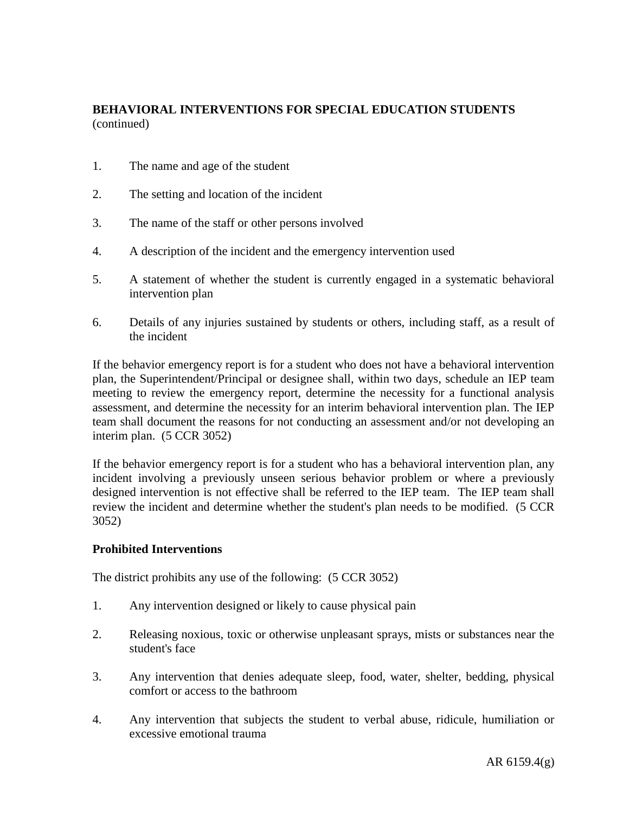- 1. The name and age of the student
- 2. The setting and location of the incident
- 3. The name of the staff or other persons involved
- 4. A description of the incident and the emergency intervention used
- 5. A statement of whether the student is currently engaged in a systematic behavioral intervention plan
- 6. Details of any injuries sustained by students or others, including staff, as a result of the incident

If the behavior emergency report is for a student who does not have a behavioral intervention plan, the Superintendent/Principal or designee shall, within two days, schedule an IEP team meeting to review the emergency report, determine the necessity for a functional analysis assessment, and determine the necessity for an interim behavioral intervention plan. The IEP team shall document the reasons for not conducting an assessment and/or not developing an interim plan. (5 CCR 3052)

If the behavior emergency report is for a student who has a behavioral intervention plan, any incident involving a previously unseen serious behavior problem or where a previously designed intervention is not effective shall be referred to the IEP team. The IEP team shall review the incident and determine whether the student's plan needs to be modified. (5 CCR 3052)

### **Prohibited Interventions**

The district prohibits any use of the following: (5 CCR 3052)

- 1. Any intervention designed or likely to cause physical pain
- 2. Releasing noxious, toxic or otherwise unpleasant sprays, mists or substances near the student's face
- 3. Any intervention that denies adequate sleep, food, water, shelter, bedding, physical comfort or access to the bathroom
- 4. Any intervention that subjects the student to verbal abuse, ridicule, humiliation or excessive emotional trauma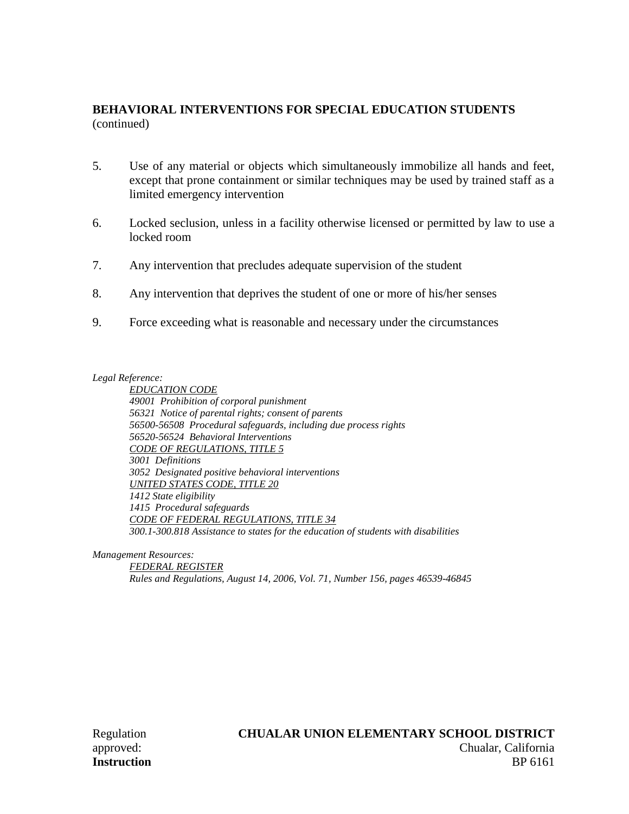- 5. Use of any material or objects which simultaneously immobilize all hands and feet, except that prone containment or similar techniques may be used by trained staff as a limited emergency intervention
- 6. Locked seclusion, unless in a facility otherwise licensed or permitted by law to use a locked room
- 7. Any intervention that precludes adequate supervision of the student
- 8. Any intervention that deprives the student of one or more of his/her senses
- 9. Force exceeding what is reasonable and necessary under the circumstances

#### *Legal Reference:*

*EDUCATION CODE 49001 Prohibition of corporal punishment 56321 Notice of parental rights; consent of parents 56500-56508 Procedural safeguards, including due process rights 56520-56524 Behavioral Interventions CODE OF REGULATIONS, TITLE 5 3001 Definitions 3052 Designated positive behavioral interventions UNITED STATES CODE, TITLE 20 1412 State eligibility 1415 Procedural safeguards CODE OF FEDERAL REGULATIONS, TITLE 34 300.1-300.818 Assistance to states for the education of students with disabilities*

*Management Resources:*

*FEDERAL REGISTER Rules and Regulations, August 14, 2006, Vol. 71, Number 156, pages 46539-46845*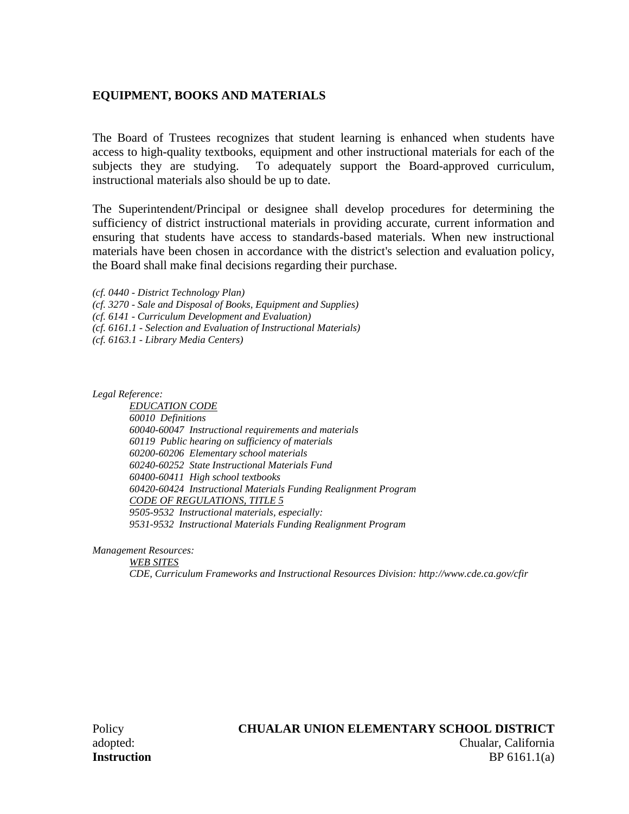### **EQUIPMENT, BOOKS AND MATERIALS**

The Board of Trustees recognizes that student learning is enhanced when students have access to high-quality textbooks, equipment and other instructional materials for each of the subjects they are studying. To adequately support the Board-approved curriculum, instructional materials also should be up to date.

The Superintendent/Principal or designee shall develop procedures for determining the sufficiency of district instructional materials in providing accurate, current information and ensuring that students have access to standards-based materials. When new instructional materials have been chosen in accordance with the district's selection and evaluation policy, the Board shall make final decisions regarding their purchase.

*(cf. 0440 - District Technology Plan)*

*(cf. 3270 - Sale and Disposal of Books, Equipment and Supplies)*

*(cf. 6141 - Curriculum Development and Evaluation)*

*(cf. 6161.1 - Selection and Evaluation of Instructional Materials)*

*(cf. 6163.1 - Library Media Centers)*

*Legal Reference:*

*EDUCATION CODE 60010 Definitions 60040-60047 Instructional requirements and materials 60119 Public hearing on sufficiency of materials 60200-60206 Elementary school materials 60240-60252 State Instructional Materials Fund 60400-60411 High school textbooks 60420-60424 Instructional Materials Funding Realignment Program CODE OF REGULATIONS, TITLE 5 9505-9532 Instructional materials, especially: 9531-9532 Instructional Materials Funding Realignment Program*

*Management Resources:*

*WEB SITES CDE, Curriculum Frameworks and Instructional Resources Division: http://www.cde.ca.gov/cfir*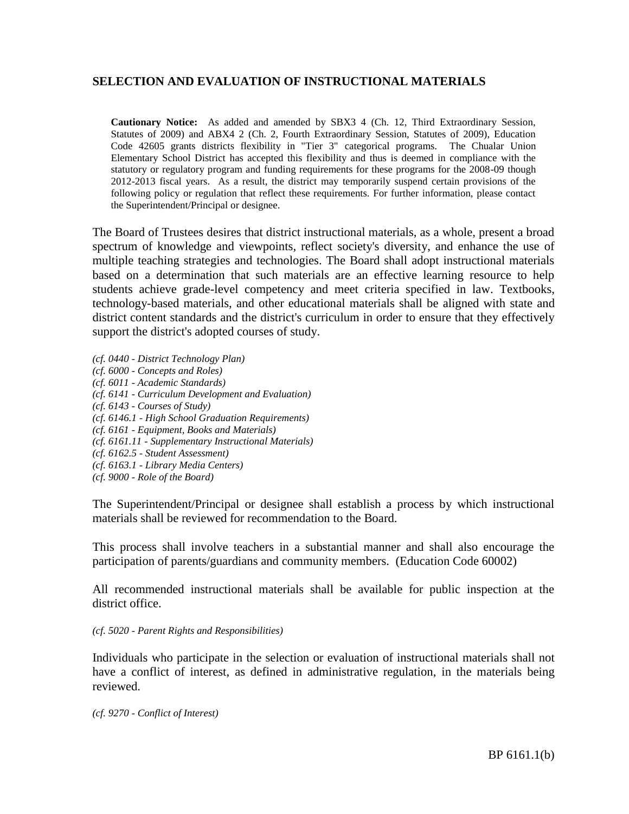## **SELECTION AND EVALUATION OF INSTRUCTIONAL MATERIALS**

**Cautionary Notice:** As added and amended by SBX3 4 (Ch. 12, Third Extraordinary Session, Statutes of 2009) and ABX4 2 (Ch. 2, Fourth Extraordinary Session, Statutes of 2009), Education Code 42605 grants districts flexibility in "Tier 3" categorical programs. The Chualar Union Elementary School District has accepted this flexibility and thus is deemed in compliance with the statutory or regulatory program and funding requirements for these programs for the 2008-09 though 2012-2013 fiscal years. As a result, the district may temporarily suspend certain provisions of the following policy or regulation that reflect these requirements. For further information, please contact the Superintendent/Principal or designee.

The Board of Trustees desires that district instructional materials, as a whole, present a broad spectrum of knowledge and viewpoints, reflect society's diversity, and enhance the use of multiple teaching strategies and technologies. The Board shall adopt instructional materials based on a determination that such materials are an effective learning resource to help students achieve grade-level competency and meet criteria specified in law. Textbooks, technology-based materials, and other educational materials shall be aligned with state and district content standards and the district's curriculum in order to ensure that they effectively support the district's adopted courses of study.

- *(cf. 0440 - District Technology Plan)*
- *(cf. 6000 - Concepts and Roles)*
- *(cf. 6011 - Academic Standards)*
- *(cf. 6141 - Curriculum Development and Evaluation)*
- *(cf. 6143 - Courses of Study)*
- *(cf. 6146.1 - High School Graduation Requirements)*
- *(cf. 6161 - Equipment, Books and Materials)*
- *(cf. 6161.11 - Supplementary Instructional Materials)*
- *(cf. 6162.5 - Student Assessment)*
- *(cf. 6163.1 - Library Media Centers)*
- *(cf. 9000 - Role of the Board)*

The Superintendent/Principal or designee shall establish a process by which instructional materials shall be reviewed for recommendation to the Board.

This process shall involve teachers in a substantial manner and shall also encourage the participation of parents/guardians and community members. (Education Code 60002)

All recommended instructional materials shall be available for public inspection at the district office.

#### *(cf. 5020 - Parent Rights and Responsibilities)*

Individuals who participate in the selection or evaluation of instructional materials shall not have a conflict of interest, as defined in administrative regulation, in the materials being reviewed.

*(cf. 9270 - Conflict of Interest)*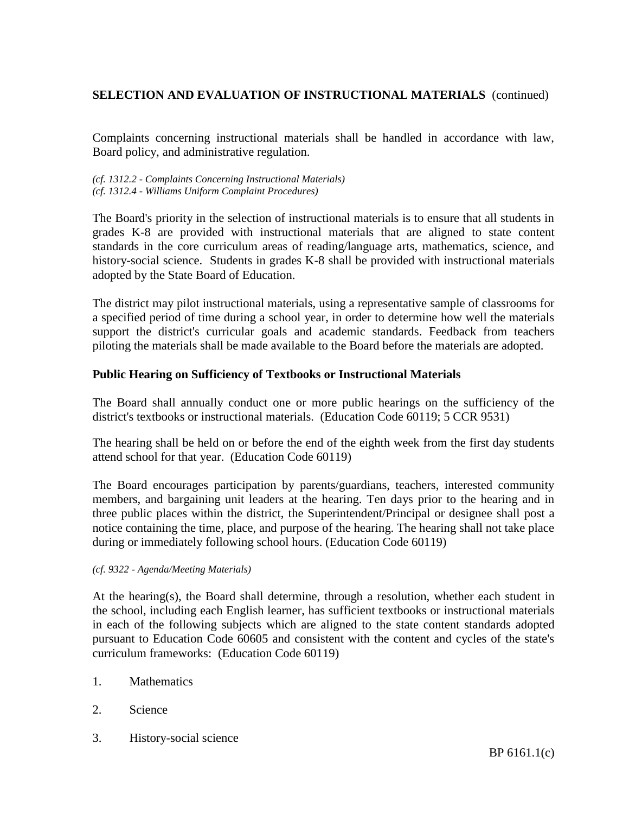Complaints concerning instructional materials shall be handled in accordance with law, Board policy, and administrative regulation.

*(cf. 1312.2 - Complaints Concerning Instructional Materials) (cf. 1312.4 - Williams Uniform Complaint Procedures)*

The Board's priority in the selection of instructional materials is to ensure that all students in grades K-8 are provided with instructional materials that are aligned to state content standards in the core curriculum areas of reading/language arts, mathematics, science, and history-social science. Students in grades K-8 shall be provided with instructional materials adopted by the State Board of Education.

The district may pilot instructional materials, using a representative sample of classrooms for a specified period of time during a school year, in order to determine how well the materials support the district's curricular goals and academic standards. Feedback from teachers piloting the materials shall be made available to the Board before the materials are adopted.

### **Public Hearing on Sufficiency of Textbooks or Instructional Materials**

The Board shall annually conduct one or more public hearings on the sufficiency of the district's textbooks or instructional materials. (Education Code 60119; 5 CCR 9531)

The hearing shall be held on or before the end of the eighth week from the first day students attend school for that year. (Education Code 60119)

The Board encourages participation by parents/guardians, teachers, interested community members, and bargaining unit leaders at the hearing. Ten days prior to the hearing and in three public places within the district, the Superintendent/Principal or designee shall post a notice containing the time, place, and purpose of the hearing. The hearing shall not take place during or immediately following school hours. (Education Code 60119)

#### *(cf. 9322 - Agenda/Meeting Materials)*

At the hearing(s), the Board shall determine, through a resolution, whether each student in the school, including each English learner, has sufficient textbooks or instructional materials in each of the following subjects which are aligned to the state content standards adopted pursuant to Education Code 60605 and consistent with the content and cycles of the state's curriculum frameworks: (Education Code 60119)

- 1. Mathematics
- 2. Science
- 3. History-social science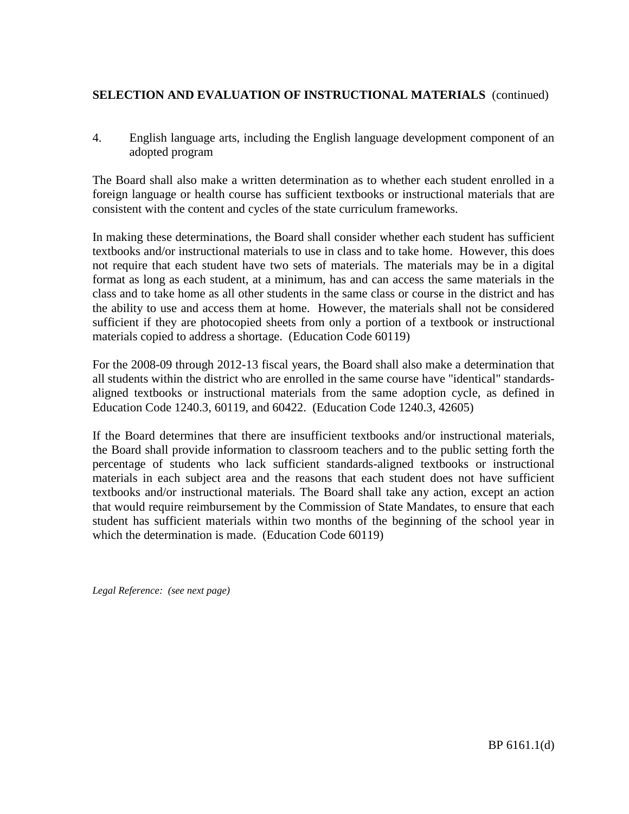4. English language arts, including the English language development component of an adopted program

The Board shall also make a written determination as to whether each student enrolled in a foreign language or health course has sufficient textbooks or instructional materials that are consistent with the content and cycles of the state curriculum frameworks.

In making these determinations, the Board shall consider whether each student has sufficient textbooks and/or instructional materials to use in class and to take home. However, this does not require that each student have two sets of materials. The materials may be in a digital format as long as each student, at a minimum, has and can access the same materials in the class and to take home as all other students in the same class or course in the district and has the ability to use and access them at home. However, the materials shall not be considered sufficient if they are photocopied sheets from only a portion of a textbook or instructional materials copied to address a shortage. (Education Code 60119)

For the 2008-09 through 2012-13 fiscal years, the Board shall also make a determination that all students within the district who are enrolled in the same course have "identical" standardsaligned textbooks or instructional materials from the same adoption cycle, as defined in Education Code 1240.3, 60119, and 60422. (Education Code 1240.3, 42605)

If the Board determines that there are insufficient textbooks and/or instructional materials, the Board shall provide information to classroom teachers and to the public setting forth the percentage of students who lack sufficient standards-aligned textbooks or instructional materials in each subject area and the reasons that each student does not have sufficient textbooks and/or instructional materials. The Board shall take any action, except an action that would require reimbursement by the Commission of State Mandates, to ensure that each student has sufficient materials within two months of the beginning of the school year in which the determination is made. (Education Code 60119)

*Legal Reference: (see next page)*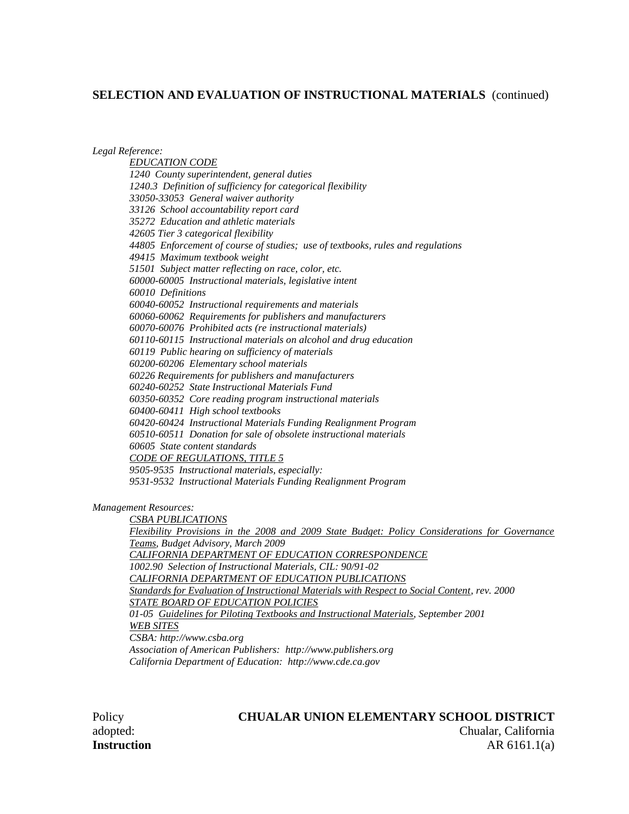*Legal Reference:*

*EDUCATION CODE 1240 County superintendent, general duties 1240.3 Definition of sufficiency for categorical flexibility 33050-33053 General waiver authority 33126 School accountability report card 35272 Education and athletic materials 42605 Tier 3 categorical flexibility 44805 Enforcement of course of studies; use of textbooks, rules and regulations 49415 Maximum textbook weight 51501 Subject matter reflecting on race, color, etc. 60000-60005 Instructional materials, legislative intent 60010 Definitions 60040-60052 Instructional requirements and materials 60060-60062 Requirements for publishers and manufacturers 60070-60076 Prohibited acts (re instructional materials) 60110-60115 Instructional materials on alcohol and drug education 60119 Public hearing on sufficiency of materials 60200-60206 Elementary school materials 60226 Requirements for publishers and manufacturers 60240-60252 State Instructional Materials Fund 60350-60352 Core reading program instructional materials 60400-60411 High school textbooks 60420-60424 Instructional Materials Funding Realignment Program 60510-60511 Donation for sale of obsolete instructional materials 60605 State content standards CODE OF REGULATIONS, TITLE 5 9505-9535 Instructional materials, especially: 9531-9532 Instructional Materials Funding Realignment Program*

*Management Resources:*

*CSBA PUBLICATIONS Flexibility Provisions in the 2008 and 2009 State Budget: Policy Considerations for Governance Teams, Budget Advisory, March 2009 CALIFORNIA DEPARTMENT OF EDUCATION CORRESPONDENCE 1002.90 Selection of Instructional Materials, CIL: 90/91-02 CALIFORNIA DEPARTMENT OF EDUCATION PUBLICATIONS Standards for Evaluation of Instructional Materials with Respect to Social Content, rev. 2000 STATE BOARD OF EDUCATION POLICIES 01-05 Guidelines for Piloting Textbooks and Instructional Materials, September 2001 WEB SITES CSBA: http://www.csba.org Association of American Publishers: http://www.publishers.org California Department of Education: http://www.cde.ca.gov*

### Policy **CHUALAR UNION ELEMENTARY SCHOOL DISTRICT**

adopted: Chualar, California **Instruction** AR 6161.1(a)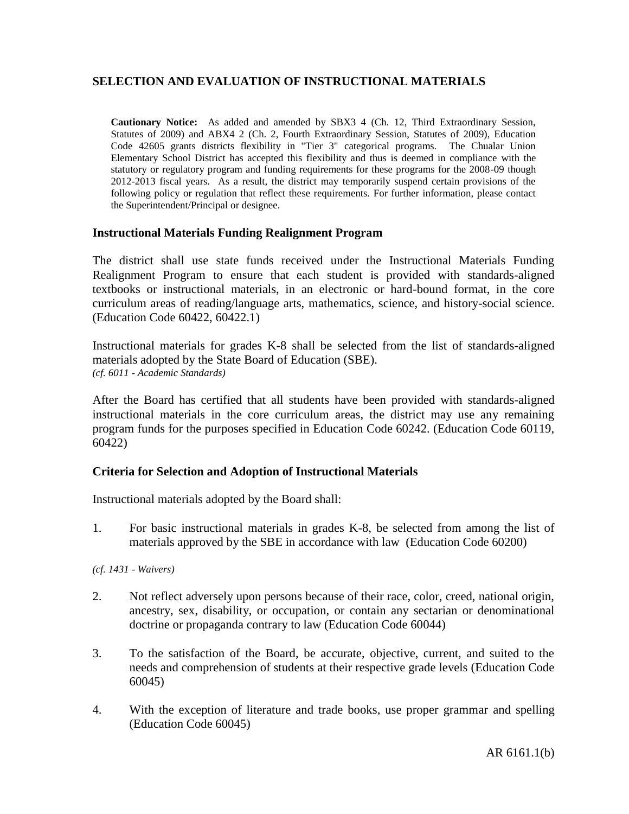# **SELECTION AND EVALUATION OF INSTRUCTIONAL MATERIALS**

**Cautionary Notice:** As added and amended by SBX3 4 (Ch. 12, Third Extraordinary Session, Statutes of 2009) and ABX4 2 (Ch. 2, Fourth Extraordinary Session, Statutes of 2009), Education Code 42605 grants districts flexibility in "Tier 3" categorical programs. The Chualar Union Elementary School District has accepted this flexibility and thus is deemed in compliance with the statutory or regulatory program and funding requirements for these programs for the 2008-09 though 2012-2013 fiscal years. As a result, the district may temporarily suspend certain provisions of the following policy or regulation that reflect these requirements. For further information, please contact the Superintendent/Principal or designee.

### **Instructional Materials Funding Realignment Program**

The district shall use state funds received under the Instructional Materials Funding Realignment Program to ensure that each student is provided with standards-aligned textbooks or instructional materials, in an electronic or hard-bound format, in the core curriculum areas of reading/language arts, mathematics, science, and history-social science. (Education Code 60422, 60422.1)

Instructional materials for grades K-8 shall be selected from the list of standards-aligned materials adopted by the State Board of Education (SBE). *(cf. 6011 - Academic Standards)*

After the Board has certified that all students have been provided with standards-aligned instructional materials in the core curriculum areas, the district may use any remaining program funds for the purposes specified in Education Code 60242. (Education Code 60119, 60422)

### **Criteria for Selection and Adoption of Instructional Materials**

Instructional materials adopted by the Board shall:

1. For basic instructional materials in grades K-8, be selected from among the list of materials approved by the SBE in accordance with law (Education Code 60200)

*(cf. 1431 - Waivers)*

- 2. Not reflect adversely upon persons because of their race, color, creed, national origin, ancestry, sex, disability, or occupation, or contain any sectarian or denominational doctrine or propaganda contrary to law (Education Code 60044)
- 3. To the satisfaction of the Board, be accurate, objective, current, and suited to the needs and comprehension of students at their respective grade levels (Education Code 60045)
- 4. With the exception of literature and trade books, use proper grammar and spelling (Education Code 60045)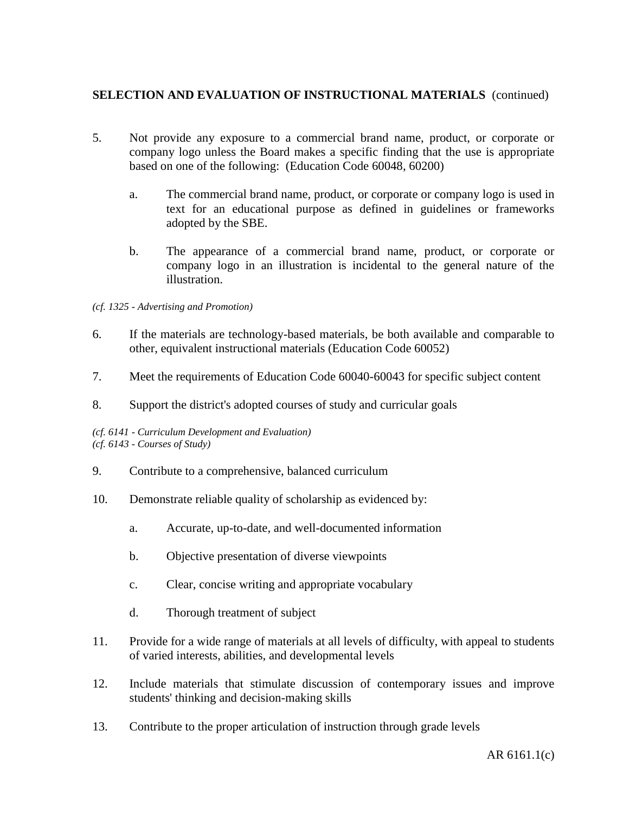- 5. Not provide any exposure to a commercial brand name, product, or corporate or company logo unless the Board makes a specific finding that the use is appropriate based on one of the following: (Education Code 60048, 60200)
	- a. The commercial brand name, product, or corporate or company logo is used in text for an educational purpose as defined in guidelines or frameworks adopted by the SBE.
	- b. The appearance of a commercial brand name, product, or corporate or company logo in an illustration is incidental to the general nature of the illustration.
- *(cf. 1325 - Advertising and Promotion)*
- 6. If the materials are technology-based materials, be both available and comparable to other, equivalent instructional materials (Education Code 60052)
- 7. Meet the requirements of Education Code 60040-60043 for specific subject content
- 8. Support the district's adopted courses of study and curricular goals

*(cf. 6141 - Curriculum Development and Evaluation) (cf. 6143 - Courses of Study)*

- 9. Contribute to a comprehensive, balanced curriculum
- 10. Demonstrate reliable quality of scholarship as evidenced by:
	- a. Accurate, up-to-date, and well-documented information
	- b. Objective presentation of diverse viewpoints
	- c. Clear, concise writing and appropriate vocabulary
	- d. Thorough treatment of subject
- 11. Provide for a wide range of materials at all levels of difficulty, with appeal to students of varied interests, abilities, and developmental levels
- 12. Include materials that stimulate discussion of contemporary issues and improve students' thinking and decision-making skills
- 13. Contribute to the proper articulation of instruction through grade levels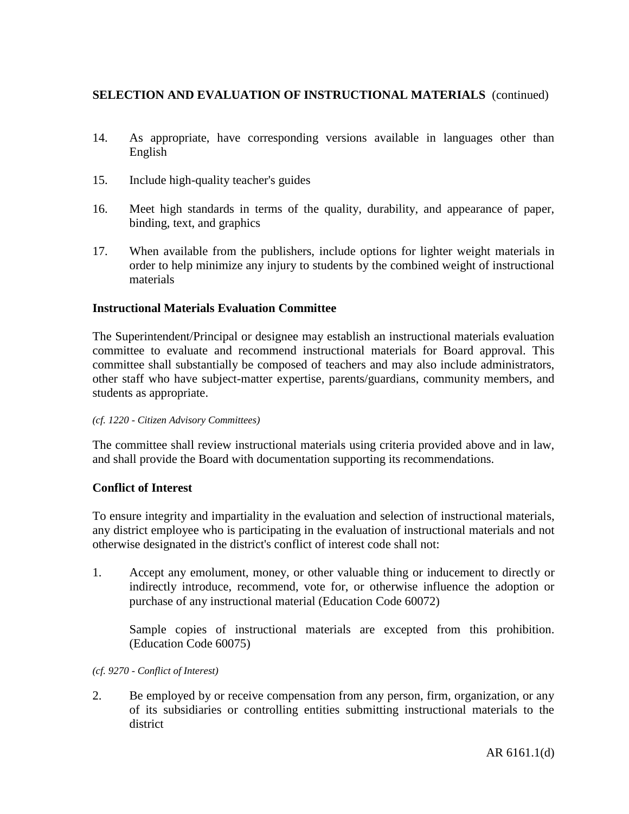- 14. As appropriate, have corresponding versions available in languages other than English
- 15. Include high-quality teacher's guides
- 16. Meet high standards in terms of the quality, durability, and appearance of paper, binding, text, and graphics
- 17. When available from the publishers, include options for lighter weight materials in order to help minimize any injury to students by the combined weight of instructional materials

### **Instructional Materials Evaluation Committee**

The Superintendent/Principal or designee may establish an instructional materials evaluation committee to evaluate and recommend instructional materials for Board approval. This committee shall substantially be composed of teachers and may also include administrators, other staff who have subject-matter expertise, parents/guardians, community members, and students as appropriate.

### *(cf. 1220 - Citizen Advisory Committees)*

The committee shall review instructional materials using criteria provided above and in law, and shall provide the Board with documentation supporting its recommendations.

### **Conflict of Interest**

To ensure integrity and impartiality in the evaluation and selection of instructional materials, any district employee who is participating in the evaluation of instructional materials and not otherwise designated in the district's conflict of interest code shall not:

1. Accept any emolument, money, or other valuable thing or inducement to directly or indirectly introduce, recommend, vote for, or otherwise influence the adoption or purchase of any instructional material (Education Code 60072)

Sample copies of instructional materials are excepted from this prohibition. (Education Code 60075)

*(cf. 9270 - Conflict of Interest)*

2. Be employed by or receive compensation from any person, firm, organization, or any of its subsidiaries or controlling entities submitting instructional materials to the district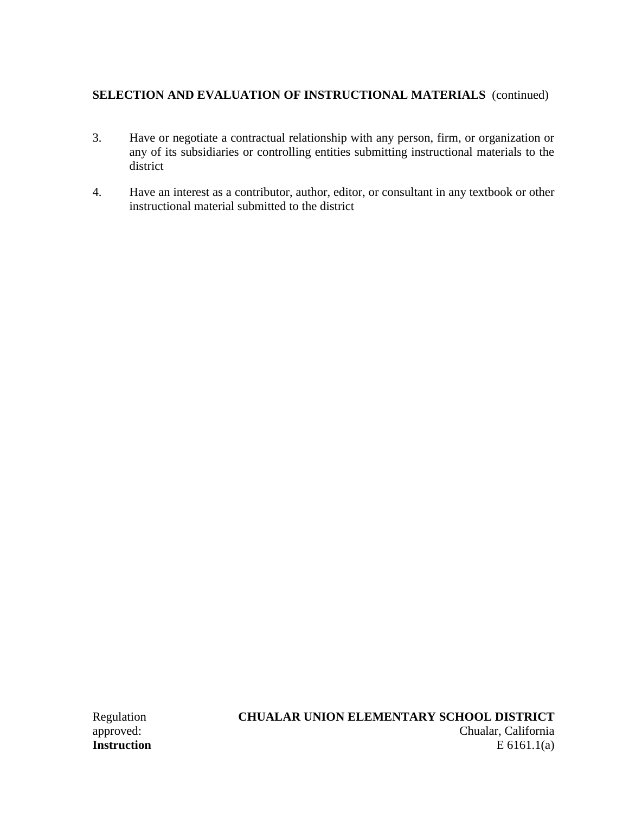- 3. Have or negotiate a contractual relationship with any person, firm, or organization or any of its subsidiaries or controlling entities submitting instructional materials to the district
- 4. Have an interest as a contributor, author, editor, or consultant in any textbook or other instructional material submitted to the district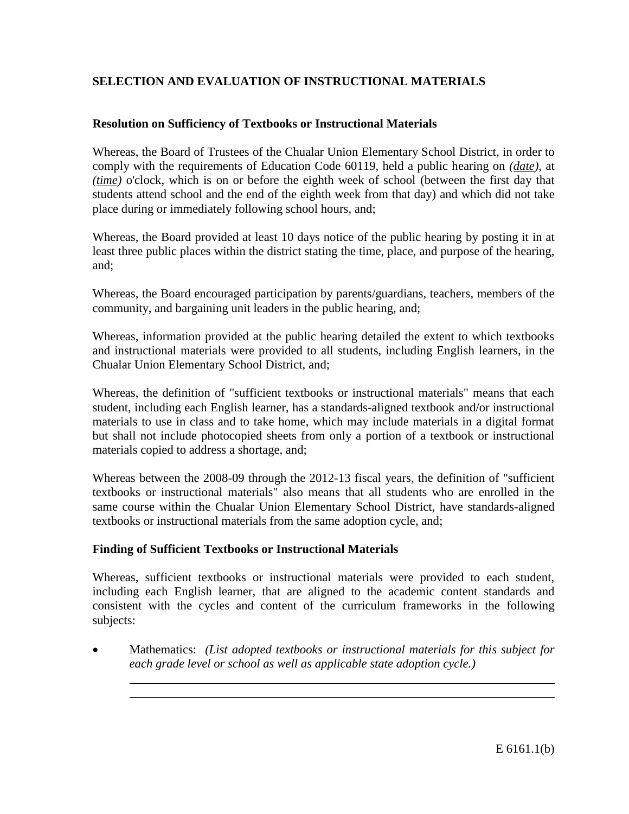# **SELECTION AND EVALUATION OF INSTRUCTIONAL MATERIALS**

## **Resolution on Sufficiency of Textbooks or Instructional Materials**

Whereas, the Board of Trustees of the Chualar Union Elementary School District, in order to comply with the requirements of Education Code 60119, held a public hearing on *(date)*, at *(time)* o'clock, which is on or before the eighth week of school (between the first day that students attend school and the end of the eighth week from that day) and which did not take place during or immediately following school hours, and;

Whereas, the Board provided at least 10 days notice of the public hearing by posting it in at least three public places within the district stating the time, place, and purpose of the hearing, and;

Whereas, the Board encouraged participation by parents/guardians, teachers, members of the community, and bargaining unit leaders in the public hearing, and;

Whereas, information provided at the public hearing detailed the extent to which textbooks and instructional materials were provided to all students, including English learners, in the Chualar Union Elementary School District, and;

Whereas, the definition of "sufficient textbooks or instructional materials" means that each student, including each English learner, has a standards-aligned textbook and/or instructional materials to use in class and to take home, which may include materials in a digital format but shall not include photocopied sheets from only a portion of a textbook or instructional materials copied to address a shortage, and;

Whereas between the 2008-09 through the 2012-13 fiscal years, the definition of "sufficient textbooks or instructional materials" also means that all students who are enrolled in the same course within the Chualar Union Elementary School District, have standards-aligned textbooks or instructional materials from the same adoption cycle, and;

## **Finding of Sufficient Textbooks or Instructional Materials**

Whereas, sufficient textbooks or instructional materials were provided to each student, including each English learner, that are aligned to the academic content standards and consistent with the cycles and content of the curriculum frameworks in the following subjects:

 Mathematics: *(List adopted textbooks or instructional materials for this subject for each grade level or school as well as applicable state adoption cycle.)*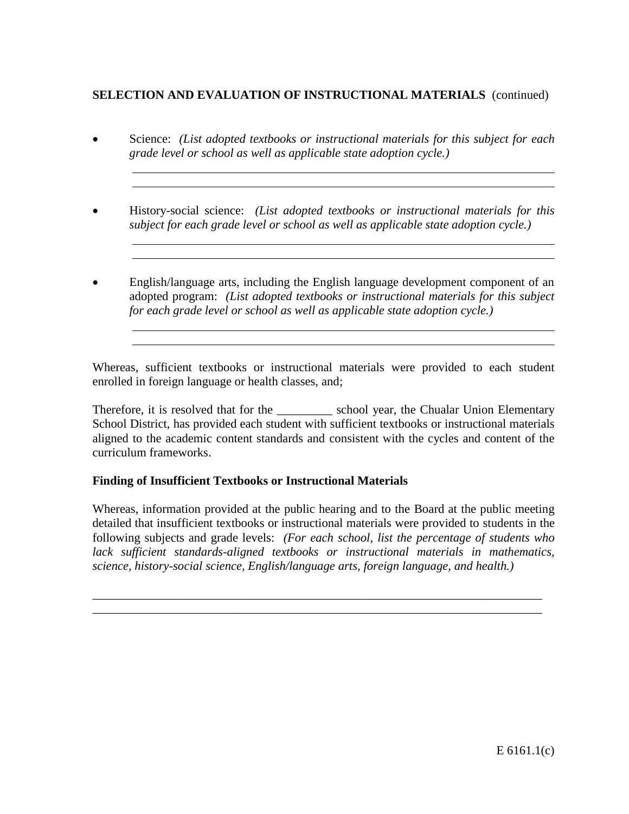# **SELECTION AND EVALUATION OF INSTRUCTIONAL MATERIALS** (continued)

- Science: *(List adopted textbooks or instructional materials for this subject for each grade level or school as well as applicable state adoption cycle.)*
- History-social science: *(List adopted textbooks or instructional materials for this subject for each grade level or school as well as applicable state adoption cycle.)*
- English/language arts, including the English language development component of an adopted program: *(List adopted textbooks or instructional materials for this subject for each grade level or school as well as applicable state adoption cycle.)*

Whereas, sufficient textbooks or instructional materials were provided to each student enrolled in foreign language or health classes, and;

Therefore, it is resolved that for the \_\_\_\_\_\_\_\_\_\_\_ school year, the Chualar Union Elementary School District, has provided each student with sufficient textbooks or instructional materials aligned to the academic content standards and consistent with the cycles and content of the curriculum frameworks.

# **Finding of Insufficient Textbooks or Instructional Materials**

Whereas, information provided at the public hearing and to the Board at the public meeting detailed that insufficient textbooks or instructional materials were provided to students in the following subjects and grade levels: *(For each school, list the percentage of students who lack sufficient standards-aligned textbooks or instructional materials in mathematics, science, history-social science, English/language arts, foreign language, and health.)*

\_\_\_\_\_\_\_\_\_\_\_\_\_\_\_\_\_\_\_\_\_\_\_\_\_\_\_\_\_\_\_\_\_\_\_\_\_\_\_\_\_\_\_\_\_\_\_\_\_\_\_\_\_\_\_\_\_\_\_\_\_\_\_\_\_\_\_\_\_\_\_\_\_ \_\_\_\_\_\_\_\_\_\_\_\_\_\_\_\_\_\_\_\_\_\_\_\_\_\_\_\_\_\_\_\_\_\_\_\_\_\_\_\_\_\_\_\_\_\_\_\_\_\_\_\_\_\_\_\_\_\_\_\_\_\_\_\_\_\_\_\_\_\_\_\_\_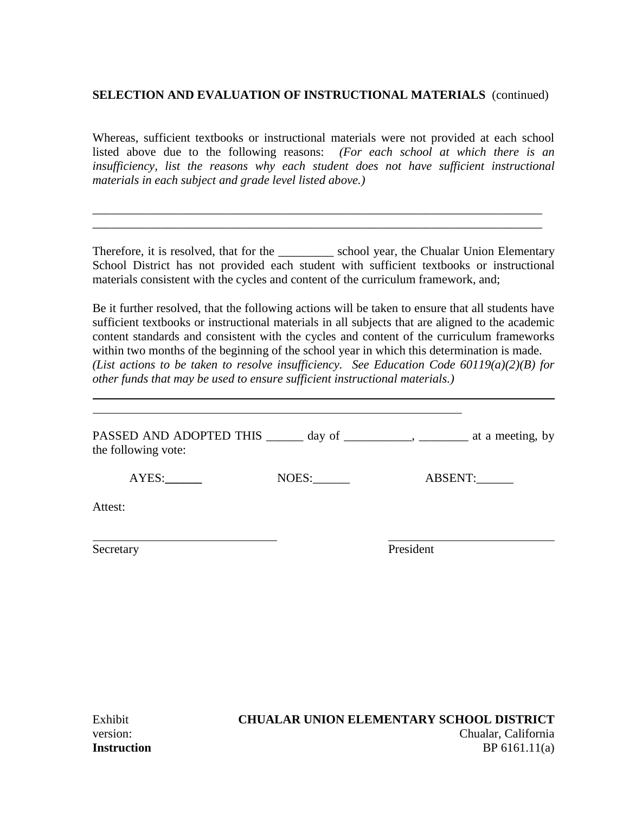## **SELECTION AND EVALUATION OF INSTRUCTIONAL MATERIALS** (continued)

Whereas, sufficient textbooks or instructional materials were not provided at each school listed above due to the following reasons: *(For each school at which there is an insufficiency, list the reasons why each student does not have sufficient instructional materials in each subject and grade level listed above.)*

\_\_\_\_\_\_\_\_\_\_\_\_\_\_\_\_\_\_\_\_\_\_\_\_\_\_\_\_\_\_\_\_\_\_\_\_\_\_\_\_\_\_\_\_\_\_\_\_\_\_\_\_\_\_\_\_\_\_\_\_\_\_\_\_\_\_\_\_\_\_\_\_\_ \_\_\_\_\_\_\_\_\_\_\_\_\_\_\_\_\_\_\_\_\_\_\_\_\_\_\_\_\_\_\_\_\_\_\_\_\_\_\_\_\_\_\_\_\_\_\_\_\_\_\_\_\_\_\_\_\_\_\_\_\_\_\_\_\_\_\_\_\_\_\_\_\_

Therefore, it is resolved, that for the \_\_\_\_\_\_\_\_\_\_\_ school year, the Chualar Union Elementary School District has not provided each student with sufficient textbooks or instructional materials consistent with the cycles and content of the curriculum framework, and;

Be it further resolved, that the following actions will be taken to ensure that all students have sufficient textbooks or instructional materials in all subjects that are aligned to the academic content standards and consistent with the cycles and content of the curriculum frameworks within two months of the beginning of the school year in which this determination is made. *(List actions to be taken to resolve insufficiency. See Education Code 60119(a)(2)(B) for other funds that may be used to ensure sufficient instructional materials.)*

| the following vote: |       | PASSED AND ADOPTED THIS _______ day of ___________, ________ at a meeting, by |  |
|---------------------|-------|-------------------------------------------------------------------------------|--|
| AYES:               | NOES: | ABSENT:                                                                       |  |
| Attest:             |       |                                                                               |  |
| Secretary           |       | President                                                                     |  |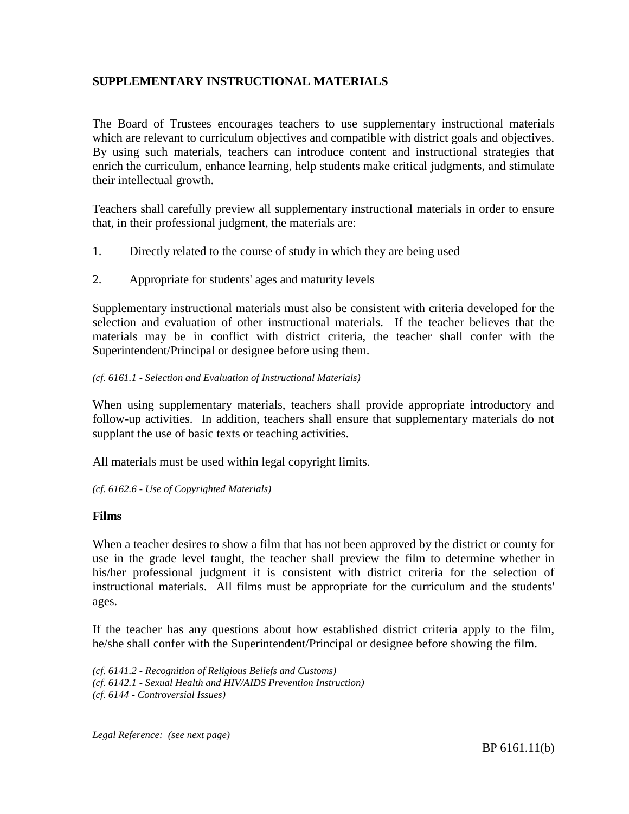# **SUPPLEMENTARY INSTRUCTIONAL MATERIALS**

The Board of Trustees encourages teachers to use supplementary instructional materials which are relevant to curriculum objectives and compatible with district goals and objectives. By using such materials, teachers can introduce content and instructional strategies that enrich the curriculum, enhance learning, help students make critical judgments, and stimulate their intellectual growth.

Teachers shall carefully preview all supplementary instructional materials in order to ensure that, in their professional judgment, the materials are:

- 1. Directly related to the course of study in which they are being used
- 2. Appropriate for students' ages and maturity levels

Supplementary instructional materials must also be consistent with criteria developed for the selection and evaluation of other instructional materials. If the teacher believes that the materials may be in conflict with district criteria, the teacher shall confer with the Superintendent/Principal or designee before using them.

#### *(cf. 6161.1 - Selection and Evaluation of Instructional Materials)*

When using supplementary materials, teachers shall provide appropriate introductory and follow-up activities. In addition, teachers shall ensure that supplementary materials do not supplant the use of basic texts or teaching activities.

All materials must be used within legal copyright limits.

*(cf. 6162.6 - Use of Copyrighted Materials)*

## **Films**

When a teacher desires to show a film that has not been approved by the district or county for use in the grade level taught, the teacher shall preview the film to determine whether in his/her professional judgment it is consistent with district criteria for the selection of instructional materials. All films must be appropriate for the curriculum and the students' ages.

If the teacher has any questions about how established district criteria apply to the film, he/she shall confer with the Superintendent/Principal or designee before showing the film.

*(cf. 6141.2 - Recognition of Religious Beliefs and Customs) (cf. 6142.1 - Sexual Health and HIV/AIDS Prevention Instruction) (cf. 6144 - Controversial Issues)*

*Legal Reference: (see next page)*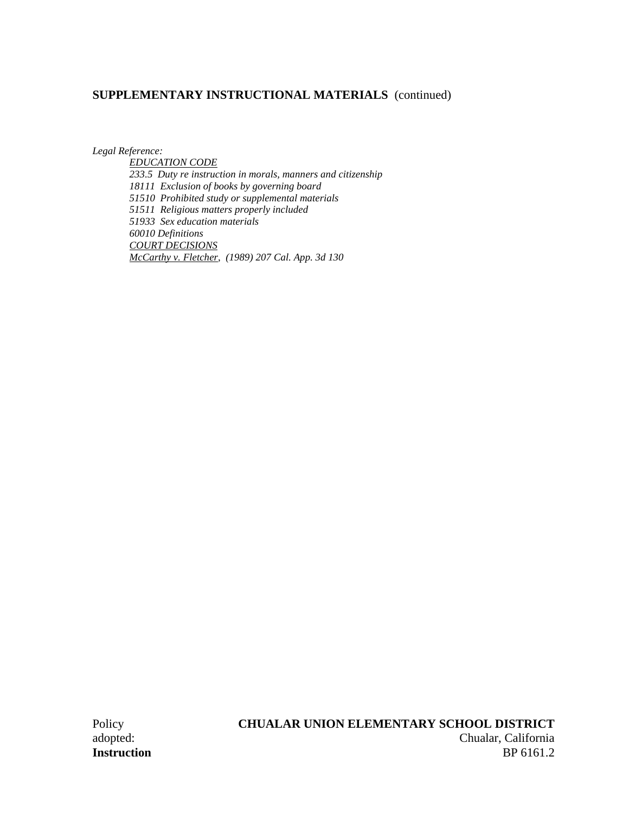# **SUPPLEMENTARY INSTRUCTIONAL MATERIALS** (continued)

*Legal Reference:*

*EDUCATION CODE 233.5 Duty re instruction in morals, manners and citizenship 18111 Exclusion of books by governing board 51510 Prohibited study or supplemental materials 51511 Religious matters properly included 51933 Sex education materials 60010 Definitions COURT DECISIONS McCarthy v. Fletcher, (1989) 207 Cal. App. 3d 130*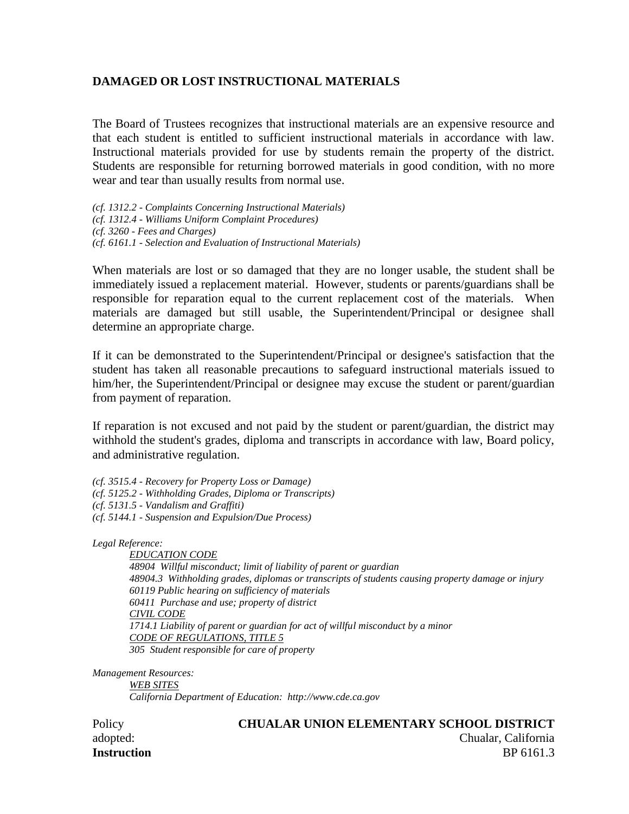## **DAMAGED OR LOST INSTRUCTIONAL MATERIALS**

The Board of Trustees recognizes that instructional materials are an expensive resource and that each student is entitled to sufficient instructional materials in accordance with law. Instructional materials provided for use by students remain the property of the district. Students are responsible for returning borrowed materials in good condition, with no more wear and tear than usually results from normal use.

*(cf. 1312.2 - Complaints Concerning Instructional Materials) (cf. 1312.4 - Williams Uniform Complaint Procedures) (cf. 3260 - Fees and Charges) (cf. 6161.1 - Selection and Evaluation of Instructional Materials)*

When materials are lost or so damaged that they are no longer usable, the student shall be immediately issued a replacement material. However, students or parents/guardians shall be responsible for reparation equal to the current replacement cost of the materials. When materials are damaged but still usable, the Superintendent/Principal or designee shall determine an appropriate charge.

If it can be demonstrated to the Superintendent/Principal or designee's satisfaction that the student has taken all reasonable precautions to safeguard instructional materials issued to him/her, the Superintendent/Principal or designee may excuse the student or parent/guardian from payment of reparation.

If reparation is not excused and not paid by the student or parent/guardian, the district may withhold the student's grades, diploma and transcripts in accordance with law, Board policy, and administrative regulation.

*(cf. 3515.4 - Recovery for Property Loss or Damage) (cf. 5125.2 - Withholding Grades, Diploma or Transcripts) (cf. 5131.5 - Vandalism and Graffiti) (cf. 5144.1 - Suspension and Expulsion/Due Process)*

*Legal Reference:*

*EDUCATION CODE 48904 Willful misconduct; limit of liability of parent or guardian 48904.3 Withholding grades, diplomas or transcripts of students causing property damage or injury 60119 Public hearing on sufficiency of materials 60411 Purchase and use; property of district CIVIL CODE 1714.1 Liability of parent or guardian for act of willful misconduct by a minor CODE OF REGULATIONS, TITLE 5 305 Student responsible for care of property*

*Management Resources:*

*WEB SITES California Department of Education: http://www.cde.ca.gov*

#### Policy **CHUALAR UNION ELEMENTARY SCHOOL DISTRICT**

adopted: Chualar, California **Instruction** BP 6161.3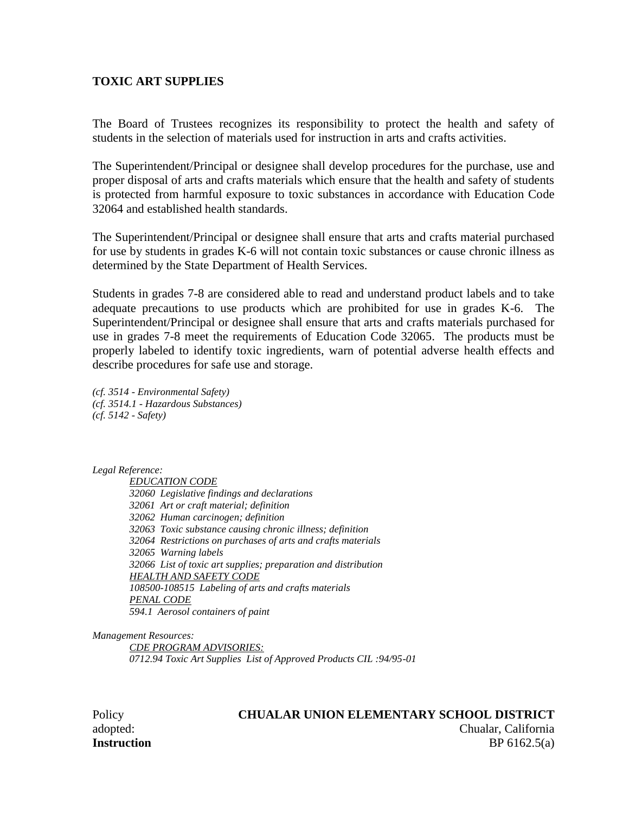#### **TOXIC ART SUPPLIES**

The Board of Trustees recognizes its responsibility to protect the health and safety of students in the selection of materials used for instruction in arts and crafts activities.

The Superintendent/Principal or designee shall develop procedures for the purchase, use and proper disposal of arts and crafts materials which ensure that the health and safety of students is protected from harmful exposure to toxic substances in accordance with Education Code 32064 and established health standards.

The Superintendent/Principal or designee shall ensure that arts and crafts material purchased for use by students in grades K-6 will not contain toxic substances or cause chronic illness as determined by the State Department of Health Services.

Students in grades 7-8 are considered able to read and understand product labels and to take adequate precautions to use products which are prohibited for use in grades K-6. The Superintendent/Principal or designee shall ensure that arts and crafts materials purchased for use in grades 7-8 meet the requirements of Education Code 32065. The products must be properly labeled to identify toxic ingredients, warn of potential adverse health effects and describe procedures for safe use and storage.

*(cf. 3514 - Environmental Safety) (cf. 3514.1 - Hazardous Substances) (cf. 5142 - Safety)*

*Legal Reference:*

*EDUCATION CODE 32060 Legislative findings and declarations 32061 Art or craft material; definition 32062 Human carcinogen; definition 32063 Toxic substance causing chronic illness; definition 32064 Restrictions on purchases of arts and crafts materials 32065 Warning labels 32066 List of toxic art supplies; preparation and distribution HEALTH AND SAFETY CODE 108500-108515 Labeling of arts and crafts materials PENAL CODE 594.1 Aerosol containers of paint*

*Management Resources:*

*CDE PROGRAM ADVISORIES: 0712.94 Toxic Art Supplies List of Approved Products CIL :94/95-01*

#### Policy **CHUALAR UNION ELEMENTARY SCHOOL DISTRICT**

adopted: Chualar, California **Instruction** BP 6162.5(a)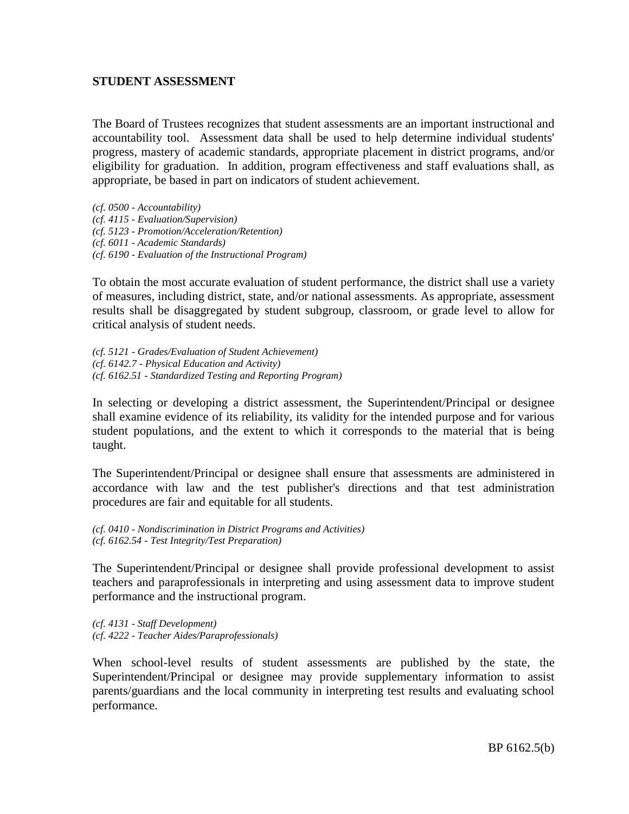## **STUDENT ASSESSMENT**

The Board of Trustees recognizes that student assessments are an important instructional and accountability tool. Assessment data shall be used to help determine individual students' progress, mastery of academic standards, appropriate placement in district programs, and/or eligibility for graduation. In addition, program effectiveness and staff evaluations shall, as appropriate, be based in part on indicators of student achievement.

*(cf. 0500 - Accountability) (cf. 4115 - Evaluation/Supervision) (cf. 5123 - Promotion/Acceleration/Retention) (cf. 6011 - Academic Standards) (cf. 6190 - Evaluation of the Instructional Program)*

To obtain the most accurate evaluation of student performance, the district shall use a variety of measures, including district, state, and/or national assessments. As appropriate, assessment results shall be disaggregated by student subgroup, classroom, or grade level to allow for critical analysis of student needs.

*(cf. 5121 - Grades/Evaluation of Student Achievement) (cf. 6142.7 - Physical Education and Activity) (cf. 6162.51 - Standardized Testing and Reporting Program)*

In selecting or developing a district assessment, the Superintendent/Principal or designee shall examine evidence of its reliability, its validity for the intended purpose and for various student populations, and the extent to which it corresponds to the material that is being taught.

The Superintendent/Principal or designee shall ensure that assessments are administered in accordance with law and the test publisher's directions and that test administration procedures are fair and equitable for all students.

*(cf. 0410 - Nondiscrimination in District Programs and Activities) (cf. 6162.54 - Test Integrity/Test Preparation)*

The Superintendent/Principal or designee shall provide professional development to assist teachers and paraprofessionals in interpreting and using assessment data to improve student performance and the instructional program.

*(cf. 4131 - Staff Development) (cf. 4222 - Teacher Aides/Paraprofessionals)*

When school-level results of student assessments are published by the state, the Superintendent/Principal or designee may provide supplementary information to assist parents/guardians and the local community in interpreting test results and evaluating school performance.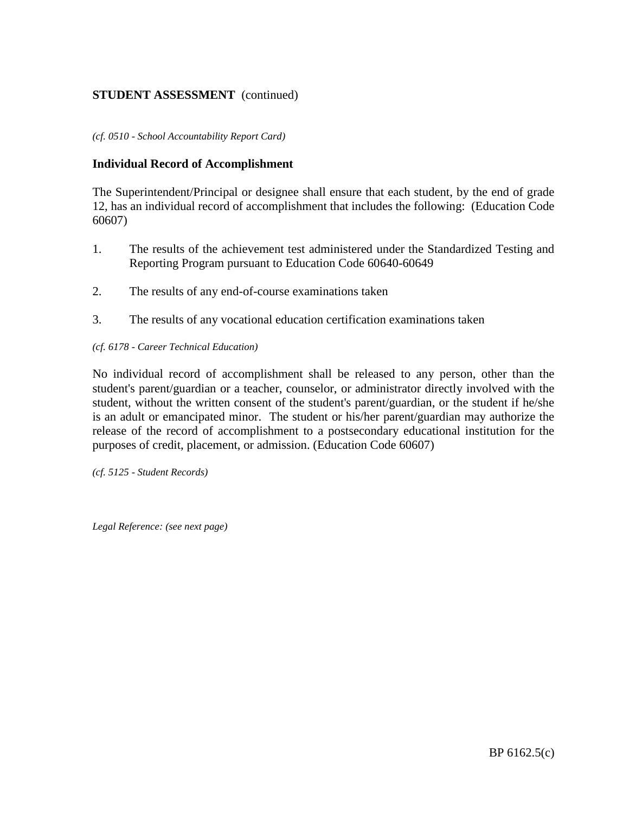# **STUDENT ASSESSMENT** (continued)

#### *(cf. 0510 - School Accountability Report Card)*

#### **Individual Record of Accomplishment**

The Superintendent/Principal or designee shall ensure that each student, by the end of grade 12, has an individual record of accomplishment that includes the following: (Education Code 60607)

- 1. The results of the achievement test administered under the Standardized Testing and Reporting Program pursuant to Education Code 60640-60649
- 2. The results of any end-of-course examinations taken
- 3. The results of any vocational education certification examinations taken

#### *(cf. 6178 - Career Technical Education)*

No individual record of accomplishment shall be released to any person, other than the student's parent/guardian or a teacher, counselor, or administrator directly involved with the student, without the written consent of the student's parent/guardian, or the student if he/she is an adult or emancipated minor. The student or his/her parent/guardian may authorize the release of the record of accomplishment to a postsecondary educational institution for the purposes of credit, placement, or admission. (Education Code 60607)

*(cf. 5125 - Student Records)*

*Legal Reference: (see next page)*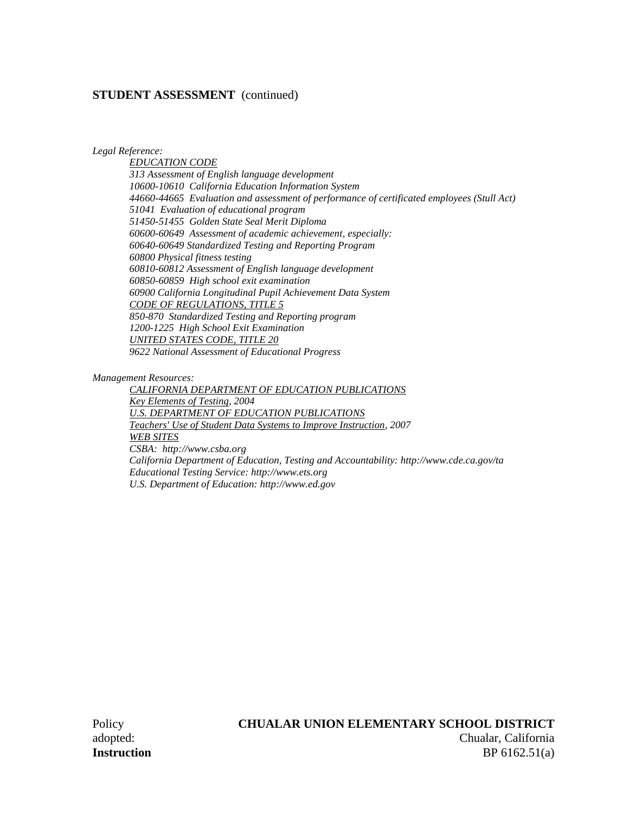#### **STUDENT ASSESSMENT** (continued)

*Legal Reference:*

*EDUCATION CODE 313 Assessment of English language development 10600-10610 California Education Information System 44660-44665 Evaluation and assessment of performance of certificated employees (Stull Act) 51041 Evaluation of educational program 51450-51455 Golden State Seal Merit Diploma 60600-60649 Assessment of academic achievement, especially: 60640-60649 Standardized Testing and Reporting Program 60800 Physical fitness testing 60810-60812 Assessment of English language development 60850-60859 High school exit examination 60900 California Longitudinal Pupil Achievement Data System CODE OF REGULATIONS, TITLE 5 850-870 Standardized Testing and Reporting program 1200-1225 High School Exit Examination UNITED STATES CODE, TITLE 20 9622 National Assessment of Educational Progress*

*Management Resources:*

*CALIFORNIA DEPARTMENT OF EDUCATION PUBLICATIONS Key Elements of Testing, 2004 U.S. DEPARTMENT OF EDUCATION PUBLICATIONS Teachers' Use of Student Data Systems to Improve Instruction, 2007 WEB SITES CSBA: http://www.csba.org California Department of Education, Testing and Accountability: http://www.cde.ca.gov/ta Educational Testing Service: http://www.ets.org U.S. Department of Education: http://www.ed.gov*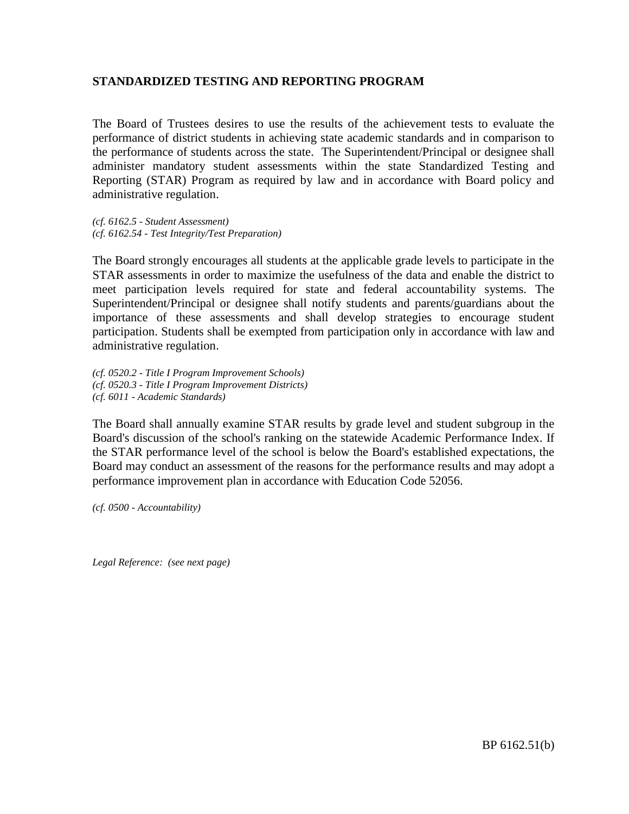## **STANDARDIZED TESTING AND REPORTING PROGRAM**

The Board of Trustees desires to use the results of the achievement tests to evaluate the performance of district students in achieving state academic standards and in comparison to the performance of students across the state. The Superintendent/Principal or designee shall administer mandatory student assessments within the state Standardized Testing and Reporting (STAR) Program as required by law and in accordance with Board policy and administrative regulation.

*(cf. 6162.5 - Student Assessment) (cf. 6162.54 - Test Integrity/Test Preparation)*

The Board strongly encourages all students at the applicable grade levels to participate in the STAR assessments in order to maximize the usefulness of the data and enable the district to meet participation levels required for state and federal accountability systems. The Superintendent/Principal or designee shall notify students and parents/guardians about the importance of these assessments and shall develop strategies to encourage student participation. Students shall be exempted from participation only in accordance with law and administrative regulation.

*(cf. 0520.2 - Title I Program Improvement Schools) (cf. 0520.3 - Title I Program Improvement Districts) (cf. 6011 - Academic Standards)*

The Board shall annually examine STAR results by grade level and student subgroup in the Board's discussion of the school's ranking on the statewide Academic Performance Index. If the STAR performance level of the school is below the Board's established expectations, the Board may conduct an assessment of the reasons for the performance results and may adopt a performance improvement plan in accordance with Education Code 52056.

*(cf. 0500 - Accountability)*

*Legal Reference: (see next page)*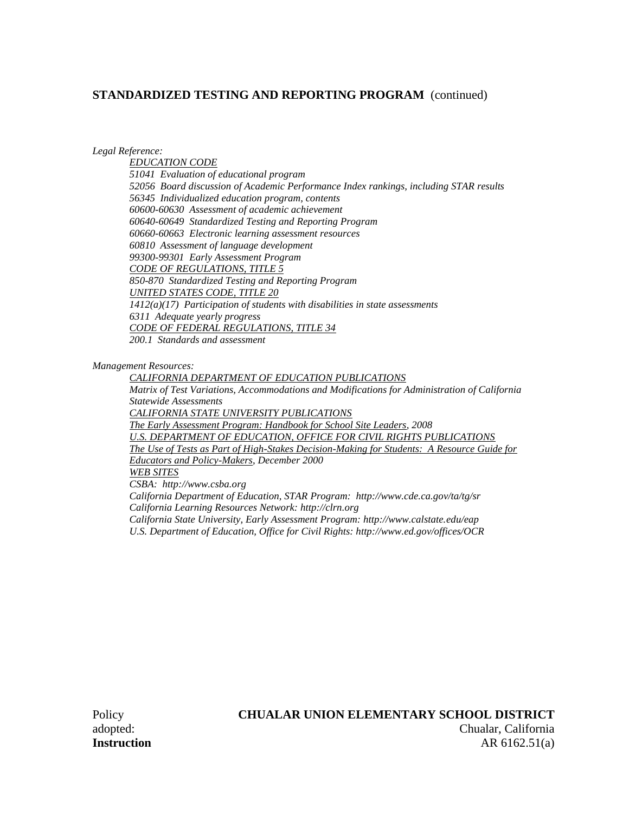*Legal Reference:*

*EDUCATION CODE 51041 Evaluation of educational program 52056 Board discussion of Academic Performance Index rankings, including STAR results 56345 Individualized education program, contents 60600-60630 Assessment of academic achievement 60640-60649 Standardized Testing and Reporting Program 60660-60663 Electronic learning assessment resources 60810 Assessment of language development 99300-99301 Early Assessment Program CODE OF REGULATIONS, TITLE 5 850-870 Standardized Testing and Reporting Program UNITED STATES CODE, TITLE 20 1412(a)(17) Participation of students with disabilities in state assessments 6311 Adequate yearly progress CODE OF FEDERAL REGULATIONS, TITLE 34 200.1 Standards and assessment*

*Management Resources:*

*CALIFORNIA DEPARTMENT OF EDUCATION PUBLICATIONS Matrix of Test Variations, Accommodations and Modifications for Administration of California Statewide Assessments CALIFORNIA STATE UNIVERSITY PUBLICATIONS The Early Assessment Program: Handbook for School Site Leaders, 2008 U.S. DEPARTMENT OF EDUCATION, OFFICE FOR CIVIL RIGHTS PUBLICATIONS The Use of Tests as Part of High-Stakes Decision-Making for Students: A Resource Guide for Educators and Policy-Makers, December 2000 WEB SITES CSBA: http://www.csba.org California Department of Education, STAR Program: http://www.cde.ca.gov/ta/tg/sr California Learning Resources Network: http://clrn.org California State University, Early Assessment Program: http://www.calstate.edu/eap*

*U.S. Department of Education, Office for Civil Rights: http://www.ed.gov/offices/OCR*

# Policy **CHUALAR UNION ELEMENTARY SCHOOL DISTRICT**

adopted: Chualar, California **Instruction** AR 6162.51(a)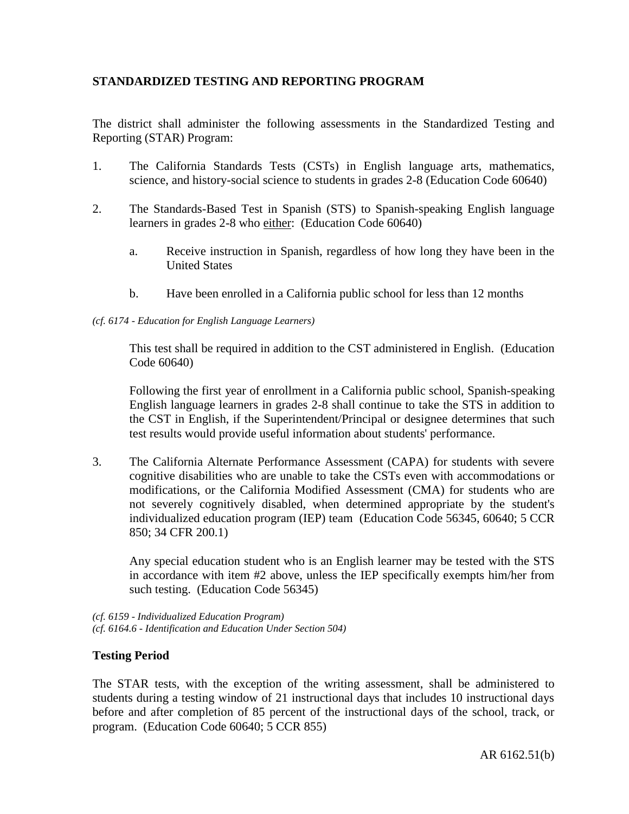# **STANDARDIZED TESTING AND REPORTING PROGRAM**

The district shall administer the following assessments in the Standardized Testing and Reporting (STAR) Program:

- 1. The California Standards Tests (CSTs) in English language arts, mathematics, science, and history-social science to students in grades 2-8 (Education Code 60640)
- 2. The Standards-Based Test in Spanish (STS) to Spanish-speaking English language learners in grades 2-8 who either: (Education Code 60640)
	- a. Receive instruction in Spanish, regardless of how long they have been in the United States
	- b. Have been enrolled in a California public school for less than 12 months

#### *(cf. 6174 - Education for English Language Learners)*

This test shall be required in addition to the CST administered in English. (Education Code 60640)

Following the first year of enrollment in a California public school, Spanish-speaking English language learners in grades 2-8 shall continue to take the STS in addition to the CST in English, if the Superintendent/Principal or designee determines that such test results would provide useful information about students' performance.

3. The California Alternate Performance Assessment (CAPA) for students with severe cognitive disabilities who are unable to take the CSTs even with accommodations or modifications, or the California Modified Assessment (CMA) for students who are not severely cognitively disabled, when determined appropriate by the student's individualized education program (IEP) team (Education Code 56345, 60640; 5 CCR 850; 34 CFR 200.1)

Any special education student who is an English learner may be tested with the STS in accordance with item #2 above, unless the IEP specifically exempts him/her from such testing. (Education Code 56345)

*(cf. 6159 - Individualized Education Program) (cf. 6164.6 - Identification and Education Under Section 504)*

# **Testing Period**

The STAR tests, with the exception of the writing assessment, shall be administered to students during a testing window of 21 instructional days that includes 10 instructional days before and after completion of 85 percent of the instructional days of the school, track, or program. (Education Code 60640; 5 CCR 855)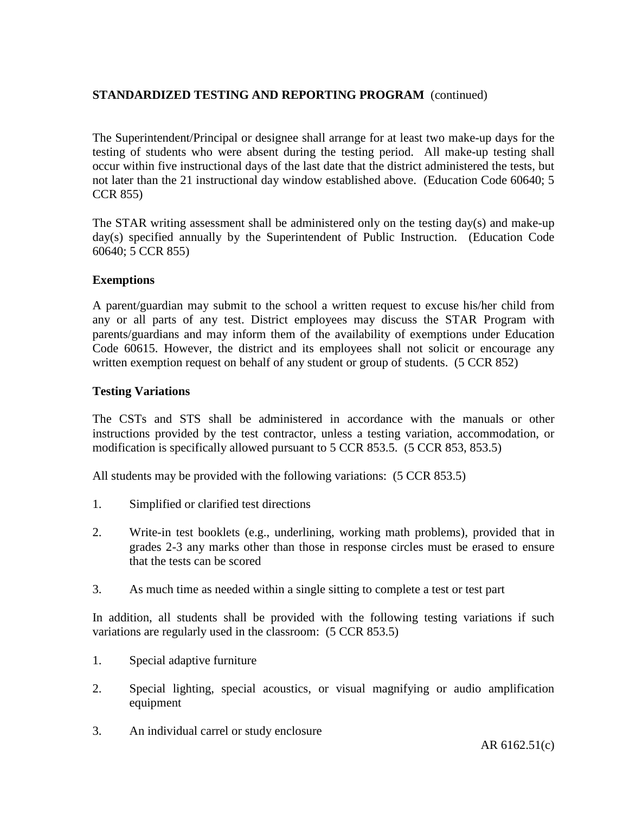The Superintendent/Principal or designee shall arrange for at least two make-up days for the testing of students who were absent during the testing period. All make-up testing shall occur within five instructional days of the last date that the district administered the tests, but not later than the 21 instructional day window established above. (Education Code 60640; 5 CCR 855)

The STAR writing assessment shall be administered only on the testing day(s) and make-up day(s) specified annually by the Superintendent of Public Instruction. (Education Code 60640; 5 CCR 855)

## **Exemptions**

A parent/guardian may submit to the school a written request to excuse his/her child from any or all parts of any test. District employees may discuss the STAR Program with parents/guardians and may inform them of the availability of exemptions under Education Code 60615. However, the district and its employees shall not solicit or encourage any written exemption request on behalf of any student or group of students. (5 CCR 852)

## **Testing Variations**

The CSTs and STS shall be administered in accordance with the manuals or other instructions provided by the test contractor, unless a testing variation, accommodation, or modification is specifically allowed pursuant to 5 CCR 853.5. (5 CCR 853, 853.5)

All students may be provided with the following variations: (5 CCR 853.5)

- 1. Simplified or clarified test directions
- 2. Write-in test booklets (e.g., underlining, working math problems), provided that in grades 2-3 any marks other than those in response circles must be erased to ensure that the tests can be scored
- 3. As much time as needed within a single sitting to complete a test or test part

In addition, all students shall be provided with the following testing variations if such variations are regularly used in the classroom: (5 CCR 853.5)

- 1. Special adaptive furniture
- 2. Special lighting, special acoustics, or visual magnifying or audio amplification equipment
- 3. An individual carrel or study enclosure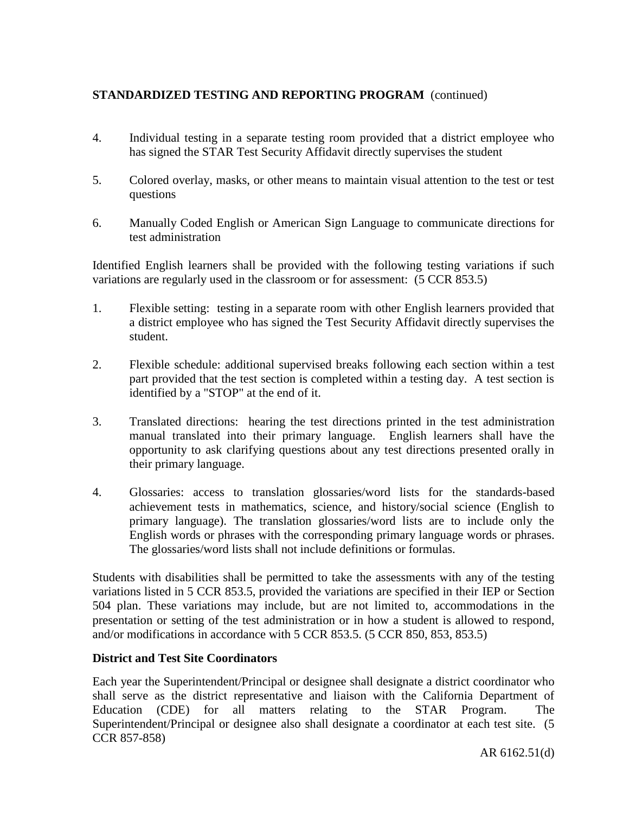- 4. Individual testing in a separate testing room provided that a district employee who has signed the STAR Test Security Affidavit directly supervises the student
- 5. Colored overlay, masks, or other means to maintain visual attention to the test or test questions
- 6. Manually Coded English or American Sign Language to communicate directions for test administration

Identified English learners shall be provided with the following testing variations if such variations are regularly used in the classroom or for assessment: (5 CCR 853.5)

- 1. Flexible setting: testing in a separate room with other English learners provided that a district employee who has signed the Test Security Affidavit directly supervises the student.
- 2. Flexible schedule: additional supervised breaks following each section within a test part provided that the test section is completed within a testing day. A test section is identified by a "STOP" at the end of it.
- 3. Translated directions: hearing the test directions printed in the test administration manual translated into their primary language. English learners shall have the opportunity to ask clarifying questions about any test directions presented orally in their primary language.
- 4. Glossaries: access to translation glossaries/word lists for the standards-based achievement tests in mathematics, science, and history/social science (English to primary language). The translation glossaries/word lists are to include only the English words or phrases with the corresponding primary language words or phrases. The glossaries/word lists shall not include definitions or formulas.

Students with disabilities shall be permitted to take the assessments with any of the testing variations listed in 5 CCR 853.5, provided the variations are specified in their IEP or Section 504 plan. These variations may include, but are not limited to, accommodations in the presentation or setting of the test administration or in how a student is allowed to respond, and/or modifications in accordance with 5 CCR 853.5. (5 CCR 850, 853, 853.5)

# **District and Test Site Coordinators**

Each year the Superintendent/Principal or designee shall designate a district coordinator who shall serve as the district representative and liaison with the California Department of Education (CDE) for all matters relating to the STAR Program. The Superintendent/Principal or designee also shall designate a coordinator at each test site. (5 CCR 857-858)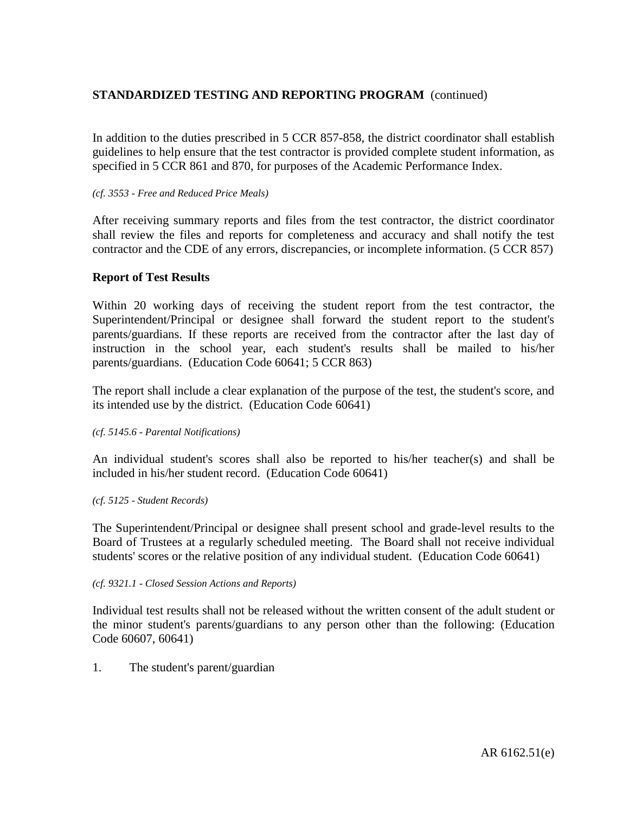In addition to the duties prescribed in 5 CCR 857-858, the district coordinator shall establish guidelines to help ensure that the test contractor is provided complete student information, as specified in 5 CCR 861 and 870, for purposes of the Academic Performance Index.

#### *(cf. 3553 - Free and Reduced Price Meals)*

After receiving summary reports and files from the test contractor, the district coordinator shall review the files and reports for completeness and accuracy and shall notify the test contractor and the CDE of any errors, discrepancies, or incomplete information. (5 CCR 857)

## **Report of Test Results**

Within 20 working days of receiving the student report from the test contractor, the Superintendent/Principal or designee shall forward the student report to the student's parents/guardians. If these reports are received from the contractor after the last day of instruction in the school year, each student's results shall be mailed to his/her parents/guardians. (Education Code 60641; 5 CCR 863)

The report shall include a clear explanation of the purpose of the test, the student's score, and its intended use by the district. (Education Code 60641)

*(cf. 5145.6 - Parental Notifications)*

An individual student's scores shall also be reported to his/her teacher(s) and shall be included in his/her student record. (Education Code 60641)

*(cf. 5125 - Student Records)*

The Superintendent/Principal or designee shall present school and grade-level results to the Board of Trustees at a regularly scheduled meeting. The Board shall not receive individual students' scores or the relative position of any individual student. (Education Code 60641)

*(cf. 9321.1 - Closed Session Actions and Reports)*

Individual test results shall not be released without the written consent of the adult student or the minor student's parents/guardians to any person other than the following: (Education Code 60607, 60641)

1. The student's parent/guardian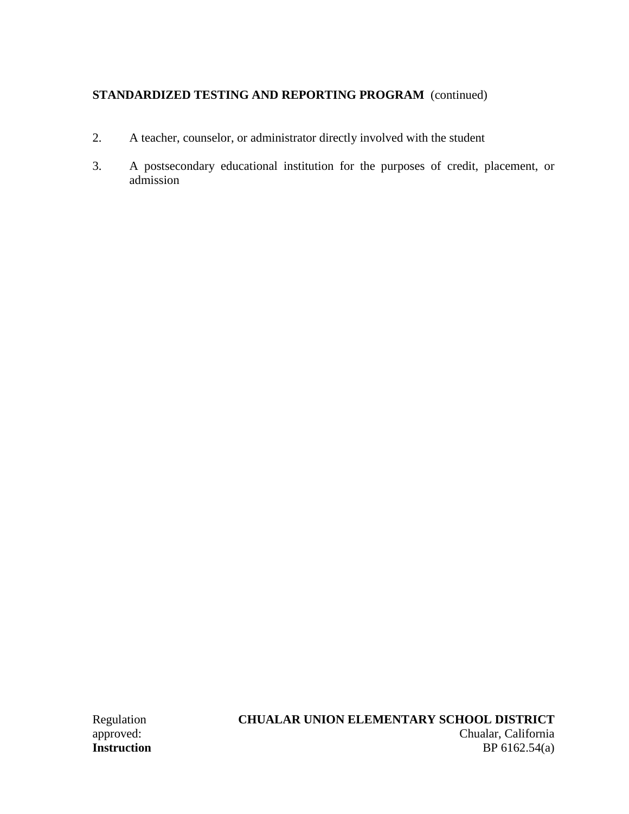- 2. A teacher, counselor, or administrator directly involved with the student
- 3. A postsecondary educational institution for the purposes of credit, placement, or admission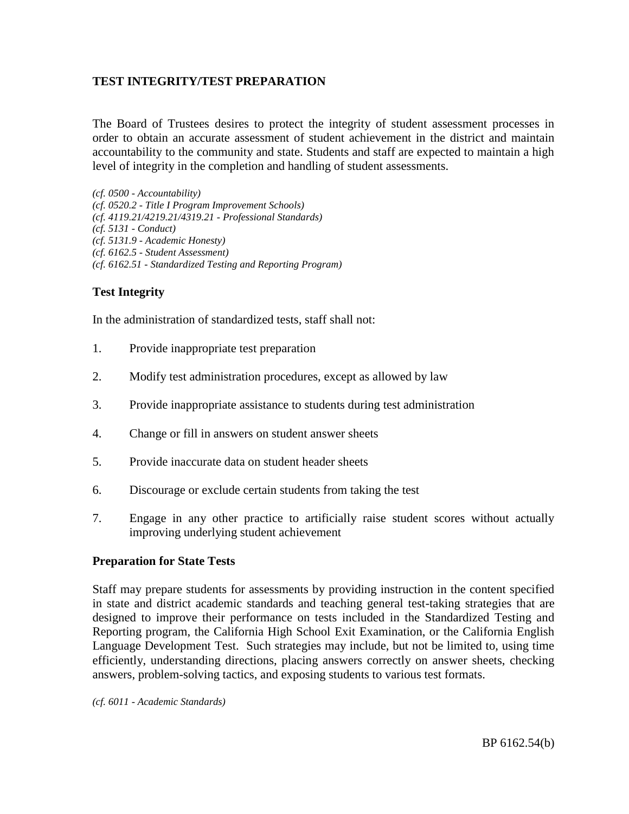## **TEST INTEGRITY/TEST PREPARATION**

The Board of Trustees desires to protect the integrity of student assessment processes in order to obtain an accurate assessment of student achievement in the district and maintain accountability to the community and state. Students and staff are expected to maintain a high level of integrity in the completion and handling of student assessments.

*(cf. 0500 - Accountability) (cf. 0520.2 - Title I Program Improvement Schools) (cf. 4119.21/4219.21/4319.21 - Professional Standards) (cf. 5131 - Conduct) (cf. 5131.9 - Academic Honesty) (cf. 6162.5 - Student Assessment) (cf. 6162.51 - Standardized Testing and Reporting Program)*

## **Test Integrity**

In the administration of standardized tests, staff shall not:

- 1. Provide inappropriate test preparation
- 2. Modify test administration procedures, except as allowed by law
- 3. Provide inappropriate assistance to students during test administration
- 4. Change or fill in answers on student answer sheets
- 5. Provide inaccurate data on student header sheets
- 6. Discourage or exclude certain students from taking the test
- 7. Engage in any other practice to artificially raise student scores without actually improving underlying student achievement

#### **Preparation for State Tests**

Staff may prepare students for assessments by providing instruction in the content specified in state and district academic standards and teaching general test-taking strategies that are designed to improve their performance on tests included in the Standardized Testing and Reporting program, the California High School Exit Examination, or the California English Language Development Test. Such strategies may include, but not be limited to, using time efficiently, understanding directions, placing answers correctly on answer sheets, checking answers, problem-solving tactics, and exposing students to various test formats.

*(cf. 6011 - Academic Standards)*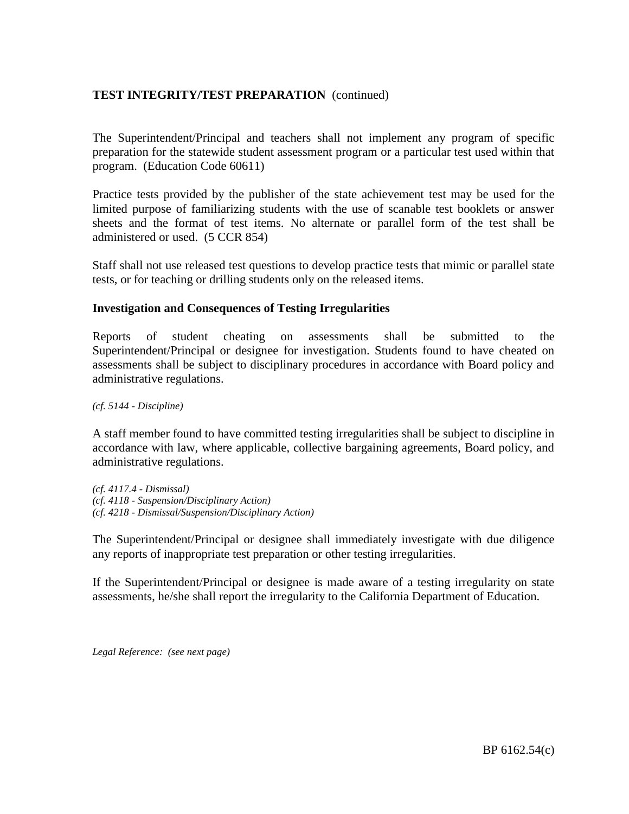# **TEST INTEGRITY/TEST PREPARATION** (continued)

The Superintendent/Principal and teachers shall not implement any program of specific preparation for the statewide student assessment program or a particular test used within that program. (Education Code 60611)

Practice tests provided by the publisher of the state achievement test may be used for the limited purpose of familiarizing students with the use of scanable test booklets or answer sheets and the format of test items. No alternate or parallel form of the test shall be administered or used. (5 CCR 854)

Staff shall not use released test questions to develop practice tests that mimic or parallel state tests, or for teaching or drilling students only on the released items.

#### **Investigation and Consequences of Testing Irregularities**

Reports of student cheating on assessments shall be submitted to the Superintendent/Principal or designee for investigation. Students found to have cheated on assessments shall be subject to disciplinary procedures in accordance with Board policy and administrative regulations.

*(cf. 5144 - Discipline)*

A staff member found to have committed testing irregularities shall be subject to discipline in accordance with law, where applicable, collective bargaining agreements, Board policy, and administrative regulations.

*(cf. 4117.4 - Dismissal) (cf. 4118 - Suspension/Disciplinary Action) (cf. 4218 - Dismissal/Suspension/Disciplinary Action)*

The Superintendent/Principal or designee shall immediately investigate with due diligence any reports of inappropriate test preparation or other testing irregularities.

If the Superintendent/Principal or designee is made aware of a testing irregularity on state assessments, he/she shall report the irregularity to the California Department of Education.

*Legal Reference: (see next page)*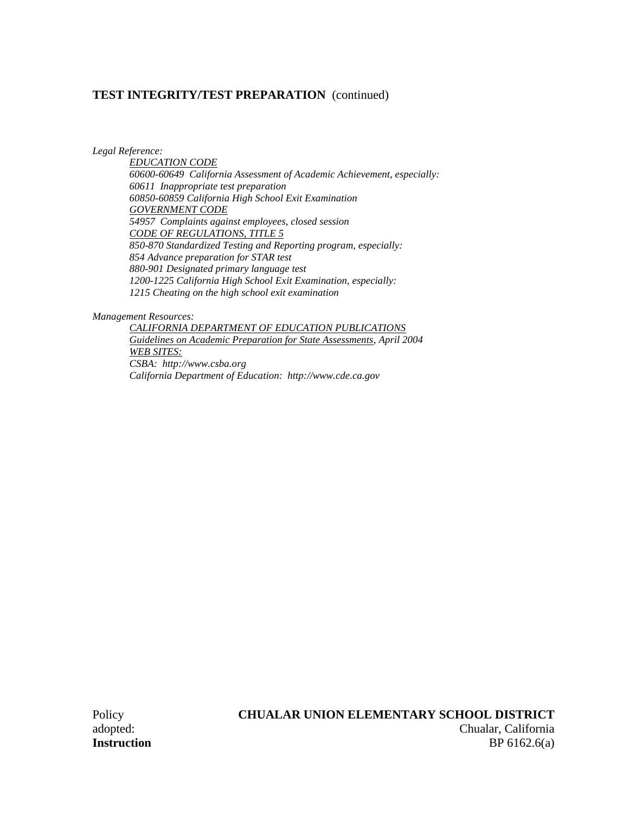## **TEST INTEGRITY/TEST PREPARATION** (continued)

*Legal Reference:*

*EDUCATION CODE 60600-60649 California Assessment of Academic Achievement, especially: 60611 Inappropriate test preparation 60850-60859 California High School Exit Examination GOVERNMENT CODE 54957 Complaints against employees, closed session CODE OF REGULATIONS, TITLE 5 850-870 Standardized Testing and Reporting program, especially: 854 Advance preparation for STAR test 880-901 Designated primary language test 1200-1225 California High School Exit Examination, especially: 1215 Cheating on the high school exit examination*

*Management Resources:*

*CALIFORNIA DEPARTMENT OF EDUCATION PUBLICATIONS Guidelines on Academic Preparation for State Assessments, April 2004 WEB SITES: CSBA: http://www.csba.org California Department of Education: http://www.cde.ca.gov*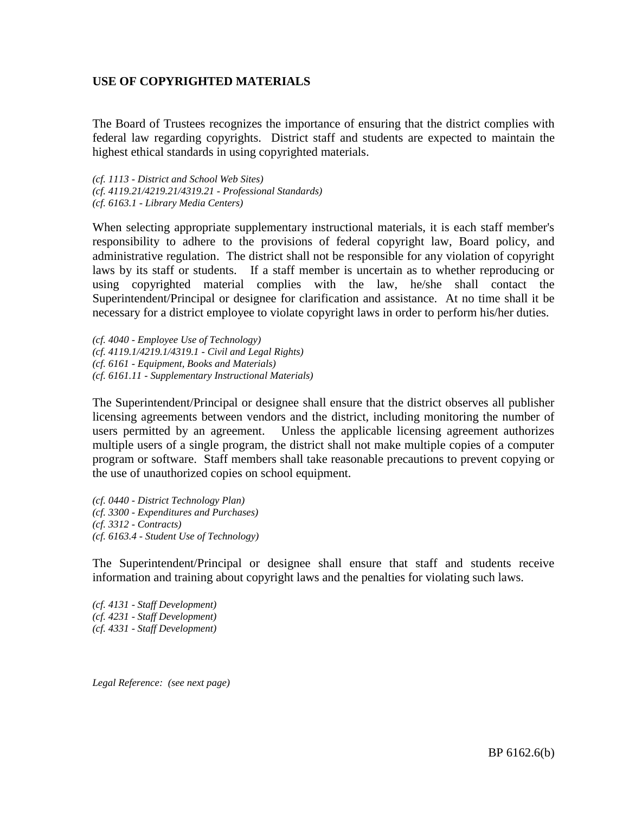## **USE OF COPYRIGHTED MATERIALS**

The Board of Trustees recognizes the importance of ensuring that the district complies with federal law regarding copyrights. District staff and students are expected to maintain the highest ethical standards in using copyrighted materials.

*(cf. 1113 - District and School Web Sites) (cf. 4119.21/4219.21/4319.21 - Professional Standards) (cf. 6163.1 - Library Media Centers)*

When selecting appropriate supplementary instructional materials, it is each staff member's responsibility to adhere to the provisions of federal copyright law, Board policy, and administrative regulation. The district shall not be responsible for any violation of copyright laws by its staff or students. If a staff member is uncertain as to whether reproducing or using copyrighted material complies with the law, he/she shall contact the Superintendent/Principal or designee for clarification and assistance. At no time shall it be necessary for a district employee to violate copyright laws in order to perform his/her duties.

*(cf. 4040 - Employee Use of Technology) (cf. 4119.1/4219.1/4319.1 - Civil and Legal Rights) (cf. 6161 - Equipment, Books and Materials) (cf. 6161.11 - Supplementary Instructional Materials)*

The Superintendent/Principal or designee shall ensure that the district observes all publisher licensing agreements between vendors and the district, including monitoring the number of users permitted by an agreement. Unless the applicable licensing agreement authorizes multiple users of a single program, the district shall not make multiple copies of a computer program or software. Staff members shall take reasonable precautions to prevent copying or the use of unauthorized copies on school equipment.

*(cf. 0440 - District Technology Plan) (cf. 3300 - Expenditures and Purchases) (cf. 3312 - Contracts) (cf. 6163.4 - Student Use of Technology)*

The Superintendent/Principal or designee shall ensure that staff and students receive information and training about copyright laws and the penalties for violating such laws.

*(cf. 4131 - Staff Development) (cf. 4231 - Staff Development) (cf. 4331 - Staff Development)*

*Legal Reference: (see next page)*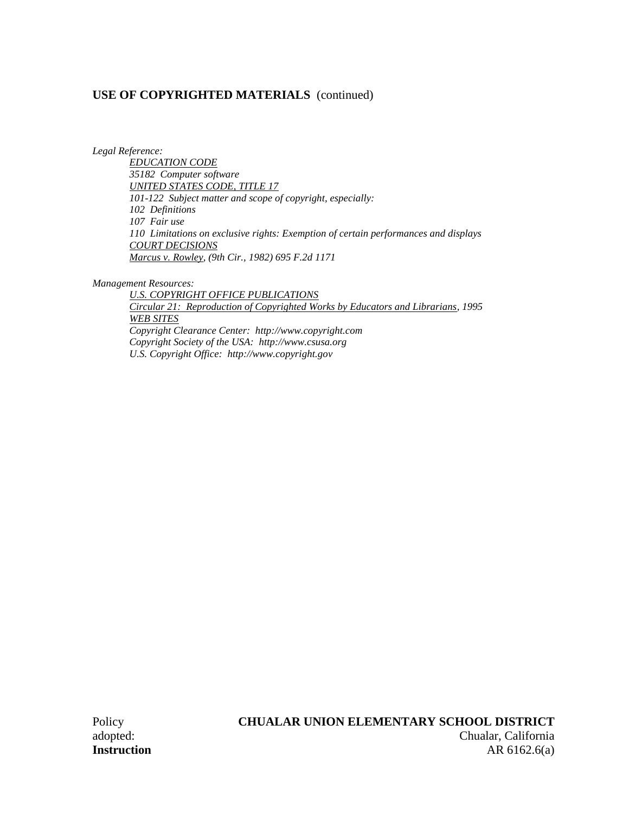*Legal Reference:*

*EDUCATION CODE 35182 Computer software UNITED STATES CODE, TITLE 17 101-122 Subject matter and scope of copyright, especially: 102 Definitions 107 Fair use 110 Limitations on exclusive rights: Exemption of certain performances and displays COURT DECISIONS Marcus v. Rowley, (9th Cir., 1982) 695 F.2d 1171*

*Management Resources:*

*U.S. COPYRIGHT OFFICE PUBLICATIONS Circular 21: Reproduction of Copyrighted Works by Educators and Librarians, 1995 WEB SITES Copyright Clearance Center: http://www.copyright.com Copyright Society of the USA: http://www.csusa.org U.S. Copyright Office: http://www.copyright.gov*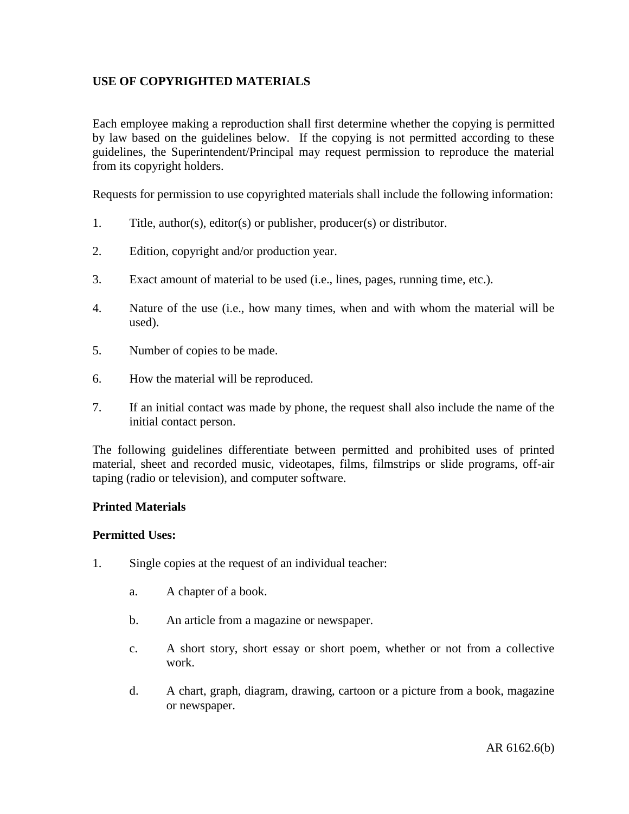# **USE OF COPYRIGHTED MATERIALS**

Each employee making a reproduction shall first determine whether the copying is permitted by law based on the guidelines below. If the copying is not permitted according to these guidelines, the Superintendent/Principal may request permission to reproduce the material from its copyright holders.

Requests for permission to use copyrighted materials shall include the following information:

- 1. Title, author(s), editor(s) or publisher, producer(s) or distributor.
- 2. Edition, copyright and/or production year.
- 3. Exact amount of material to be used (i.e., lines, pages, running time, etc.).
- 4. Nature of the use (i.e., how many times, when and with whom the material will be used).
- 5. Number of copies to be made.
- 6. How the material will be reproduced.
- 7. If an initial contact was made by phone, the request shall also include the name of the initial contact person.

The following guidelines differentiate between permitted and prohibited uses of printed material, sheet and recorded music, videotapes, films, filmstrips or slide programs, off-air taping (radio or television), and computer software.

## **Printed Materials**

## **Permitted Uses:**

- 1. Single copies at the request of an individual teacher:
	- a. A chapter of a book.
	- b. An article from a magazine or newspaper.
	- c. A short story, short essay or short poem, whether or not from a collective work.
	- d. A chart, graph, diagram, drawing, cartoon or a picture from a book, magazine or newspaper.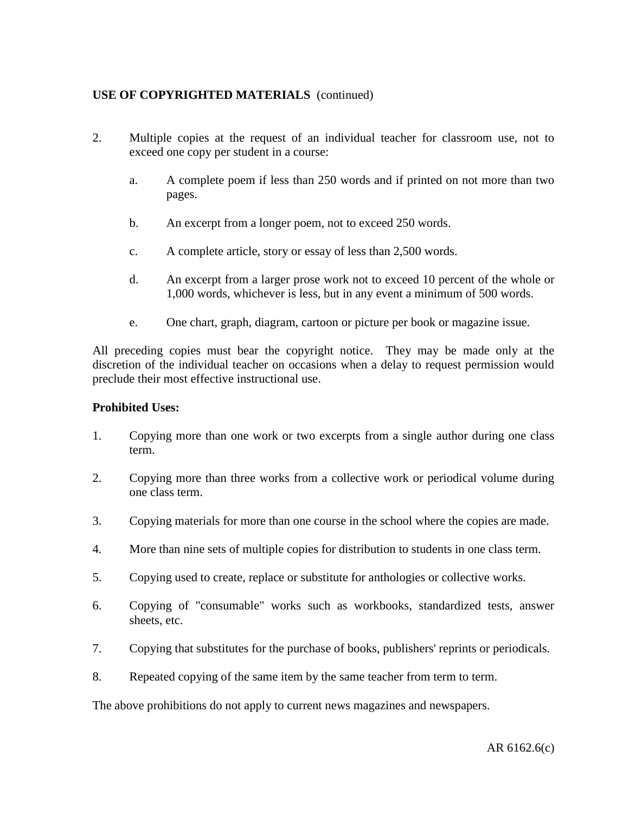- 2. Multiple copies at the request of an individual teacher for classroom use, not to exceed one copy per student in a course:
	- a. A complete poem if less than 250 words and if printed on not more than two pages.
	- b. An excerpt from a longer poem, not to exceed 250 words.
	- c. A complete article, story or essay of less than 2,500 words.
	- d. An excerpt from a larger prose work not to exceed 10 percent of the whole or 1,000 words, whichever is less, but in any event a minimum of 500 words.
	- e. One chart, graph, diagram, cartoon or picture per book or magazine issue.

All preceding copies must bear the copyright notice. They may be made only at the discretion of the individual teacher on occasions when a delay to request permission would preclude their most effective instructional use.

## **Prohibited Uses:**

- 1. Copying more than one work or two excerpts from a single author during one class term.
- 2. Copying more than three works from a collective work or periodical volume during one class term.
- 3. Copying materials for more than one course in the school where the copies are made.
- 4. More than nine sets of multiple copies for distribution to students in one class term.
- 5. Copying used to create, replace or substitute for anthologies or collective works.
- 6. Copying of "consumable" works such as workbooks, standardized tests, answer sheets, etc.
- 7. Copying that substitutes for the purchase of books, publishers' reprints or periodicals.
- 8. Repeated copying of the same item by the same teacher from term to term.

The above prohibitions do not apply to current news magazines and newspapers.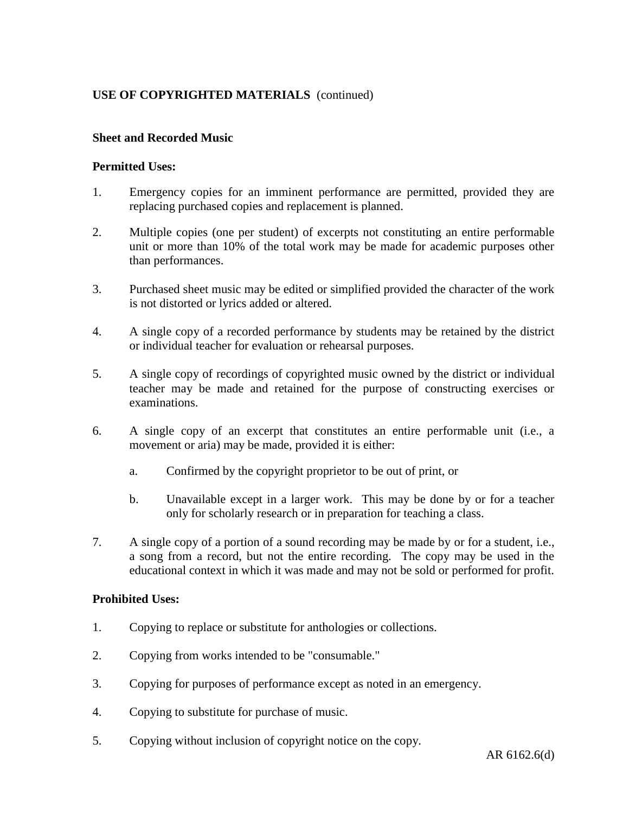## **Sheet and Recorded Music**

#### **Permitted Uses:**

- 1. Emergency copies for an imminent performance are permitted, provided they are replacing purchased copies and replacement is planned.
- 2. Multiple copies (one per student) of excerpts not constituting an entire performable unit or more than 10% of the total work may be made for academic purposes other than performances.
- 3. Purchased sheet music may be edited or simplified provided the character of the work is not distorted or lyrics added or altered.
- 4. A single copy of a recorded performance by students may be retained by the district or individual teacher for evaluation or rehearsal purposes.
- 5. A single copy of recordings of copyrighted music owned by the district or individual teacher may be made and retained for the purpose of constructing exercises or examinations.
- 6. A single copy of an excerpt that constitutes an entire performable unit (i.e., a movement or aria) may be made, provided it is either:
	- a. Confirmed by the copyright proprietor to be out of print, or
	- b. Unavailable except in a larger work. This may be done by or for a teacher only for scholarly research or in preparation for teaching a class.
- 7. A single copy of a portion of a sound recording may be made by or for a student, i.e., a song from a record, but not the entire recording. The copy may be used in the educational context in which it was made and may not be sold or performed for profit.

#### **Prohibited Uses:**

- 1. Copying to replace or substitute for anthologies or collections.
- 2. Copying from works intended to be "consumable."
- 3. Copying for purposes of performance except as noted in an emergency.
- 4. Copying to substitute for purchase of music.
- 5. Copying without inclusion of copyright notice on the copy.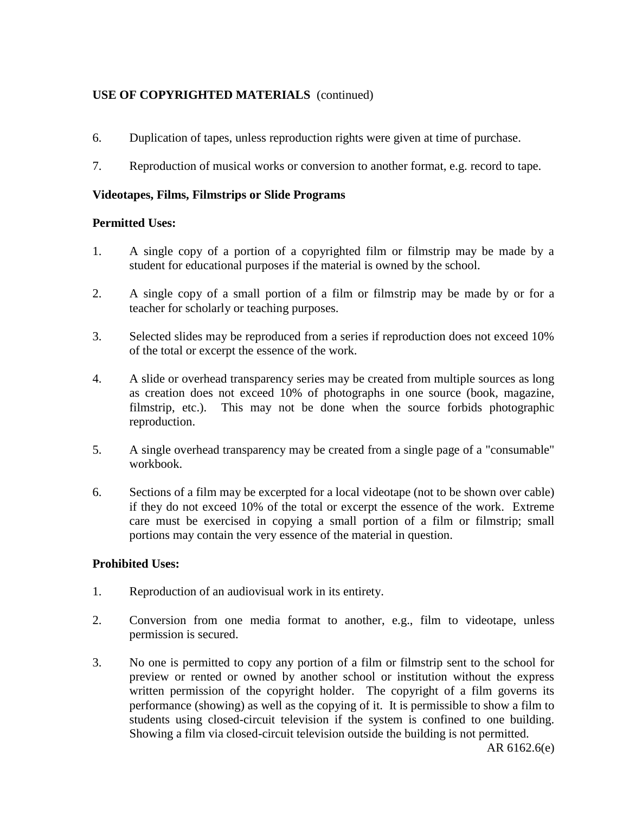- 6. Duplication of tapes, unless reproduction rights were given at time of purchase.
- 7. Reproduction of musical works or conversion to another format, e.g. record to tape.

## **Videotapes, Films, Filmstrips or Slide Programs**

## **Permitted Uses:**

- 1. A single copy of a portion of a copyrighted film or filmstrip may be made by a student for educational purposes if the material is owned by the school.
- 2. A single copy of a small portion of a film or filmstrip may be made by or for a teacher for scholarly or teaching purposes.
- 3. Selected slides may be reproduced from a series if reproduction does not exceed 10% of the total or excerpt the essence of the work.
- 4. A slide or overhead transparency series may be created from multiple sources as long as creation does not exceed 10% of photographs in one source (book, magazine, filmstrip, etc.). This may not be done when the source forbids photographic reproduction.
- 5. A single overhead transparency may be created from a single page of a "consumable" workbook.
- 6. Sections of a film may be excerpted for a local videotape (not to be shown over cable) if they do not exceed 10% of the total or excerpt the essence of the work. Extreme care must be exercised in copying a small portion of a film or filmstrip; small portions may contain the very essence of the material in question.

## **Prohibited Uses:**

- 1. Reproduction of an audiovisual work in its entirety.
- 2. Conversion from one media format to another, e.g., film to videotape, unless permission is secured.
- 3. No one is permitted to copy any portion of a film or filmstrip sent to the school for preview or rented or owned by another school or institution without the express written permission of the copyright holder. The copyright of a film governs its performance (showing) as well as the copying of it. It is permissible to show a film to students using closed-circuit television if the system is confined to one building. Showing a film via closed-circuit television outside the building is not permitted.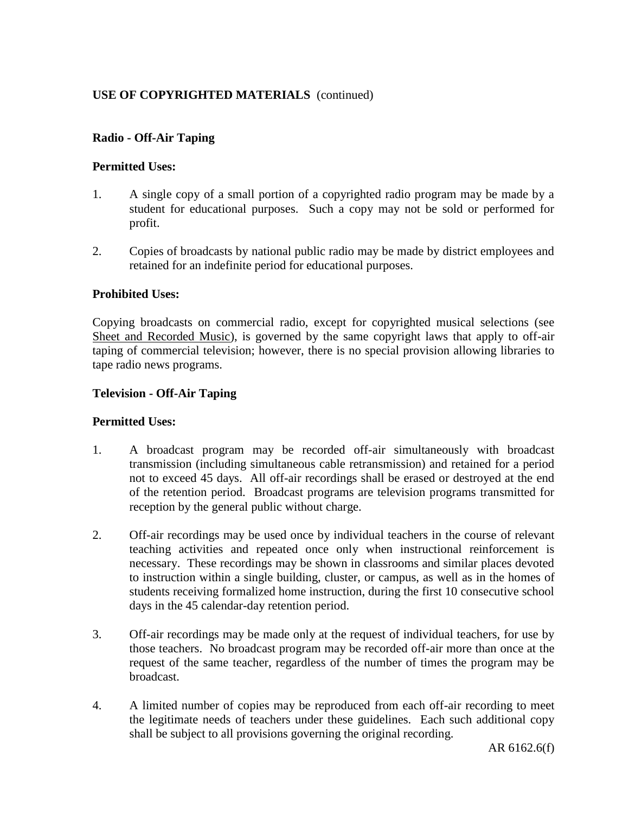## **Radio - Off-Air Taping**

## **Permitted Uses:**

- 1. A single copy of a small portion of a copyrighted radio program may be made by a student for educational purposes. Such a copy may not be sold or performed for profit.
- 2. Copies of broadcasts by national public radio may be made by district employees and retained for an indefinite period for educational purposes.

## **Prohibited Uses:**

Copying broadcasts on commercial radio, except for copyrighted musical selections (see Sheet and Recorded Music), is governed by the same copyright laws that apply to off-air taping of commercial television; however, there is no special provision allowing libraries to tape radio news programs.

## **Television - Off-Air Taping**

## **Permitted Uses:**

- 1. A broadcast program may be recorded off-air simultaneously with broadcast transmission (including simultaneous cable retransmission) and retained for a period not to exceed 45 days. All off-air recordings shall be erased or destroyed at the end of the retention period. Broadcast programs are television programs transmitted for reception by the general public without charge.
- 2. Off-air recordings may be used once by individual teachers in the course of relevant teaching activities and repeated once only when instructional reinforcement is necessary. These recordings may be shown in classrooms and similar places devoted to instruction within a single building, cluster, or campus, as well as in the homes of students receiving formalized home instruction, during the first 10 consecutive school days in the 45 calendar-day retention period.
- 3. Off-air recordings may be made only at the request of individual teachers, for use by those teachers. No broadcast program may be recorded off-air more than once at the request of the same teacher, regardless of the number of times the program may be broadcast.
- 4. A limited number of copies may be reproduced from each off-air recording to meet the legitimate needs of teachers under these guidelines. Each such additional copy shall be subject to all provisions governing the original recording.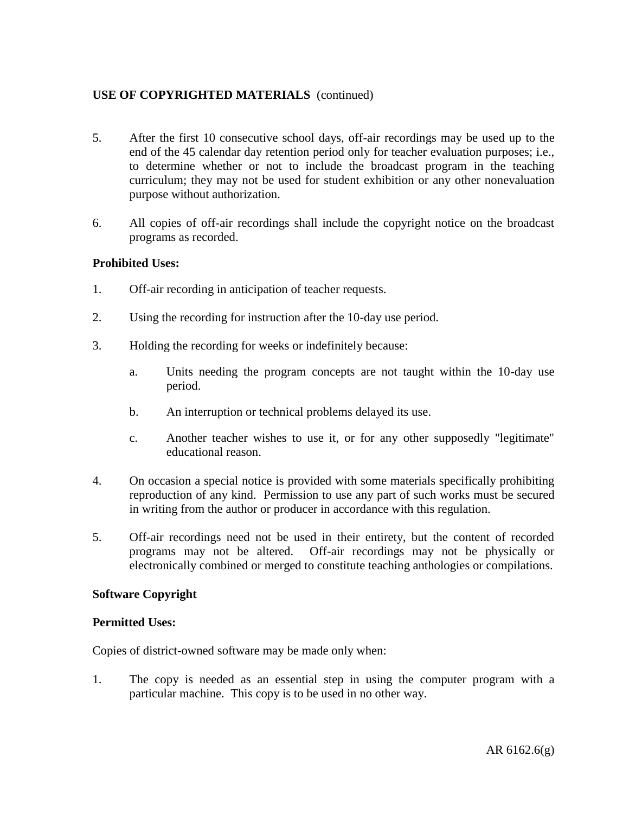- 5. After the first 10 consecutive school days, off-air recordings may be used up to the end of the 45 calendar day retention period only for teacher evaluation purposes; i.e., to determine whether or not to include the broadcast program in the teaching curriculum; they may not be used for student exhibition or any other nonevaluation purpose without authorization.
- 6. All copies of off-air recordings shall include the copyright notice on the broadcast programs as recorded.

## **Prohibited Uses:**

- 1. Off-air recording in anticipation of teacher requests.
- 2. Using the recording for instruction after the 10-day use period.
- 3. Holding the recording for weeks or indefinitely because:
	- a. Units needing the program concepts are not taught within the 10-day use period.
	- b. An interruption or technical problems delayed its use.
	- c. Another teacher wishes to use it, or for any other supposedly "legitimate" educational reason.
- 4. On occasion a special notice is provided with some materials specifically prohibiting reproduction of any kind. Permission to use any part of such works must be secured in writing from the author or producer in accordance with this regulation.
- 5. Off-air recordings need not be used in their entirety, but the content of recorded programs may not be altered. Off-air recordings may not be physically or electronically combined or merged to constitute teaching anthologies or compilations.

## **Software Copyright**

## **Permitted Uses:**

Copies of district-owned software may be made only when:

1. The copy is needed as an essential step in using the computer program with a particular machine. This copy is to be used in no other way.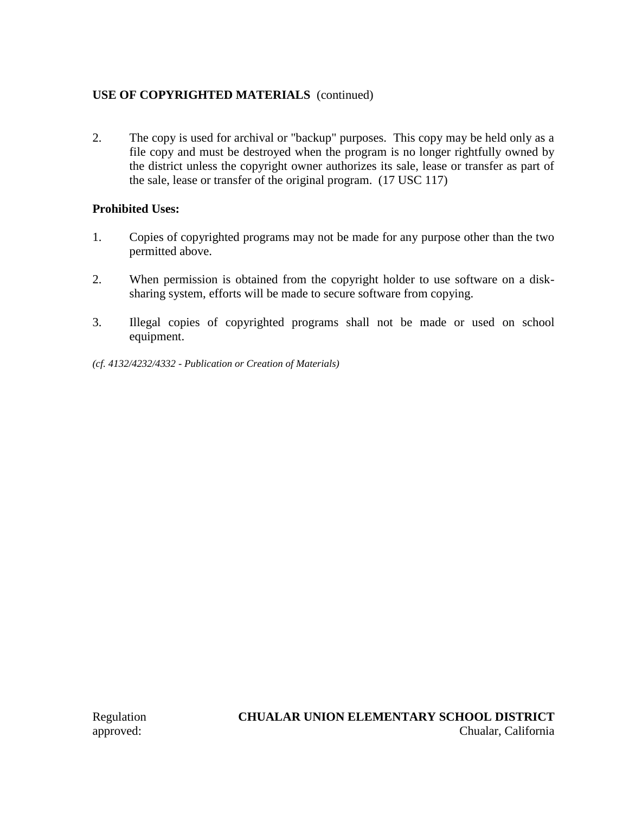2. The copy is used for archival or "backup" purposes. This copy may be held only as a file copy and must be destroyed when the program is no longer rightfully owned by the district unless the copyright owner authorizes its sale, lease or transfer as part of the sale, lease or transfer of the original program. (17 USC 117)

## **Prohibited Uses:**

- 1. Copies of copyrighted programs may not be made for any purpose other than the two permitted above.
- 2. When permission is obtained from the copyright holder to use software on a disksharing system, efforts will be made to secure software from copying.
- 3. Illegal copies of copyrighted programs shall not be made or used on school equipment.
- *(cf. 4132/4232/4332 - Publication or Creation of Materials)*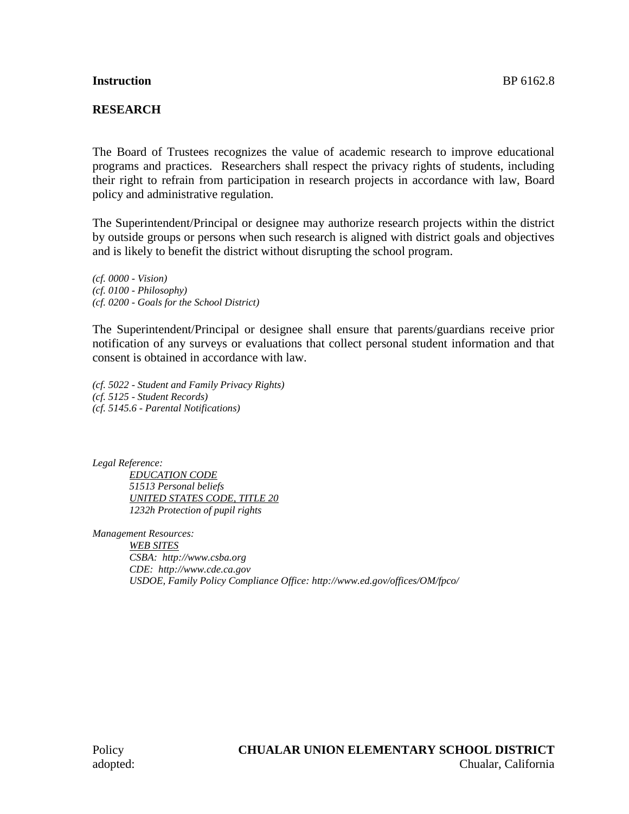#### **Instruction** BP 6162.8

## **RESEARCH**

The Board of Trustees recognizes the value of academic research to improve educational programs and practices. Researchers shall respect the privacy rights of students, including their right to refrain from participation in research projects in accordance with law, Board policy and administrative regulation.

The Superintendent/Principal or designee may authorize research projects within the district by outside groups or persons when such research is aligned with district goals and objectives and is likely to benefit the district without disrupting the school program.

*(cf. 0000 - Vision) (cf. 0100 - Philosophy) (cf. 0200 - Goals for the School District)*

The Superintendent/Principal or designee shall ensure that parents/guardians receive prior notification of any surveys or evaluations that collect personal student information and that consent is obtained in accordance with law.

*(cf. 5022 - Student and Family Privacy Rights) (cf. 5125 - Student Records) (cf. 5145.6 - Parental Notifications)*

*Legal Reference:*

*EDUCATION CODE 51513 Personal beliefs UNITED STATES CODE, TITLE 20 1232h Protection of pupil rights*

*Management Resources: WEB SITES CSBA: http://www.csba.org CDE: http://www.cde.ca.gov USDOE, Family Policy Compliance Office: http://www.ed.gov/offices/OM/fpco/*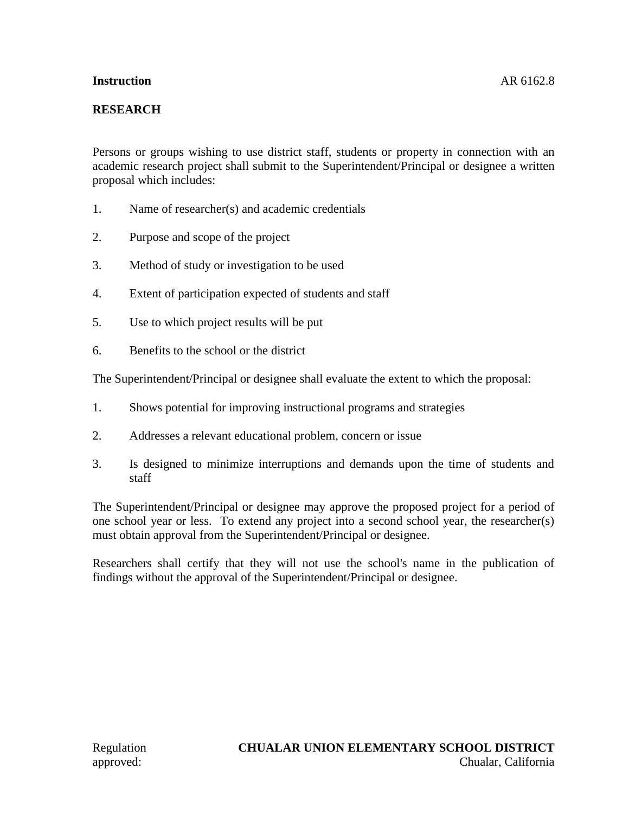## **Instruction** AR 6162.8

# **RESEARCH**

Persons or groups wishing to use district staff, students or property in connection with an academic research project shall submit to the Superintendent/Principal or designee a written proposal which includes:

- 1. Name of researcher(s) and academic credentials
- 2. Purpose and scope of the project
- 3. Method of study or investigation to be used
- 4. Extent of participation expected of students and staff
- 5. Use to which project results will be put
- 6. Benefits to the school or the district

The Superintendent/Principal or designee shall evaluate the extent to which the proposal:

- 1. Shows potential for improving instructional programs and strategies
- 2. Addresses a relevant educational problem, concern or issue
- 3. Is designed to minimize interruptions and demands upon the time of students and staff

The Superintendent/Principal or designee may approve the proposed project for a period of one school year or less. To extend any project into a second school year, the researcher(s) must obtain approval from the Superintendent/Principal or designee.

Researchers shall certify that they will not use the school's name in the publication of findings without the approval of the Superintendent/Principal or designee.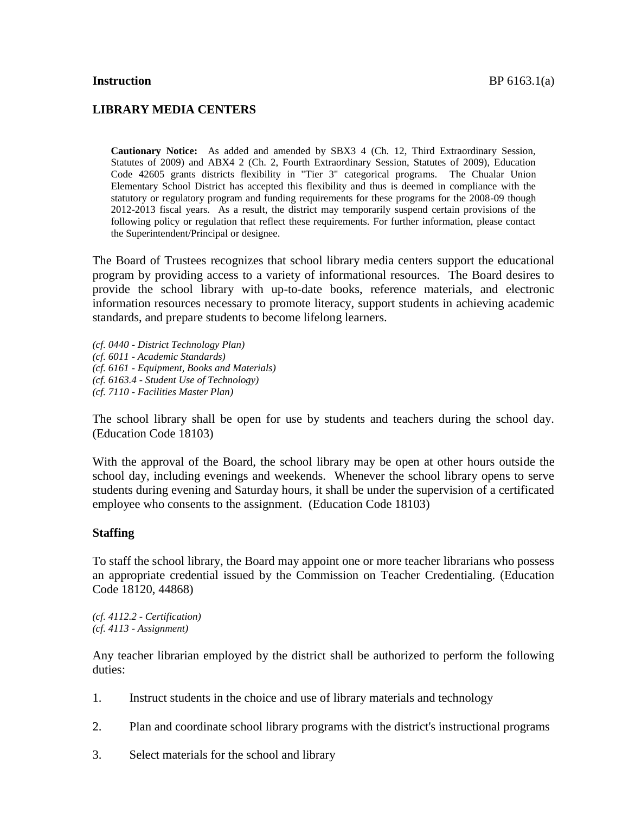#### **LIBRARY MEDIA CENTERS**

**Cautionary Notice:** As added and amended by SBX3 4 (Ch. 12, Third Extraordinary Session, Statutes of 2009) and ABX4 2 (Ch. 2, Fourth Extraordinary Session, Statutes of 2009), Education Code 42605 grants districts flexibility in "Tier 3" categorical programs. The Chualar Union Elementary School District has accepted this flexibility and thus is deemed in compliance with the statutory or regulatory program and funding requirements for these programs for the 2008-09 though 2012-2013 fiscal years. As a result, the district may temporarily suspend certain provisions of the following policy or regulation that reflect these requirements. For further information, please contact the Superintendent/Principal or designee.

The Board of Trustees recognizes that school library media centers support the educational program by providing access to a variety of informational resources. The Board desires to provide the school library with up-to-date books, reference materials, and electronic information resources necessary to promote literacy, support students in achieving academic standards, and prepare students to become lifelong learners.

*(cf. 0440 - District Technology Plan) (cf. 6011 - Academic Standards) (cf. 6161 - Equipment, Books and Materials) (cf. 6163.4 - Student Use of Technology) (cf. 7110 - Facilities Master Plan)*

The school library shall be open for use by students and teachers during the school day. (Education Code 18103)

With the approval of the Board, the school library may be open at other hours outside the school day, including evenings and weekends. Whenever the school library opens to serve students during evening and Saturday hours, it shall be under the supervision of a certificated employee who consents to the assignment. (Education Code 18103)

#### **Staffing**

To staff the school library, the Board may appoint one or more teacher librarians who possess an appropriate credential issued by the Commission on Teacher Credentialing. (Education Code 18120, 44868)

*(cf. 4112.2 - Certification) (cf. 4113 - Assignment)*

Any teacher librarian employed by the district shall be authorized to perform the following duties:

- 1. Instruct students in the choice and use of library materials and technology
- 2. Plan and coordinate school library programs with the district's instructional programs
- 3. Select materials for the school and library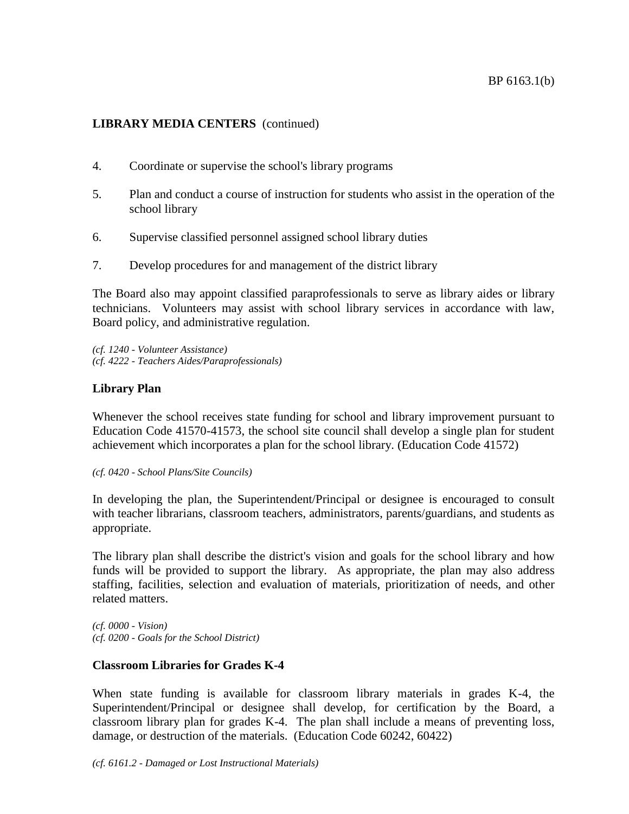- 4. Coordinate or supervise the school's library programs
- 5. Plan and conduct a course of instruction for students who assist in the operation of the school library
- 6. Supervise classified personnel assigned school library duties
- 7. Develop procedures for and management of the district library

The Board also may appoint classified paraprofessionals to serve as library aides or library technicians. Volunteers may assist with school library services in accordance with law, Board policy, and administrative regulation.

*(cf. 1240 - Volunteer Assistance) (cf. 4222 - Teachers Aides/Paraprofessionals)*

## **Library Plan**

Whenever the school receives state funding for school and library improvement pursuant to Education Code 41570-41573, the school site council shall develop a single plan for student achievement which incorporates a plan for the school library. (Education Code 41572)

*(cf. 0420 - School Plans/Site Councils)*

In developing the plan, the Superintendent/Principal or designee is encouraged to consult with teacher librarians, classroom teachers, administrators, parents/guardians, and students as appropriate.

The library plan shall describe the district's vision and goals for the school library and how funds will be provided to support the library. As appropriate, the plan may also address staffing, facilities, selection and evaluation of materials, prioritization of needs, and other related matters.

*(cf. 0000 - Vision) (cf. 0200 - Goals for the School District)*

## **Classroom Libraries for Grades K-4**

When state funding is available for classroom library materials in grades K-4, the Superintendent/Principal or designee shall develop, for certification by the Board, a classroom library plan for grades K-4. The plan shall include a means of preventing loss, damage, or destruction of the materials. (Education Code 60242, 60422)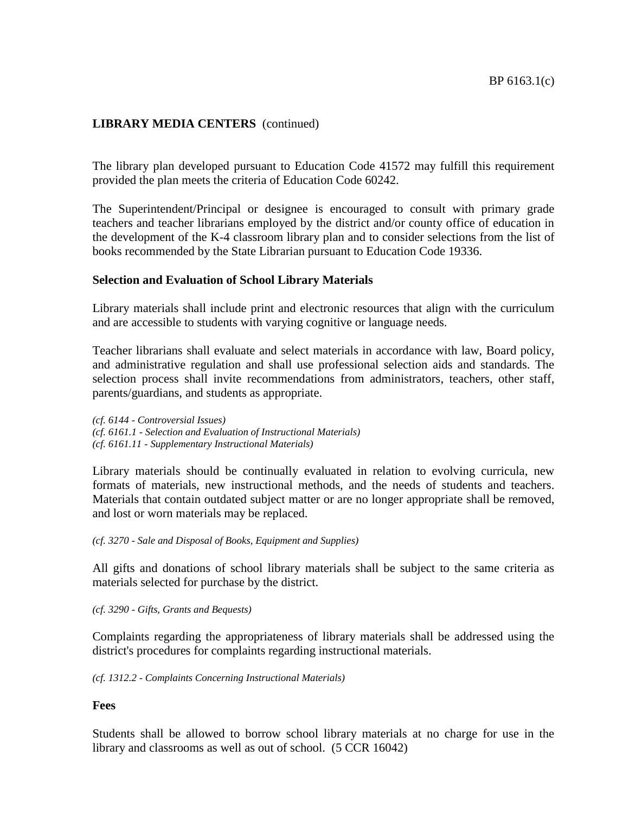The library plan developed pursuant to Education Code 41572 may fulfill this requirement provided the plan meets the criteria of Education Code 60242.

The Superintendent/Principal or designee is encouraged to consult with primary grade teachers and teacher librarians employed by the district and/or county office of education in the development of the K-4 classroom library plan and to consider selections from the list of books recommended by the State Librarian pursuant to Education Code 19336.

#### **Selection and Evaluation of School Library Materials**

Library materials shall include print and electronic resources that align with the curriculum and are accessible to students with varying cognitive or language needs.

Teacher librarians shall evaluate and select materials in accordance with law, Board policy, and administrative regulation and shall use professional selection aids and standards. The selection process shall invite recommendations from administrators, teachers, other staff, parents/guardians, and students as appropriate.

*(cf. 6144 - Controversial Issues) (cf. 6161.1 - Selection and Evaluation of Instructional Materials) (cf. 6161.11 - Supplementary Instructional Materials)*

Library materials should be continually evaluated in relation to evolving curricula, new formats of materials, new instructional methods, and the needs of students and teachers. Materials that contain outdated subject matter or are no longer appropriate shall be removed, and lost or worn materials may be replaced.

*(cf. 3270 - Sale and Disposal of Books, Equipment and Supplies)*

All gifts and donations of school library materials shall be subject to the same criteria as materials selected for purchase by the district.

*(cf. 3290 - Gifts, Grants and Bequests)*

Complaints regarding the appropriateness of library materials shall be addressed using the district's procedures for complaints regarding instructional materials.

*(cf. 1312.2 - Complaints Concerning Instructional Materials)*

#### **Fees**

Students shall be allowed to borrow school library materials at no charge for use in the library and classrooms as well as out of school. (5 CCR 16042)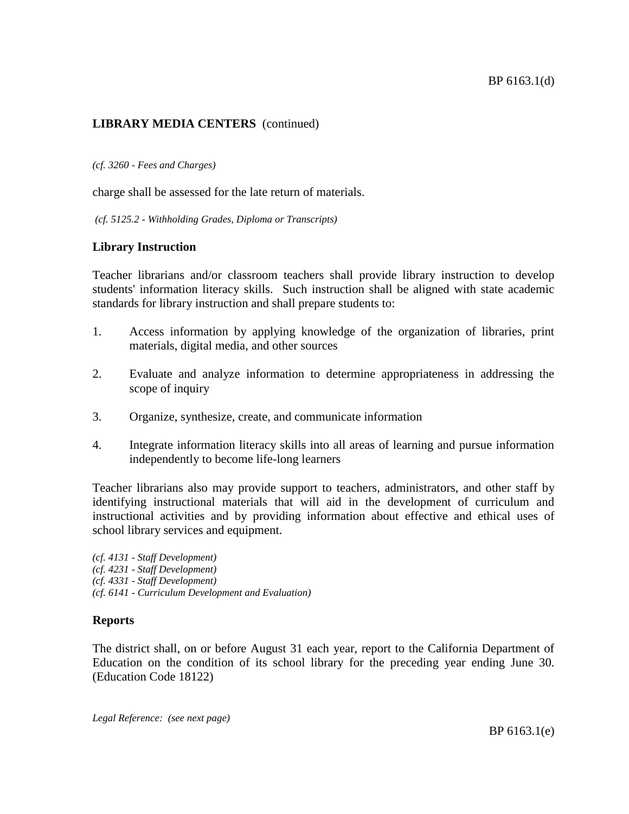*(cf. 3260 - Fees and Charges)*

charge shall be assessed for the late return of materials.

*(cf. 5125.2 - Withholding Grades, Diploma or Transcripts)*

## **Library Instruction**

Teacher librarians and/or classroom teachers shall provide library instruction to develop students' information literacy skills. Such instruction shall be aligned with state academic standards for library instruction and shall prepare students to:

- 1. Access information by applying knowledge of the organization of libraries, print materials, digital media, and other sources
- 2. Evaluate and analyze information to determine appropriateness in addressing the scope of inquiry
- 3. Organize, synthesize, create, and communicate information
- 4. Integrate information literacy skills into all areas of learning and pursue information independently to become life-long learners

Teacher librarians also may provide support to teachers, administrators, and other staff by identifying instructional materials that will aid in the development of curriculum and instructional activities and by providing information about effective and ethical uses of school library services and equipment.

*(cf. 4131 - Staff Development) (cf. 4231 - Staff Development) (cf. 4331 - Staff Development) (cf. 6141 - Curriculum Development and Evaluation)*

## **Reports**

The district shall, on or before August 31 each year, report to the California Department of Education on the condition of its school library for the preceding year ending June 30. (Education Code 18122)

*Legal Reference: (see next page)*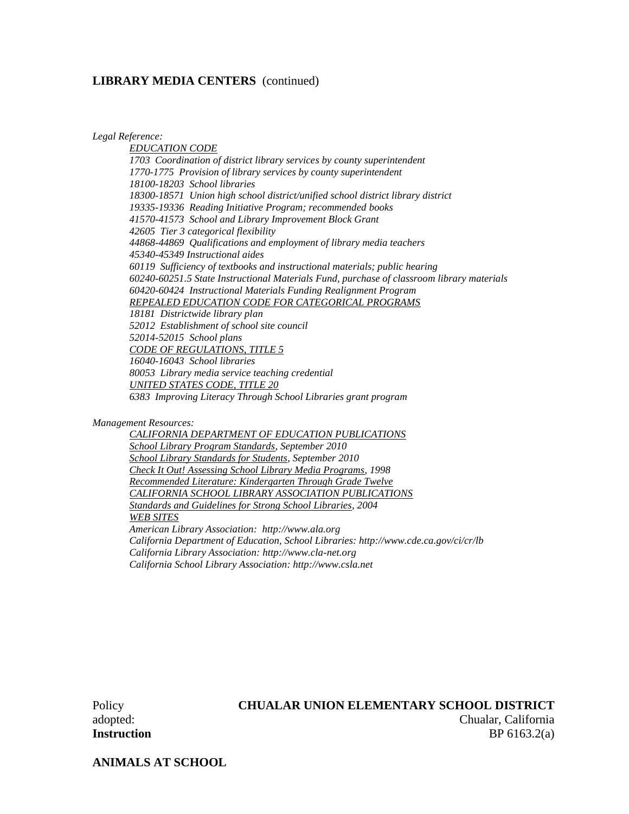*Legal Reference:*

*EDUCATION CODE 1703 Coordination of district library services by county superintendent 1770-1775 Provision of library services by county superintendent 18100-18203 School libraries 18300-18571 Union high school district/unified school district library district 19335-19336 Reading Initiative Program; recommended books 41570-41573 School and Library Improvement Block Grant 42605 Tier 3 categorical flexibility 44868-44869 Qualifications and employment of library media teachers 45340-45349 Instructional aides 60119 Sufficiency of textbooks and instructional materials; public hearing 60240-60251.5 State Instructional Materials Fund, purchase of classroom library materials 60420-60424 Instructional Materials Funding Realignment Program REPEALED EDUCATION CODE FOR CATEGORICAL PROGRAMS 18181 Districtwide library plan 52012 Establishment of school site council 52014-52015 School plans CODE OF REGULATIONS, TITLE 5 16040-16043 School libraries 80053 Library media service teaching credential UNITED STATES CODE, TITLE 20 6383 Improving Literacy Through School Libraries grant program*

*Management Resources:*

*CALIFORNIA DEPARTMENT OF EDUCATION PUBLICATIONS School Library Program Standards, September 2010 School Library Standards for Students, September 2010 Check It Out! Assessing School Library Media Programs, 1998 Recommended Literature: Kindergarten Through Grade Twelve CALIFORNIA SCHOOL LIBRARY ASSOCIATION PUBLICATIONS Standards and Guidelines for Strong School Libraries, 2004 WEB SITES American Library Association: http://www.ala.org California Department of Education, School Libraries: http://www.cde.ca.gov/ci/cr/lb California Library Association: http://www.cla-net.org California School Library Association: http://www.csla.net*

#### Policy **CHUALAR UNION ELEMENTARY SCHOOL DISTRICT**

adopted: Chualar, California **Instruction** BP 6163.2(a)

**ANIMALS AT SCHOOL**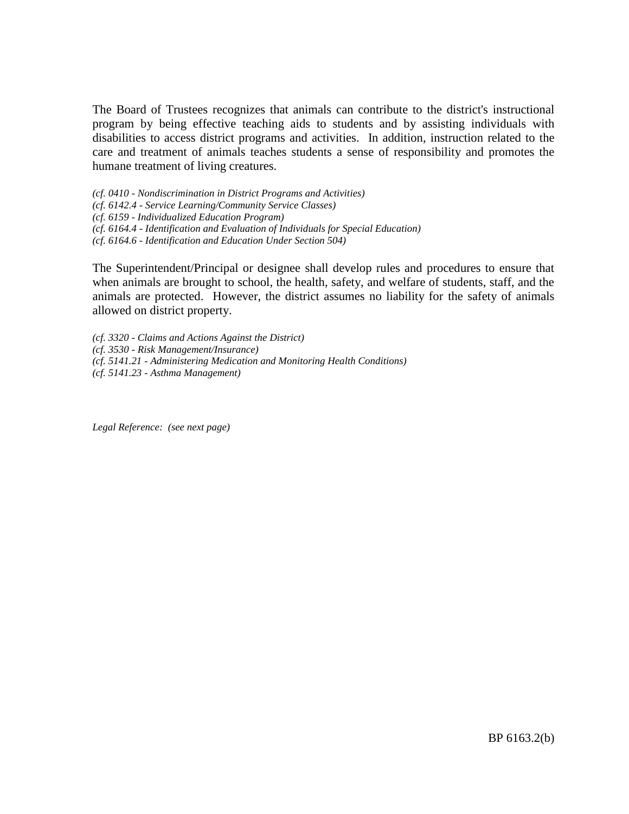The Board of Trustees recognizes that animals can contribute to the district's instructional program by being effective teaching aids to students and by assisting individuals with disabilities to access district programs and activities. In addition, instruction related to the care and treatment of animals teaches students a sense of responsibility and promotes the humane treatment of living creatures.

*(cf. 0410 - Nondiscrimination in District Programs and Activities)*

- *(cf. 6142.4 - Service Learning/Community Service Classes)*
- *(cf. 6159 - Individualized Education Program)*
- *(cf. 6164.4 - Identification and Evaluation of Individuals for Special Education)*
- *(cf. 6164.6 - Identification and Education Under Section 504)*

The Superintendent/Principal or designee shall develop rules and procedures to ensure that when animals are brought to school, the health, safety, and welfare of students, staff, and the animals are protected. However, the district assumes no liability for the safety of animals allowed on district property.

*(cf. 3320 - Claims and Actions Against the District) (cf. 3530 - Risk Management/Insurance) (cf. 5141.21 - Administering Medication and Monitoring Health Conditions) (cf. 5141.23 - Asthma Management)*

*Legal Reference: (see next page)*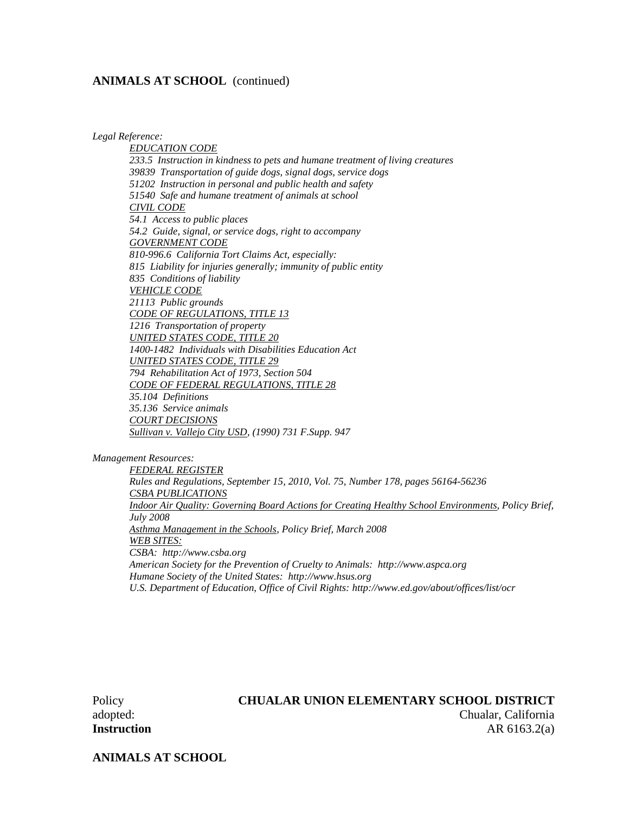#### **ANIMALS AT SCHOOL** (continued)

*Legal Reference:*

*EDUCATION CODE 233.5 Instruction in kindness to pets and humane treatment of living creatures 39839 Transportation of guide dogs, signal dogs, service dogs 51202 Instruction in personal and public health and safety 51540 Safe and humane treatment of animals at school CIVIL CODE 54.1 Access to public places 54.2 Guide, signal, or service dogs, right to accompany GOVERNMENT CODE 810-996.6 California Tort Claims Act, especially: 815 Liability for injuries generally; immunity of public entity 835 Conditions of liability VEHICLE CODE 21113 Public grounds CODE OF REGULATIONS, TITLE 13 1216 Transportation of property UNITED STATES CODE, TITLE 20 1400-1482 Individuals with Disabilities Education Act UNITED STATES CODE, TITLE 29 794 Rehabilitation Act of 1973, Section 504 CODE OF FEDERAL REGULATIONS, TITLE 28 35.104 Definitions 35.136 Service animals COURT DECISIONS Sullivan v. Vallejo City USD, (1990) 731 F.Supp. 947*

*Management Resources:*

*FEDERAL REGISTER Rules and Regulations, September 15, 2010, Vol. 75, Number 178, pages 56164-56236 CSBA PUBLICATIONS Indoor Air Quality: Governing Board Actions for Creating Healthy School Environments, Policy Brief, July 2008 Asthma Management in the Schools, Policy Brief, March 2008 WEB SITES: CSBA: http://www.csba.org American Society for the Prevention of Cruelty to Animals: http://www.aspca.org Humane Society of the United States: http://www.hsus.org U.S. Department of Education, Office of Civil Rights: http://www.ed.gov/about/offices/list/ocr*

## Policy **CHUALAR UNION ELEMENTARY SCHOOL DISTRICT** adopted: Chualar, California **Instruction** AR 6163.2(a)

**ANIMALS AT SCHOOL**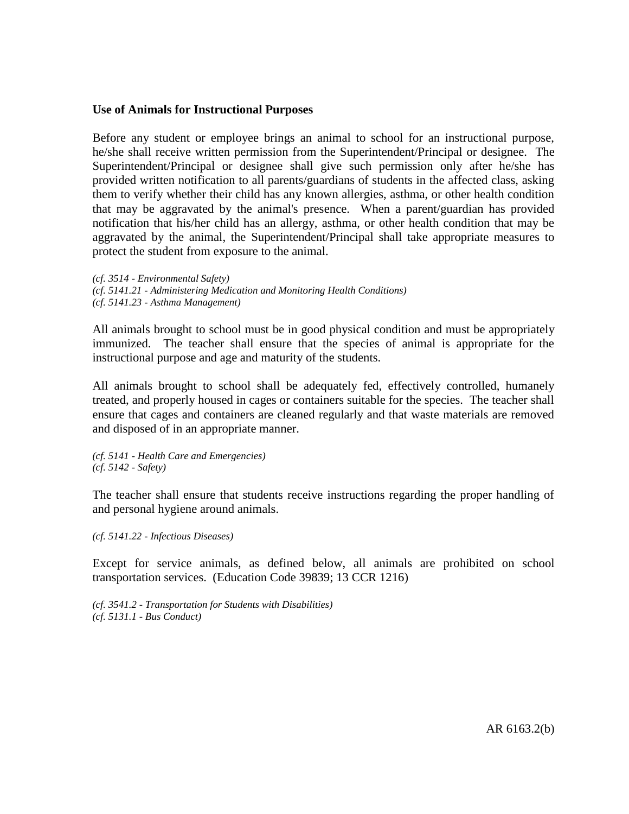#### **Use of Animals for Instructional Purposes**

Before any student or employee brings an animal to school for an instructional purpose, he/she shall receive written permission from the Superintendent/Principal or designee. The Superintendent/Principal or designee shall give such permission only after he/she has provided written notification to all parents/guardians of students in the affected class, asking them to verify whether their child has any known allergies, asthma, or other health condition that may be aggravated by the animal's presence. When a parent/guardian has provided notification that his/her child has an allergy, asthma, or other health condition that may be aggravated by the animal, the Superintendent/Principal shall take appropriate measures to protect the student from exposure to the animal.

*(cf. 3514 - Environmental Safety) (cf. 5141.21 - Administering Medication and Monitoring Health Conditions) (cf. 5141.23 - Asthma Management)*

All animals brought to school must be in good physical condition and must be appropriately immunized. The teacher shall ensure that the species of animal is appropriate for the instructional purpose and age and maturity of the students.

All animals brought to school shall be adequately fed, effectively controlled, humanely treated, and properly housed in cages or containers suitable for the species. The teacher shall ensure that cages and containers are cleaned regularly and that waste materials are removed and disposed of in an appropriate manner.

*(cf. 5141 - Health Care and Emergencies) (cf. 5142 - Safety)*

The teacher shall ensure that students receive instructions regarding the proper handling of and personal hygiene around animals.

*(cf. 5141.22 - Infectious Diseases)*

Except for service animals, as defined below, all animals are prohibited on school transportation services. (Education Code 39839; 13 CCR 1216)

*(cf. 3541.2 - Transportation for Students with Disabilities) (cf. 5131.1 - Bus Conduct)*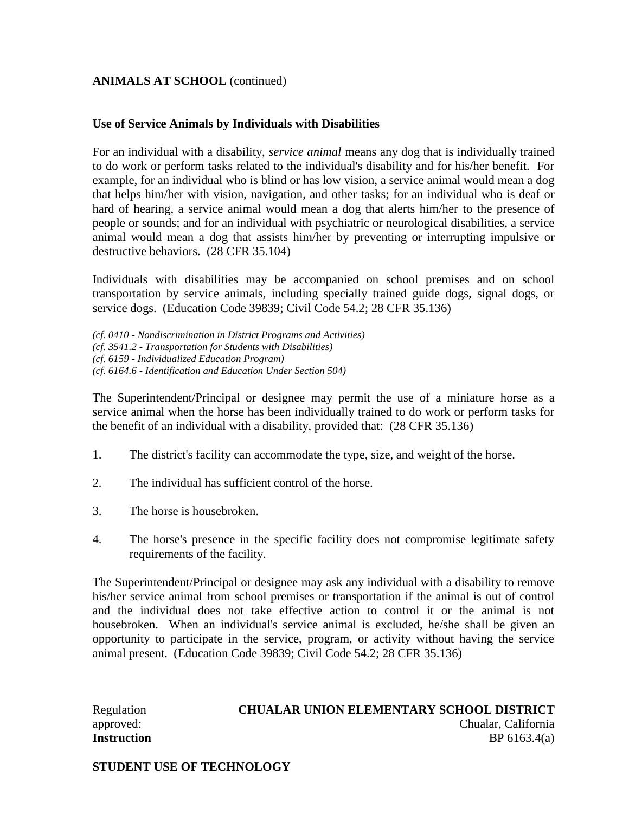#### **ANIMALS AT SCHOOL** (continued)

#### **Use of Service Animals by Individuals with Disabilities**

For an individual with a disability, *service animal* means any dog that is individually trained to do work or perform tasks related to the individual's disability and for his/her benefit. For example, for an individual who is blind or has low vision, a service animal would mean a dog that helps him/her with vision, navigation, and other tasks; for an individual who is deaf or hard of hearing, a service animal would mean a dog that alerts him/her to the presence of people or sounds; and for an individual with psychiatric or neurological disabilities, a service animal would mean a dog that assists him/her by preventing or interrupting impulsive or destructive behaviors. (28 CFR 35.104)

Individuals with disabilities may be accompanied on school premises and on school transportation by service animals, including specially trained guide dogs, signal dogs, or service dogs. (Education Code 39839; Civil Code 54.2; 28 CFR 35.136)

*(cf. 0410 - Nondiscrimination in District Programs and Activities) (cf. 3541.2 - Transportation for Students with Disabilities) (cf. 6159 - Individualized Education Program) (cf. 6164.6 - Identification and Education Under Section 504)*

The Superintendent/Principal or designee may permit the use of a miniature horse as a service animal when the horse has been individually trained to do work or perform tasks for the benefit of an individual with a disability, provided that: (28 CFR 35.136)

- 1. The district's facility can accommodate the type, size, and weight of the horse.
- 2. The individual has sufficient control of the horse.
- 3. The horse is housebroken.
- 4. The horse's presence in the specific facility does not compromise legitimate safety requirements of the facility.

The Superintendent/Principal or designee may ask any individual with a disability to remove his/her service animal from school premises or transportation if the animal is out of control and the individual does not take effective action to control it or the animal is not housebroken. When an individual's service animal is excluded, he/she shall be given an opportunity to participate in the service, program, or activity without having the service animal present. (Education Code 39839; Civil Code 54.2; 28 CFR 35.136)

## Regulation **CHUALAR UNION ELEMENTARY SCHOOL DISTRICT** approved: Chualar, California **Instruction** BP 6163.4(a)

**STUDENT USE OF TECHNOLOGY**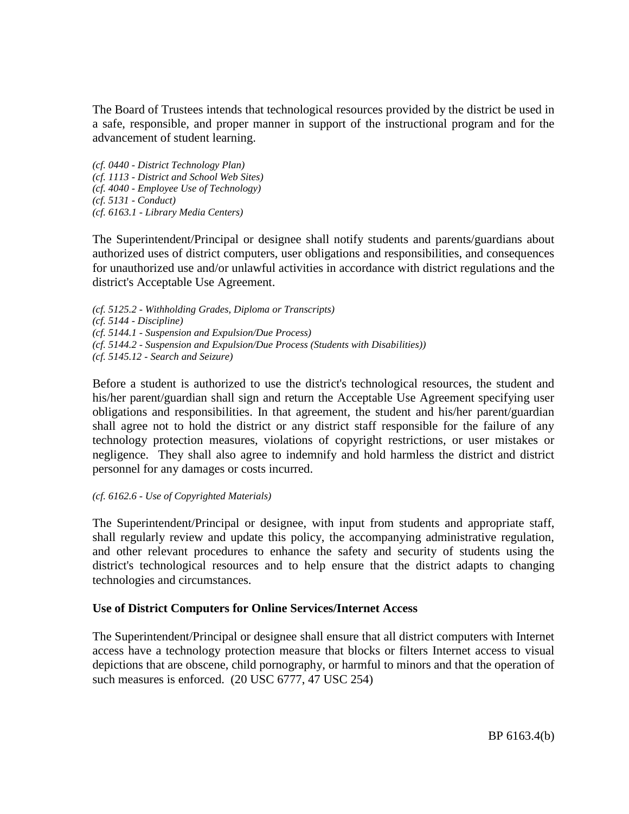The Board of Trustees intends that technological resources provided by the district be used in a safe, responsible, and proper manner in support of the instructional program and for the advancement of student learning.

*(cf. 0440 - District Technology Plan) (cf. 1113 - District and School Web Sites) (cf. 4040 - Employee Use of Technology) (cf. 5131 - Conduct) (cf. 6163.1 - Library Media Centers)*

The Superintendent/Principal or designee shall notify students and parents/guardians about authorized uses of district computers, user obligations and responsibilities, and consequences for unauthorized use and/or unlawful activities in accordance with district regulations and the district's Acceptable Use Agreement.

*(cf. 5125.2 - Withholding Grades, Diploma or Transcripts) (cf. 5144 - Discipline) (cf. 5144.1 - Suspension and Expulsion/Due Process) (cf. 5144.2 - Suspension and Expulsion/Due Process (Students with Disabilities)) (cf. 5145.12 - Search and Seizure)*

Before a student is authorized to use the district's technological resources, the student and his/her parent/guardian shall sign and return the Acceptable Use Agreement specifying user obligations and responsibilities. In that agreement, the student and his/her parent/guardian shall agree not to hold the district or any district staff responsible for the failure of any technology protection measures, violations of copyright restrictions, or user mistakes or negligence. They shall also agree to indemnify and hold harmless the district and district personnel for any damages or costs incurred.

*(cf. 6162.6 - Use of Copyrighted Materials)*

The Superintendent/Principal or designee, with input from students and appropriate staff, shall regularly review and update this policy, the accompanying administrative regulation, and other relevant procedures to enhance the safety and security of students using the district's technological resources and to help ensure that the district adapts to changing technologies and circumstances.

## **Use of District Computers for Online Services/Internet Access**

The Superintendent/Principal or designee shall ensure that all district computers with Internet access have a technology protection measure that blocks or filters Internet access to visual depictions that are obscene, child pornography, or harmful to minors and that the operation of such measures is enforced. (20 USC 6777, 47 USC 254)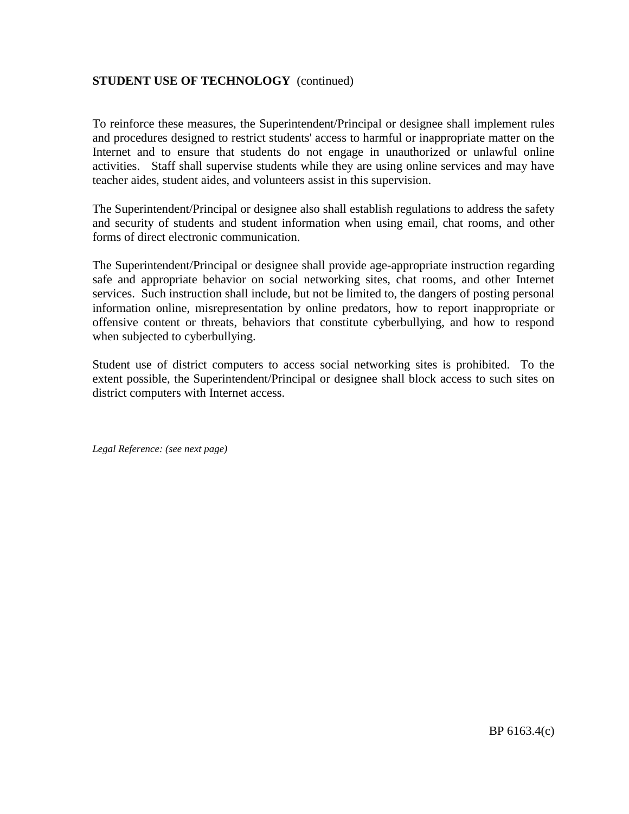## **STUDENT USE OF TECHNOLOGY** (continued)

To reinforce these measures, the Superintendent/Principal or designee shall implement rules and procedures designed to restrict students' access to harmful or inappropriate matter on the Internet and to ensure that students do not engage in unauthorized or unlawful online activities. Staff shall supervise students while they are using online services and may have teacher aides, student aides, and volunteers assist in this supervision.

The Superintendent/Principal or designee also shall establish regulations to address the safety and security of students and student information when using email, chat rooms, and other forms of direct electronic communication.

The Superintendent/Principal or designee shall provide age-appropriate instruction regarding safe and appropriate behavior on social networking sites, chat rooms, and other Internet services. Such instruction shall include, but not be limited to, the dangers of posting personal information online, misrepresentation by online predators, how to report inappropriate or offensive content or threats, behaviors that constitute cyberbullying, and how to respond when subjected to cyberbullying.

Student use of district computers to access social networking sites is prohibited. To the extent possible, the Superintendent/Principal or designee shall block access to such sites on district computers with Internet access.

*Legal Reference: (see next page)*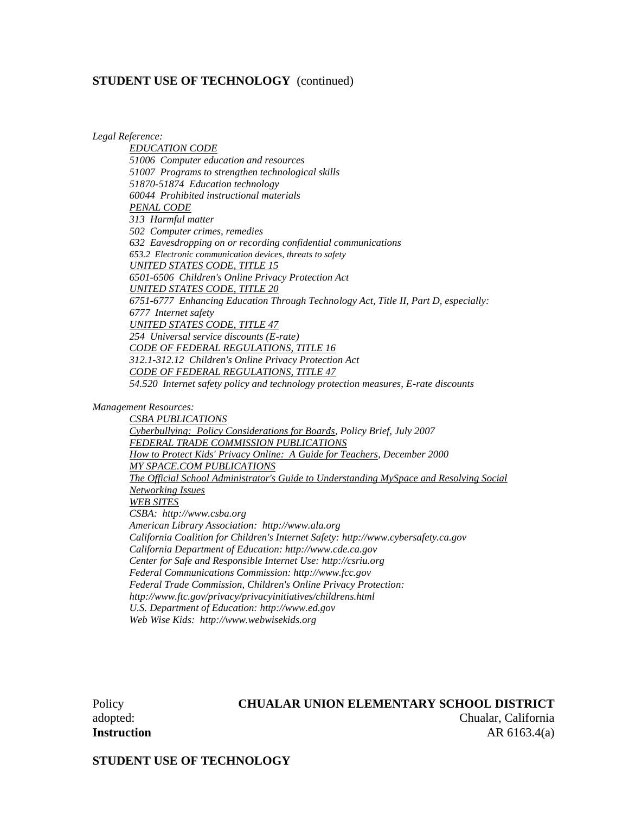#### **STUDENT USE OF TECHNOLOGY** (continued)

*Legal Reference:*

*EDUCATION CODE 51006 Computer education and resources 51007 Programs to strengthen technological skills 51870-51874 Education technology 60044 Prohibited instructional materials PENAL CODE 313 Harmful matter 502 Computer crimes, remedies 632 Eavesdropping on or recording confidential communications 653.2 Electronic communication devices, threats to safety UNITED STATES CODE, TITLE 15 6501-6506 Children's Online Privacy Protection Act UNITED STATES CODE, TITLE 20 6751-6777 Enhancing Education Through Technology Act, Title II, Part D, especially: 6777 Internet safety UNITED STATES CODE, TITLE 47 254 Universal service discounts (E-rate) CODE OF FEDERAL REGULATIONS, TITLE 16 312.1-312.12 Children's Online Privacy Protection Act CODE OF FEDERAL REGULATIONS, TITLE 47 54.520 Internet safety policy and technology protection measures, E-rate discounts*

*Management Resources:*

*CSBA PUBLICATIONS Cyberbullying: Policy Considerations for Boards, Policy Brief, July 2007 FEDERAL TRADE COMMISSION PUBLICATIONS How to Protect Kids' Privacy Online: A Guide for Teachers, December 2000 MY SPACE.COM PUBLICATIONS The Official School Administrator's Guide to Understanding MySpace and Resolving Social Networking Issues WEB SITES CSBA: http://www.csba.org American Library Association: http://www.ala.org California Coalition for Children's Internet Safety: http://www.cybersafety.ca.gov California Department of Education: http://www.cde.ca.gov Center for Safe and Responsible Internet Use: http://csriu.org Federal Communications Commission: http://www.fcc.gov Federal Trade Commission, Children's Online Privacy Protection: http://www.ftc.gov/privacy/privacyinitiatives/childrens.html U.S. Department of Education: http://www.ed.gov Web Wise Kids: http://www.webwisekids.org*

#### Policy **CHUALAR UNION ELEMENTARY SCHOOL DISTRICT** adopted: Chualar, California

**Instruction** AR 6163.4(a)

**STUDENT USE OF TECHNOLOGY**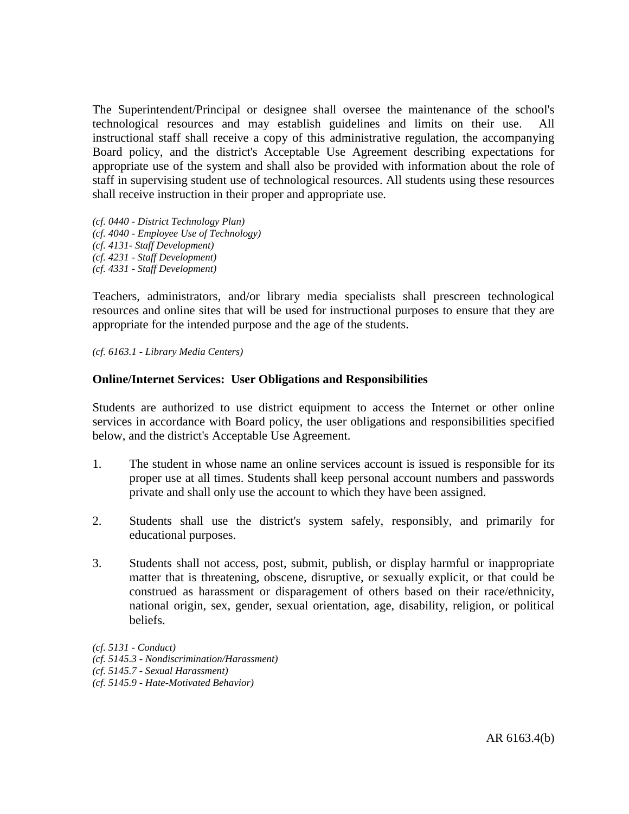The Superintendent/Principal or designee shall oversee the maintenance of the school's technological resources and may establish guidelines and limits on their use. All instructional staff shall receive a copy of this administrative regulation, the accompanying Board policy, and the district's Acceptable Use Agreement describing expectations for appropriate use of the system and shall also be provided with information about the role of staff in supervising student use of technological resources. All students using these resources shall receive instruction in their proper and appropriate use.

*(cf. 0440 - District Technology Plan) (cf. 4040 - Employee Use of Technology) (cf. 4131- Staff Development) (cf. 4231 - Staff Development) (cf. 4331 - Staff Development)*

Teachers, administrators, and/or library media specialists shall prescreen technological resources and online sites that will be used for instructional purposes to ensure that they are appropriate for the intended purpose and the age of the students.

*(cf. 6163.1 - Library Media Centers)*

#### **Online/Internet Services: User Obligations and Responsibilities**

Students are authorized to use district equipment to access the Internet or other online services in accordance with Board policy, the user obligations and responsibilities specified below, and the district's Acceptable Use Agreement.

- 1. The student in whose name an online services account is issued is responsible for its proper use at all times. Students shall keep personal account numbers and passwords private and shall only use the account to which they have been assigned.
- 2. Students shall use the district's system safely, responsibly, and primarily for educational purposes.
- 3. Students shall not access, post, submit, publish, or display harmful or inappropriate matter that is threatening, obscene, disruptive, or sexually explicit, or that could be construed as harassment or disparagement of others based on their race/ethnicity, national origin, sex, gender, sexual orientation, age, disability, religion, or political beliefs.

*(cf. 5131 - Conduct) (cf. 5145.3 - Nondiscrimination/Harassment) (cf. 5145.7 - Sexual Harassment) (cf. 5145.9 - Hate-Motivated Behavior)*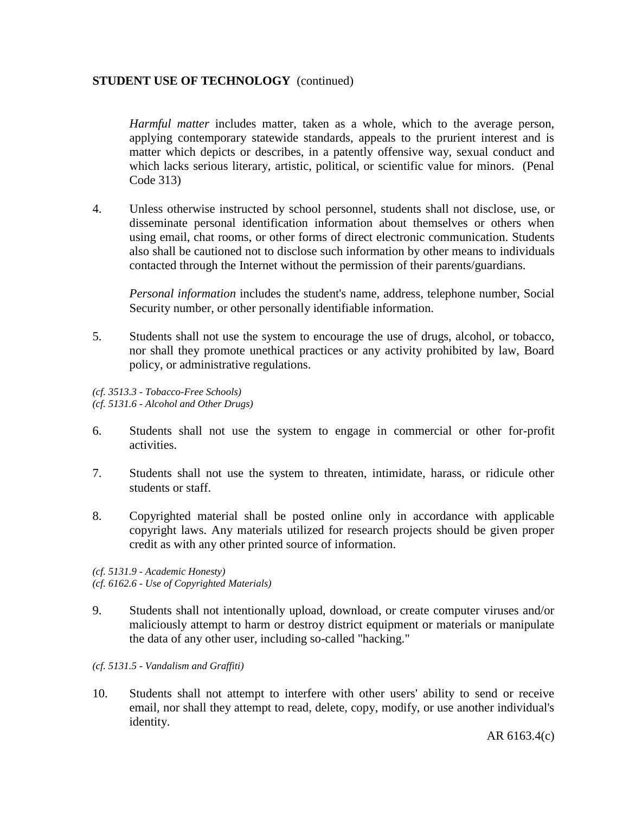#### **STUDENT USE OF TECHNOLOGY** (continued)

*Harmful matter* includes matter, taken as a whole, which to the average person, applying contemporary statewide standards, appeals to the prurient interest and is matter which depicts or describes, in a patently offensive way, sexual conduct and which lacks serious literary, artistic, political, or scientific value for minors. (Penal Code 313)

4. Unless otherwise instructed by school personnel, students shall not disclose, use, or disseminate personal identification information about themselves or others when using email, chat rooms, or other forms of direct electronic communication. Students also shall be cautioned not to disclose such information by other means to individuals contacted through the Internet without the permission of their parents/guardians.

*Personal information* includes the student's name, address, telephone number, Social Security number, or other personally identifiable information.

5. Students shall not use the system to encourage the use of drugs, alcohol, or tobacco, nor shall they promote unethical practices or any activity prohibited by law, Board policy, or administrative regulations.

*(cf. 3513.3 - Tobacco-Free Schools) (cf. 5131.6 - Alcohol and Other Drugs)*

- 6. Students shall not use the system to engage in commercial or other for-profit activities.
- 7. Students shall not use the system to threaten, intimidate, harass, or ridicule other students or staff.
- 8. Copyrighted material shall be posted online only in accordance with applicable copyright laws. Any materials utilized for research projects should be given proper credit as with any other printed source of information.

*(cf. 5131.9 - Academic Honesty) (cf. 6162.6 - Use of Copyrighted Materials)*

9. Students shall not intentionally upload, download, or create computer viruses and/or maliciously attempt to harm or destroy district equipment or materials or manipulate the data of any other user, including so-called "hacking."

#### *(cf. 5131.5 - Vandalism and Graffiti)*

10. Students shall not attempt to interfere with other users' ability to send or receive email, nor shall they attempt to read, delete, copy, modify, or use another individual's identity.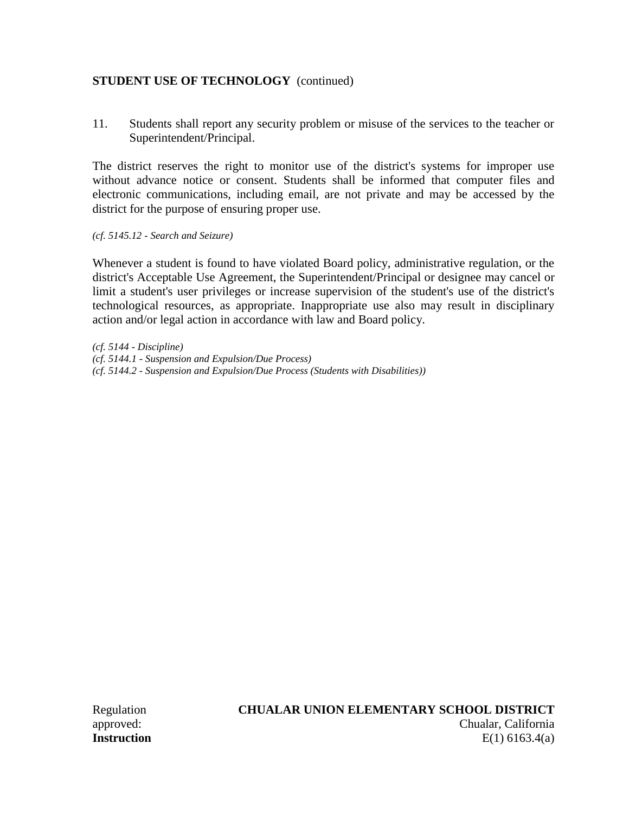## **STUDENT USE OF TECHNOLOGY** (continued)

11. Students shall report any security problem or misuse of the services to the teacher or Superintendent/Principal.

The district reserves the right to monitor use of the district's systems for improper use without advance notice or consent. Students shall be informed that computer files and electronic communications, including email, are not private and may be accessed by the district for the purpose of ensuring proper use.

*(cf. 5145.12 - Search and Seizure)*

Whenever a student is found to have violated Board policy, administrative regulation, or the district's Acceptable Use Agreement, the Superintendent/Principal or designee may cancel or limit a student's user privileges or increase supervision of the student's use of the district's technological resources, as appropriate. Inappropriate use also may result in disciplinary action and/or legal action in accordance with law and Board policy.

*(cf. 5144 - Discipline) (cf. 5144.1 - Suspension and Expulsion/Due Process) (cf. 5144.2 - Suspension and Expulsion/Due Process (Students with Disabilities))*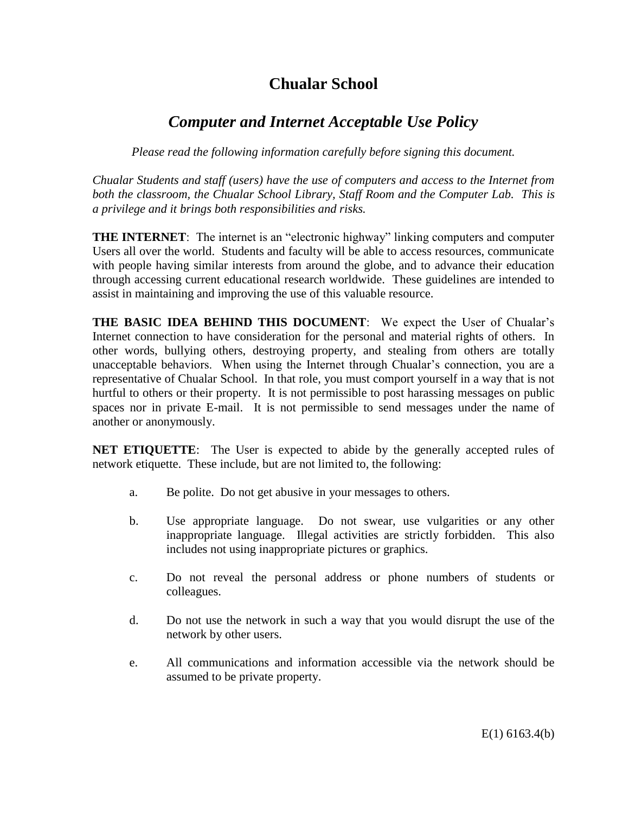# **Chualar School**

# *Computer and Internet Acceptable Use Policy*

*Please read the following information carefully before signing this document.*

*Chualar Students and staff (users) have the use of computers and access to the Internet from both the classroom, the Chualar School Library, Staff Room and the Computer Lab. This is a privilege and it brings both responsibilities and risks.*

**THE INTERNET**: The internet is an "electronic highway" linking computers and computer Users all over the world. Students and faculty will be able to access resources, communicate with people having similar interests from around the globe, and to advance their education through accessing current educational research worldwide. These guidelines are intended to assist in maintaining and improving the use of this valuable resource.

**THE BASIC IDEA BEHIND THIS DOCUMENT**: We expect the User of Chualar's Internet connection to have consideration for the personal and material rights of others. In other words, bullying others, destroying property, and stealing from others are totally unacceptable behaviors. When using the Internet through Chualar's connection, you are a representative of Chualar School. In that role, you must comport yourself in a way that is not hurtful to others or their property. It is not permissible to post harassing messages on public spaces nor in private E-mail. It is not permissible to send messages under the name of another or anonymously.

**NET ETIQUETTE**: The User is expected to abide by the generally accepted rules of network etiquette. These include, but are not limited to, the following:

- a. Be polite. Do not get abusive in your messages to others.
- b. Use appropriate language. Do not swear, use vulgarities or any other inappropriate language. Illegal activities are strictly forbidden. This also includes not using inappropriate pictures or graphics.
- c. Do not reveal the personal address or phone numbers of students or colleagues.
- d. Do not use the network in such a way that you would disrupt the use of the network by other users.
- e. All communications and information accessible via the network should be assumed to be private property.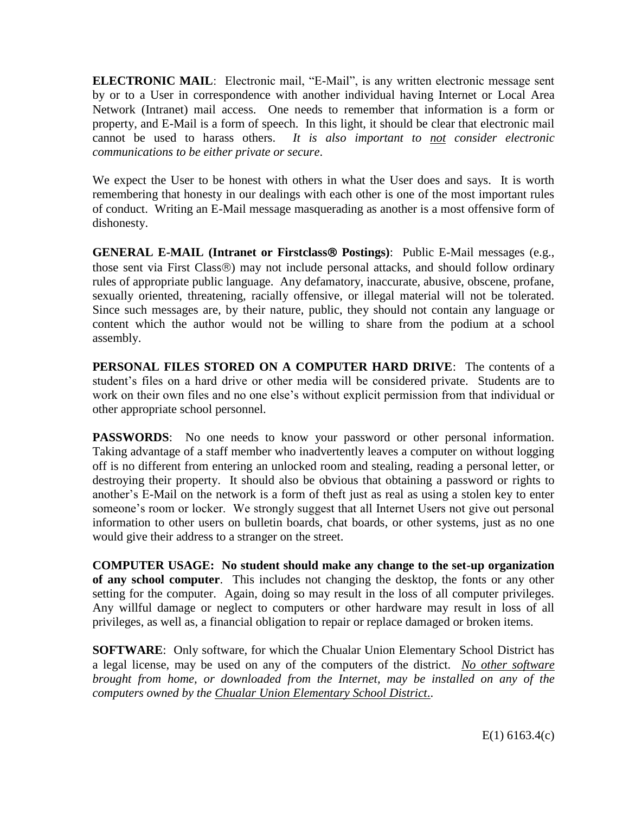**ELECTRONIC MAIL**: Electronic mail, "E-Mail", is any written electronic message sent by or to a User in correspondence with another individual having Internet or Local Area Network (Intranet) mail access. One needs to remember that information is a form or property, and E-Mail is a form of speech. In this light, it should be clear that electronic mail cannot be used to harass others. *It is also important to not consider electronic communications to be either private or secure*.

We expect the User to be honest with others in what the User does and says. It is worth remembering that honesty in our dealings with each other is one of the most important rules of conduct. Writing an E-Mail message masquerading as another is a most offensive form of dishonesty.

**GENERAL E-MAIL (Intranet or Firstclass Postings)**: Public E-Mail messages (e.g., those sent via First Class<sup>®</sup>) may not include personal attacks, and should follow ordinary rules of appropriate public language. Any defamatory, inaccurate, abusive, obscene, profane, sexually oriented, threatening, racially offensive, or illegal material will not be tolerated. Since such messages are, by their nature, public, they should not contain any language or content which the author would not be willing to share from the podium at a school assembly.

**PERSONAL FILES STORED ON A COMPUTER HARD DRIVE**: The contents of a student's files on a hard drive or other media will be considered private. Students are to work on their own files and no one else's without explicit permission from that individual or other appropriate school personnel.

**PASSWORDS:** No one needs to know your password or other personal information. Taking advantage of a staff member who inadvertently leaves a computer on without logging off is no different from entering an unlocked room and stealing, reading a personal letter, or destroying their property. It should also be obvious that obtaining a password or rights to another's E-Mail on the network is a form of theft just as real as using a stolen key to enter someone's room or locker. We strongly suggest that all Internet Users not give out personal information to other users on bulletin boards, chat boards, or other systems, just as no one would give their address to a stranger on the street.

**COMPUTER USAGE: No student should make any change to the set-up organization of any school computer**. This includes not changing the desktop, the fonts or any other setting for the computer. Again, doing so may result in the loss of all computer privileges. Any willful damage or neglect to computers or other hardware may result in loss of all privileges, as well as, a financial obligation to repair or replace damaged or broken items.

**SOFTWARE**: Only software, for which the Chualar Union Elementary School District has a legal license, may be used on any of the computers of the district. *No other software brought from home, or downloaded from the Internet, may be installed on any of the computers owned by the Chualar Union Elementary School District*..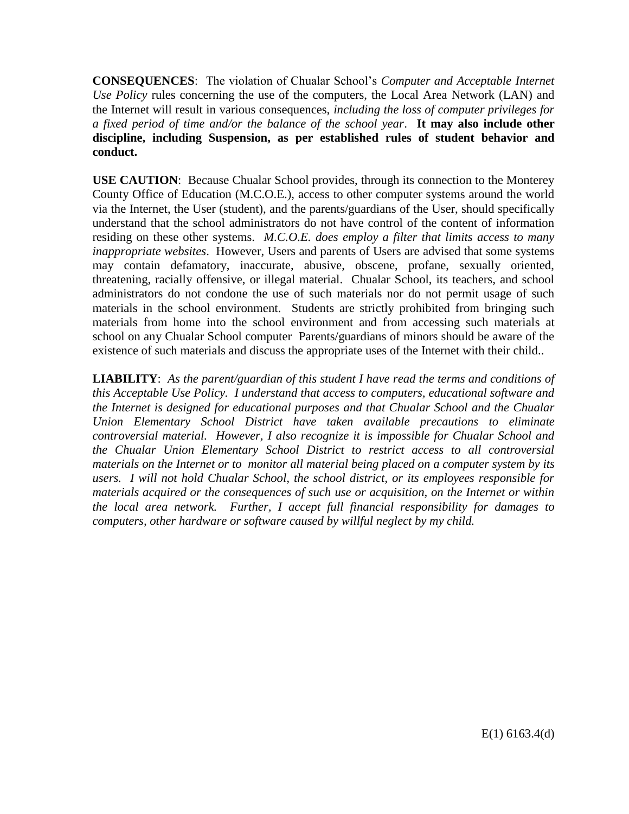**CONSEQUENCES**: The violation of Chualar School's *Computer and Acceptable Internet Use Policy* rules concerning the use of the computers, the Local Area Network (LAN) and the Internet will result in various consequences, *including the loss of computer privileges for a fixed period of time and/or the balance of the school year*. **It may also include other discipline, including Suspension, as per established rules of student behavior and conduct.**

**USE CAUTION**: Because Chualar School provides, through its connection to the Monterey County Office of Education (M.C.O.E.), access to other computer systems around the world via the Internet, the User (student), and the parents/guardians of the User, should specifically understand that the school administrators do not have control of the content of information residing on these other systems. *M.C.O.E. does employ a filter that limits access to many inappropriate websites*. However, Users and parents of Users are advised that some systems may contain defamatory, inaccurate, abusive, obscene, profane, sexually oriented, threatening, racially offensive, or illegal material. Chualar School, its teachers, and school administrators do not condone the use of such materials nor do not permit usage of such materials in the school environment. Students are strictly prohibited from bringing such materials from home into the school environment and from accessing such materials at school on any Chualar School computer Parents/guardians of minors should be aware of the existence of such materials and discuss the appropriate uses of the Internet with their child..

**LIABILITY**: *As the parent/guardian of this student I have read the terms and conditions of this Acceptable Use Policy. I understand that access to computers, educational software and the Internet is designed for educational purposes and that Chualar School and the Chualar Union Elementary School District have taken available precautions to eliminate controversial material. However, I also recognize it is impossible for Chualar School and the Chualar Union Elementary School District to restrict access to all controversial materials on the Internet or to monitor all material being placed on a computer system by its users. I will not hold Chualar School, the school district, or its employees responsible for materials acquired or the consequences of such use or acquisition, on the Internet or within the local area network. Further, I accept full financial responsibility for damages to computers, other hardware or software caused by willful neglect by my child.*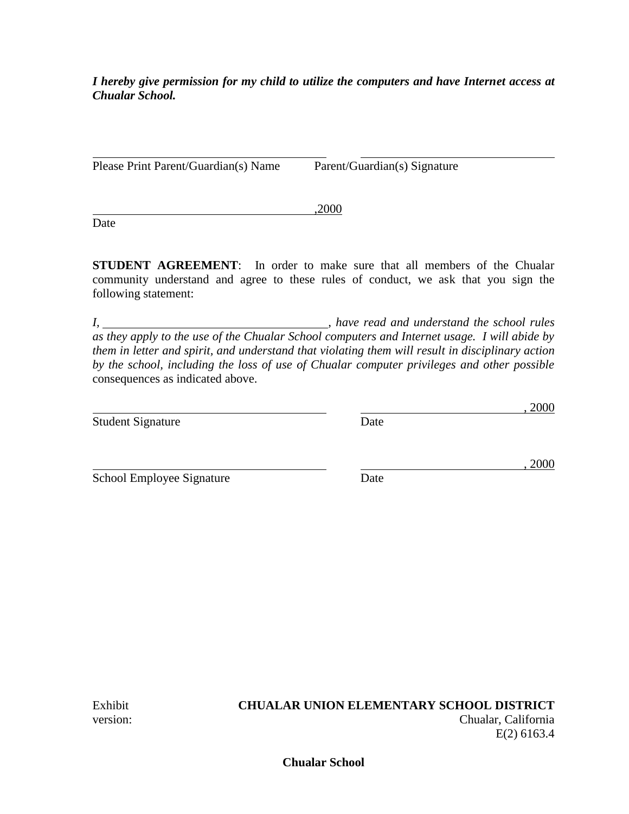*I hereby give permission for my child to utilize the computers and have Internet access at Chualar School.*

Please Print Parent/Guardian(s) Name Parent/Guardian(s) Signature

**Date** 

**STUDENT AGREEMENT**: In order to make sure that all members of the Chualar community understand and agree to these rules of conduct, we ask that you sign the following statement:

,2000

*I, , have read and understand the school rules as they apply to the use of the Chualar School computers and Internet usage. I will abide by them in letter and spirit, and understand that violating them will result in disciplinary action by the school, including the loss of use of Chualar computer privileges and other possible* consequences as indicated above.

Student Signature Date

School Employee Signature Date

#### Exhibit **CHUALAR UNION ELEMENTARY SCHOOL DISTRICT** version: Chualar, California E(2) 6163.4

**Chualar School**

, 2000

, 2000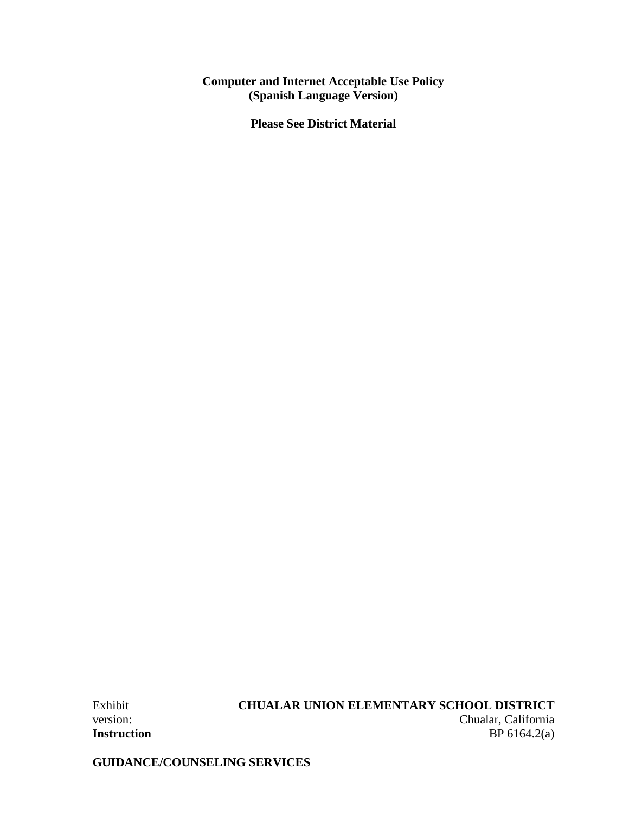#### **Computer and Internet Acceptable Use Policy (Spanish Language Version)**

**Please See District Material**

# Exhibit **CHUALAR UNION ELEMENTARY SCHOOL DISTRICT**

version: Chualar, California **Instruction** BP 6164.2(a)

**GUIDANCE/COUNSELING SERVICES**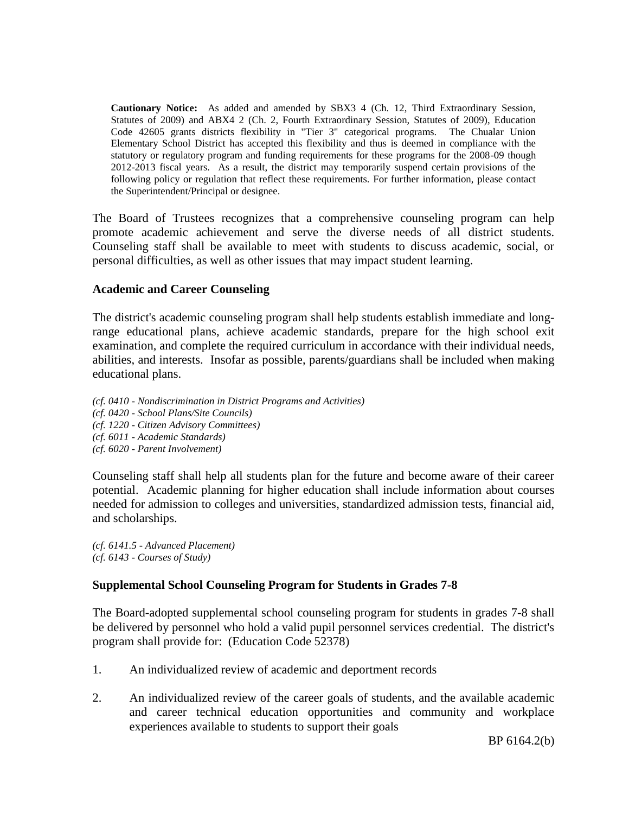**Cautionary Notice:** As added and amended by SBX3 4 (Ch. 12, Third Extraordinary Session, Statutes of 2009) and ABX4 2 (Ch. 2, Fourth Extraordinary Session, Statutes of 2009), Education Code 42605 grants districts flexibility in "Tier 3" categorical programs. The Chualar Union Elementary School District has accepted this flexibility and thus is deemed in compliance with the statutory or regulatory program and funding requirements for these programs for the 2008-09 though 2012-2013 fiscal years. As a result, the district may temporarily suspend certain provisions of the following policy or regulation that reflect these requirements. For further information, please contact the Superintendent/Principal or designee.

The Board of Trustees recognizes that a comprehensive counseling program can help promote academic achievement and serve the diverse needs of all district students. Counseling staff shall be available to meet with students to discuss academic, social, or personal difficulties, as well as other issues that may impact student learning.

#### **Academic and Career Counseling**

The district's academic counseling program shall help students establish immediate and longrange educational plans, achieve academic standards, prepare for the high school exit examination, and complete the required curriculum in accordance with their individual needs, abilities, and interests. Insofar as possible, parents/guardians shall be included when making educational plans.

*(cf. 0410 - Nondiscrimination in District Programs and Activities) (cf. 0420 - School Plans/Site Councils) (cf. 1220 - Citizen Advisory Committees) (cf. 6011 - Academic Standards) (cf. 6020 - Parent Involvement)*

Counseling staff shall help all students plan for the future and become aware of their career potential. Academic planning for higher education shall include information about courses needed for admission to colleges and universities, standardized admission tests, financial aid, and scholarships.

*(cf. 6141.5 - Advanced Placement) (cf. 6143 - Courses of Study)*

## **Supplemental School Counseling Program for Students in Grades 7-8**

The Board-adopted supplemental school counseling program for students in grades 7-8 shall be delivered by personnel who hold a valid pupil personnel services credential. The district's program shall provide for: (Education Code 52378)

- 1. An individualized review of academic and deportment records
- 2. An individualized review of the career goals of students, and the available academic and career technical education opportunities and community and workplace experiences available to students to support their goals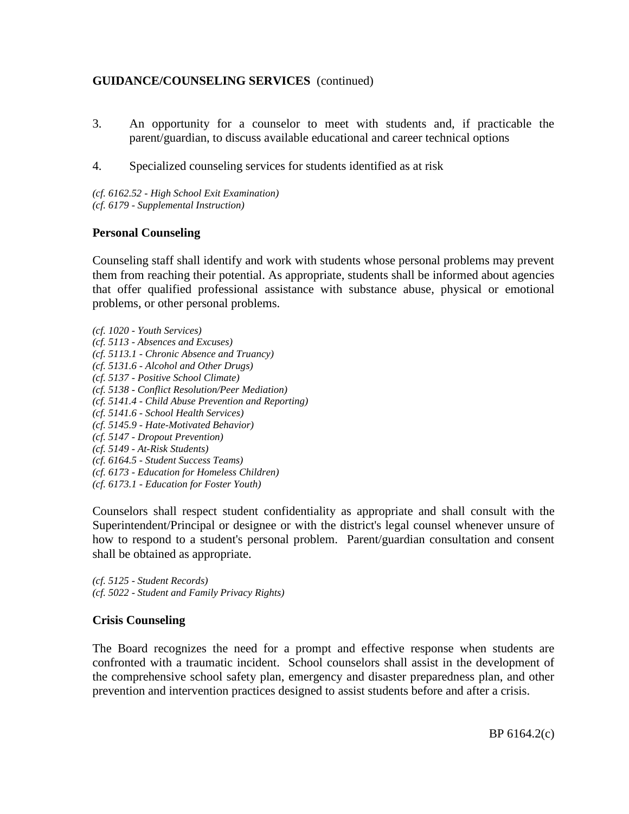- 3. An opportunity for a counselor to meet with students and, if practicable the parent/guardian, to discuss available educational and career technical options
- 4. Specialized counseling services for students identified as at risk

*(cf. 6162.52 - High School Exit Examination) (cf. 6179 - Supplemental Instruction)*

#### **Personal Counseling**

Counseling staff shall identify and work with students whose personal problems may prevent them from reaching their potential. As appropriate, students shall be informed about agencies that offer qualified professional assistance with substance abuse, physical or emotional problems, or other personal problems.

*(cf. 1020 - Youth Services) (cf. 5113 - Absences and Excuses) (cf. 5113.1 - Chronic Absence and Truancy) (cf. 5131.6 - Alcohol and Other Drugs) (cf. 5137 - Positive School Climate) (cf. 5138 - Conflict Resolution/Peer Mediation) (cf. 5141.4 - Child Abuse Prevention and Reporting) (cf. 5141.6 - School Health Services) (cf. 5145.9 - Hate-Motivated Behavior) (cf. 5147 - Dropout Prevention) (cf. 5149 - At-Risk Students) (cf. 6164.5 - Student Success Teams) (cf. 6173 - Education for Homeless Children) (cf. 6173.1 - Education for Foster Youth)*

Counselors shall respect student confidentiality as appropriate and shall consult with the Superintendent/Principal or designee or with the district's legal counsel whenever unsure of how to respond to a student's personal problem. Parent/guardian consultation and consent shall be obtained as appropriate.

*(cf. 5125 - Student Records) (cf. 5022 - Student and Family Privacy Rights)*

#### **Crisis Counseling**

The Board recognizes the need for a prompt and effective response when students are confronted with a traumatic incident. School counselors shall assist in the development of the comprehensive school safety plan, emergency and disaster preparedness plan, and other prevention and intervention practices designed to assist students before and after a crisis.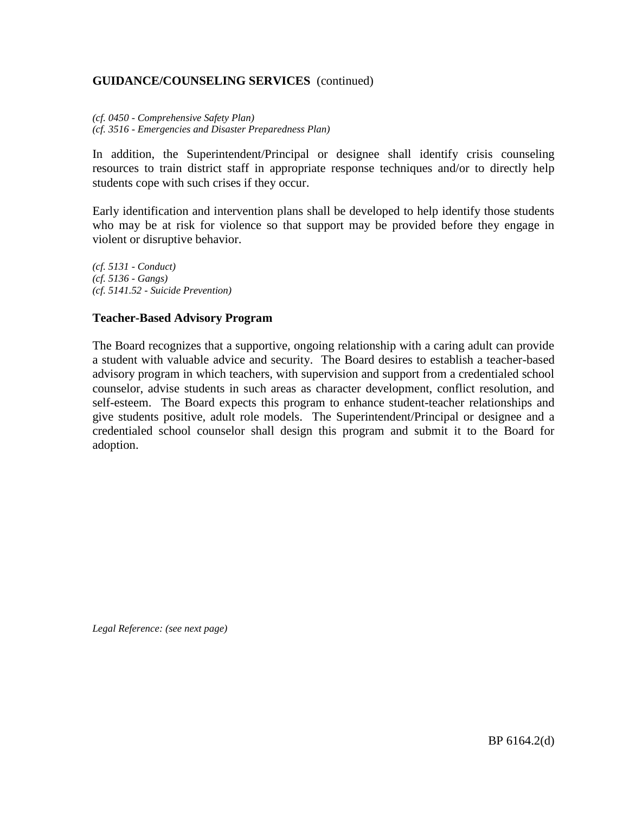*(cf. 0450 - Comprehensive Safety Plan) (cf. 3516 - Emergencies and Disaster Preparedness Plan)*

In addition, the Superintendent/Principal or designee shall identify crisis counseling resources to train district staff in appropriate response techniques and/or to directly help students cope with such crises if they occur.

Early identification and intervention plans shall be developed to help identify those students who may be at risk for violence so that support may be provided before they engage in violent or disruptive behavior.

*(cf. 5131 - Conduct) (cf. 5136 - Gangs) (cf. 5141.52 - Suicide Prevention)*

#### **Teacher-Based Advisory Program**

The Board recognizes that a supportive, ongoing relationship with a caring adult can provide a student with valuable advice and security. The Board desires to establish a teacher-based advisory program in which teachers, with supervision and support from a credentialed school counselor, advise students in such areas as character development, conflict resolution, and self-esteem. The Board expects this program to enhance student-teacher relationships and give students positive, adult role models. The Superintendent/Principal or designee and a credentialed school counselor shall design this program and submit it to the Board for adoption.

*Legal Reference: (see next page)*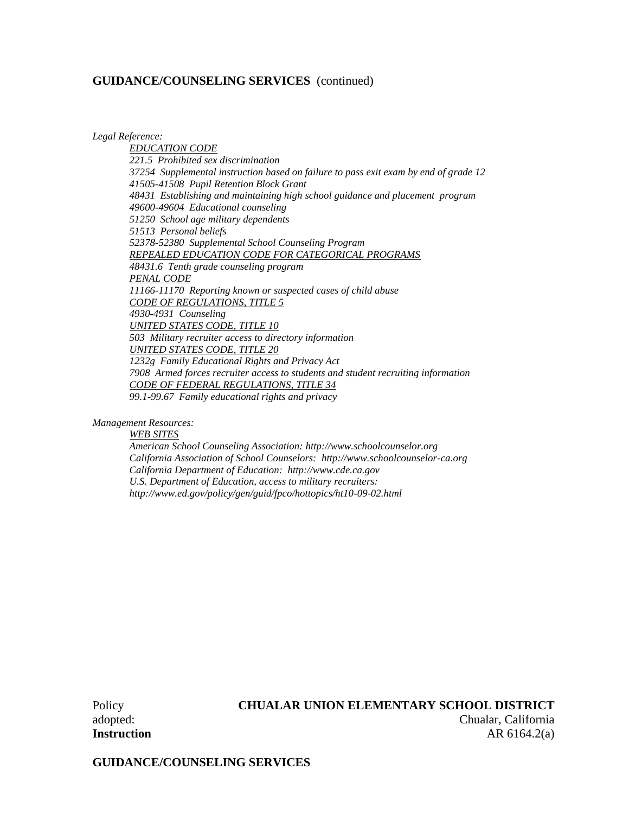*Legal Reference:*

*EDUCATION CODE 221.5 Prohibited sex discrimination 37254 Supplemental instruction based on failure to pass exit exam by end of grade 12 41505-41508 Pupil Retention Block Grant 48431 Establishing and maintaining high school guidance and placement program 49600-49604 Educational counseling 51250 School age military dependents 51513 Personal beliefs 52378-52380 Supplemental School Counseling Program REPEALED EDUCATION CODE FOR CATEGORICAL PROGRAMS 48431.6 Tenth grade counseling program PENAL CODE 11166-11170 Reporting known or suspected cases of child abuse CODE OF REGULATIONS, TITLE 5 4930-4931 Counseling UNITED STATES CODE, TITLE 10 503 Military recruiter access to directory information UNITED STATES CODE, TITLE 20 1232g Family Educational Rights and Privacy Act 7908 Armed forces recruiter access to students and student recruiting information CODE OF FEDERAL REGULATIONS, TITLE 34 99.1-99.67 Family educational rights and privacy*

*Management Resources:*

*WEB SITES American School Counseling Association: http://www.schoolcounselor.org California Association of School Counselors: http://www.schoolcounselor-ca.org California Department of Education: http://www.cde.ca.gov U.S. Department of Education, access to military recruiters: http://www.ed.gov/policy/gen/guid/fpco/hottopics/ht10-09-02.html*

#### Policy **CHUALAR UNION ELEMENTARY SCHOOL DISTRICT**

adopted: Chualar, California **Instruction** AR 6164.2(a)

**GUIDANCE/COUNSELING SERVICES**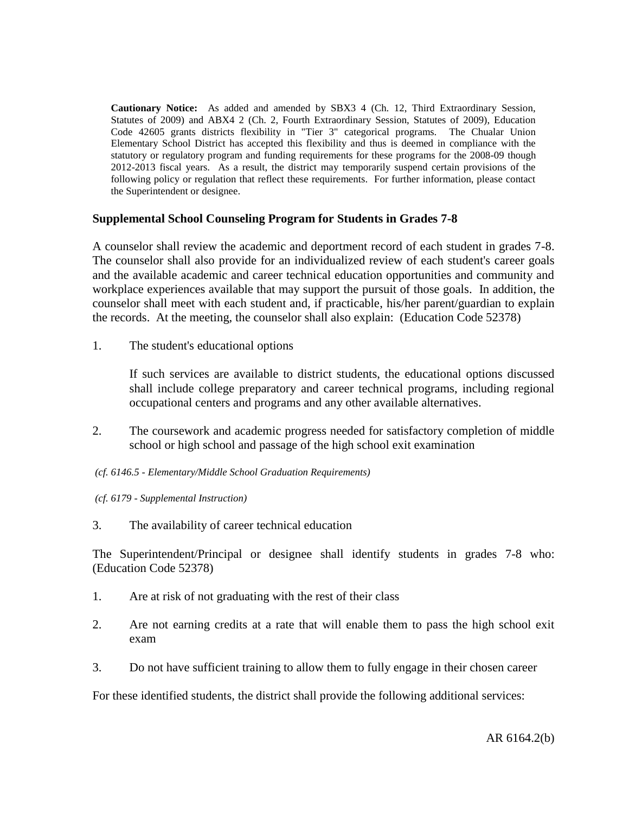**Cautionary Notice:** As added and amended by SBX3 4 (Ch. 12, Third Extraordinary Session, Statutes of 2009) and ABX4 2 (Ch. 2, Fourth Extraordinary Session, Statutes of 2009), Education Code 42605 grants districts flexibility in "Tier 3" categorical programs. The Chualar Union Elementary School District has accepted this flexibility and thus is deemed in compliance with the statutory or regulatory program and funding requirements for these programs for the 2008-09 though 2012-2013 fiscal years. As a result, the district may temporarily suspend certain provisions of the following policy or regulation that reflect these requirements. For further information, please contact the Superintendent or designee.

#### **Supplemental School Counseling Program for Students in Grades 7-8**

A counselor shall review the academic and deportment record of each student in grades 7-8. The counselor shall also provide for an individualized review of each student's career goals and the available academic and career technical education opportunities and community and workplace experiences available that may support the pursuit of those goals. In addition, the counselor shall meet with each student and, if practicable, his/her parent/guardian to explain the records. At the meeting, the counselor shall also explain: (Education Code 52378)

1. The student's educational options

If such services are available to district students, the educational options discussed shall include college preparatory and career technical programs, including regional occupational centers and programs and any other available alternatives.

- 2. The coursework and academic progress needed for satisfactory completion of middle school or high school and passage of the high school exit examination
- *(cf. 6146.5 - Elementary/Middle School Graduation Requirements)*
- *(cf. 6179 - Supplemental Instruction)*
- 3. The availability of career technical education

The Superintendent/Principal or designee shall identify students in grades 7-8 who: (Education Code 52378)

- 1. Are at risk of not graduating with the rest of their class
- 2. Are not earning credits at a rate that will enable them to pass the high school exit exam
- 3. Do not have sufficient training to allow them to fully engage in their chosen career

For these identified students, the district shall provide the following additional services: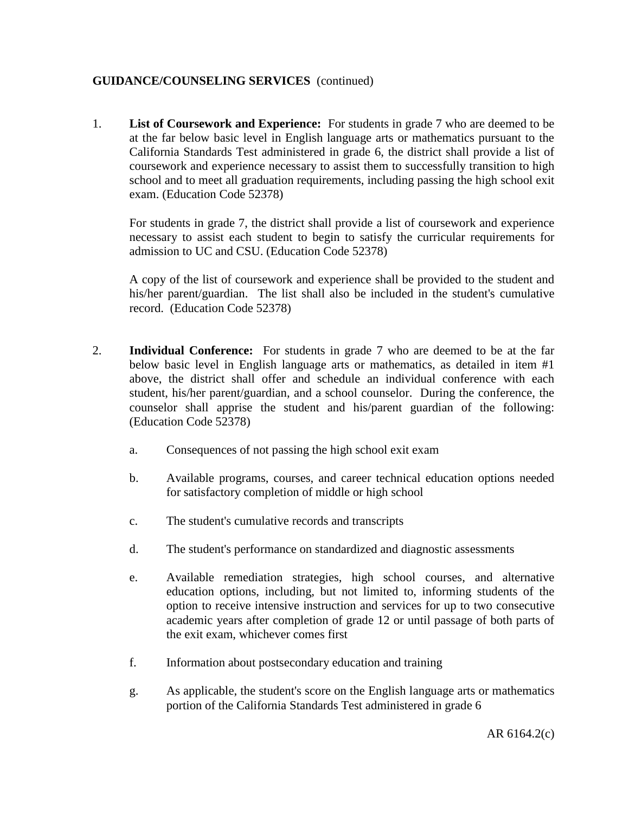1. **List of Coursework and Experience:** For students in grade 7 who are deemed to be at the far below basic level in English language arts or mathematics pursuant to the California Standards Test administered in grade 6, the district shall provide a list of coursework and experience necessary to assist them to successfully transition to high school and to meet all graduation requirements, including passing the high school exit exam. (Education Code 52378)

For students in grade 7, the district shall provide a list of coursework and experience necessary to assist each student to begin to satisfy the curricular requirements for admission to UC and CSU. (Education Code 52378)

A copy of the list of coursework and experience shall be provided to the student and his/her parent/guardian. The list shall also be included in the student's cumulative record. (Education Code 52378)

- 2. **Individual Conference:** For students in grade 7 who are deemed to be at the far below basic level in English language arts or mathematics, as detailed in item #1 above, the district shall offer and schedule an individual conference with each student, his/her parent/guardian, and a school counselor. During the conference, the counselor shall apprise the student and his/parent guardian of the following: (Education Code 52378)
	- a. Consequences of not passing the high school exit exam
	- b. Available programs, courses, and career technical education options needed for satisfactory completion of middle or high school
	- c. The student's cumulative records and transcripts
	- d. The student's performance on standardized and diagnostic assessments
	- e. Available remediation strategies, high school courses, and alternative education options, including, but not limited to, informing students of the option to receive intensive instruction and services for up to two consecutive academic years after completion of grade 12 or until passage of both parts of the exit exam, whichever comes first
	- f. Information about postsecondary education and training
	- g. As applicable, the student's score on the English language arts or mathematics portion of the California Standards Test administered in grade 6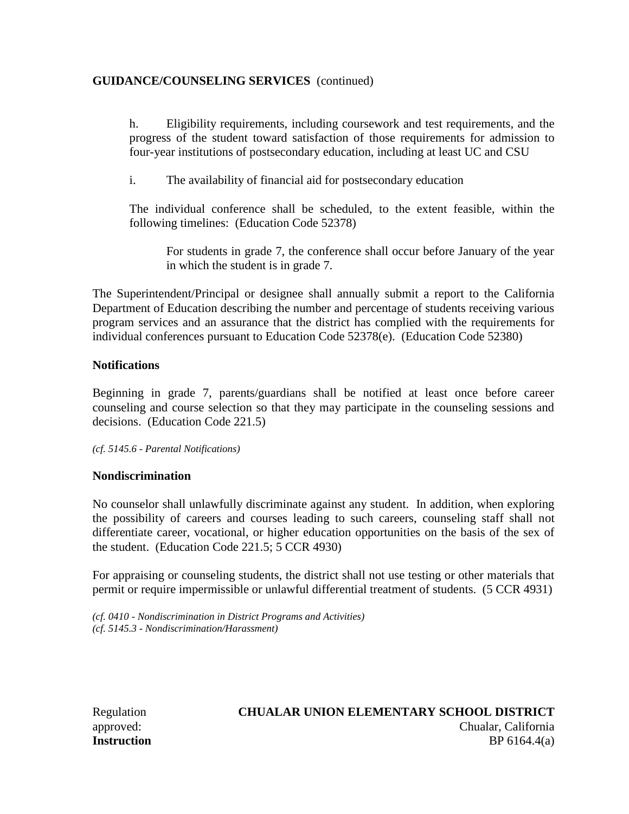h. Eligibility requirements, including coursework and test requirements, and the progress of the student toward satisfaction of those requirements for admission to four-year institutions of postsecondary education, including at least UC and CSU

i. The availability of financial aid for postsecondary education

The individual conference shall be scheduled, to the extent feasible, within the following timelines: (Education Code 52378)

For students in grade 7, the conference shall occur before January of the year in which the student is in grade 7.

The Superintendent/Principal or designee shall annually submit a report to the California Department of Education describing the number and percentage of students receiving various program services and an assurance that the district has complied with the requirements for individual conferences pursuant to Education Code 52378(e). (Education Code 52380)

#### **Notifications**

Beginning in grade 7, parents/guardians shall be notified at least once before career counseling and course selection so that they may participate in the counseling sessions and decisions. (Education Code 221.5)

*(cf. 5145.6 - Parental Notifications)*

#### **Nondiscrimination**

No counselor shall unlawfully discriminate against any student. In addition, when exploring the possibility of careers and courses leading to such careers, counseling staff shall not differentiate career, vocational, or higher education opportunities on the basis of the sex of the student. (Education Code 221.5; 5 CCR 4930)

For appraising or counseling students, the district shall not use testing or other materials that permit or require impermissible or unlawful differential treatment of students. (5 CCR 4931)

*(cf. 0410 - Nondiscrimination in District Programs and Activities) (cf. 5145.3 - Nondiscrimination/Harassment)*

## Regulation **CHUALAR UNION ELEMENTARY SCHOOL DISTRICT** approved: Chualar, California **Instruction** BP 6164.4(a)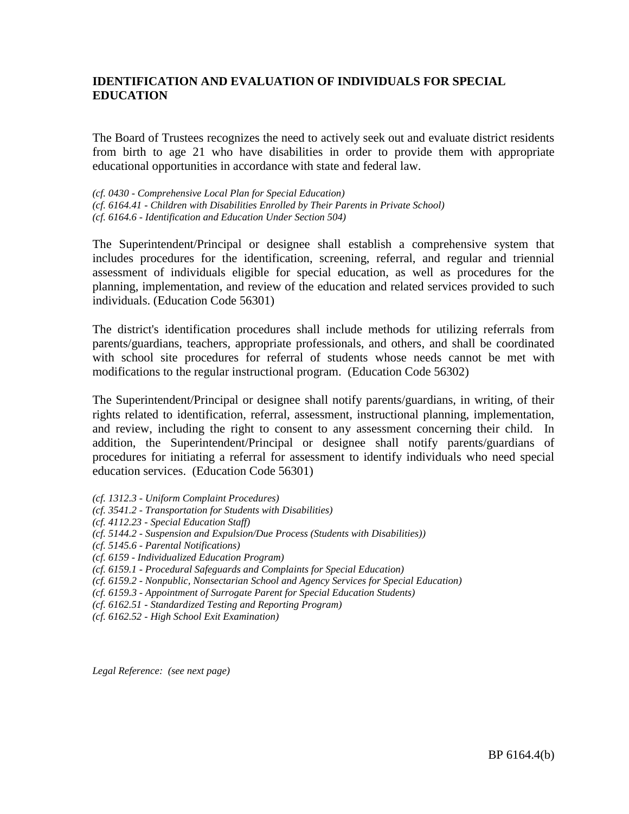The Board of Trustees recognizes the need to actively seek out and evaluate district residents from birth to age 21 who have disabilities in order to provide them with appropriate educational opportunities in accordance with state and federal law.

*(cf. 0430 - Comprehensive Local Plan for Special Education) (cf. 6164.41 - Children with Disabilities Enrolled by Their Parents in Private School) (cf. 6164.6 - Identification and Education Under Section 504)*

The Superintendent/Principal or designee shall establish a comprehensive system that includes procedures for the identification, screening, referral, and regular and triennial assessment of individuals eligible for special education, as well as procedures for the planning, implementation, and review of the education and related services provided to such individuals. (Education Code 56301)

The district's identification procedures shall include methods for utilizing referrals from parents/guardians, teachers, appropriate professionals, and others, and shall be coordinated with school site procedures for referral of students whose needs cannot be met with modifications to the regular instructional program. (Education Code 56302)

The Superintendent/Principal or designee shall notify parents/guardians, in writing, of their rights related to identification, referral, assessment, instructional planning, implementation, and review, including the right to consent to any assessment concerning their child. In addition, the Superintendent/Principal or designee shall notify parents/guardians of procedures for initiating a referral for assessment to identify individuals who need special education services. (Education Code 56301)

- *(cf. 1312.3 - Uniform Complaint Procedures)*
- *(cf. 3541.2 - Transportation for Students with Disabilities)*
- *(cf. 4112.23 - Special Education Staff)*
- *(cf. 5144.2 - Suspension and Expulsion/Due Process (Students with Disabilities))*
- *(cf. 5145.6 - Parental Notifications)*
- *(cf. 6159 - Individualized Education Program)*
- *(cf. 6159.1 - Procedural Safeguards and Complaints for Special Education)*
- *(cf. 6159.2 - Nonpublic, Nonsectarian School and Agency Services for Special Education)*
- *(cf. 6159.3 - Appointment of Surrogate Parent for Special Education Students)*
- *(cf. 6162.51 - Standardized Testing and Reporting Program)*
- *(cf. 6162.52 - High School Exit Examination)*

*Legal Reference: (see next page)*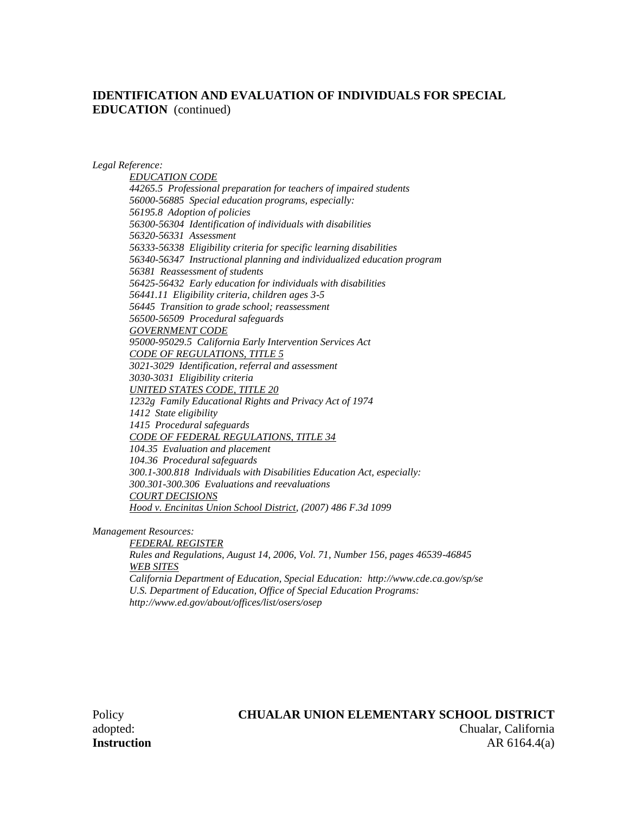*Legal Reference:*

*EDUCATION CODE 44265.5 Professional preparation for teachers of impaired students 56000-56885 Special education programs, especially: 56195.8 Adoption of policies 56300-56304 Identification of individuals with disabilities 56320-56331 Assessment 56333-56338 Eligibility criteria for specific learning disabilities 56340-56347 Instructional planning and individualized education program 56381 Reassessment of students 56425-56432 Early education for individuals with disabilities 56441.11 Eligibility criteria, children ages 3-5 56445 Transition to grade school; reassessment 56500-56509 Procedural safeguards GOVERNMENT CODE 95000-95029.5 California Early Intervention Services Act CODE OF REGULATIONS, TITLE 5 3021-3029 Identification, referral and assessment 3030-3031 Eligibility criteria UNITED STATES CODE, TITLE 20 1232g Family Educational Rights and Privacy Act of 1974 1412 State eligibility 1415 Procedural safeguards CODE OF FEDERAL REGULATIONS, TITLE 34 104.35 Evaluation and placement 104.36 Procedural safeguards 300.1-300.818 Individuals with Disabilities Education Act, especially: 300.301-300.306 Evaluations and reevaluations COURT DECISIONS Hood v. Encinitas Union School District, (2007) 486 F.3d 1099*

*Management Resources:*

*FEDERAL REGISTER Rules and Regulations, August 14, 2006, Vol. 71, Number 156, pages 46539-46845 WEB SITES California Department of Education, Special Education: http://www.cde.ca.gov/sp/se U.S. Department of Education, Office of Special Education Programs: http://www.ed.gov/about/offices/list/osers/osep*

# Policy **CHUALAR UNION ELEMENTARY SCHOOL DISTRICT**

adopted: Chualar, California **Instruction** AR 6164.4(a)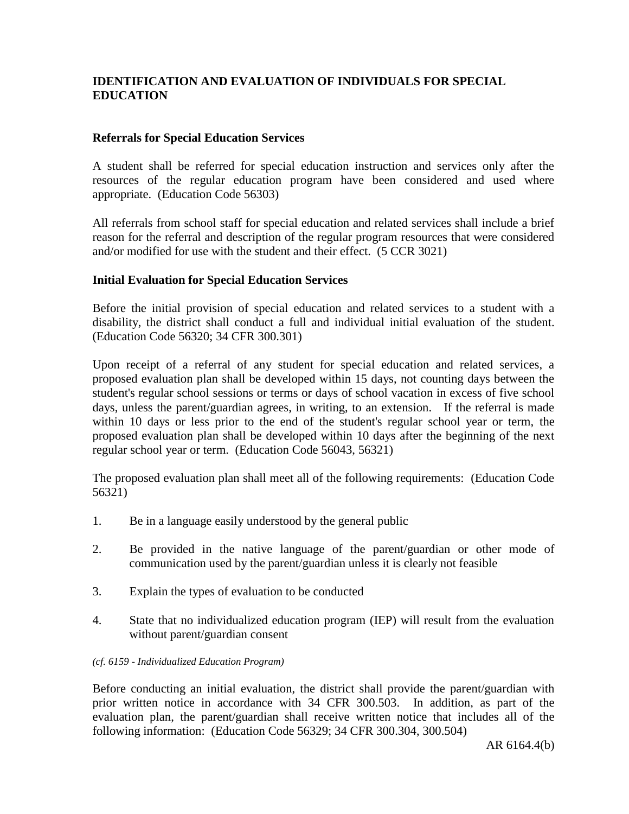#### **Referrals for Special Education Services**

A student shall be referred for special education instruction and services only after the resources of the regular education program have been considered and used where appropriate. (Education Code 56303)

All referrals from school staff for special education and related services shall include a brief reason for the referral and description of the regular program resources that were considered and/or modified for use with the student and their effect. (5 CCR 3021)

## **Initial Evaluation for Special Education Services**

Before the initial provision of special education and related services to a student with a disability, the district shall conduct a full and individual initial evaluation of the student. (Education Code 56320; 34 CFR 300.301)

Upon receipt of a referral of any student for special education and related services, a proposed evaluation plan shall be developed within 15 days, not counting days between the student's regular school sessions or terms or days of school vacation in excess of five school days, unless the parent/guardian agrees, in writing, to an extension. If the referral is made within 10 days or less prior to the end of the student's regular school year or term, the proposed evaluation plan shall be developed within 10 days after the beginning of the next regular school year or term. (Education Code 56043, 56321)

The proposed evaluation plan shall meet all of the following requirements: (Education Code 56321)

- 1. Be in a language easily understood by the general public
- 2. Be provided in the native language of the parent/guardian or other mode of communication used by the parent/guardian unless it is clearly not feasible
- 3. Explain the types of evaluation to be conducted
- 4. State that no individualized education program (IEP) will result from the evaluation without parent/guardian consent

#### *(cf. 6159 - Individualized Education Program)*

Before conducting an initial evaluation, the district shall provide the parent/guardian with prior written notice in accordance with 34 CFR 300.503. In addition, as part of the evaluation plan, the parent/guardian shall receive written notice that includes all of the following information: (Education Code 56329; 34 CFR 300.304, 300.504)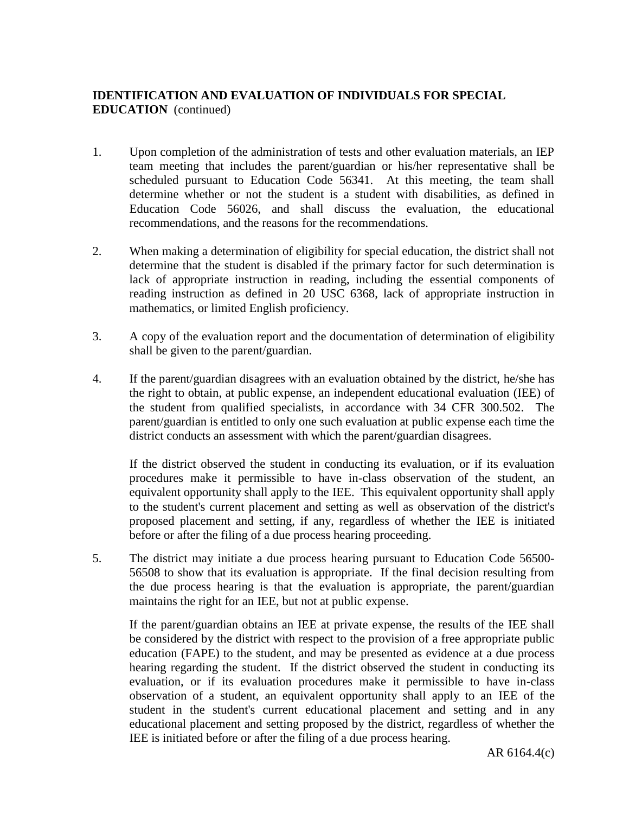- 1. Upon completion of the administration of tests and other evaluation materials, an IEP team meeting that includes the parent/guardian or his/her representative shall be scheduled pursuant to Education Code 56341. At this meeting, the team shall determine whether or not the student is a student with disabilities, as defined in Education Code 56026, and shall discuss the evaluation, the educational recommendations, and the reasons for the recommendations.
- 2. When making a determination of eligibility for special education, the district shall not determine that the student is disabled if the primary factor for such determination is lack of appropriate instruction in reading, including the essential components of reading instruction as defined in 20 USC 6368, lack of appropriate instruction in mathematics, or limited English proficiency.
- 3. A copy of the evaluation report and the documentation of determination of eligibility shall be given to the parent/guardian.
- 4. If the parent/guardian disagrees with an evaluation obtained by the district, he/she has the right to obtain, at public expense, an independent educational evaluation (IEE) of the student from qualified specialists, in accordance with 34 CFR 300.502. The parent/guardian is entitled to only one such evaluation at public expense each time the district conducts an assessment with which the parent/guardian disagrees.

If the district observed the student in conducting its evaluation, or if its evaluation procedures make it permissible to have in-class observation of the student, an equivalent opportunity shall apply to the IEE. This equivalent opportunity shall apply to the student's current placement and setting as well as observation of the district's proposed placement and setting, if any, regardless of whether the IEE is initiated before or after the filing of a due process hearing proceeding.

5. The district may initiate a due process hearing pursuant to Education Code 56500- 56508 to show that its evaluation is appropriate. If the final decision resulting from the due process hearing is that the evaluation is appropriate, the parent/guardian maintains the right for an IEE, but not at public expense.

If the parent/guardian obtains an IEE at private expense, the results of the IEE shall be considered by the district with respect to the provision of a free appropriate public education (FAPE) to the student, and may be presented as evidence at a due process hearing regarding the student. If the district observed the student in conducting its evaluation, or if its evaluation procedures make it permissible to have in-class observation of a student, an equivalent opportunity shall apply to an IEE of the student in the student's current educational placement and setting and in any educational placement and setting proposed by the district, regardless of whether the IEE is initiated before or after the filing of a due process hearing.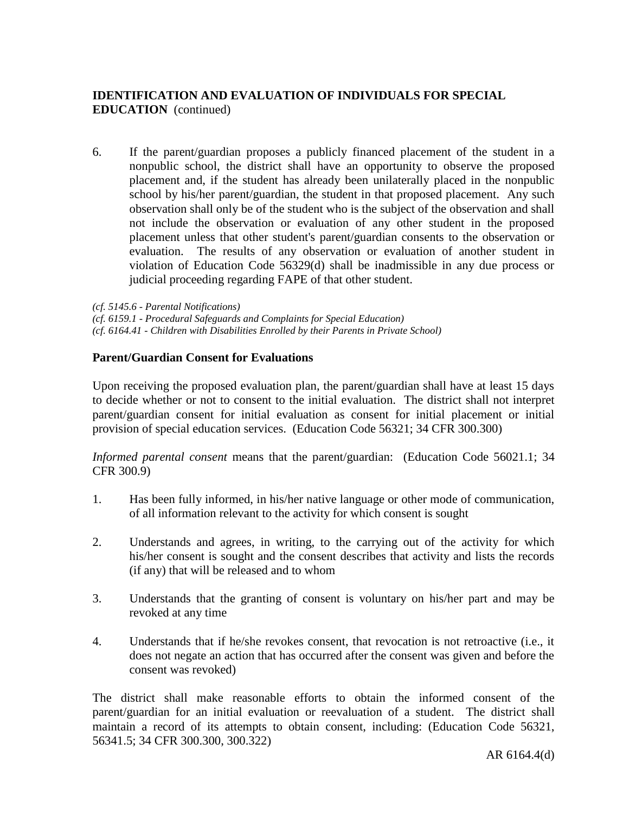6. If the parent/guardian proposes a publicly financed placement of the student in a nonpublic school, the district shall have an opportunity to observe the proposed placement and, if the student has already been unilaterally placed in the nonpublic school by his/her parent/guardian, the student in that proposed placement. Any such observation shall only be of the student who is the subject of the observation and shall not include the observation or evaluation of any other student in the proposed placement unless that other student's parent/guardian consents to the observation or evaluation. The results of any observation or evaluation of another student in violation of Education Code 56329(d) shall be inadmissible in any due process or judicial proceeding regarding FAPE of that other student.

*(cf. 5145.6 - Parental Notifications)*

*(cf. 6159.1 - Procedural Safeguards and Complaints for Special Education)*

*(cf. 6164.41 - Children with Disabilities Enrolled by their Parents in Private School)*

## **Parent/Guardian Consent for Evaluations**

Upon receiving the proposed evaluation plan, the parent/guardian shall have at least 15 days to decide whether or not to consent to the initial evaluation. The district shall not interpret parent/guardian consent for initial evaluation as consent for initial placement or initial provision of special education services. (Education Code 56321; 34 CFR 300.300)

*Informed parental consent* means that the parent/guardian: (Education Code 56021.1; 34 CFR 300.9)

- 1. Has been fully informed, in his/her native language or other mode of communication, of all information relevant to the activity for which consent is sought
- 2. Understands and agrees, in writing, to the carrying out of the activity for which his/her consent is sought and the consent describes that activity and lists the records (if any) that will be released and to whom
- 3. Understands that the granting of consent is voluntary on his/her part and may be revoked at any time
- 4. Understands that if he/she revokes consent, that revocation is not retroactive (i.e., it does not negate an action that has occurred after the consent was given and before the consent was revoked)

The district shall make reasonable efforts to obtain the informed consent of the parent/guardian for an initial evaluation or reevaluation of a student. The district shall maintain a record of its attempts to obtain consent, including: (Education Code 56321, 56341.5; 34 CFR 300.300, 300.322)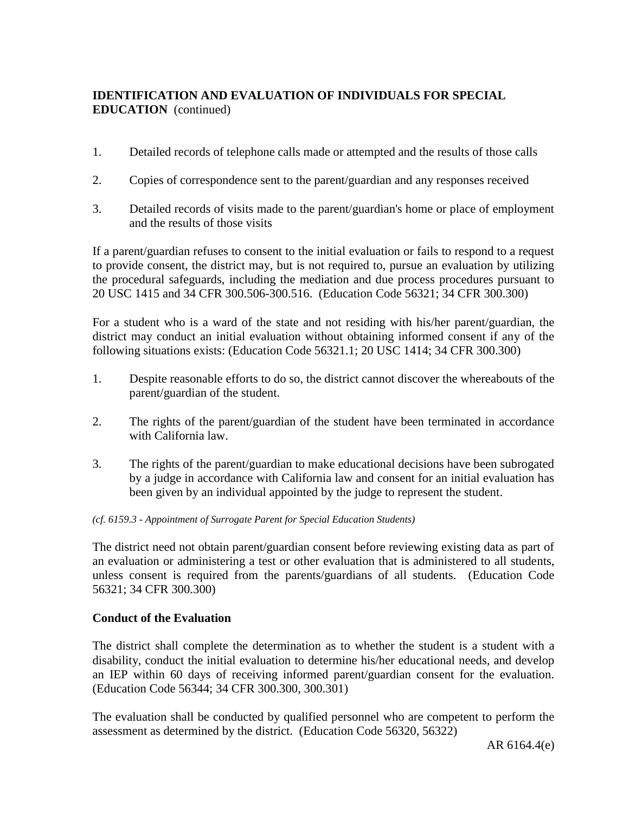- 1. Detailed records of telephone calls made or attempted and the results of those calls
- 2. Copies of correspondence sent to the parent/guardian and any responses received
- 3. Detailed records of visits made to the parent/guardian's home or place of employment and the results of those visits

If a parent/guardian refuses to consent to the initial evaluation or fails to respond to a request to provide consent, the district may, but is not required to, pursue an evaluation by utilizing the procedural safeguards, including the mediation and due process procedures pursuant to 20 USC 1415 and 34 CFR 300.506-300.516. (Education Code 56321; 34 CFR 300.300)

For a student who is a ward of the state and not residing with his/her parent/guardian, the district may conduct an initial evaluation without obtaining informed consent if any of the following situations exists: (Education Code 56321.1; 20 USC 1414; 34 CFR 300.300)

- 1. Despite reasonable efforts to do so, the district cannot discover the whereabouts of the parent/guardian of the student.
- 2. The rights of the parent/guardian of the student have been terminated in accordance with California law
- 3. The rights of the parent/guardian to make educational decisions have been subrogated by a judge in accordance with California law and consent for an initial evaluation has been given by an individual appointed by the judge to represent the student.

#### *(cf. 6159.3 - Appointment of Surrogate Parent for Special Education Students)*

The district need not obtain parent/guardian consent before reviewing existing data as part of an evaluation or administering a test or other evaluation that is administered to all students, unless consent is required from the parents/guardians of all students. (Education Code 56321; 34 CFR 300.300)

#### **Conduct of the Evaluation**

The district shall complete the determination as to whether the student is a student with a disability, conduct the initial evaluation to determine his/her educational needs, and develop an IEP within 60 days of receiving informed parent/guardian consent for the evaluation. (Education Code 56344; 34 CFR 300.300, 300.301)

The evaluation shall be conducted by qualified personnel who are competent to perform the assessment as determined by the district. (Education Code 56320, 56322)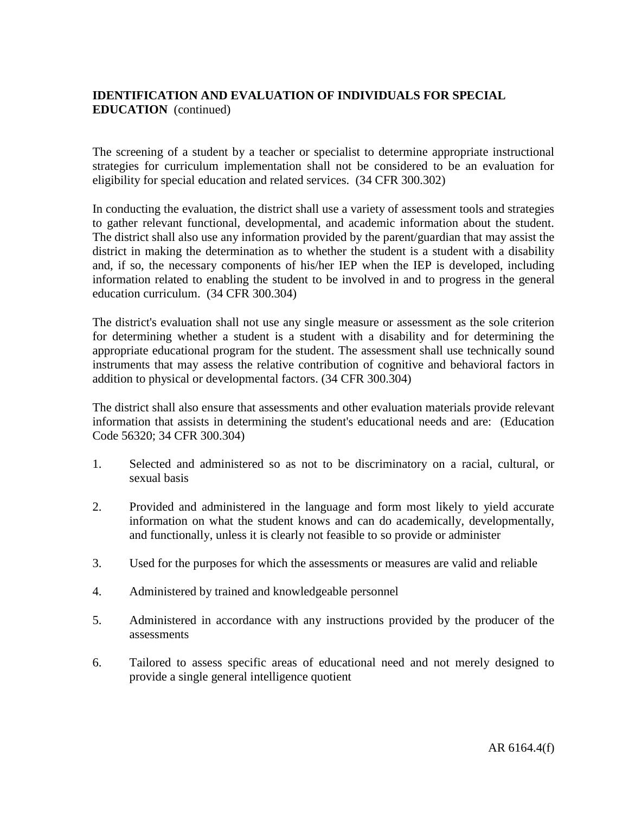The screening of a student by a teacher or specialist to determine appropriate instructional strategies for curriculum implementation shall not be considered to be an evaluation for eligibility for special education and related services. (34 CFR 300.302)

In conducting the evaluation, the district shall use a variety of assessment tools and strategies to gather relevant functional, developmental, and academic information about the student. The district shall also use any information provided by the parent/guardian that may assist the district in making the determination as to whether the student is a student with a disability and, if so, the necessary components of his/her IEP when the IEP is developed, including information related to enabling the student to be involved in and to progress in the general education curriculum. (34 CFR 300.304)

The district's evaluation shall not use any single measure or assessment as the sole criterion for determining whether a student is a student with a disability and for determining the appropriate educational program for the student. The assessment shall use technically sound instruments that may assess the relative contribution of cognitive and behavioral factors in addition to physical or developmental factors. (34 CFR 300.304)

The district shall also ensure that assessments and other evaluation materials provide relevant information that assists in determining the student's educational needs and are: (Education Code 56320; 34 CFR 300.304)

- 1. Selected and administered so as not to be discriminatory on a racial, cultural, or sexual basis
- 2. Provided and administered in the language and form most likely to yield accurate information on what the student knows and can do academically, developmentally, and functionally, unless it is clearly not feasible to so provide or administer
- 3. Used for the purposes for which the assessments or measures are valid and reliable
- 4. Administered by trained and knowledgeable personnel
- 5. Administered in accordance with any instructions provided by the producer of the assessments
- 6. Tailored to assess specific areas of educational need and not merely designed to provide a single general intelligence quotient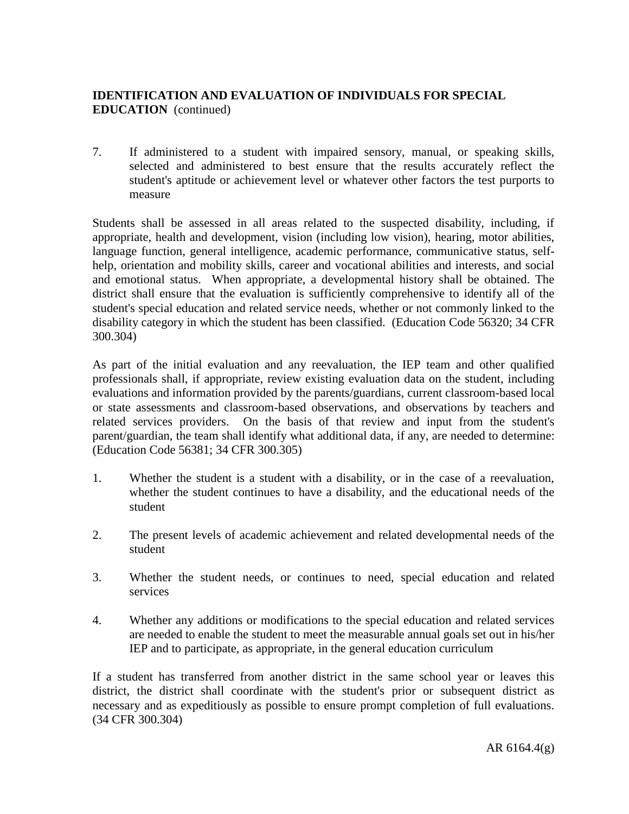7. If administered to a student with impaired sensory, manual, or speaking skills, selected and administered to best ensure that the results accurately reflect the student's aptitude or achievement level or whatever other factors the test purports to measure

Students shall be assessed in all areas related to the suspected disability, including, if appropriate, health and development, vision (including low vision), hearing, motor abilities, language function, general intelligence, academic performance, communicative status, selfhelp, orientation and mobility skills, career and vocational abilities and interests, and social and emotional status. When appropriate, a developmental history shall be obtained. The district shall ensure that the evaluation is sufficiently comprehensive to identify all of the student's special education and related service needs, whether or not commonly linked to the disability category in which the student has been classified. (Education Code 56320; 34 CFR 300.304)

As part of the initial evaluation and any reevaluation, the IEP team and other qualified professionals shall, if appropriate, review existing evaluation data on the student, including evaluations and information provided by the parents/guardians, current classroom-based local or state assessments and classroom-based observations, and observations by teachers and related services providers. On the basis of that review and input from the student's parent/guardian, the team shall identify what additional data, if any, are needed to determine: (Education Code 56381; 34 CFR 300.305)

- 1. Whether the student is a student with a disability, or in the case of a reevaluation, whether the student continues to have a disability, and the educational needs of the student
- 2. The present levels of academic achievement and related developmental needs of the student
- 3. Whether the student needs, or continues to need, special education and related services
- 4. Whether any additions or modifications to the special education and related services are needed to enable the student to meet the measurable annual goals set out in his/her IEP and to participate, as appropriate, in the general education curriculum

If a student has transferred from another district in the same school year or leaves this district, the district shall coordinate with the student's prior or subsequent district as necessary and as expeditiously as possible to ensure prompt completion of full evaluations. (34 CFR 300.304)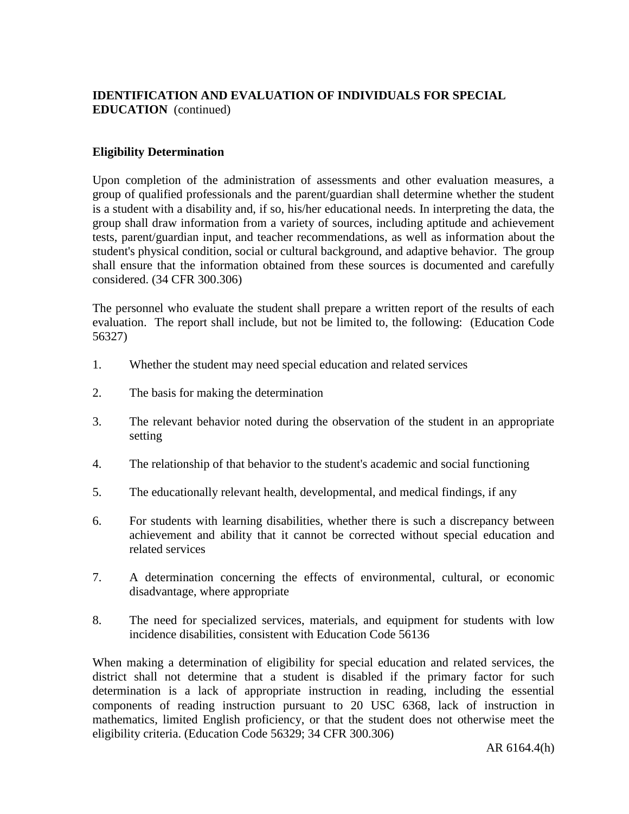## **Eligibility Determination**

Upon completion of the administration of assessments and other evaluation measures, a group of qualified professionals and the parent/guardian shall determine whether the student is a student with a disability and, if so, his/her educational needs. In interpreting the data, the group shall draw information from a variety of sources, including aptitude and achievement tests, parent/guardian input, and teacher recommendations, as well as information about the student's physical condition, social or cultural background, and adaptive behavior. The group shall ensure that the information obtained from these sources is documented and carefully considered. (34 CFR 300.306)

The personnel who evaluate the student shall prepare a written report of the results of each evaluation. The report shall include, but not be limited to, the following: (Education Code 56327)

- 1. Whether the student may need special education and related services
- 2. The basis for making the determination
- 3. The relevant behavior noted during the observation of the student in an appropriate setting
- 4. The relationship of that behavior to the student's academic and social functioning
- 5. The educationally relevant health, developmental, and medical findings, if any
- 6. For students with learning disabilities, whether there is such a discrepancy between achievement and ability that it cannot be corrected without special education and related services
- 7. A determination concerning the effects of environmental, cultural, or economic disadvantage, where appropriate
- 8. The need for specialized services, materials, and equipment for students with low incidence disabilities, consistent with Education Code 56136

When making a determination of eligibility for special education and related services, the district shall not determine that a student is disabled if the primary factor for such determination is a lack of appropriate instruction in reading, including the essential components of reading instruction pursuant to 20 USC 6368, lack of instruction in mathematics, limited English proficiency, or that the student does not otherwise meet the eligibility criteria. (Education Code 56329; 34 CFR 300.306)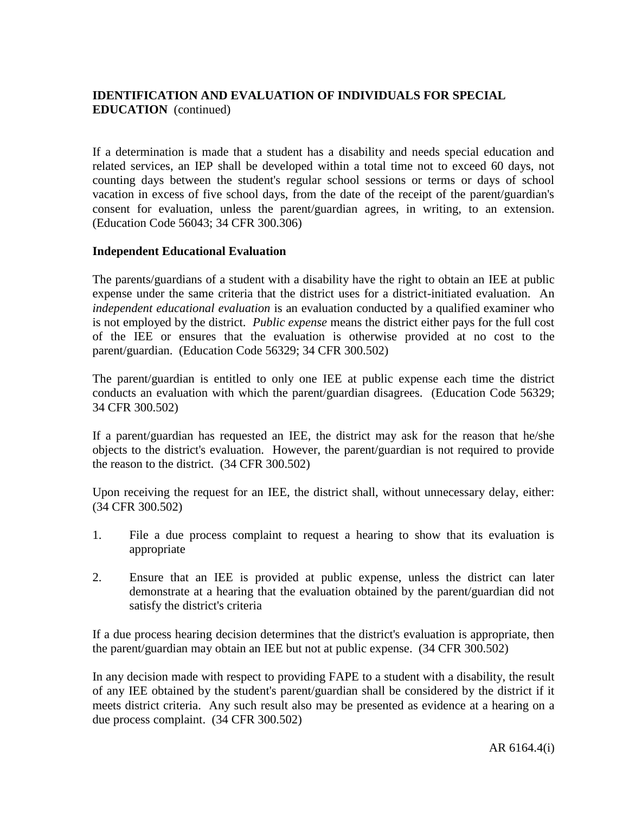If a determination is made that a student has a disability and needs special education and related services, an IEP shall be developed within a total time not to exceed 60 days, not counting days between the student's regular school sessions or terms or days of school vacation in excess of five school days, from the date of the receipt of the parent/guardian's consent for evaluation, unless the parent/guardian agrees, in writing, to an extension. (Education Code 56043; 34 CFR 300.306)

## **Independent Educational Evaluation**

The parents/guardians of a student with a disability have the right to obtain an IEE at public expense under the same criteria that the district uses for a district-initiated evaluation. An *independent educational evaluation* is an evaluation conducted by a qualified examiner who is not employed by the district. *Public expense* means the district either pays for the full cost of the IEE or ensures that the evaluation is otherwise provided at no cost to the parent/guardian. (Education Code 56329; 34 CFR 300.502)

The parent/guardian is entitled to only one IEE at public expense each time the district conducts an evaluation with which the parent/guardian disagrees. (Education Code 56329; 34 CFR 300.502)

If a parent/guardian has requested an IEE, the district may ask for the reason that he/she objects to the district's evaluation. However, the parent/guardian is not required to provide the reason to the district. (34 CFR 300.502)

Upon receiving the request for an IEE, the district shall, without unnecessary delay, either: (34 CFR 300.502)

- 1. File a due process complaint to request a hearing to show that its evaluation is appropriate
- 2. Ensure that an IEE is provided at public expense, unless the district can later demonstrate at a hearing that the evaluation obtained by the parent/guardian did not satisfy the district's criteria

If a due process hearing decision determines that the district's evaluation is appropriate, then the parent/guardian may obtain an IEE but not at public expense. (34 CFR 300.502)

In any decision made with respect to providing FAPE to a student with a disability, the result of any IEE obtained by the student's parent/guardian shall be considered by the district if it meets district criteria. Any such result also may be presented as evidence at a hearing on a due process complaint. (34 CFR 300.502)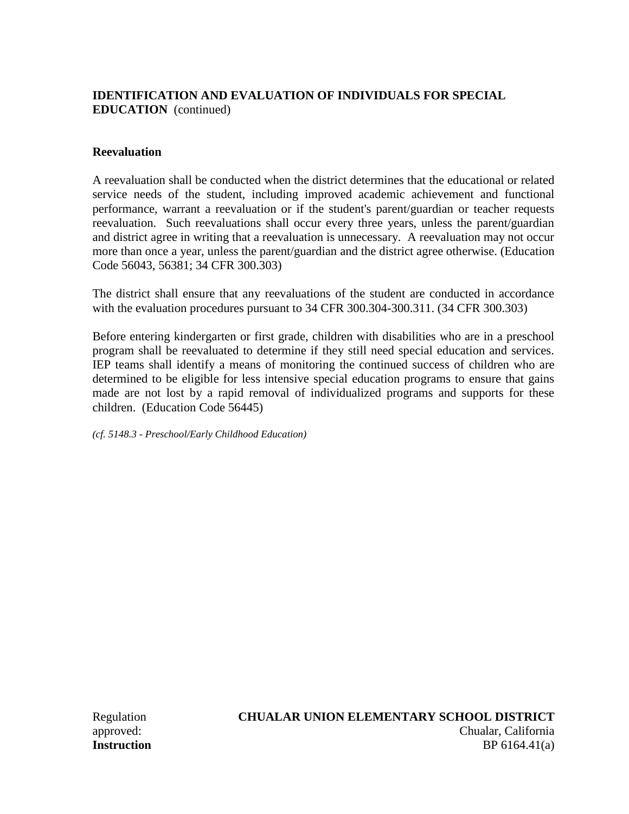## **Reevaluation**

A reevaluation shall be conducted when the district determines that the educational or related service needs of the student, including improved academic achievement and functional performance, warrant a reevaluation or if the student's parent/guardian or teacher requests reevaluation. Such reevaluations shall occur every three years, unless the parent/guardian and district agree in writing that a reevaluation is unnecessary. A reevaluation may not occur more than once a year, unless the parent/guardian and the district agree otherwise. (Education Code 56043, 56381; 34 CFR 300.303)

The district shall ensure that any reevaluations of the student are conducted in accordance with the evaluation procedures pursuant to 34 CFR 300.304-300.311. (34 CFR 300.303)

Before entering kindergarten or first grade, children with disabilities who are in a preschool program shall be reevaluated to determine if they still need special education and services. IEP teams shall identify a means of monitoring the continued success of children who are determined to be eligible for less intensive special education programs to ensure that gains made are not lost by a rapid removal of individualized programs and supports for these children. (Education Code 56445)

*(cf. 5148.3 - Preschool/Early Childhood Education)*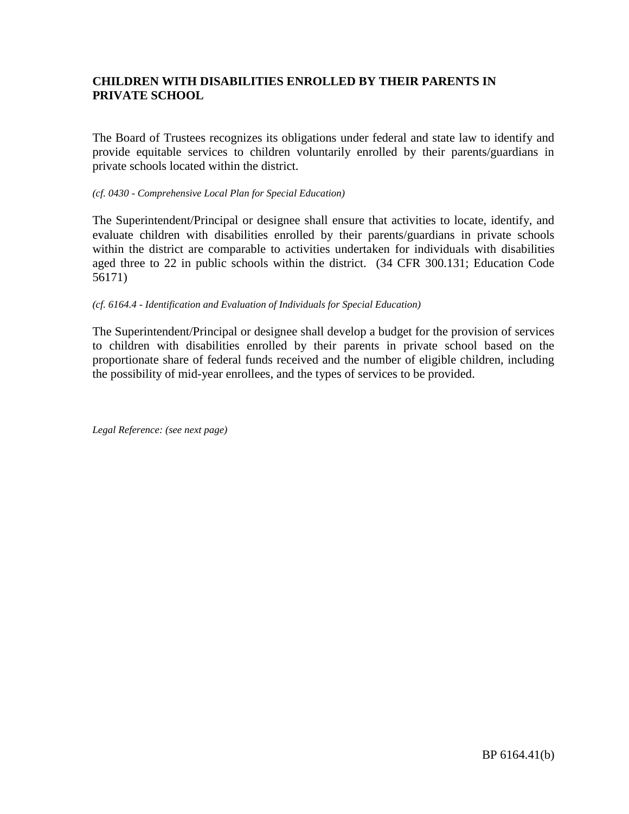## **CHILDREN WITH DISABILITIES ENROLLED BY THEIR PARENTS IN PRIVATE SCHOOL**

The Board of Trustees recognizes its obligations under federal and state law to identify and provide equitable services to children voluntarily enrolled by their parents/guardians in private schools located within the district.

#### *(cf. 0430 - Comprehensive Local Plan for Special Education)*

The Superintendent/Principal or designee shall ensure that activities to locate, identify, and evaluate children with disabilities enrolled by their parents/guardians in private schools within the district are comparable to activities undertaken for individuals with disabilities aged three to 22 in public schools within the district. (34 CFR 300.131; Education Code 56171)

#### *(cf. 6164.4 - Identification and Evaluation of Individuals for Special Education)*

The Superintendent/Principal or designee shall develop a budget for the provision of services to children with disabilities enrolled by their parents in private school based on the proportionate share of federal funds received and the number of eligible children, including the possibility of mid-year enrollees, and the types of services to be provided.

*Legal Reference: (see next page)*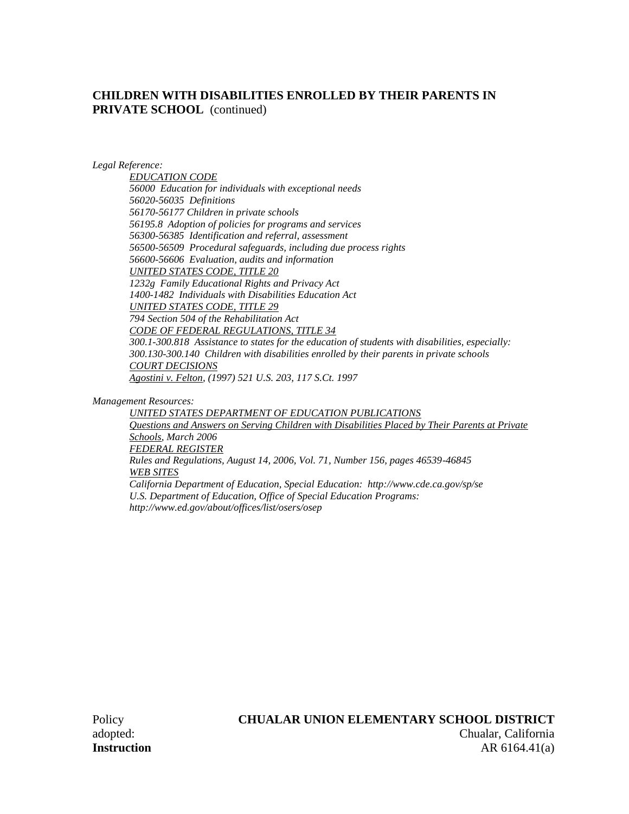## **CHILDREN WITH DISABILITIES ENROLLED BY THEIR PARENTS IN PRIVATE SCHOOL** (continued)

*Legal Reference:*

*EDUCATION CODE 56000 Education for individuals with exceptional needs 56020-56035 Definitions 56170-56177 Children in private schools 56195.8 Adoption of policies for programs and services 56300-56385 Identification and referral, assessment 56500-56509 Procedural safeguards, including due process rights 56600-56606 Evaluation, audits and information UNITED STATES CODE, TITLE 20 1232g Family Educational Rights and Privacy Act 1400-1482 Individuals with Disabilities Education Act UNITED STATES CODE, TITLE 29 794 Section 504 of the Rehabilitation Act CODE OF FEDERAL REGULATIONS, TITLE 34 300.1-300.818 Assistance to states for the education of students with disabilities, especially: 300.130-300.140 Children with disabilities enrolled by their parents in private schools COURT DECISIONS Agostini v. Felton, (1997) 521 U.S. 203, 117 S.Ct. 1997*

*Management Resources:*

*UNITED STATES DEPARTMENT OF EDUCATION PUBLICATIONS Questions and Answers on Serving Children with Disabilities Placed by Their Parents at Private Schools, March 2006 FEDERAL REGISTER Rules and Regulations, August 14, 2006, Vol. 71, Number 156, pages 46539-46845 WEB SITES California Department of Education, Special Education: http://www.cde.ca.gov/sp/se U.S. Department of Education, Office of Special Education Programs: http://www.ed.gov/about/offices/list/osers/osep*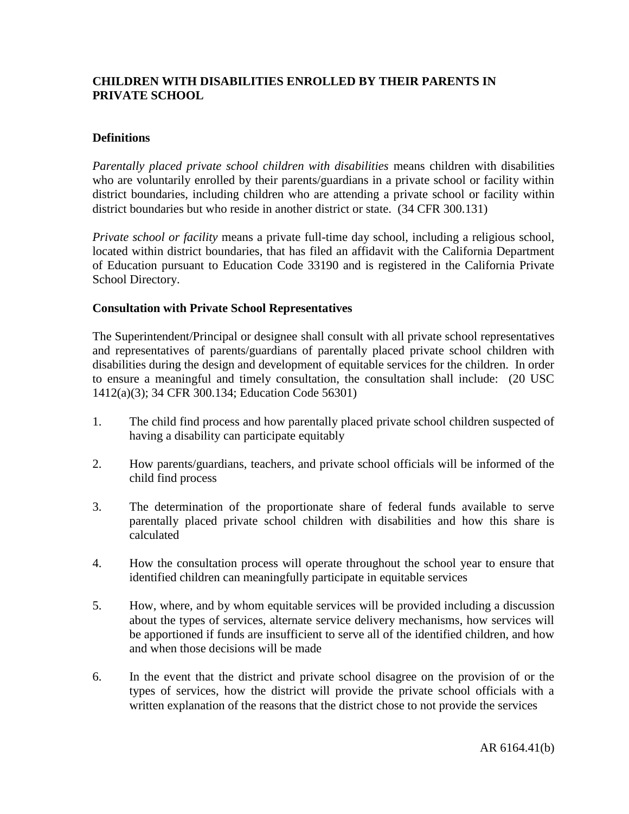## **CHILDREN WITH DISABILITIES ENROLLED BY THEIR PARENTS IN PRIVATE SCHOOL**

## **Definitions**

*Parentally placed private school children with disabilities* means children with disabilities who are voluntarily enrolled by their parents/guardians in a private school or facility within district boundaries, including children who are attending a private school or facility within district boundaries but who reside in another district or state. (34 CFR 300.131)

*Private school or facility* means a private full-time day school, including a religious school, located within district boundaries, that has filed an affidavit with the California Department of Education pursuant to Education Code 33190 and is registered in the California Private School Directory.

#### **Consultation with Private School Representatives**

The Superintendent/Principal or designee shall consult with all private school representatives and representatives of parents/guardians of parentally placed private school children with disabilities during the design and development of equitable services for the children. In order to ensure a meaningful and timely consultation, the consultation shall include: (20 USC 1412(a)(3); 34 CFR 300.134; Education Code 56301)

- 1. The child find process and how parentally placed private school children suspected of having a disability can participate equitably
- 2. How parents/guardians, teachers, and private school officials will be informed of the child find process
- 3. The determination of the proportionate share of federal funds available to serve parentally placed private school children with disabilities and how this share is calculated
- 4. How the consultation process will operate throughout the school year to ensure that identified children can meaningfully participate in equitable services
- 5. How, where, and by whom equitable services will be provided including a discussion about the types of services, alternate service delivery mechanisms, how services will be apportioned if funds are insufficient to serve all of the identified children, and how and when those decisions will be made
- 6. In the event that the district and private school disagree on the provision of or the types of services, how the district will provide the private school officials with a written explanation of the reasons that the district chose to not provide the services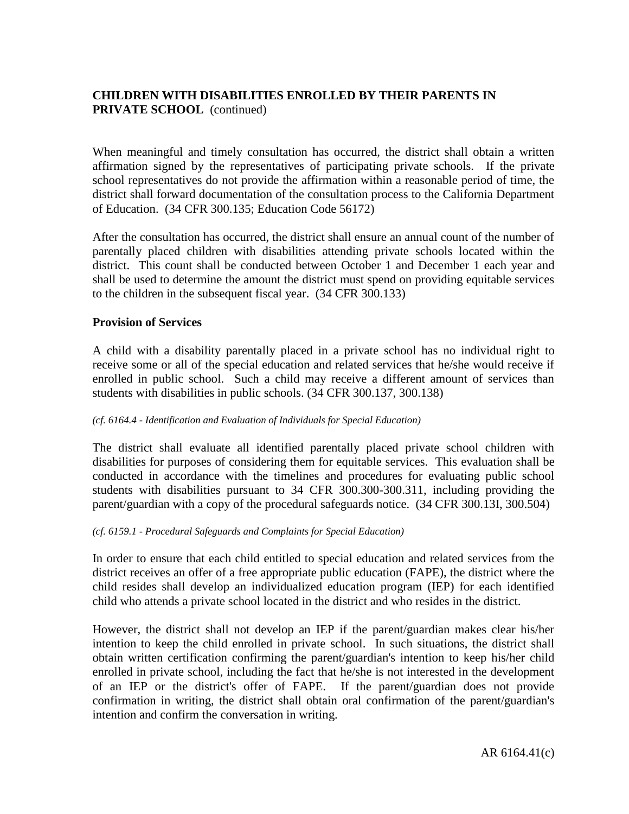# **CHILDREN WITH DISABILITIES ENROLLED BY THEIR PARENTS IN PRIVATE SCHOOL** (continued)

When meaningful and timely consultation has occurred, the district shall obtain a written affirmation signed by the representatives of participating private schools. If the private school representatives do not provide the affirmation within a reasonable period of time, the district shall forward documentation of the consultation process to the California Department of Education. (34 CFR 300.135; Education Code 56172)

After the consultation has occurred, the district shall ensure an annual count of the number of parentally placed children with disabilities attending private schools located within the district. This count shall be conducted between October 1 and December 1 each year and shall be used to determine the amount the district must spend on providing equitable services to the children in the subsequent fiscal year. (34 CFR 300.133)

### **Provision of Services**

A child with a disability parentally placed in a private school has no individual right to receive some or all of the special education and related services that he/she would receive if enrolled in public school. Such a child may receive a different amount of services than students with disabilities in public schools. (34 CFR 300.137, 300.138)

### *(cf. 6164.4 - Identification and Evaluation of Individuals for Special Education)*

The district shall evaluate all identified parentally placed private school children with disabilities for purposes of considering them for equitable services. This evaluation shall be conducted in accordance with the timelines and procedures for evaluating public school students with disabilities pursuant to 34 CFR 300.300-300.311, including providing the parent/guardian with a copy of the procedural safeguards notice. (34 CFR 300.13I, 300.504)

### *(cf. 6159.1 - Procedural Safeguards and Complaints for Special Education)*

In order to ensure that each child entitled to special education and related services from the district receives an offer of a free appropriate public education (FAPE), the district where the child resides shall develop an individualized education program (IEP) for each identified child who attends a private school located in the district and who resides in the district.

However, the district shall not develop an IEP if the parent/guardian makes clear his/her intention to keep the child enrolled in private school. In such situations, the district shall obtain written certification confirming the parent/guardian's intention to keep his/her child enrolled in private school, including the fact that he/she is not interested in the development of an IEP or the district's offer of FAPE. If the parent/guardian does not provide confirmation in writing, the district shall obtain oral confirmation of the parent/guardian's intention and confirm the conversation in writing.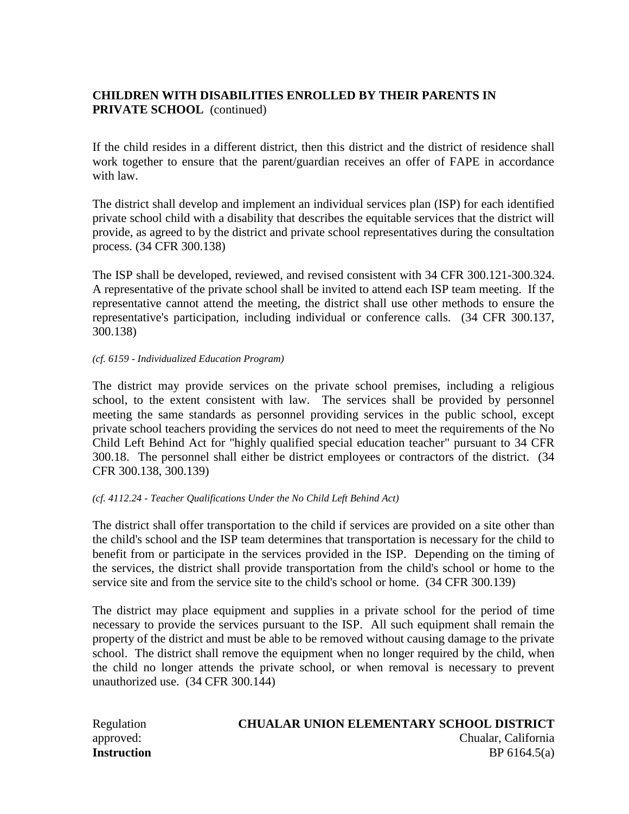# **CHILDREN WITH DISABILITIES ENROLLED BY THEIR PARENTS IN PRIVATE SCHOOL** (continued)

If the child resides in a different district, then this district and the district of residence shall work together to ensure that the parent/guardian receives an offer of FAPE in accordance with law.

The district shall develop and implement an individual services plan (ISP) for each identified private school child with a disability that describes the equitable services that the district will provide, as agreed to by the district and private school representatives during the consultation process. (34 CFR 300.138)

The ISP shall be developed, reviewed, and revised consistent with 34 CFR 300.121-300.324. A representative of the private school shall be invited to attend each ISP team meeting. If the representative cannot attend the meeting, the district shall use other methods to ensure the representative's participation, including individual or conference calls. (34 CFR 300.137, 300.138)

#### *(cf. 6159 - Individualized Education Program)*

The district may provide services on the private school premises, including a religious school, to the extent consistent with law. The services shall be provided by personnel meeting the same standards as personnel providing services in the public school, except private school teachers providing the services do not need to meet the requirements of the No Child Left Behind Act for "highly qualified special education teacher" pursuant to 34 CFR 300.18. The personnel shall either be district employees or contractors of the district. (34 CFR 300.138, 300.139)

#### *(cf. 4112.24 - Teacher Qualifications Under the No Child Left Behind Act)*

The district shall offer transportation to the child if services are provided on a site other than the child's school and the ISP team determines that transportation is necessary for the child to benefit from or participate in the services provided in the ISP. Depending on the timing of the services, the district shall provide transportation from the child's school or home to the service site and from the service site to the child's school or home. (34 CFR 300.139)

The district may place equipment and supplies in a private school for the period of time necessary to provide the services pursuant to the ISP. All such equipment shall remain the property of the district and must be able to be removed without causing damage to the private school. The district shall remove the equipment when no longer required by the child, when the child no longer attends the private school, or when removal is necessary to prevent unauthorized use. (34 CFR 300.144)

#### Regulation **CHUALAR UNION ELEMENTARY SCHOOL DISTRICT** approved: Chualar, California **Instruction** BP 6164.5(a)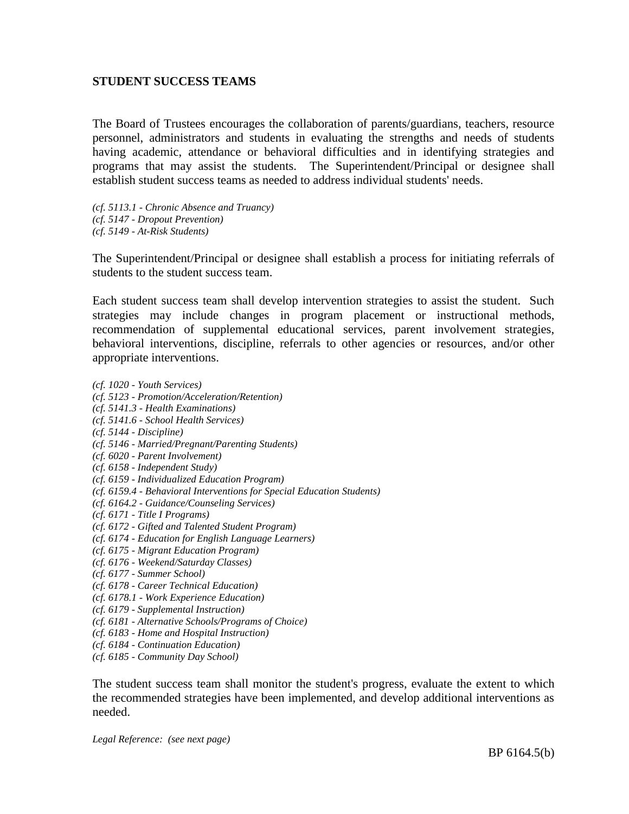### **STUDENT SUCCESS TEAMS**

The Board of Trustees encourages the collaboration of parents/guardians, teachers, resource personnel, administrators and students in evaluating the strengths and needs of students having academic, attendance or behavioral difficulties and in identifying strategies and programs that may assist the students. The Superintendent/Principal or designee shall establish student success teams as needed to address individual students' needs.

*(cf. 5113.1 - Chronic Absence and Truancy) (cf. 5147 - Dropout Prevention) (cf. 5149 - At-Risk Students)*

The Superintendent/Principal or designee shall establish a process for initiating referrals of students to the student success team.

Each student success team shall develop intervention strategies to assist the student. Such strategies may include changes in program placement or instructional methods, recommendation of supplemental educational services, parent involvement strategies, behavioral interventions, discipline, referrals to other agencies or resources, and/or other appropriate interventions.

- *(cf. 1020 - Youth Services)*
- *(cf. 5123 - Promotion/Acceleration/Retention)*
- *(cf. 5141.3 - Health Examinations)*
- *(cf. 5141.6 - School Health Services)*
- *(cf. 5144 - Discipline)*
- *(cf. 5146 - Married/Pregnant/Parenting Students)*
- *(cf. 6020 - Parent Involvement)*
- *(cf. 6158 - Independent Study)*
- *(cf. 6159 - Individualized Education Program)*
- *(cf. 6159.4 - Behavioral Interventions for Special Education Students)*
- *(cf. 6164.2 - Guidance/Counseling Services)*
- *(cf. 6171 - Title I Programs)*
- *(cf. 6172 - Gifted and Talented Student Program)*
- *(cf. 6174 - Education for English Language Learners)*
- *(cf. 6175 - Migrant Education Program)*
- *(cf. 6176 - Weekend/Saturday Classes)*
- *(cf. 6177 - Summer School)*
- *(cf. 6178 - Career Technical Education)*
- *(cf. 6178.1 - Work Experience Education)*
- *(cf. 6179 - Supplemental Instruction)*
- *(cf. 6181 - Alternative Schools/Programs of Choice)*
- *(cf. 6183 - Home and Hospital Instruction)*
- *(cf. 6184 - Continuation Education)*
- *(cf. 6185 - Community Day School)*

The student success team shall monitor the student's progress, evaluate the extent to which the recommended strategies have been implemented, and develop additional interventions as needed.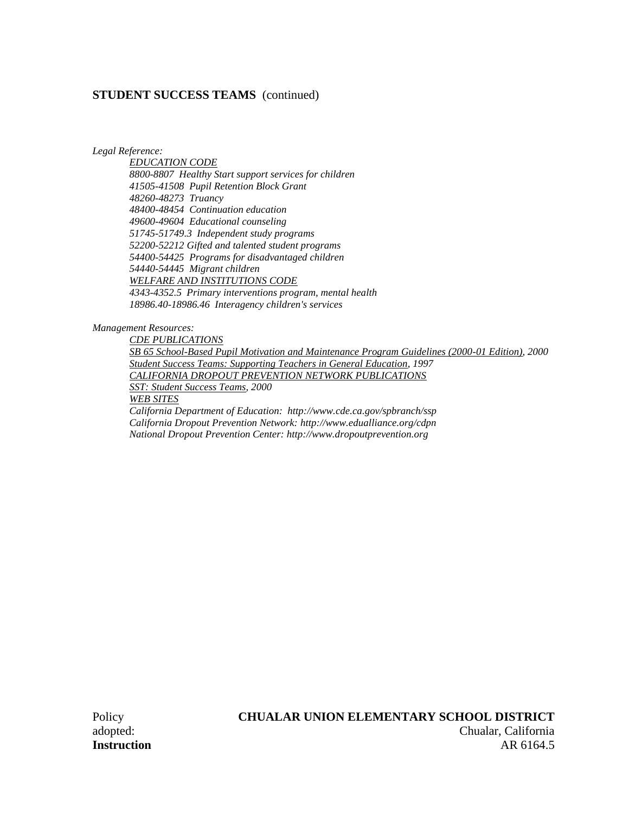#### **STUDENT SUCCESS TEAMS** (continued)

*Legal Reference:*

*EDUCATION CODE 8800-8807 Healthy Start support services for children 41505-41508 Pupil Retention Block Grant 48260-48273 Truancy 48400-48454 Continuation education 49600-49604 Educational counseling 51745-51749.3 Independent study programs 52200-52212 Gifted and talented student programs 54400-54425 Programs for disadvantaged children 54440-54445 Migrant children WELFARE AND INSTITUTIONS CODE 4343-4352.5 Primary interventions program, mental health 18986.40-18986.46 Interagency children's services*

#### *Management Resources:*

*CDE PUBLICATIONS SB 65 School-Based Pupil Motivation and Maintenance Program Guidelines (2000-01 Edition), 2000 Student Success Teams: Supporting Teachers in General Education, 1997 CALIFORNIA DROPOUT PREVENTION NETWORK PUBLICATIONS SST: Student Success Teams, 2000 WEB SITES California Department of Education: http://www.cde.ca.gov/spbranch/ssp California Dropout Prevention Network: http://www.edualliance.org/cdpn National Dropout Prevention Center: http://www.dropoutprevention.org*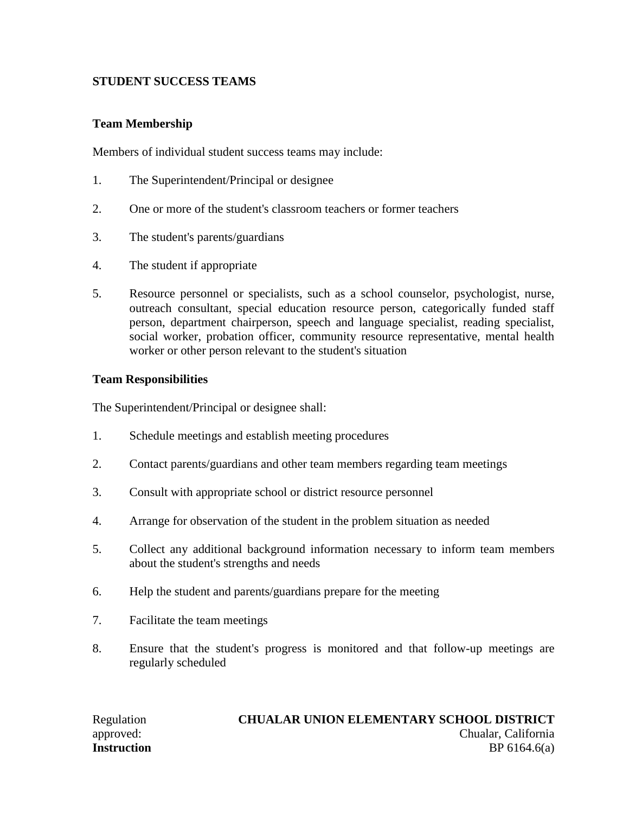# **STUDENT SUCCESS TEAMS**

### **Team Membership**

Members of individual student success teams may include:

- 1. The Superintendent/Principal or designee
- 2. One or more of the student's classroom teachers or former teachers
- 3. The student's parents/guardians
- 4. The student if appropriate
- 5. Resource personnel or specialists, such as a school counselor, psychologist, nurse, outreach consultant, special education resource person, categorically funded staff person, department chairperson, speech and language specialist, reading specialist, social worker, probation officer, community resource representative, mental health worker or other person relevant to the student's situation

### **Team Responsibilities**

The Superintendent/Principal or designee shall:

- 1. Schedule meetings and establish meeting procedures
- 2. Contact parents/guardians and other team members regarding team meetings
- 3. Consult with appropriate school or district resource personnel
- 4. Arrange for observation of the student in the problem situation as needed
- 5. Collect any additional background information necessary to inform team members about the student's strengths and needs
- 6. Help the student and parents/guardians prepare for the meeting
- 7. Facilitate the team meetings
- 8. Ensure that the student's progress is monitored and that follow-up meetings are regularly scheduled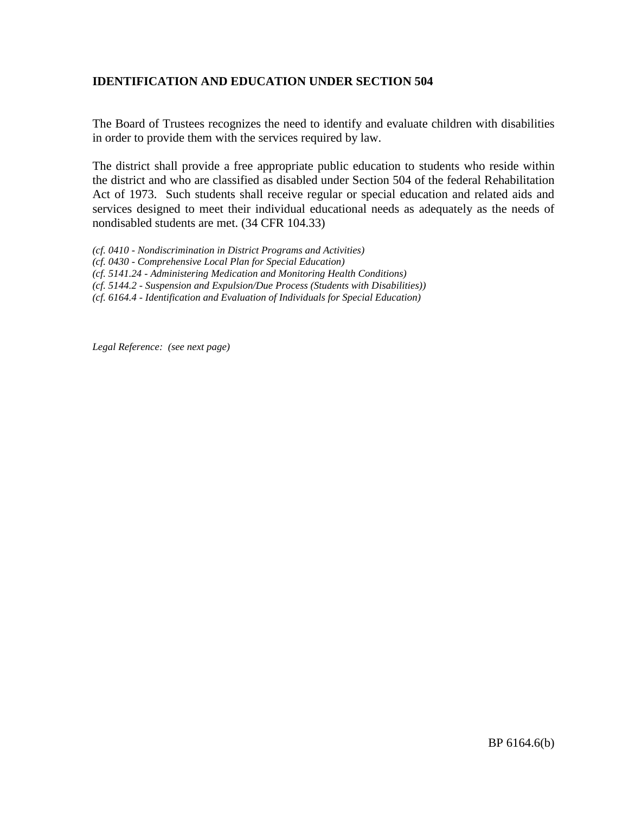### **IDENTIFICATION AND EDUCATION UNDER SECTION 504**

The Board of Trustees recognizes the need to identify and evaluate children with disabilities in order to provide them with the services required by law.

The district shall provide a free appropriate public education to students who reside within the district and who are classified as disabled under Section 504 of the federal Rehabilitation Act of 1973. Such students shall receive regular or special education and related aids and services designed to meet their individual educational needs as adequately as the needs of nondisabled students are met. (34 CFR 104.33)

- *(cf. 0410 - Nondiscrimination in District Programs and Activities)*
- *(cf. 0430 - Comprehensive Local Plan for Special Education)*
- *(cf. 5141.24 - Administering Medication and Monitoring Health Conditions)*
- *(cf. 5144.2 - Suspension and Expulsion/Due Process (Students with Disabilities))*
- *(cf. 6164.4 - Identification and Evaluation of Individuals for Special Education)*

*Legal Reference: (see next page)*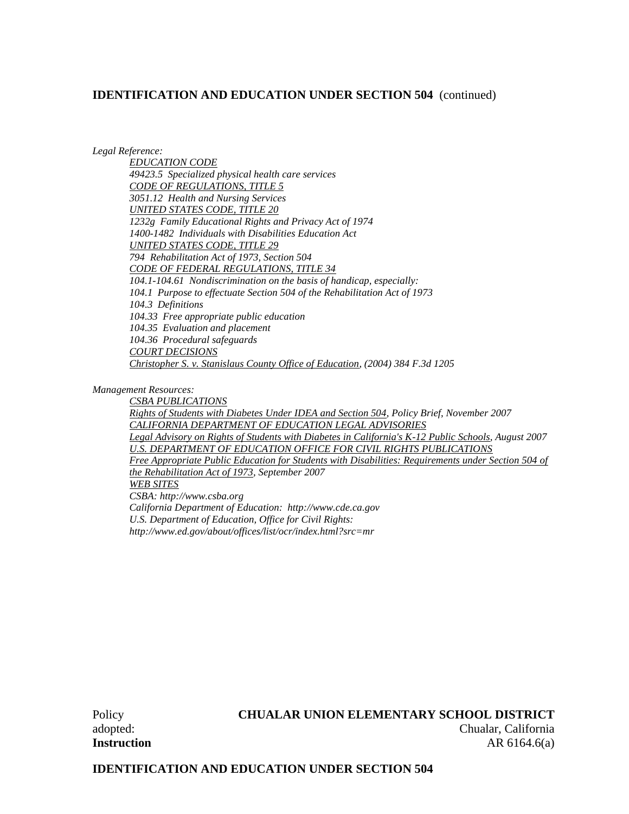*Legal Reference:*

*EDUCATION CODE 49423.5 Specialized physical health care services CODE OF REGULATIONS, TITLE 5 3051.12 Health and Nursing Services UNITED STATES CODE, TITLE 20 1232g Family Educational Rights and Privacy Act of 1974 1400-1482 Individuals with Disabilities Education Act UNITED STATES CODE, TITLE 29 794 Rehabilitation Act of 1973, Section 504 CODE OF FEDERAL REGULATIONS, TITLE 34 104.1-104.61 Nondiscrimination on the basis of handicap, especially: 104.1 Purpose to effectuate Section 504 of the Rehabilitation Act of 1973 104.3 Definitions 104.33 Free appropriate public education 104.35 Evaluation and placement 104.36 Procedural safeguards COURT DECISIONS Christopher S. v. Stanislaus County Office of Education, (2004) 384 F.3d 1205*

*Management Resources:*

*CSBA PUBLICATIONS Rights of Students with Diabetes Under IDEA and Section 504, Policy Brief, November 2007 CALIFORNIA DEPARTMENT OF EDUCATION LEGAL ADVISORIES Legal Advisory on Rights of Students with Diabetes in California's K-12 Public Schools, August 2007 U.S. DEPARTMENT OF EDUCATION OFFICE FOR CIVIL RIGHTS PUBLICATIONS Free Appropriate Public Education for Students with Disabilities: Requirements under Section 504 of the Rehabilitation Act of 1973, September 2007 WEB SITES CSBA: http://www.csba.org California Department of Education: http://www.cde.ca.gov U.S. Department of Education, Office for Civil Rights: http://www.ed.gov/about/offices/list/ocr/index.html?src=mr*

### Policy **CHUALAR UNION ELEMENTARY SCHOOL DISTRICT**

adopted: Chualar, California **Instruction** AR 6164.6(a)

### **IDENTIFICATION AND EDUCATION UNDER SECTION 504**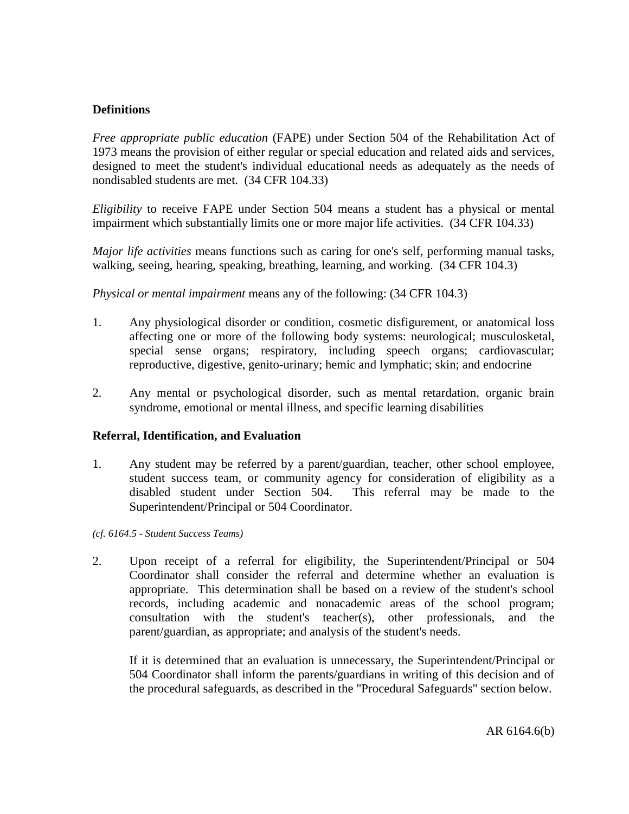### **Definitions**

*Free appropriate public education* (FAPE) under Section 504 of the Rehabilitation Act of 1973 means the provision of either regular or special education and related aids and services, designed to meet the student's individual educational needs as adequately as the needs of nondisabled students are met. (34 CFR 104.33)

*Eligibility* to receive FAPE under Section 504 means a student has a physical or mental impairment which substantially limits one or more major life activities. (34 CFR 104.33)

*Major life activities* means functions such as caring for one's self, performing manual tasks, walking, seeing, hearing, speaking, breathing, learning, and working. (34 CFR 104.3)

*Physical or mental impairment* means any of the following: (34 CFR 104.3)

- 1. Any physiological disorder or condition, cosmetic disfigurement, or anatomical loss affecting one or more of the following body systems: neurological; musculosketal, special sense organs; respiratory, including speech organs; cardiovascular; reproductive, digestive, genito-urinary; hemic and lymphatic; skin; and endocrine
- 2. Any mental or psychological disorder, such as mental retardation, organic brain syndrome, emotional or mental illness, and specific learning disabilities

### **Referral, Identification, and Evaluation**

1. Any student may be referred by a parent/guardian, teacher, other school employee, student success team, or community agency for consideration of eligibility as a disabled student under Section 504. This referral may be made to the Superintendent/Principal or 504 Coordinator.

*(cf. 6164.5 - Student Success Teams)*

2. Upon receipt of a referral for eligibility, the Superintendent/Principal or 504 Coordinator shall consider the referral and determine whether an evaluation is appropriate. This determination shall be based on a review of the student's school records, including academic and nonacademic areas of the school program; consultation with the student's teacher(s), other professionals, and the parent/guardian, as appropriate; and analysis of the student's needs.

If it is determined that an evaluation is unnecessary, the Superintendent/Principal or 504 Coordinator shall inform the parents/guardians in writing of this decision and of the procedural safeguards, as described in the "Procedural Safeguards" section below.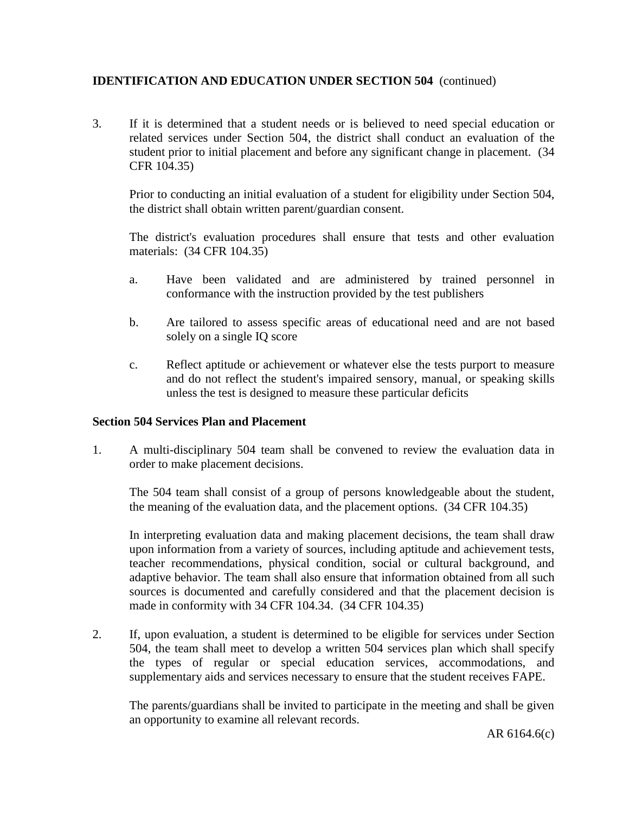3. If it is determined that a student needs or is believed to need special education or related services under Section 504, the district shall conduct an evaluation of the student prior to initial placement and before any significant change in placement. (34 CFR 104.35)

Prior to conducting an initial evaluation of a student for eligibility under Section 504, the district shall obtain written parent/guardian consent.

The district's evaluation procedures shall ensure that tests and other evaluation materials: (34 CFR 104.35)

- a. Have been validated and are administered by trained personnel in conformance with the instruction provided by the test publishers
- b. Are tailored to assess specific areas of educational need and are not based solely on a single IQ score
- c. Reflect aptitude or achievement or whatever else the tests purport to measure and do not reflect the student's impaired sensory, manual, or speaking skills unless the test is designed to measure these particular deficits

### **Section 504 Services Plan and Placement**

1. A multi-disciplinary 504 team shall be convened to review the evaluation data in order to make placement decisions.

The 504 team shall consist of a group of persons knowledgeable about the student, the meaning of the evaluation data, and the placement options. (34 CFR 104.35)

In interpreting evaluation data and making placement decisions, the team shall draw upon information from a variety of sources, including aptitude and achievement tests, teacher recommendations, physical condition, social or cultural background, and adaptive behavior. The team shall also ensure that information obtained from all such sources is documented and carefully considered and that the placement decision is made in conformity with 34 CFR 104.34. (34 CFR 104.35)

2. If, upon evaluation, a student is determined to be eligible for services under Section 504, the team shall meet to develop a written 504 services plan which shall specify the types of regular or special education services, accommodations, and supplementary aids and services necessary to ensure that the student receives FAPE.

The parents/guardians shall be invited to participate in the meeting and shall be given an opportunity to examine all relevant records.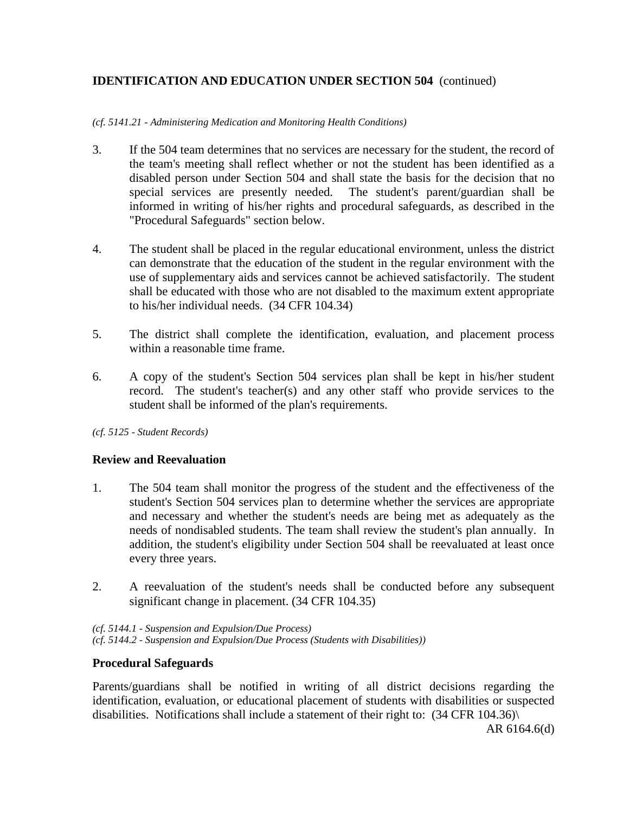#### *(cf. 5141.21 - Administering Medication and Monitoring Health Conditions)*

- 3. If the 504 team determines that no services are necessary for the student, the record of the team's meeting shall reflect whether or not the student has been identified as a disabled person under Section 504 and shall state the basis for the decision that no special services are presently needed. The student's parent/guardian shall be informed in writing of his/her rights and procedural safeguards, as described in the "Procedural Safeguards" section below.
- 4. The student shall be placed in the regular educational environment, unless the district can demonstrate that the education of the student in the regular environment with the use of supplementary aids and services cannot be achieved satisfactorily. The student shall be educated with those who are not disabled to the maximum extent appropriate to his/her individual needs. (34 CFR 104.34)
- 5. The district shall complete the identification, evaluation, and placement process within a reasonable time frame.
- 6. A copy of the student's Section 504 services plan shall be kept in his/her student record. The student's teacher(s) and any other staff who provide services to the student shall be informed of the plan's requirements.
- *(cf. 5125 Student Records)*

### **Review and Reevaluation**

- 1. The 504 team shall monitor the progress of the student and the effectiveness of the student's Section 504 services plan to determine whether the services are appropriate and necessary and whether the student's needs are being met as adequately as the needs of nondisabled students. The team shall review the student's plan annually. In addition, the student's eligibility under Section 504 shall be reevaluated at least once every three years.
- 2. A reevaluation of the student's needs shall be conducted before any subsequent significant change in placement. (34 CFR 104.35)

*(cf. 5144.1 - Suspension and Expulsion/Due Process) (cf. 5144.2 - Suspension and Expulsion/Due Process (Students with Disabilities))* 

### **Procedural Safeguards**

Parents/guardians shall be notified in writing of all district decisions regarding the identification, evaluation, or educational placement of students with disabilities or suspected disabilities. Notifications shall include a statement of their right to: (34 CFR 104.36)\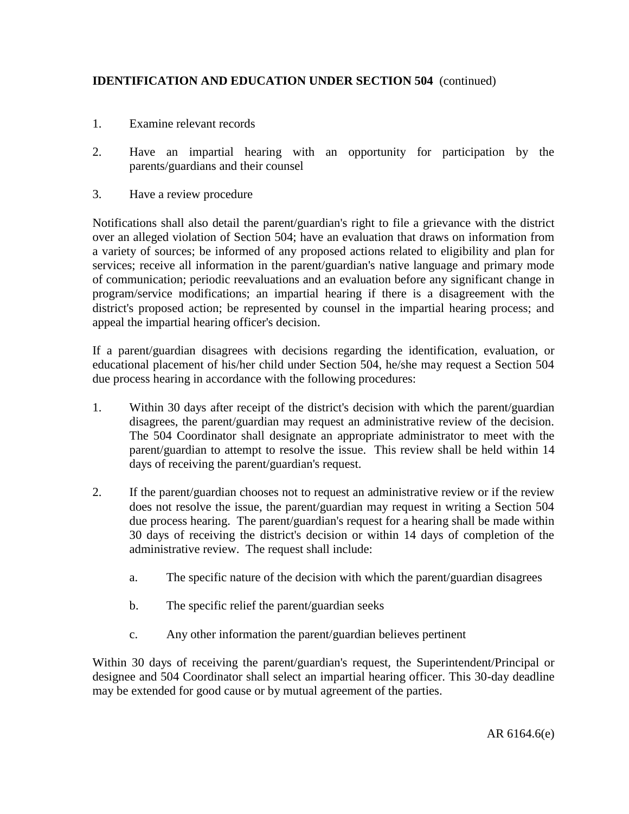- 1. Examine relevant records
- 2. Have an impartial hearing with an opportunity for participation by the parents/guardians and their counsel
- 3. Have a review procedure

Notifications shall also detail the parent/guardian's right to file a grievance with the district over an alleged violation of Section 504; have an evaluation that draws on information from a variety of sources; be informed of any proposed actions related to eligibility and plan for services; receive all information in the parent/guardian's native language and primary mode of communication; periodic reevaluations and an evaluation before any significant change in program/service modifications; an impartial hearing if there is a disagreement with the district's proposed action; be represented by counsel in the impartial hearing process; and appeal the impartial hearing officer's decision.

If a parent/guardian disagrees with decisions regarding the identification, evaluation, or educational placement of his/her child under Section 504, he/she may request a Section 504 due process hearing in accordance with the following procedures:

- 1. Within 30 days after receipt of the district's decision with which the parent/guardian disagrees, the parent/guardian may request an administrative review of the decision. The 504 Coordinator shall designate an appropriate administrator to meet with the parent/guardian to attempt to resolve the issue. This review shall be held within 14 days of receiving the parent/guardian's request.
- 2. If the parent/guardian chooses not to request an administrative review or if the review does not resolve the issue, the parent/guardian may request in writing a Section 504 due process hearing. The parent/guardian's request for a hearing shall be made within 30 days of receiving the district's decision or within 14 days of completion of the administrative review. The request shall include:
	- a. The specific nature of the decision with which the parent/guardian disagrees
	- b. The specific relief the parent/guardian seeks
	- c. Any other information the parent/guardian believes pertinent

Within 30 days of receiving the parent/guardian's request, the Superintendent/Principal or designee and 504 Coordinator shall select an impartial hearing officer. This 30-day deadline may be extended for good cause or by mutual agreement of the parties.